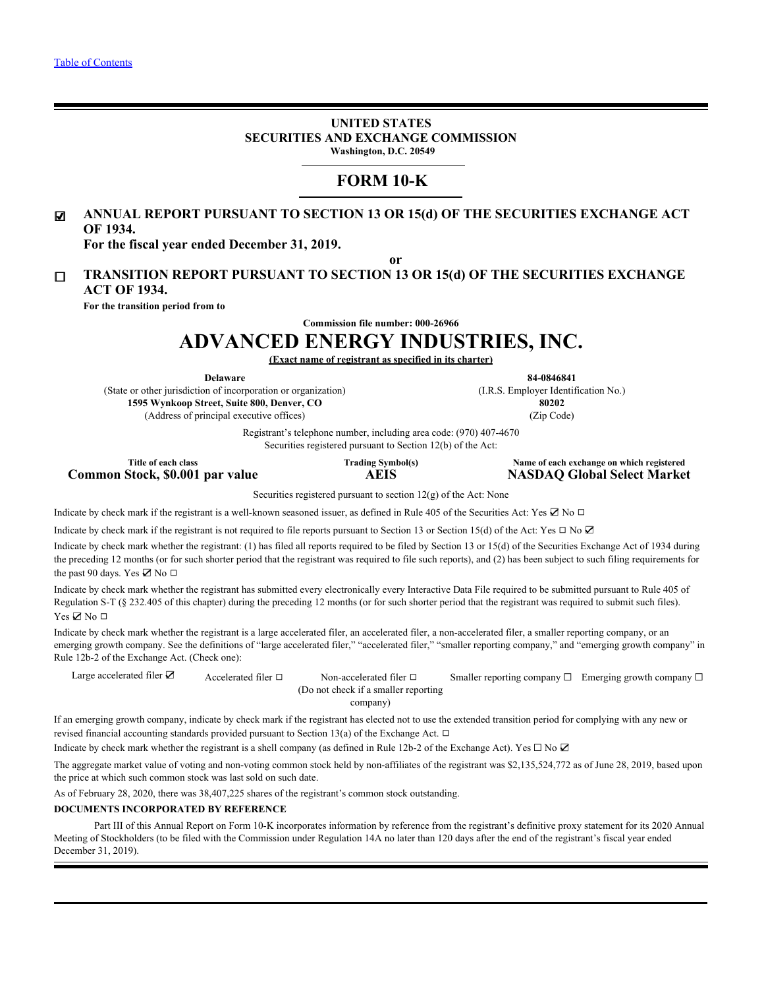## **UNITED STATES SECURITIES AND EXCHANGE COMMISSION Washington, D.C. 20549**

# **FORM 10-K**

# ☑ **ANNUAL REPORT PURSUANT TO SECTION 13 OR 15(d) OF THE SECURITIES EXCHANGE ACT OF 1934.**

**For the fiscal year ended December 31, 2019.**

**or**

## ☐ **TRANSITION REPORT PURSUANT TO SECTION 13 OR 15(d) OF THE SECURITIES EXCHANGE ACT OF 1934.**

**For the transition period from to**

**Commission file number: 000-26966**

# **ADVANCED ENERGY INDUSTRIES, INC.**

**(Exact name of registrant as specified in its charter)**

(State or other jurisdiction of incorporation or organization) (I.R.S. Employer Identification No.) **1595 Wynkoop Street, Suite 800, Denver, CO 80202** (Address of principal executive offices) (Zip Code)

Registrant's telephone number, including area code: (970) 407-4670 Securities registered pursuant to Section 12(b) of the Act:

**Title of each class Trading Symbol(s) Name of each exchange on which registered**

**Common Stock, \$0.001 par value AEIS NASDAQ Global Select Market**

Securities registered pursuant to section 12(g) of the Act: None

Indicate by check mark if the registrant is a well-known seasoned issuer, as defined in Rule 405 of the Securities Act: Yes  $\boxtimes$  No  $\Box$ 

Indicate by check mark if the registrant is not required to file reports pursuant to Section 13 or Section 15(d) of the Act: Yes □ No ☑

Indicate by check mark whether the registrant: (1) has filed all reports required to be filed by Section 13 or 15(d) of the Securities Exchange Act of 1934 during the preceding 12 months (or for such shorter period that the registrant was required to file such reports), and (2) has been subject to such filing requirements for the past 90 days. Yes  $\boxtimes$  No □

Indicate by check mark whether the registrant has submitted every electronically every Interactive Data File required to be submitted pursuant to Rule 405 of Regulation S-T (§ 232.405 of this chapter) during the preceding 12 months (or for such shorter period that the registrant was required to submit such files).  $\mathsf{Yes} \ \boldsymbol{\emptyset}$  No  $\Box$ 

Indicate by check mark whether the registrant is a large accelerated filer, an accelerated filer, a non-accelerated filer, a smaller reporting company, or an emerging growth company. See the definitions of "large accelerated filer," "sceelerated filer," "smaller reporting company," and "emerging growth company" in Rule 12b-2 of the Exchange Act. (Check one):

Large accelerated filer  $\Box$  Accelerated filer □ Non-accelerated filer □ Smaller reporting company □ Emerging growth company □ (Do not check if a smaller reporting company)

If an emerging growth company, indicate by check mark if the registrant has elected not to use the extended transition period for complying with any new or revised financial accounting standards provided pursuant to Section 13(a) of the Exchange Act. □

Indicate by check mark whether the registrant is a shell company (as defined in Rule 12b-2 of the Exchange Act). Yes  $\Box$  No  $\Box$ 

The aggregate market value of voting and non-voting common stock held by non-affiliates of the registrant was \$2,135,524,772 as of June 28, 2019, based upon the price at which such common stock was last sold on such date.

As of February 28, 2020, there was 38,407,225 shares of the registrant's common stock outstanding.

## **DOCUMENTS INCORPORATED BY REFERENCE**

Part III of this Annual Report on Form 10-K incorporates information by reference from the registrant's definitive proxy statement for its 2020 Annual Meeting of Stockholders (to be filed with the Commission under Regulation 14A no later than 120 days after the end of the registrant's fiscal year ended December 31, 2019).

**Delaware 84-0846841**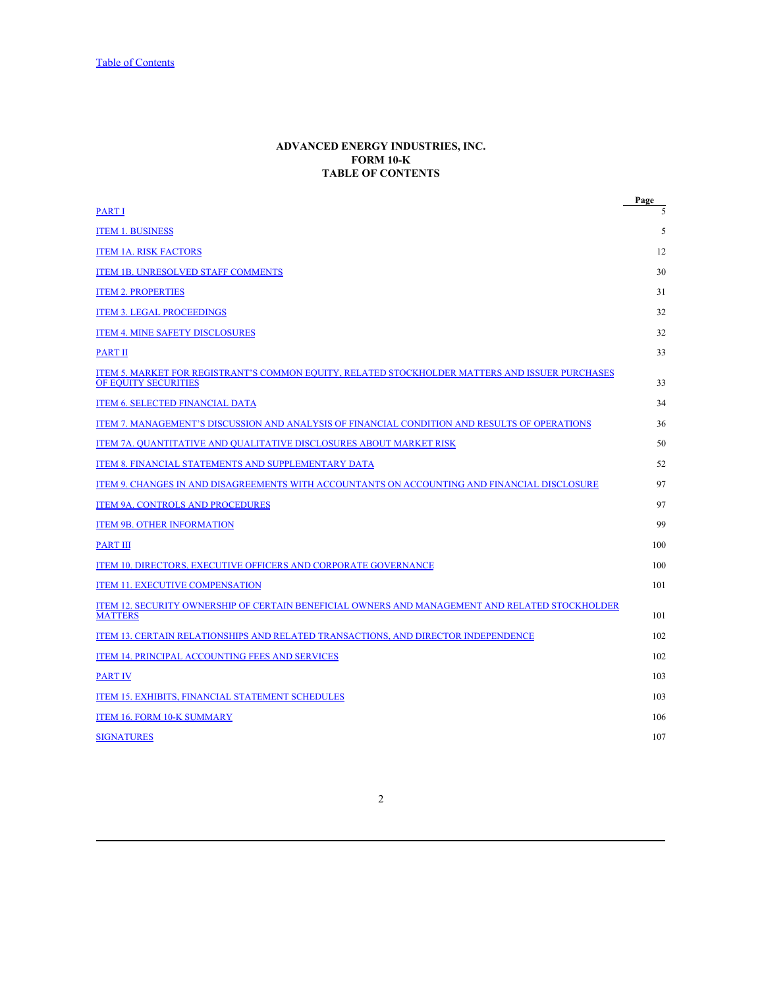## **ADVANCED ENERGY INDUSTRIES, INC. FORM 10-K TABLE OF CONTENTS**

<span id="page-1-0"></span>

|                                                                                                                         | Page           |  |
|-------------------------------------------------------------------------------------------------------------------------|----------------|--|
| <b>PART I</b>                                                                                                           | $\overline{5}$ |  |
| <b>ITEM 1. BUSINESS</b>                                                                                                 | 5              |  |
| <b>ITEM 1A. RISK FACTORS</b>                                                                                            | 12             |  |
| ITEM 1B. UNRESOLVED STAFF COMMENTS                                                                                      | 30             |  |
| <b>ITEM 2. PROPERTIES</b>                                                                                               | 31             |  |
| <b>ITEM 3. LEGAL PROCEEDINGS</b>                                                                                        | 32             |  |
| <b>ITEM 4. MINE SAFETY DISCLOSURES</b>                                                                                  | 32             |  |
| <b>PART II</b>                                                                                                          | 33             |  |
| ITEM 5. MARKET FOR REGISTRANT'S COMMON EQUITY, RELATED STOCKHOLDER MATTERS AND ISSUER PURCHASES<br>OF EQUITY SECURITIES | 33             |  |
| <b>ITEM 6. SELECTED FINANCIAL DATA</b>                                                                                  | 34             |  |
| ITEM 7. MANAGEMENT'S DISCUSSION AND ANALYSIS OF FINANCIAL CONDITION AND RESULTS OF OPERATIONS                           | 36             |  |
| <b>ITEM 7A. QUANTITATIVE AND QUALITATIVE DISCLOSURES ABOUT MARKET RISK</b>                                              | 50             |  |
| ITEM 8. FINANCIAL STATEMENTS AND SUPPLEMENTARY DATA                                                                     | 52             |  |
| ITEM 9. CHANGES IN AND DISAGREEMENTS WITH ACCOUNTANTS ON ACCOUNTING AND FINANCIAL DISCLOSURE                            | 97             |  |
| <b>ITEM 9A. CONTROLS AND PROCEDURES</b>                                                                                 | 97             |  |
| <b>ITEM 9B. OTHER INFORMATION</b>                                                                                       | 99             |  |
| <b>PART III</b>                                                                                                         | 100            |  |
| <b>ITEM 10. DIRECTORS, EXECUTIVE OFFICERS AND CORPORATE GOVERNANCE</b>                                                  | 100            |  |
| <b>ITEM 11. EXECUTIVE COMPENSATION</b>                                                                                  | 101            |  |
| ITEM 12. SECURITY OWNERSHIP OF CERTAIN BENEFICIAL OWNERS AND MANAGEMENT AND RELATED STOCKHOLDER<br><b>MATTERS</b>       | 101            |  |
| ITEM 13. CERTAIN RELATIONSHIPS AND RELATED TRANSACTIONS, AND DIRECTOR INDEPENDENCE                                      | 102            |  |
| ITEM 14. PRINCIPAL ACCOUNTING FEES AND SERVICES                                                                         | 102            |  |
| <b>PART IV</b>                                                                                                          | 103            |  |
| ITEM 15. EXHIBITS, FINANCIAL STATEMENT SCHEDULES                                                                        | 103            |  |
| <b>ITEM 16. FORM 10-K SUMMARY</b>                                                                                       | 106            |  |
| <b>SIGNATURES</b>                                                                                                       | 107            |  |
|                                                                                                                         |                |  |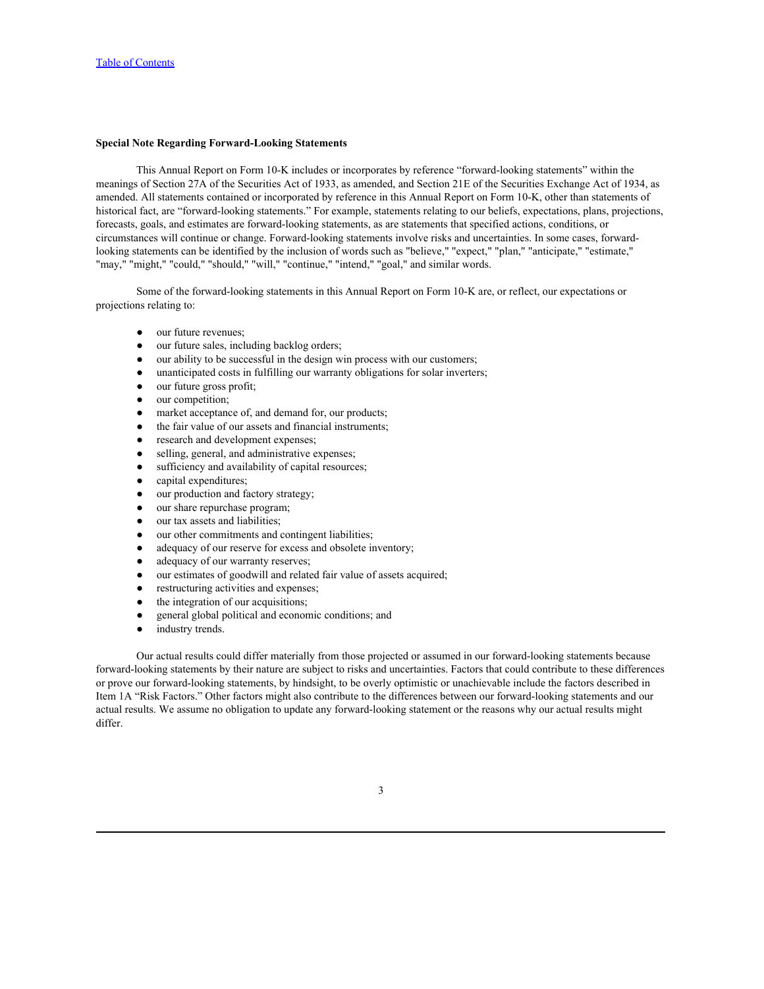#### **Special Note Regarding Forward-Looking Statements**

This Annual Report on Form 10-K includes or incorporates by reference "forward-looking statements" within the meanings of Section 27A of the Securities Act of 1933, as amended, and Section 21E of the Securities Exchange Act of 1934, as amended. All statements contained or incorporated by reference in this Annual Report on Form 10-K, other than statements of historical fact, are "forward-looking statements." For example, statements relating to our beliefs, expectations, plans, projections, forecasts, goals, and estimates are forward-looking statements, as are statements that specified actions, conditions, or circumstances will continue or change. Forward-looking statements involve risks and uncertainties. In some cases, forwardlooking statements can be identified by the inclusion of words such as "believe," "expect," "plan," "anticipate," "estimate," "may," "might," "could," "should," "will," "continue," "intend," "goal," and similar words.

Some of the forward-looking statements in this Annual Report on Form 10-K are, or reflect, our expectations or projections relating to:

- our future revenues;
- our future sales, including backlog orders;
- our ability to be successful in the design win process with our customers;
- unanticipated costs in fulfilling our warranty obligations for solar inverters;
- our future gross profit;
- our competition;
- market acceptance of, and demand for, our products;
- the fair value of our assets and financial instruments;
- research and development expenses;
- selling, general, and administrative expenses;
- sufficiency and availability of capital resources;
- capital expenditures;
- our production and factory strategy;
- our share repurchase program;
- our tax assets and liabilities;
- our other commitments and contingent liabilities;
- adequacy of our reserve for excess and obsolete inventory;
- adequacy of our warranty reserves;
- our estimates of goodwill and related fair value of assets acquired;
- restructuring activities and expenses;
- the integration of our acquisitions;
- general global political and economic conditions; and
- industry trends.

Our actual results could differ materially from those projected or assumed in our forward-looking statements because forward-looking statements by their nature are subject to risks and uncertainties. Factors that could contribute to these differences or prove our forward-looking statements, by hindsight, to be overly optimistic or unachievable include the factors described in Item 1A "Risk Factors." Other factors might also contribute to the differences between our forward-looking statements and our actual results. We assume no obligation to update any forward-looking statement or the reasons why our actual results might differ.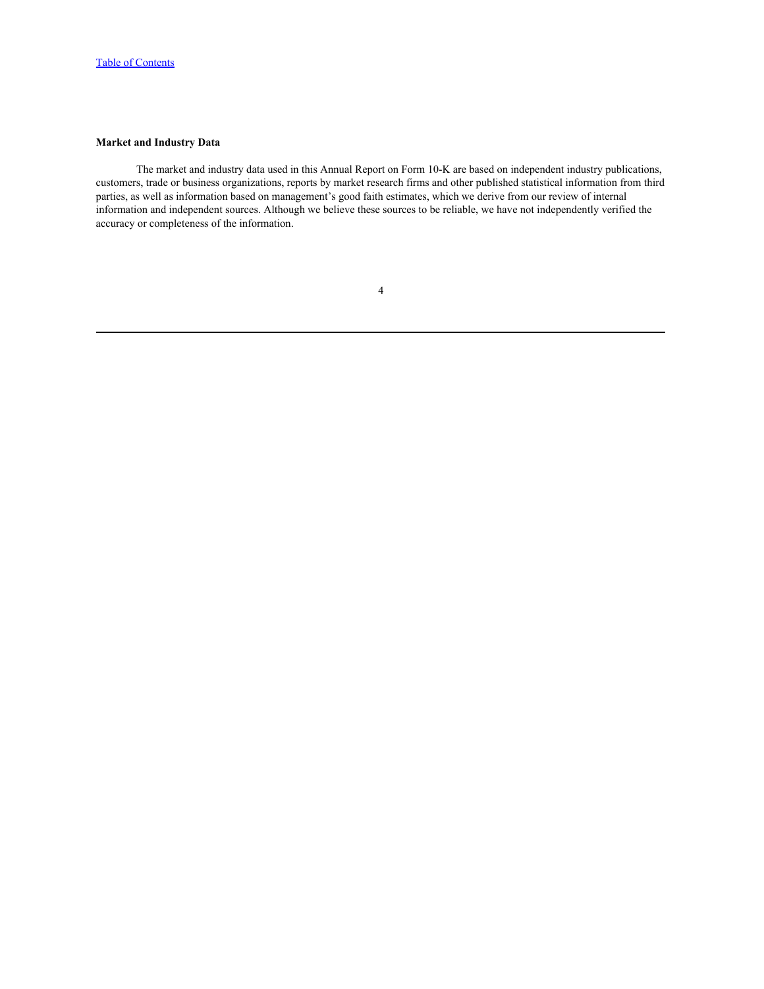## **Market and Industry Data**

The market and industry data used in this Annual Report on Form 10-K are based on independent industry publications, customers, trade or business organizations, reports by market research firms and other published statistical information from third parties, as well as information based on management's good faith estimates, which we derive from our review of internal information and independent sources. Although we believe these sources to be reliable, we have not independently verified the accuracy or completeness of the information.

|--|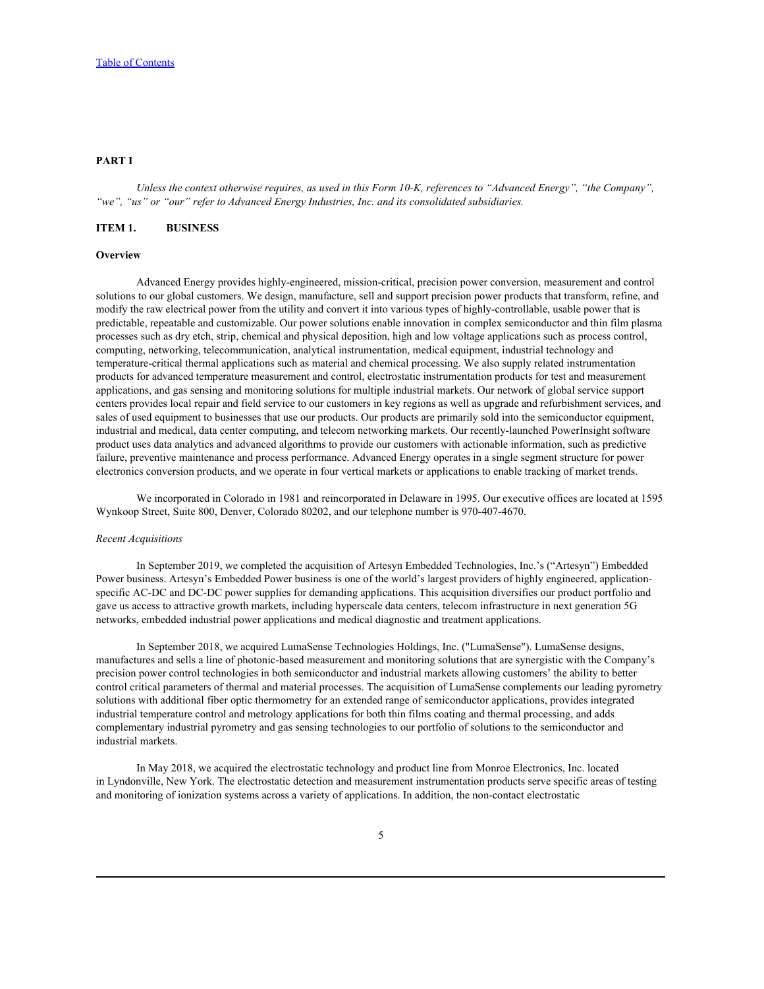## <span id="page-4-0"></span>**PART I**

*Unless the context otherwise requires, as used in this Form 10-K, references to "Advanced Energy", "the Company", "we", "us" or "our" refer to Advanced Energy Industries, Inc. and its consolidated subsidiaries.*

#### <span id="page-4-1"></span>**ITEM 1. BUSINESS**

#### **Overview Overview** *COVERS <b>COVERS*

Advanced Energy provides highly-engineered, mission-critical, precision power conversion, measurement and control solutions to our global customers. We design, manufacture, sell and support precision power products that transform, refine, and modify the raw electrical power from the utility and convert it into various types of highly-controllable, usable power that is predictable, repeatable and customizable. Our power solutions enable innovation in complex semiconductor and thin film plasma processes such as dry etch, strip, chemical and physical deposition, high and low voltage applications such as process control, computing, networking, telecommunication, analytical instrumentation, medical equipment, industrial technology and temperature-critical thermal applications such as material and chemical processing. We also supply related instrumentation products for advanced temperature measurement and control, electrostatic instrumentation products for test and measurement applications, and gas sensing and monitoring solutions for multiple industrial markets. Our network of global service support centers provides local repair and field service to our customers in key regions as well as upgrade and refurbishment services, and sales of used equipment to businesses that use our products. Our products are primarily sold into the semiconductor equipment, industrial and medical, data center computing, and telecom networking markets. Our recently-launched PowerInsight software product uses data analytics and advanced algorithms to provide our customers with actionable information, such as predictive failure, preventive maintenance and process performance. Advanced Energy operates in a single segment structure for power electronics conversion products, and we operate in four vertical markets or applications to enable tracking of market trends.

We incorporated in Colorado in 1981 and reincorporated in Delaware in 1995. Our executive offices are located at 1595 Wynkoop Street, Suite 800, Denver, Colorado 80202, and our telephone number is 970-407-4670.

#### *Recent Acquisitions*

In September 2019, we completed the acquisition of Artesyn Embedded Technologies, Inc.'s ("Artesyn") Embedded Power business. Artesyn's Embedded Power business is one of the world's largest providers of highly engineered, applicationspecific AC-DC and DC-DC power supplies for demanding applications. This acquisition diversifies our product portfolio and gave us access to attractive growth markets, including hyperscale data centers, telecom infrastructure in next generation 5G networks, embedded industrial power applications and medical diagnostic and treatment applications.

In September 2018, we acquired LumaSense Technologies Holdings, Inc. ("LumaSense"). LumaSense designs, manufactures and sells a line of photonic-based measurement and monitoring solutions that are synergistic with the Company's precision power control technologies in both semiconductor and industrial markets allowing customers' the ability to better control critical parameters of thermal and material processes. The acquisition of LumaSense complements our leading pyrometry solutions with additional fiber optic thermometry for an extended range of semiconductor applications, provides integrated industrial temperature control and metrology applications for both thin films coating and thermal processing, and adds complementary industrial pyrometry and gas sensing technologies to our portfolio of solutions to the semiconductor and industrial markets.

In May 2018, we acquired the electrostatic technology and product line from Monroe Electronics, Inc. located in Lyndonville, New York. The electrostatic detection and measurement instrumentation products serve specific areas of testing and monitoring of ionization systems across a variety of applications. In addition, the non-contact electrostatic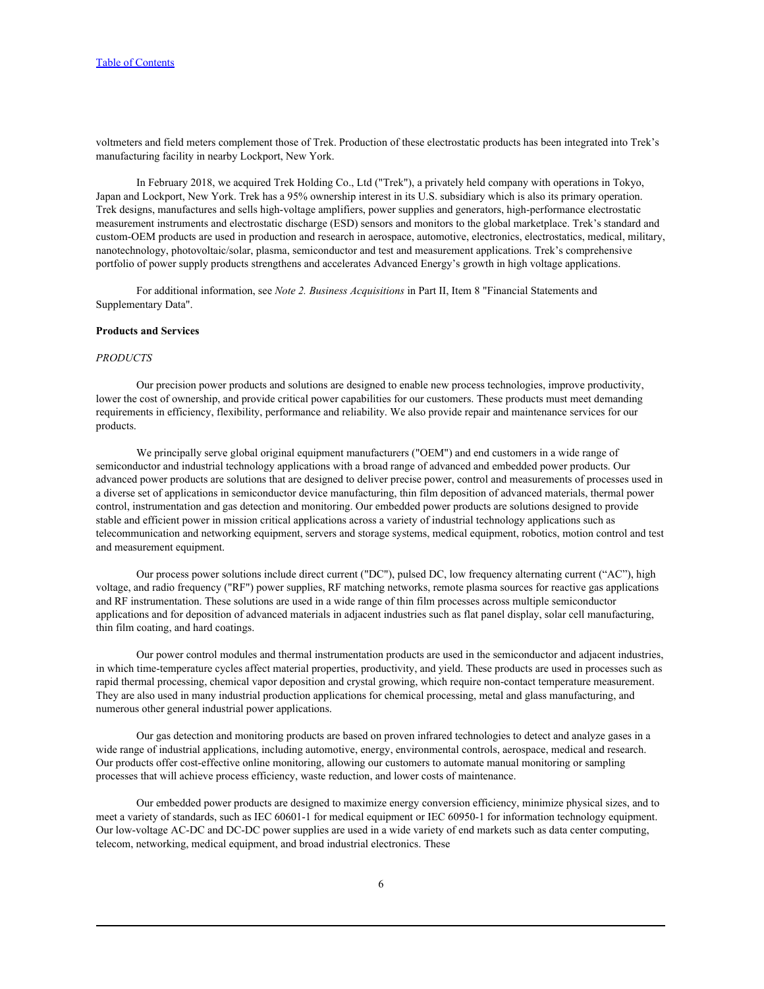voltmeters and field meters complement those of Trek. Production of these electrostatic products has been integrated into Trek's manufacturing facility in nearby Lockport, New York.

In February 2018, we acquired Trek Holding Co., Ltd ("Trek"), a privately held company with operations in Tokyo, Japan and Lockport, New York. Trek has a 95% ownership interest in its U.S. subsidiary which is also its primary operation. Trek designs, manufactures and sells high-voltage amplifiers, power supplies and generators, high-performance electrostatic measurement instruments and electrostatic discharge (ESD) sensors and monitors to the global marketplace. Trek's standard and custom-OEM products are used in production and research in aerospace, automotive, electronics, electrostatics, medical, military, nanotechnology, photovoltaic/solar, plasma, semiconductor and test and measurement applications. Trek's comprehensive portfolio of power supply products strengthens and accelerates Advanced Energy's growth in high voltage applications.

For additional information, see *Note 2. Business Acquisitions* in Part II, Item 8 "Financial Statements and Supplementary Data".

## **Products and Services**

## *PRODUCTS*

Our precision power products and solutions are designed to enable new process technologies, improve productivity, lower the cost of ownership, and provide critical power capabilities for our customers. These products must meet demanding requirements in efficiency, flexibility, performance and reliability. We also provide repair and maintenance services for our products.

We principally serve global original equipment manufacturers ("OEM") and end customers in a wide range of semiconductor and industrial technology applications with a broad range of advanced and embedded power products. Our advanced power products are solutions that are designed to deliver precise power, control and measurements of processes used in a diverse set of applications in semiconductor device manufacturing, thin film deposition of advanced materials, thermal power control, instrumentation and gas detection and monitoring. Our embedded power products are solutions designed to provide stable and efficient power in mission critical applications across a variety of industrial technology applications such as telecommunication and networking equipment, servers and storage systems, medical equipment, robotics, motion control and test and measurement equipment.

Our process power solutions include direct current ("DC"), pulsed DC, low frequency alternating current ("AC"), high voltage, and radio frequency ("RF") power supplies, RF matching networks, remote plasma sources for reactive gas applications and RF instrumentation. These solutions are used in a wide range of thin film processes across multiple semiconductor applications and for deposition of advanced materials in adjacent industries such as flat panel display, solar cell manufacturing, thin film coating, and hard coatings.

Our power control modules and thermal instrumentation products are used in the semiconductor and adjacent industries, in which time-temperature cycles affect material properties, productivity, and yield. These products are used in processes such as rapid thermal processing, chemical vapor deposition and crystal growing, which require non-contact temperature measurement. They are also used in many industrial production applications for chemical processing, metal and glass manufacturing, and numerous other general industrial power applications.

Our gas detection and monitoring products are based on proven infrared technologies to detect and analyze gases in a wide range of industrial applications, including automotive, energy, environmental controls, aerospace, medical and research. Our products offer cost-effective online monitoring, allowing our customers to automate manual monitoring or sampling processes that will achieve process efficiency, waste reduction, and lower costs of maintenance.

Our embedded power products are designed to maximize energy conversion efficiency, minimize physical sizes, and to meet a variety of standards, such as IEC 60601-1 for medical equipment or IEC 60950-1 for information technology equipment. Our low-voltage AC-DC and DC-DC power supplies are used in a wide variety of end markets such as data center computing, telecom, networking, medical equipment, and broad industrial electronics. These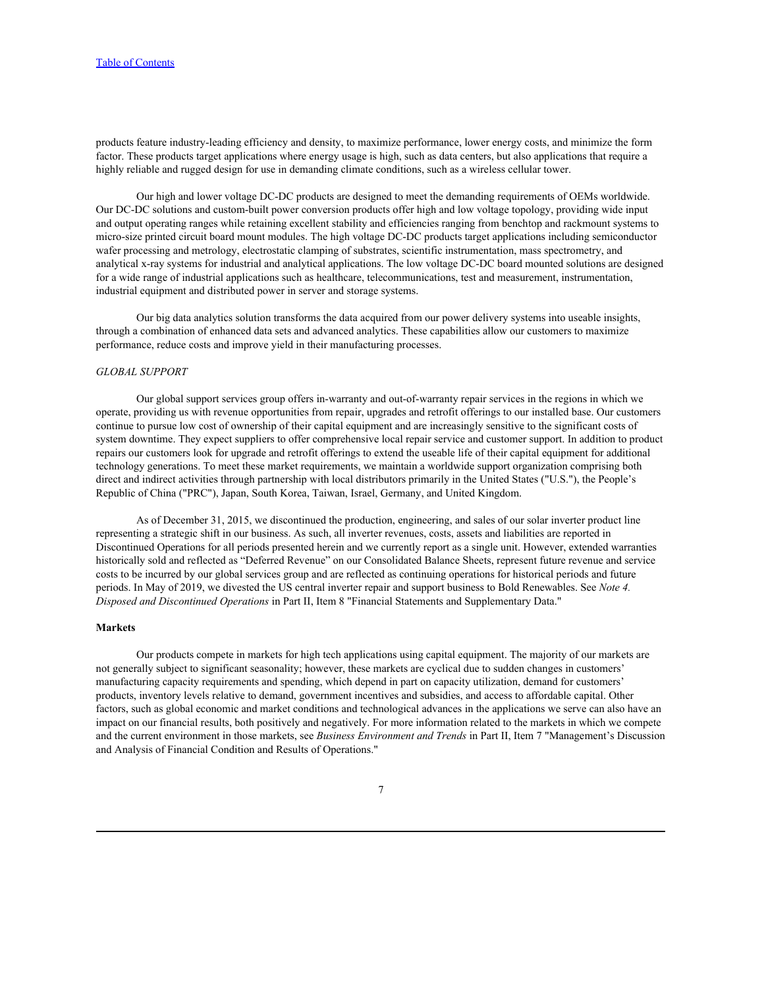products feature industry-leading efficiency and density, to maximize performance, lower energy costs, and minimize the form factor. These products target applications where energy usage is high, such as data centers, but also applications that require a highly reliable and rugged design for use in demanding climate conditions, such as a wireless cellular tower.

Our high and lower voltage DC-DC products are designed to meet the demanding requirements of OEMs worldwide. Our DC-DC solutions and custom-built power conversion products offer high and low voltage topology, providing wide input and output operating ranges while retaining excellent stability and efficiencies ranging from benchtop and rackmount systems to micro-size printed circuit board mount modules. The high voltage DC-DC products target applications including semiconductor wafer processing and metrology, electrostatic clamping of substrates, scientific instrumentation, mass spectrometry, and analytical x-ray systems for industrial and analytical applications. The low voltage DC-DC board mounted solutions are designed for a wide range of industrial applications such as healthcare, telecommunications, test and measurement, instrumentation, industrial equipment and distributed power in server and storage systems.

Our big data analytics solution transforms the data acquired from our power delivery systems into useable insights, through a combination of enhanced data sets and advanced analytics. These capabilities allow our customers to maximize performance, reduce costs and improve yield in their manufacturing processes.

#### *GLOBAL SUPPORT*

Our global support services group offers in-warranty and out-of-warranty repair services in the regions in which we operate, providing us with revenue opportunities from repair, upgrades and retrofit offerings to our installed base. Our customers continue to pursue low cost of ownership of their capital equipment and are increasingly sensitive to the significant costs of system downtime. They expect suppliers to offer comprehensive local repair service and customer support. In addition to product repairs our customers look for upgrade and retrofit offerings to extend the useable life of their capital equipment for additional technology generations. To meet these market requirements, we maintain a worldwide support organization comprising both direct and indirect activities through partnership with local distributors primarily in the United States ("U.S."), the People's Republic of China ("PRC"), Japan, South Korea, Taiwan, Israel, Germany, and United Kingdom.

As of December 31, 2015, we discontinued the production, engineering, and sales of our solar inverter product line representing a strategic shift in our business. As such, all inverter revenues, costs, assets and liabilities are reported in Discontinued Operations for all periods presented herein and we currently report as a single unit. However, extended warranties historically sold and reflected as "Deferred Revenue" on our Consolidated Balance Sheets, represent future revenue and service costs to be incurred by our global services group and are reflected as continuing operations for historical periods and future periods. In May of 2019, we divested the US central inverter repair and support business to Bold Renewables. See *Note 4. Disposed and Discontinued Operations* in Part II, Item 8 "Financial Statements and Supplementary Data."

#### **Markets**

Our products compete in markets for high tech applications using capital equipment. The majority of our markets are not generally subject to significant seasonality; however, these markets are cyclical due to sudden changes in customers' manufacturing capacity requirements and spending, which depend in part on capacity utilization, demand for customers' products, inventory levels relative to demand, government incentives and subsidies, and access to affordable capital. Other factors, such as global economic and market conditions and technological advances in the applications we serve can also have an impact on our financial results, both positively and negatively. For more information related to the markets in which we compete and the current environment in those markets, see *Business Environment and Trends* in Part II, Item 7 "Management's Discussion and Analysis of Financial Condition and Results of Operations."

#### 7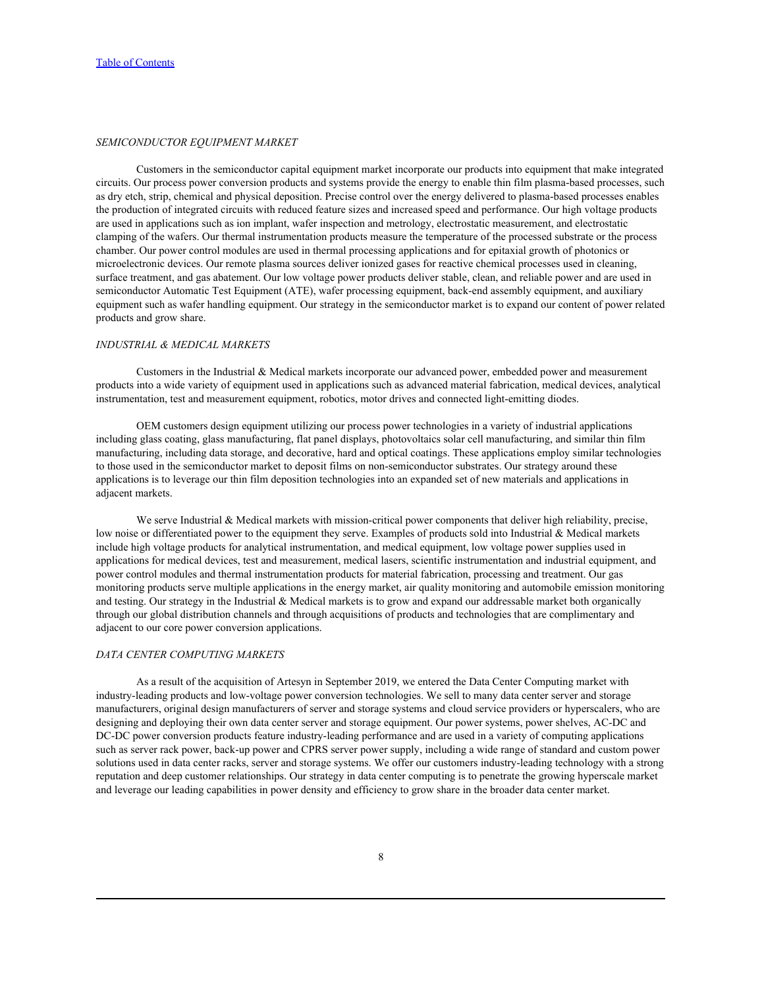## *SEMICONDUCTOR EQUIPMENT MARKET*

Customers in the semiconductor capital equipment market incorporate our products into equipment that make integrated circuits. Our process power conversion products and systems provide the energy to enable thin film plasma-based processes, such as dry etch, strip, chemical and physical deposition. Precise control over the energy delivered to plasma-based processes enables the production of integrated circuits with reduced feature sizes and increased speed and performance. Our high voltage products are used in applications such as ion implant, wafer inspection and metrology, electrostatic measurement, and electrostatic clamping of the wafers. Our thermal instrumentation products measure the temperature of the processed substrate or the process chamber. Our power control modules are used in thermal processing applications and for epitaxial growth of photonics or microelectronic devices. Our remote plasma sources deliver ionized gases for reactive chemical processes used in cleaning, surface treatment, and gas abatement. Our low voltage power products deliver stable, clean, and reliable power and are used in semiconductor Automatic Test Equipment (ATE), wafer processing equipment, back-end assembly equipment, and auxiliary equipment such as wafer handling equipment. Our strategy in the semiconductor market is to expand our content of power related products and grow share.

## *INDUSTRIAL & MEDICAL MARKETS*

Customers in the Industrial & Medical markets incorporate our advanced power, embedded power and measurement products into a wide variety of equipment used in applications such as advanced material fabrication, medical devices, analytical instrumentation, test and measurement equipment, robotics, motor drives and connected light-emitting diodes.

OEM customers design equipment utilizing our process power technologies in a variety of industrial applications including glass coating, glass manufacturing, flat panel displays, photovoltaics solar cell manufacturing, and similar thin film manufacturing, including data storage, and decorative, hard and optical coatings. These applications employ similar technologies to those used in the semiconductor market to deposit films on non-semiconductor substrates. Our strategy around these applications is to leverage our thin film deposition technologies into an expanded set of new materials and applications in adjacent markets.

We serve Industrial & Medical markets with mission-critical power components that deliver high reliability, precise, low noise or differentiated power to the equipment they serve. Examples of products sold into Industrial & Medical markets include high voltage products for analytical instrumentation, and medical equipment, low voltage power supplies used in applications for medical devices, test and measurement, medical lasers, scientific instrumentation and industrial equipment, and power control modules and thermal instrumentation products for material fabrication, processing and treatment. Our gas monitoring products serve multiple applications in the energy market, air quality monitoring and automobile emission monitoring and testing. Our strategy in the Industrial & Medical markets is to grow and expand our addressable market both organically through our global distribution channels and through acquisitions of products and technologies that are complimentary and adjacent to our core power conversion applications.

#### *DATA CENTER COMPUTING MARKETS*

As a result of the acquisition of Artesyn in September 2019, we entered the Data Center Computing market with industry-leading products and low-voltage power conversion technologies. We sell to many data center server and storage manufacturers, original design manufacturers of server and storage systems and cloud service providers or hyperscalers, who are designing and deploying their own data center server and storage equipment. Our power systems, power shelves, AC-DC and DC-DC power conversion products feature industry-leading performance and are used in a variety of computing applications such as server rack power, back-up power and CPRS server power supply, including a wide range of standard and custom power solutions used in data center racks, server and storage systems. We offer our customers industry-leading technology with a strong reputation and deep customer relationships. Our strategy in data center computing is to penetrate the growing hyperscale market and leverage our leading capabilities in power density and efficiency to grow share in the broader data center market.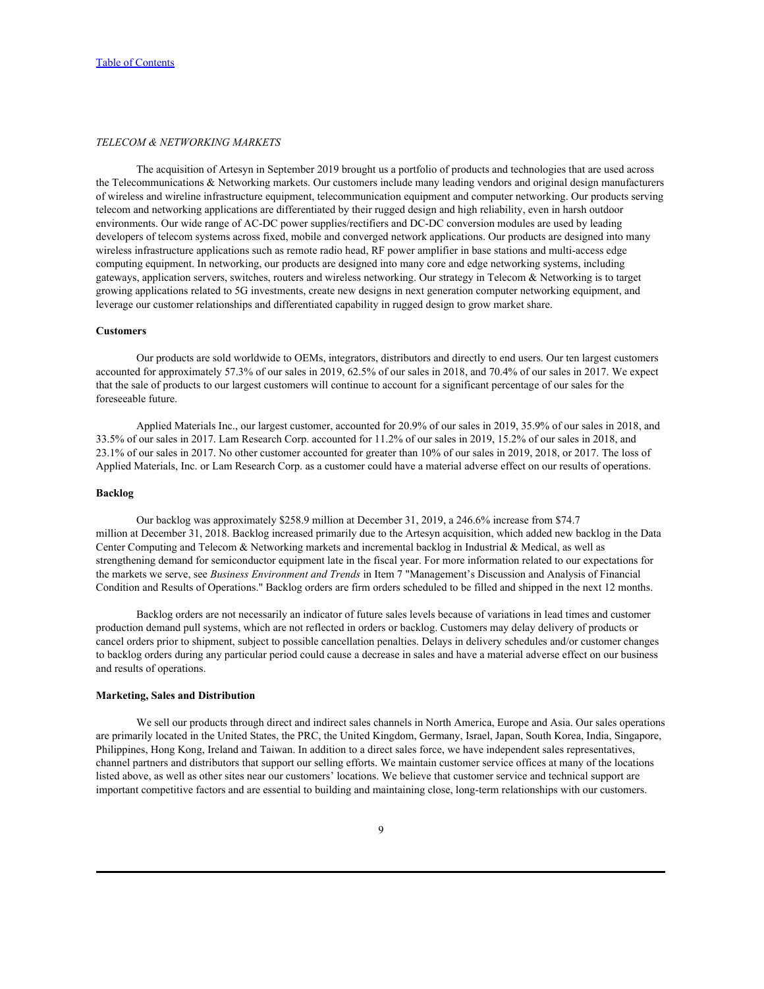## *TELECOM & NETWORKING MARKETS*

The acquisition of Artesyn in September 2019 brought us a portfolio of products and technologies that are used across the Telecommunications & Networking markets. Our customers include many leading vendors and original design manufacturers of wireless and wireline infrastructure equipment, telecommunication equipment and computer networking. Our products serving telecom and networking applications are differentiated by their rugged design and high reliability, even in harsh outdoor environments. Our wide range of AC-DC power supplies/rectifiers and DC-DC conversion modules are used by leading developers of telecom systems across fixed, mobile and converged network applications. Our products are designed into many wireless infrastructure applications such as remote radio head, RF power amplifier in base stations and multi-access edge computing equipment. In networking, our products are designed into many core and edge networking systems, including gateways, application servers, switches, routers and wireless networking. Our strategy in Telecom & Networking is to target growing applications related to 5G investments, create new designs in next generation computer networking equipment, and leverage our customer relationships and differentiated capability in rugged design to grow market share.

#### **Customers**

Our products are sold worldwide to OEMs, integrators, distributors and directly to end users. Our ten largest customers accounted for approximately 57.3% of our sales in 2019, 62.5% of our sales in 2018, and 70.4% of our sales in 2017. We expect that the sale of products to our largest customers will continue to account for a significant percentage of our sales for the foreseeable future.

Applied Materials Inc., our largest customer, accounted for 20.9% of our sales in 2019, 35.9% of our sales in 2018, and 33.5% of our sales in 2017. Lam Research Corp. accounted for 11.2% of our sales in 2019, 15.2% of our sales in 2018, and 23.1% of our sales in 2017. No other customer accounted for greater than 10% of our sales in 2019, 2018, or 2017. The loss of Applied Materials, Inc. or Lam Research Corp. as a customer could have a material adverse effect on our results of operations.

## **Backlog**

Our backlog was approximately \$258.9 million at December 31, 2019, a 246.6% increase from \$74.7 million at December 31, 2018. Backlog increased primarily due to the Artesyn acquisition, which added new backlog in the Data Center Computing and Telecom & Networking markets and incremental backlog in Industrial & Medical, as well as strengthening demand for semiconductor equipment late in the fiscal year. For more information related to our expectations for the markets we serve, see *Business Environment and Trends* in Item 7 "Management's Discussion and Analysis of Financial Condition and Results of Operations." Backlog orders are firm orders scheduled to be filled and shipped in the next 12 months.

Backlog orders are not necessarily an indicator of future sales levels because of variations in lead times and customer production demand pull systems, which are not reflected in orders or backlog. Customers may delay delivery of products or cancel orders prior to shipment, subject to possible cancellation penalties. Delays in delivery schedules and/or customer changes to backlog orders during any particular period could cause a decrease in sales and have a material adverse effect on our business and results of operations.

#### **Marketing, Sales and Distribution**

We sell our products through direct and indirect sales channels in North America, Europe and Asia. Our sales operations are primarily located in the United States, the PRC, the United Kingdom, Germany, Israel, Japan, South Korea, India, Singapore, Philippines, Hong Kong, Ireland and Taiwan. In addition to a direct sales force, we have independent sales representatives, channel partners and distributors that support our selling efforts. We maintain customer service offices at many of the locations listed above, as well as other sites near our customers' locations. We believe that customer service and technical support are important competitive factors and are essential to building and maintaining close, long-term relationships with our customers.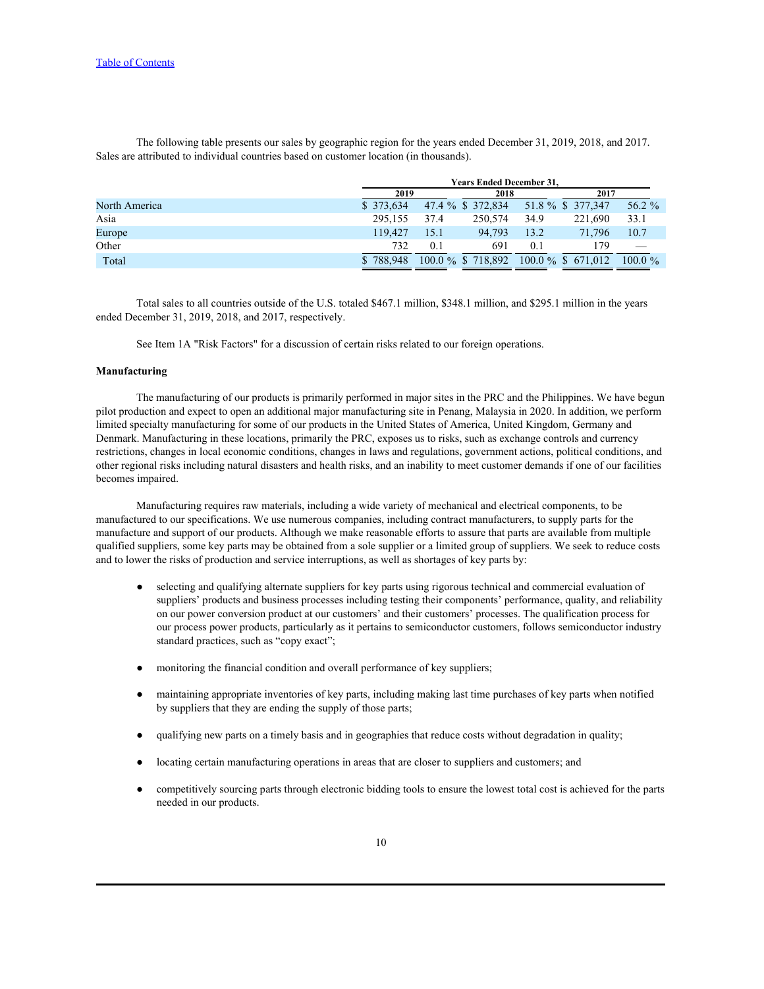The following table presents our sales by geographic region for the years ended December 31, 2019, 2018, and 2017. Sales are attributed to individual countries based on customer location (in thousands).

|               |           |      | <b>Years Ended December 31,</b> |      |                      |                                 |
|---------------|-----------|------|---------------------------------|------|----------------------|---------------------------------|
|               | 2019      |      | 2018                            |      | 2017                 |                                 |
| North America | \$373.634 |      | 47.4 % \$ 372,834               |      | 51.8 % \$ 377,347    | 56.2 %                          |
| Asia          | 295,155   | 37.4 | 250,574                         | 34.9 | 221,690              | 33.1                            |
| Europe        | 119,427   | 15.1 | 94,793                          | 13.2 | 71,796               | 10.7                            |
| Other         | 732       | 0.1  | 691                             | 0.1  |                      | $\hspace{0.1mm}-\hspace{0.1mm}$ |
| Total         | 788,948   |      | $100.0\%$ \$ 718,892            |      | $100.0\%$ \$ 671,012 | $100.0 \%$                      |

Total sales to all countries outside of the U.S. totaled \$467.1 million, \$348.1 million, and \$295.1 million in the years ended December 31, 2019, 2018, and 2017, respectively.

See Item 1A "Risk Factors" for a discussion of certain risks related to our foreign operations.

#### **Manufacturing**

The manufacturing of our products is primarily performed in major sites in the PRC and the Philippines. We have begun pilot production and expect to open an additional major manufacturing site in Penang, Malaysia in 2020. In addition, we perform limited specialty manufacturing for some of our products in the United States of America, United Kingdom, Germany and Denmark. Manufacturing in these locations, primarily the PRC, exposes us to risks, such as exchange controls and currency restrictions, changes in local economic conditions, changes in laws and regulations, government actions, political conditions, and other regional risks including natural disasters and health risks, and an inability to meet customer demands if one of our facilities becomes impaired.

Manufacturing requires raw materials, including a wide variety of mechanical and electrical components, to be manufactured to our specifications. We use numerous companies, including contract manufacturers, to supply parts for the manufacture and support of our products. Although we make reasonable efforts to assure that parts are available from multiple qualified suppliers, some key parts may be obtained from a sole supplier or a limited group of suppliers. We seek to reduce costs and to lower the risks of production and service interruptions, as well as shortages of key parts by:

- selecting and qualifying alternate suppliers for key parts using rigorous technical and commercial evaluation of suppliers' products and business processes including testing their components' performance, quality, and reliability on our power conversion product at our customers' and their customers' processes. The qualification process for our process power products, particularly as it pertains to semiconductor customers, follows semiconductor industry standard practices, such as "copy exact";
- monitoring the financial condition and overall performance of key suppliers;
- maintaining appropriate inventories of key parts, including making last time purchases of key parts when notified by suppliers that they are ending the supply of those parts;
- qualifying new parts on a timely basis and in geographies that reduce costs without degradation in quality;
- locating certain manufacturing operations in areas that are closer to suppliers and customers; and
- competitively sourcing parts through electronic bidding tools to ensure the lowest total cost is achieved for the parts needed in our products.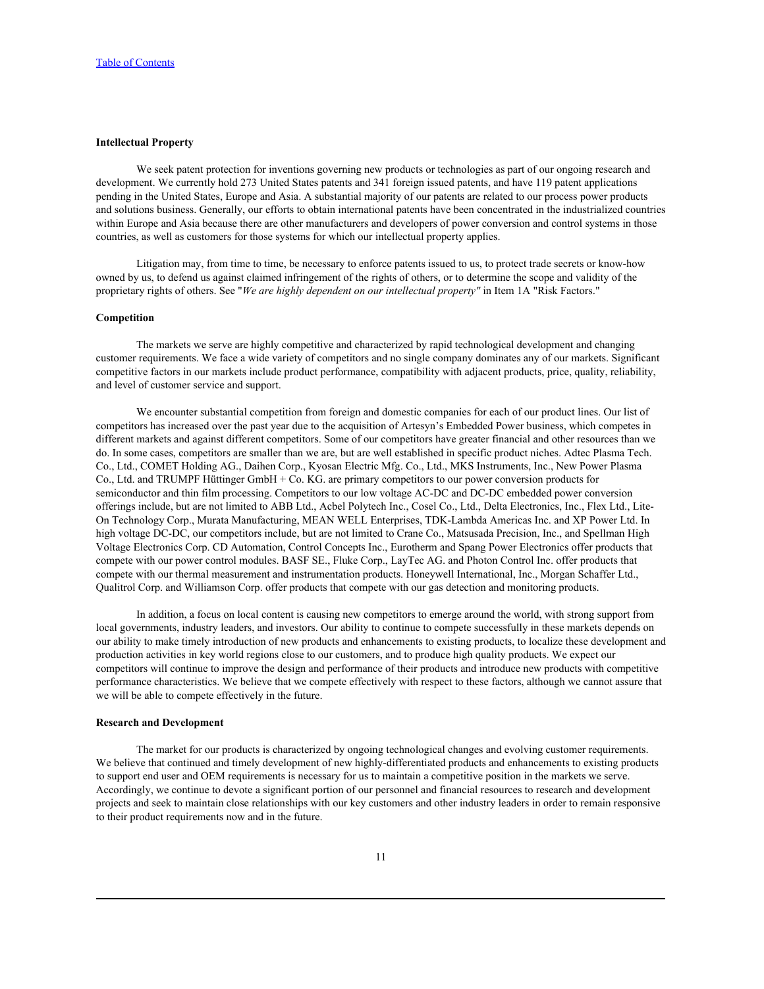#### **Intellectual Property**

We seek patent protection for inventions governing new products or technologies as part of our ongoing research and development. We currently hold 273 United States patents and 341 foreign issued patents, and have 119 patent applications pending in the United States, Europe and Asia. A substantial majority of our patents are related to our process power products and solutions business. Generally, our efforts to obtain international patents have been concentrated in the industrialized countries within Europe and Asia because there are other manufacturers and developers of power conversion and control systems in those countries, as well as customers for those systems for which our intellectual property applies.

Litigation may, from time to time, be necessary to enforce patents issued to us, to protect trade secrets or know-how owned by us, to defend us against claimed infringement of the rights of others, or to determine the scope and validity of the proprietary rights of others. See "*We are highly dependent on our intellectual property"* in Item 1A "Risk Factors."

## **Competition**

The markets we serve are highly competitive and characterized by rapid technological development and changing customer requirements. We face a wide variety of competitors and no single company dominates any of our markets. Significant competitive factors in our markets include product performance, compatibility with adjacent products, price, quality, reliability, and level of customer service and support.

We encounter substantial competition from foreign and domestic companies for each of our product lines. Our list of competitors has increased over the past year due to the acquisition of Artesyn's Embedded Power business, which competes in different markets and against different competitors. Some of our competitors have greater financial and other resources than we do. In some cases, competitors are smaller than we are, but are well established in specific product niches. Adtec Plasma Tech. Co., Ltd., COMET Holding AG., Daihen Corp., Kyosan Electric Mfg. Co., Ltd., MKS Instruments, Inc., New Power Plasma Co., Ltd. and TRUMPF Hüttinger GmbH + Co. KG. are primary competitors to our power conversion products for semiconductor and thin film processing. Competitors to our low voltage AC-DC and DC-DC embedded power conversion offerings include, but are not limited to ABB Ltd., Acbel Polytech Inc., Cosel Co., Ltd., Delta Electronics, Inc., Flex Ltd., Lite-On Technology Corp., Murata Manufacturing, MEAN WELL Enterprises, TDK-Lambda Americas Inc. and XP Power Ltd. In high voltage DC-DC, our competitors include, but are not limited to Crane Co., Matsusada Precision, Inc., and Spellman High Voltage Electronics Corp. CD Automation, Control Concepts Inc., Eurotherm and Spang Power Electronics offer products that compete with our power control modules. BASF SE., Fluke Corp., LayTec AG. and Photon Control Inc. offer products that compete with our thermal measurement and instrumentation products. Honeywell International, Inc., Morgan Schaffer Ltd., Qualitrol Corp. and Williamson Corp. offer products that compete with our gas detection and monitoring products.

In addition, a focus on local content is causing new competitors to emerge around the world, with strong support from local governments, industry leaders, and investors. Our ability to continue to compete successfully in these markets depends on our ability to make timely introduction of new products and enhancements to existing products, to localize these development and production activities in key world regions close to our customers, and to produce high quality products. We expect our competitors will continue to improve the design and performance of their products and introduce new products with competitive performance characteristics. We believe that we compete effectively with respect to these factors, although we cannot assure that we will be able to compete effectively in the future.

## **Research and Development**

The market for our products is characterized by ongoing technological changes and evolving customer requirements. We believe that continued and timely development of new highly-differentiated products and enhancements to existing products to support end user and OEM requirements is necessary for us to maintain a competitive position in the markets we serve. Accordingly, we continue to devote a significant portion of our personnel and financial resources to research and development projects and seek to maintain close relationships with our key customers and other industry leaders in order to remain responsive to their product requirements now and in the future.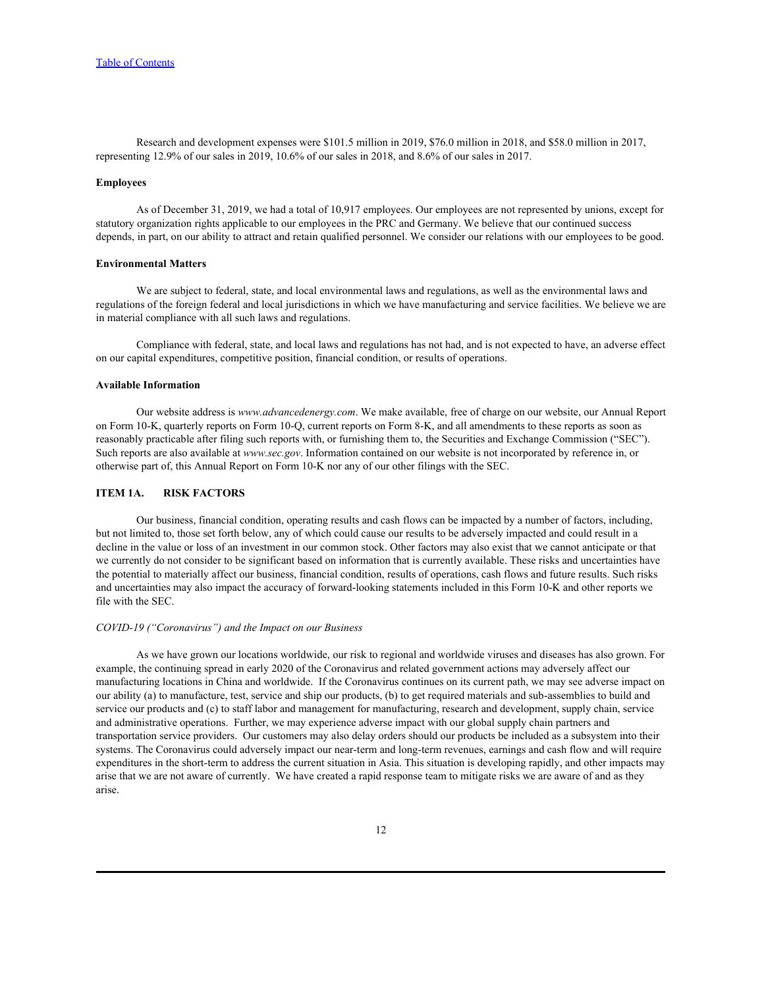Research and development expenses were \$101.5 million in 2019, \$76.0 million in 2018, and \$58.0 million in 2017, representing 12.9% of our sales in 2019, 10.6% of our sales in 2018, and 8.6% of our sales in 2017.

#### **Employees**

As of December 31, 2019, we had a total of 10,917 employees. Our employees are not represented by unions, except for statutory organization rights applicable to our employees in the PRC and Germany. We believe that our continued success depends, in part, on our ability to attract and retain qualified personnel. We consider our relations with our employees to be good.

#### **Environmental Matters**

We are subject to federal, state, and local environmental laws and regulations, as well as the environmental laws and regulations of the foreign federal and local jurisdictions in which we have manufacturing and service facilities. We believe we are in material compliance with all such laws and regulations.

Compliance with federal, state, and local laws and regulations has not had, and is not expected to have, an adverse effect on our capital expenditures, competitive position, financial condition, or results of operations.

#### **Available Information**

Our website address is *www.advancedenergy.com*. We make available, free of charge on our website, our Annual Report on Form 10-K, quarterly reports on Form 10-Q, current reports on Form 8-K, and all amendments to these reports as soon as reasonably practicable after filing such reports with, or furnishing them to, the Securities and Exchange Commission ("SEC"). Such reports are also available at *www.sec.gov*. Information contained on our website is not incorporated by reference in, or otherwise part of, this Annual Report on Form 10-K nor any of our other filings with the SEC.

## <span id="page-11-0"></span>**ITEM 1A. RISK FACTORS**

Our business, financial condition, operating results and cash flows can be impacted by a number of factors, including, but not limited to, those set forth below, any of which could cause our results to be adversely impacted and could result in a decline in the value or loss of an investment in our common stock. Other factors may also exist that we cannot anticipate or that we currently do not consider to be significant based on information that is currently available. These risks and uncertainties have the potential to materially affect our business, financial condition, results of operations, cash flows and future results. Such risks and uncertainties may also impact the accuracy of forward-looking statements included in this Form 10-K and other reports we file with the SEC.

#### *COVID-19 ("Coronavirus") and the Impact on our Business*

As we have grown our locations worldwide, our risk to regional and worldwide viruses and diseases has also grown. For example, the continuing spread in early 2020 of the Coronavirus and related government actions may adversely affect our manufacturing locations in China and worldwide. If the Coronavirus continues on its current path, we may see adverse impact on our ability (a) to manufacture, test, service and ship our products, (b) to get required materials and sub-assemblies to build and service our products and (c) to staff labor and management for manufacturing, research and development, supply chain, service and administrative operations. Further, we may experience adverse impact with our global supply chain partners and transportation service providers. Our customers may also delay orders should our products be included as a subsystem into their systems. The Coronavirus could adversely impact our near-term and long-term revenues, earnings and cash flow and will require expenditures in the short-term to address the current situation in Asia. This situation is developing rapidly, and other impacts may arise that we are not aware of currently. We have created a rapid response team to mitigate risks we are aware of and as they arise.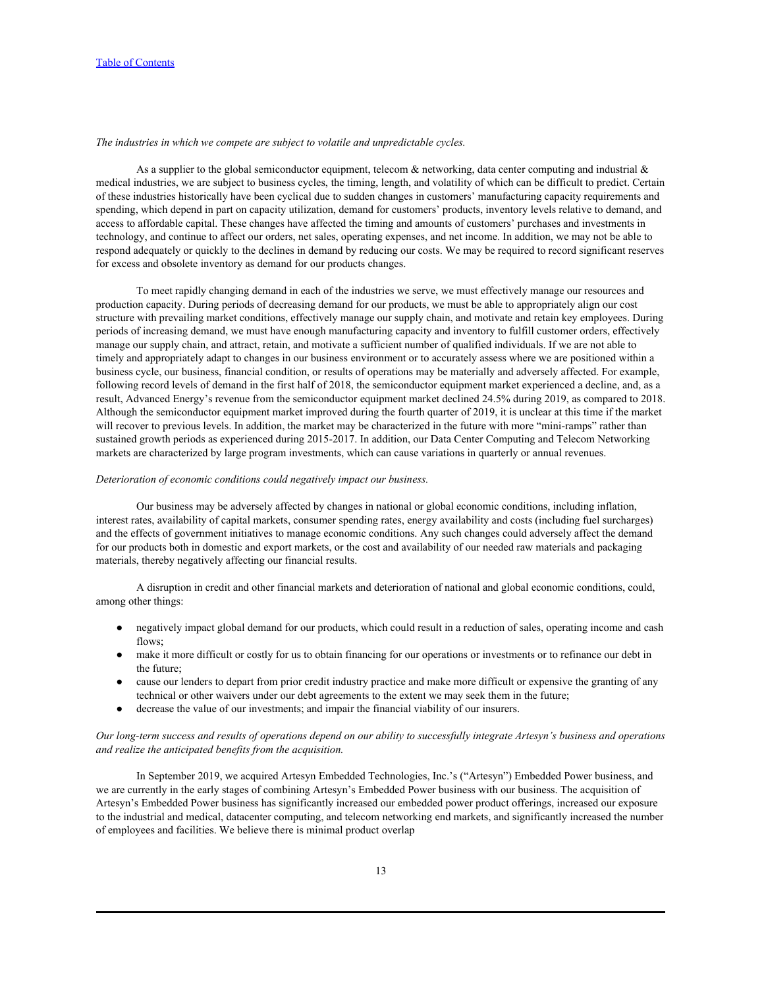*The industries in which we compete are subject to volatile and unpredictable cycles.*

As a supplier to the global semiconductor equipment, telecom  $\&$  networking, data center computing and industrial  $\&$ medical industries, we are subject to business cycles, the timing, length, and volatility of which can be difficult to predict. Certain of these industries historically have been cyclical due to sudden changes in customers' manufacturing capacity requirements and spending, which depend in part on capacity utilization, demand for customers' products, inventory levels relative to demand, and access to affordable capital. These changes have affected the timing and amounts of customers' purchases and investments in technology, and continue to affect our orders, net sales, operating expenses, and net income. In addition, we may not be able to respond adequately or quickly to the declines in demand by reducing our costs. We may be required to record significant reserves for excess and obsolete inventory as demand for our products changes.

To meet rapidly changing demand in each of the industries we serve, we must effectively manage our resources and production capacity. During periods of decreasing demand for our products, we must be able to appropriately align our cost structure with prevailing market conditions, effectively manage our supply chain, and motivate and retain key employees. During periods of increasing demand, we must have enough manufacturing capacity and inventory to fulfill customer orders, effectively manage our supply chain, and attract, retain, and motivate a sufficient number of qualified individuals. If we are not able to timely and appropriately adapt to changes in our business environment or to accurately assess where we are positioned within a business cycle, our business, financial condition, or results of operations may be materially and adversely affected. For example, following record levels of demand in the first half of 2018, the semiconductor equipment market experienced a decline, and, as a result, Advanced Energy's revenue from the semiconductor equipment market declined 24.5% during 2019, as compared to 2018. Although the semiconductor equipment market improved during the fourth quarter of 2019, it is unclear at this time if the market will recover to previous levels. In addition, the market may be characterized in the future with more "mini-ramps" rather than sustained growth periods as experienced during 2015-2017. In addition, our Data Center Computing and Telecom Networking markets are characterized by large program investments, which can cause variations in quarterly or annual revenues.

#### *Deterioration of economic conditions could negatively impact our business.*

Our business may be adversely affected by changes in national or global economic conditions, including inflation, interest rates, availability of capital markets, consumer spending rates, energy availability and costs (including fuel surcharges) and the effects of government initiatives to manage economic conditions. Any such changes could adversely affect the demand for our products both in domestic and export markets, or the cost and availability of our needed raw materials and packaging materials, thereby negatively affecting our financial results.

A disruption in credit and other financial markets and deterioration of national and global economic conditions, could, among other things:

- negatively impact global demand for our products, which could result in a reduction of sales, operating income and cash flows;
- make it more difficult or costly for us to obtain financing for our operations or investments or to refinance our debt in the future;
- cause our lenders to depart from prior credit industry practice and make more difficult or expensive the granting of any technical or other waivers under our debt agreements to the extent we may seek them in the future;
- decrease the value of our investments; and impair the financial viability of our insurers.

## *Our long-term success and results of operations depend on our ability to successfully integrate Artesyn's business and operations and realize the anticipated benefits from the acquisition.*

In September 2019, we acquired Artesyn Embedded Technologies, Inc.'s ("Artesyn") Embedded Power business, and we are currently in the early stages of combining Artesyn's Embedded Power business with our business. The acquisition of Artesyn's Embedded Power business has significantly increased our embedded power product offerings, increased our exposure to the industrial and medical, datacenter computing, and telecom networking end markets, and significantly increased the number of employees and facilities. We believe there is minimal product overlap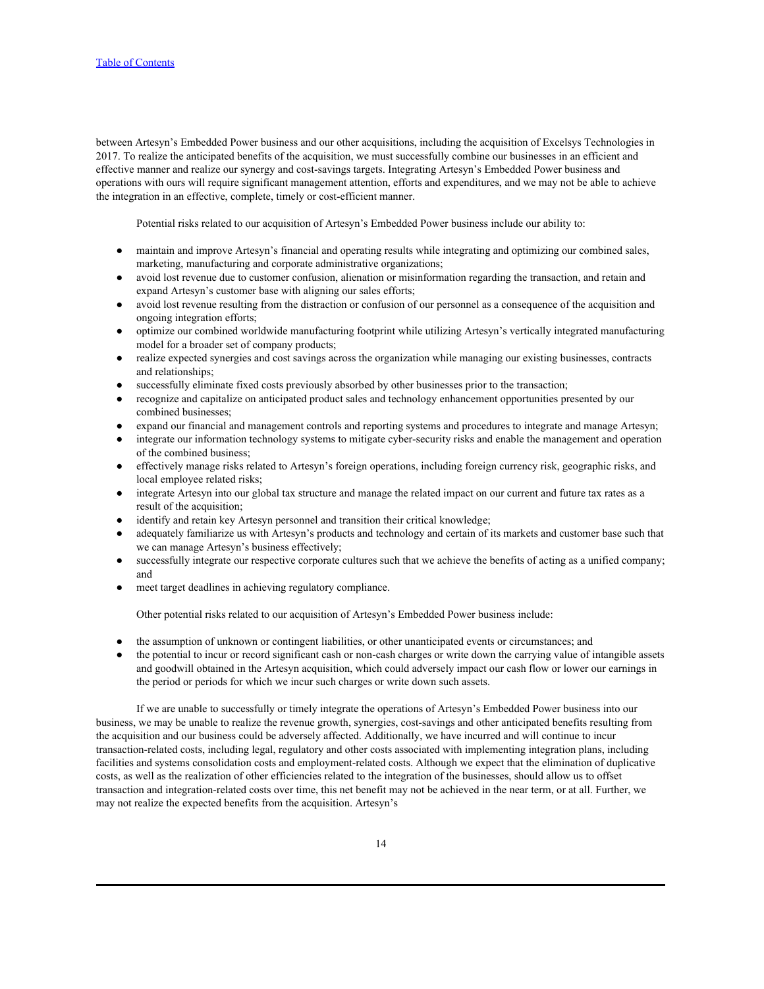between Artesyn's Embedded Power business and our other acquisitions, including the acquisition of Excelsys Technologies in 2017. To realize the anticipated benefits of the acquisition, we must successfully combine our businesses in an efficient and effective manner and realize our synergy and cost-savings targets. Integrating Artesyn's Embedded Power business and operations with ours will require significant management attention, efforts and expenditures, and we may not be able to achieve the integration in an effective, complete, timely or cost-efficient manner.

Potential risks related to our acquisition of Artesyn's Embedded Power business include our ability to:

- maintain and improve Artesyn's financial and operating results while integrating and optimizing our combined sales, marketing, manufacturing and corporate administrative organizations;
- avoid lost revenue due to customer confusion, alienation or misinformation regarding the transaction, and retain and expand Artesyn's customer base with aligning our sales efforts;
- avoid lost revenue resulting from the distraction or confusion of our personnel as a consequence of the acquisition and ongoing integration efforts;
- optimize our combined worldwide manufacturing footprint while utilizing Artesyn's vertically integrated manufacturing model for a broader set of company products;
- realize expected synergies and cost savings across the organization while managing our existing businesses, contracts and relationships;
- successfully eliminate fixed costs previously absorbed by other businesses prior to the transaction;
- recognize and capitalize on anticipated product sales and technology enhancement opportunities presented by our combined businesses;
- expand our financial and management controls and reporting systems and procedures to integrate and manage Artesyn;
- integrate our information technology systems to mitigate cyber-security risks and enable the management and operation of the combined business;
- effectively manage risks related to Artesyn's foreign operations, including foreign currency risk, geographic risks, and local employee related risks;
- integrate Artesyn into our global tax structure and manage the related impact on our current and future tax rates as a result of the acquisition;
- identify and retain key Artesyn personnel and transition their critical knowledge;
- adequately familiarize us with Artesyn's products and technology and certain of its markets and customer base such that we can manage Artesyn's business effectively;
- successfully integrate our respective corporate cultures such that we achieve the benefits of acting as a unified company; and
- meet target deadlines in achieving regulatory compliance.

Other potential risks related to our acquisition of Artesyn's Embedded Power business include:

- the assumption of unknown or contingent liabilities, or other unanticipated events or circumstances; and
- the potential to incur or record significant cash or non-cash charges or write down the carrying value of intangible assets and goodwill obtained in the Artesyn acquisition, which could adversely impact our cash flow or lower our earnings in the period or periods for which we incur such charges or write down such assets.

If we are unable to successfully or timely integrate the operations of Artesyn's Embedded Power business into our business, we may be unable to realize the revenue growth, synergies, cost-savings and other anticipated benefits resulting from the acquisition and our business could be adversely affected. Additionally, we have incurred and will continue to incur transaction-related costs, including legal, regulatory and other costs associated with implementing integration plans, including facilities and systems consolidation costs and employment-related costs. Although we expect that the elimination of duplicative costs, as well as the realization of other efficiencies related to the integration of the businesses, should allow us to offset transaction and integration-related costs over time, this net benefit may not be achieved in the near term, or at all. Further, we may not realize the expected benefits from the acquisition. Artesyn's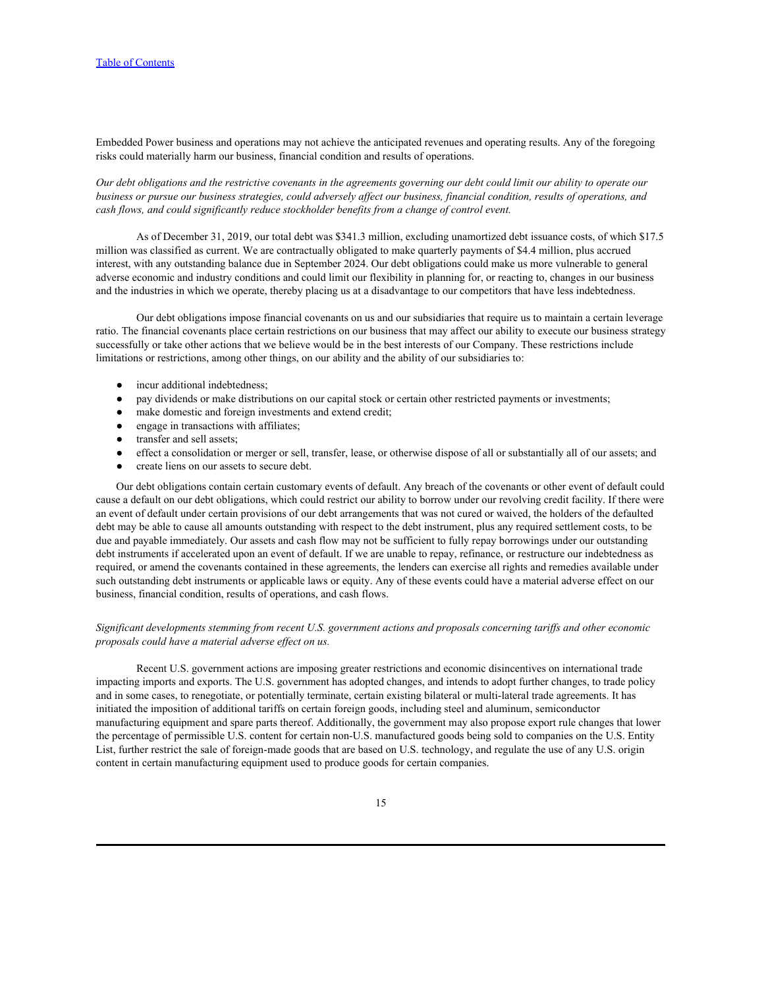Embedded Power business and operations may not achieve the anticipated revenues and operating results. Any of the foregoing risks could materially harm our business, financial condition and results of operations.

*Our debt obligations and the restrictive covenants in the agreements governing our debt could limit our ability to operate our business or pursue our business strategies, could adversely affect our business, financial condition, results of operations, and cash flows, and could significantly reduce stockholder benefits from a change of control event.*

As of December 31, 2019, our total debt was \$341.3 million, excluding unamortized debt issuance costs, of which \$17.5 million was classified as current. We are contractually obligated to make quarterly payments of \$4.4 million, plus accrued interest, with any outstanding balance due in September 2024. Our debt obligations could make us more vulnerable to general adverse economic and industry conditions and could limit our flexibility in planning for, or reacting to, changes in our business and the industries in which we operate, thereby placing us at a disadvantage to our competitors that have less indebtedness.

Our debt obligations impose financial covenants on us and our subsidiaries that require us to maintain a certain leverage ratio. The financial covenants place certain restrictions on our business that may affect our ability to execute our business strategy successfully or take other actions that we believe would be in the best interests of our Company. These restrictions include limitations or restrictions, among other things, on our ability and the ability of our subsidiaries to:

- incur additional indebtedness;
- pay dividends or make distributions on our capital stock or certain other restricted payments or investments;
- make domestic and foreign investments and extend credit;
- engage in transactions with affiliates;
- transfer and sell assets;
- effect a consolidation or merger or sell, transfer, lease, or otherwise dispose of all or substantially all of our assets; and
- create liens on our assets to secure debt.

Our debt obligations contain certain customary events of default. Any breach of the covenants or other event of default could cause a default on our debt obligations, which could restrict our ability to borrow under our revolving credit facility. If there were an event of default under certain provisions of our debt arrangements that was not cured or waived, the holders of the defaulted debt may be able to cause all amounts outstanding with respect to the debt instrument, plus any required settlement costs, to be due and payable immediately. Our assets and cash flow may not be sufficient to fully repay borrowings under our outstanding debt instruments if accelerated upon an event of default. If we are unable to repay, refinance, or restructure our indebtedness as required, or amend the covenants contained in these agreements, the lenders can exercise all rights and remedies available under such outstanding debt instruments or applicable laws or equity. Any of these events could have a material adverse effect on our business, financial condition, results of operations, and cash flows.

## *Significant developments stemming from recent U.S. government actions and proposals concerning tariffs and other economic proposals could have a material adverse effect on us.*

Recent U.S. government actions are imposing greater restrictions and economic disincentives on international trade impacting imports and exports. The U.S. government has adopted changes, and intends to adopt further changes, to trade policy and in some cases, to renegotiate, or potentially terminate, certain existing bilateral or multi-lateral trade agreements. It has initiated the imposition of additional tariffs on certain foreign goods, including steel and aluminum, semiconductor manufacturing equipment and spare parts thereof. Additionally, the government may also propose export rule changes that lower the percentage of permissible U.S. content for certain non-U.S. manufactured goods being sold to companies on the U.S. Entity List, further restrict the sale of foreign-made goods that are based on U.S. technology, and regulate the use of any U.S. origin content in certain manufacturing equipment used to produce goods for certain companies.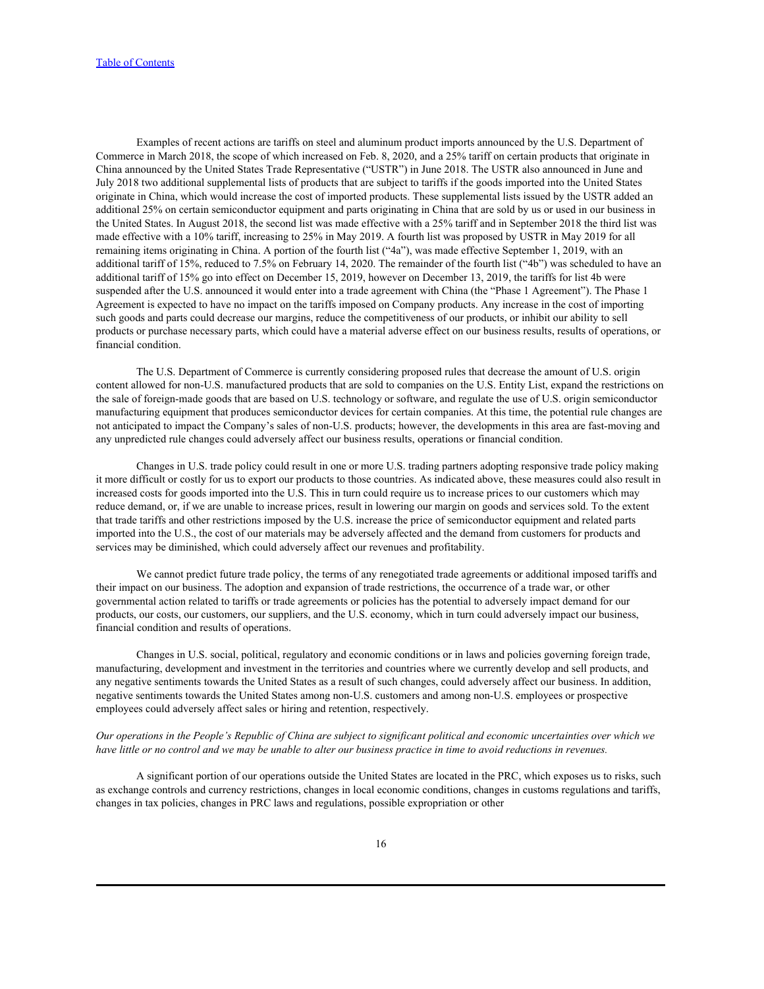Examples of recent actions are tariffs on steel and aluminum product imports announced by the U.S. Department of Commerce in March 2018, the scope of which increased on Feb. 8, 2020, and a 25% tariff on certain products that originate in China announced by the United States Trade Representative ("USTR") in June 2018. The USTR also announced in June and July 2018 two additional supplemental lists of products that are subject to tariffs if the goods imported into the United States originate in China, which would increase the cost of imported products. These supplemental lists issued by the USTR added an additional 25% on certain semiconductor equipment and parts originating in China that are sold by us or used in our business in the United States. In August 2018, the second list was made effective with a 25% tariff and in September 2018 the third list was made effective with a 10% tariff, increasing to 25% in May 2019. A fourth list was proposed by USTR in May 2019 for all remaining items originating in China. A portion of the fourth list ("4a"), was made effective September 1, 2019, with an additional tariff of 15%, reduced to 7.5% on February 14, 2020. The remainder of the fourth list ("4b") was scheduled to have an additional tariff of 15% go into effect on December 15, 2019, however on December 13, 2019, the tariffs for list 4b were suspended after the U.S. announced it would enter into a trade agreement with China (the "Phase 1 Agreement"). The Phase 1 Agreement is expected to have no impact on the tariffs imposed on Company products. Any increase in the cost of importing such goods and parts could decrease our margins, reduce the competitiveness of our products, or inhibit our ability to sell products or purchase necessary parts, which could have a material adverse effect on our business results, results of operations, or financial condition.

The U.S. Department of Commerce is currently considering proposed rules that decrease the amount of U.S. origin content allowed for non-U.S. manufactured products that are sold to companies on the U.S. Entity List, expand the restrictions on the sale of foreign-made goods that are based on U.S. technology or software, and regulate the use of U.S. origin semiconductor manufacturing equipment that produces semiconductor devices for certain companies. At this time, the potential rule changes are not anticipated to impact the Company's sales of non-U.S. products; however, the developments in this area are fast-moving and any unpredicted rule changes could adversely affect our business results, operations or financial condition.

Changes in U.S. trade policy could result in one or more U.S. trading partners adopting responsive trade policy making it more difficult or costly for us to export our products to those countries. As indicated above, these measures could also result in increased costs for goods imported into the U.S. This in turn could require us to increase prices to our customers which may reduce demand, or, if we are unable to increase prices, result in lowering our margin on goods and services sold. To the extent that trade tariffs and other restrictions imposed by the U.S. increase the price of semiconductor equipment and related parts imported into the U.S., the cost of our materials may be adversely affected and the demand from customers for products and services may be diminished, which could adversely affect our revenues and profitability.

We cannot predict future trade policy, the terms of any renegotiated trade agreements or additional imposed tariffs and their impact on our business. The adoption and expansion of trade restrictions, the occurrence of a trade war, or other governmental action related to tariffs or trade agreements or policies has the potential to adversely impact demand for our products, our costs, our customers, our suppliers, and the U.S. economy, which in turn could adversely impact our business, financial condition and results of operations.

Changes in U.S. social, political, regulatory and economic conditions or in laws and policies governing foreign trade, manufacturing, development and investment in the territories and countries where we currently develop and sell products, and any negative sentiments towards the United States as a result of such changes, could adversely affect our business. In addition, negative sentiments towards the United States among non-U.S. customers and among non-U.S. employees or prospective employees could adversely affect sales or hiring and retention, respectively.

## *Our operations in the People's Republic of China are subject to significant political and economic uncertainties over which we have little or no control and we may be unable to alter our business practice in time to avoid reductions in revenues.*

A significant portion of our operations outside the United States are located in the PRC, which exposes us to risks, such as exchange controls and currency restrictions, changes in local economic conditions, changes in customs regulations and tariffs, changes in tax policies, changes in PRC laws and regulations, possible expropriation or other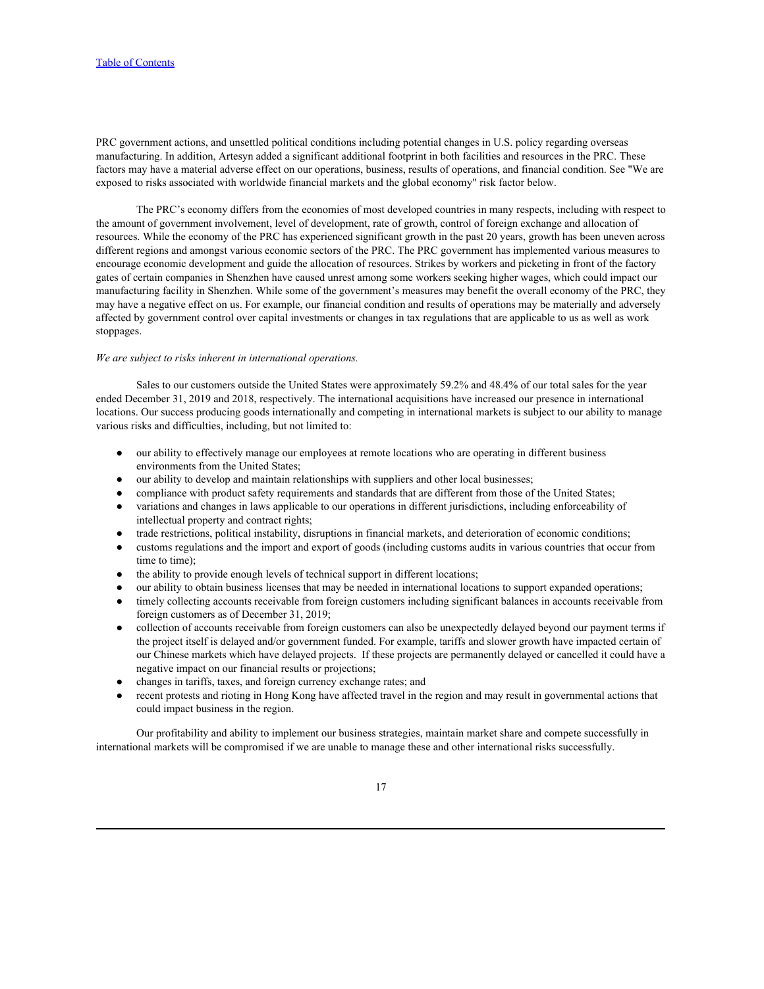PRC government actions, and unsettled political conditions including potential changes in U.S. policy regarding overseas manufacturing. In addition, Artesyn added a significant additional footprint in both facilities and resources in the PRC. These factors may have a material adverse effect on our operations, business, results of operations, and financial condition. See "We are exposed to risks associated with worldwide financial markets and the global economy" risk factor below.

The PRC's economy differs from the economies of most developed countries in many respects, including with respect to the amount of government involvement, level of development, rate of growth, control of foreign exchange and allocation of resources. While the economy of the PRC has experienced significant growth in the past 20 years, growth has been uneven across different regions and amongst various economic sectors of the PRC. The PRC government has implemented various measures to encourage economic development and guide the allocation of resources. Strikes by workers and picketing in front of the factory gates of certain companies in Shenzhen have caused unrest among some workers seeking higher wages, which could impact our manufacturing facility in Shenzhen. While some of the government's measures may benefit the overall economy of the PRC, they may have a negative effect on us. For example, our financial condition and results of operations may be materially and adversely affected by government control over capital investments or changes in tax regulations that are applicable to us as well as work stoppages.

#### *We are subject to risks inherent in international operations.*

Sales to our customers outside the United States were approximately 59.2% and 48.4% of our total sales for the year ended December 31, 2019 and 2018, respectively. The international acquisitions have increased our presence in international locations. Our success producing goods internationally and competing in international markets is subject to our ability to manage various risks and difficulties, including, but not limited to:

- our ability to effectively manage our employees at remote locations who are operating in different business environments from the United States;
- our ability to develop and maintain relationships with suppliers and other local businesses;
- compliance with product safety requirements and standards that are different from those of the United States;
- variations and changes in laws applicable to our operations in different jurisdictions, including enforceability of intellectual property and contract rights;
- trade restrictions, political instability, disruptions in financial markets, and deterioration of economic conditions;
- customs regulations and the import and export of goods (including customs audits in various countries that occur from time to time);
- the ability to provide enough levels of technical support in different locations;
- our ability to obtain business licenses that may be needed in international locations to support expanded operations;
- timely collecting accounts receivable from foreign customers including significant balances in accounts receivable from foreign customers as of December 31, 2019;
- collection of accounts receivable from foreign customers can also be unexpectedly delayed beyond our payment terms if the project itself is delayed and/or government funded. For example, tariffs and slower growth have impacted certain of our Chinese markets which have delayed projects. If these projects are permanently delayed or cancelled it could have a negative impact on our financial results or projections;
- changes in tariffs, taxes, and foreign currency exchange rates; and
- recent protests and rioting in Hong Kong have affected travel in the region and may result in governmental actions that could impact business in the region.

Our profitability and ability to implement our business strategies, maintain market share and compete successfully in international markets will be compromised if we are unable to manage these and other international risks successfully.

17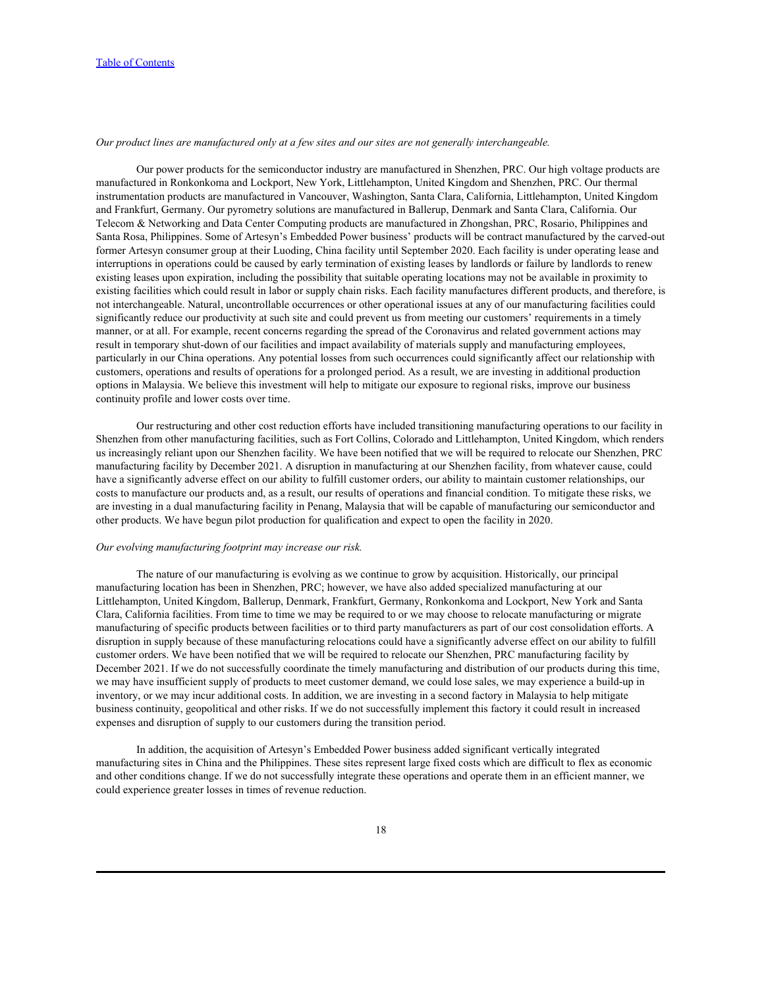## *Our product lines are manufactured only at a few sites and our sites are not generally interchangeable.*

Our power products for the semiconductor industry are manufactured in Shenzhen, PRC. Our high voltage products are manufactured in Ronkonkoma and Lockport, New York, Littlehampton, United Kingdom and Shenzhen, PRC. Our thermal instrumentation products are manufactured in Vancouver, Washington, Santa Clara, California, Littlehampton, United Kingdom and Frankfurt, Germany. Our pyrometry solutions are manufactured in Ballerup, Denmark and Santa Clara, California. Our Telecom & Networking and Data Center Computing products are manufactured in Zhongshan, PRC, Rosario, Philippines and Santa Rosa, Philippines. Some of Artesyn's Embedded Power business' products will be contract manufactured by the carved-out former Artesyn consumer group at their Luoding, China facility until September 2020. Each facility is under operating lease and interruptions in operations could be caused by early termination of existing leases by landlords or failure by landlords to renew existing leases upon expiration, including the possibility that suitable operating locations may not be available in proximity to existing facilities which could result in labor or supply chain risks. Each facility manufactures different products, and therefore, is not interchangeable. Natural, uncontrollable occurrences or other operational issues at any of our manufacturing facilities could significantly reduce our productivity at such site and could prevent us from meeting our customers' requirements in a timely manner, or at all. For example, recent concerns regarding the spread of the Coronavirus and related government actions may result in temporary shut-down of our facilities and impact availability of materials supply and manufacturing employees, particularly in our China operations. Any potential losses from such occurrences could significantly affect our relationship with customers, operations and results of operations for a prolonged period. As a result, we are investing in additional production options in Malaysia. We believe this investment will help to mitigate our exposure to regional risks, improve our business continuity profile and lower costs over time.

Our restructuring and other cost reduction efforts have included transitioning manufacturing operations to our facility in Shenzhen from other manufacturing facilities, such as Fort Collins, Colorado and Littlehampton, United Kingdom, which renders us increasingly reliant upon our Shenzhen facility. We have been notified that we will be required to relocate our Shenzhen, PRC manufacturing facility by December 2021. A disruption in manufacturing at our Shenzhen facility, from whatever cause, could have a significantly adverse effect on our ability to fulfill customer orders, our ability to maintain customer relationships, our costs to manufacture our products and, as a result, our results of operations and financial condition. To mitigate these risks, we are investing in a dual manufacturing facility in Penang, Malaysia that will be capable of manufacturing our semiconductor and other products. We have begun pilot production for qualification and expect to open the facility in 2020.

#### *Our evolving manufacturing footprint may increase our risk.*

The nature of our manufacturing is evolving as we continue to grow by acquisition. Historically, our principal manufacturing location has been in Shenzhen, PRC; however, we have also added specialized manufacturing at our Littlehampton, United Kingdom, Ballerup, Denmark, Frankfurt, Germany, Ronkonkoma and Lockport, New York and Santa Clara, California facilities. From time to time we may be required to or we may choose to relocate manufacturing or migrate manufacturing of specific products between facilities or to third party manufacturers as part of our cost consolidation efforts. A disruption in supply because of these manufacturing relocations could have a significantly adverse effect on our ability to fulfill customer orders. We have been notified that we will be required to relocate our Shenzhen, PRC manufacturing facility by December 2021. If we do not successfully coordinate the timely manufacturing and distribution of our products during this time, we may have insufficient supply of products to meet customer demand, we could lose sales, we may experience a build-up in inventory, or we may incur additional costs. In addition, we are investing in a second factory in Malaysia to help mitigate business continuity, geopolitical and other risks. If we do not successfully implement this factory it could result in increased expenses and disruption of supply to our customers during the transition period.

In addition, the acquisition of Artesyn's Embedded Power business added significant vertically integrated manufacturing sites in China and the Philippines. These sites represent large fixed costs which are difficult to flex as economic and other conditions change. If we do not successfully integrate these operations and operate them in an efficient manner, we could experience greater losses in times of revenue reduction.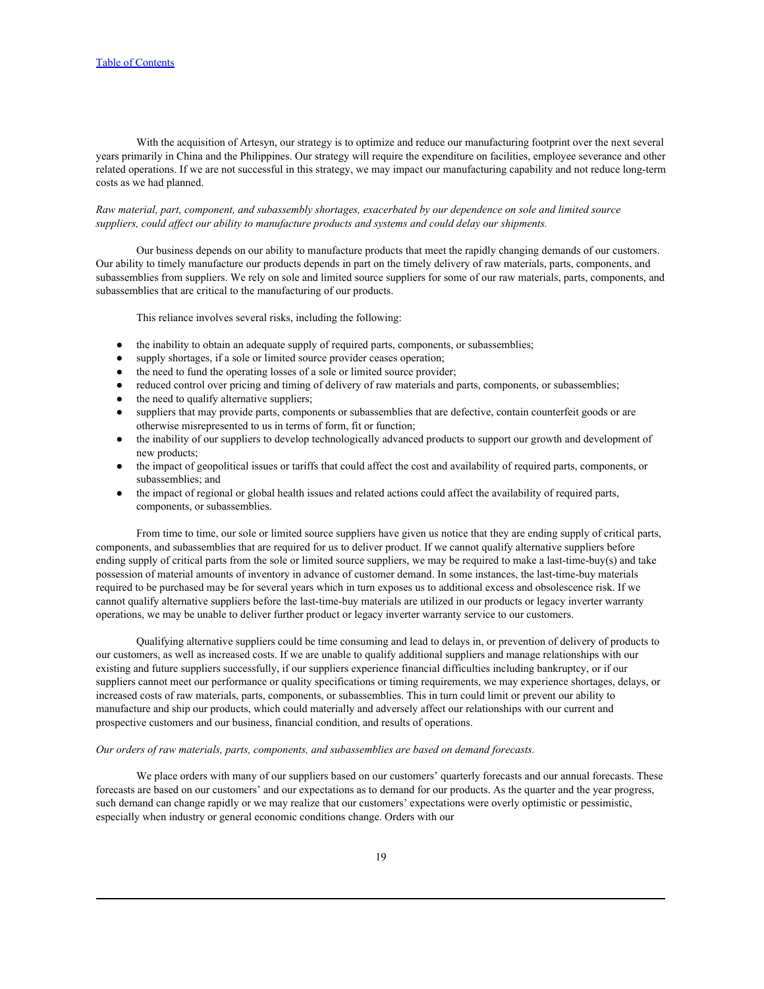With the acquisition of Artesyn, our strategy is to optimize and reduce our manufacturing footprint over the next several years primarily in China and the Philippines. Our strategy will require the expenditure on facilities, employee severance and other related operations. If we are not successful in this strategy, we may impact our manufacturing capability and not reduce long-term costs as we had planned.

*Raw material, part, component, and subassembly shortages, exacerbated by our dependence on sole and limited source suppliers, could affect our ability to manufacture products and systems and could delay our shipments.*

Our business depends on our ability to manufacture products that meet the rapidly changing demands of our customers. Our ability to timely manufacture our products depends in part on the timely delivery of raw materials, parts, components, and subassemblies from suppliers. We rely on sole and limited source suppliers for some of our raw materials, parts, components, and subassemblies that are critical to the manufacturing of our products.

This reliance involves several risks, including the following:

- the inability to obtain an adequate supply of required parts, components, or subassemblies;
- supply shortages, if a sole or limited source provider ceases operation;
- the need to fund the operating losses of a sole or limited source provider;
- reduced control over pricing and timing of delivery of raw materials and parts, components, or subassemblies;
- the need to qualify alternative suppliers;
- suppliers that may provide parts, components or subassemblies that are defective, contain counterfeit goods or are otherwise misrepresented to us in terms of form, fit or function;
- the inability of our suppliers to develop technologically advanced products to support our growth and development of new products;
- the impact of geopolitical issues or tariffs that could affect the cost and availability of required parts, components, or subassemblies; and
- the impact of regional or global health issues and related actions could affect the availability of required parts, components, or subassemblies.

From time to time, our sole or limited source suppliers have given us notice that they are ending supply of critical parts, components, and subassemblies that are required for us to deliver product. If we cannot qualify alternative suppliers before ending supply of critical parts from the sole or limited source suppliers, we may be required to make a last-time-buy(s) and take possession of material amounts of inventory in advance of customer demand. In some instances, the last-time-buy materials required to be purchased may be for several years which in turn exposes us to additional excess and obsolescence risk. If we cannot qualify alternative suppliers before the last-time-buy materials are utilized in our products or legacy inverter warranty operations, we may be unable to deliver further product or legacy inverter warranty service to our customers.

Qualifying alternative suppliers could be time consuming and lead to delays in, or prevention of delivery of products to our customers, as well as increased costs. If we are unable to qualify additional suppliers and manage relationships with our existing and future suppliers successfully, if our suppliers experience financial difficulties including bankruptcy, or if our suppliers cannot meet our performance or quality specifications or timing requirements, we may experience shortages, delays, or increased costs of raw materials, parts, components, or subassemblies. This in turn could limit or prevent our ability to manufacture and ship our products, which could materially and adversely affect our relationships with our current and prospective customers and our business, financial condition, and results of operations.

## *Our orders of raw materials, parts, components, and subassemblies are based on demand forecasts.*

We place orders with many of our suppliers based on our customers' quarterly forecasts and our annual forecasts. These forecasts are based on our customers' and our expectations as to demand for our products. As the quarter and the year progress, such demand can change rapidly or we may realize that our customers' expectations were overly optimistic or pessimistic, especially when industry or general economic conditions change. Orders with our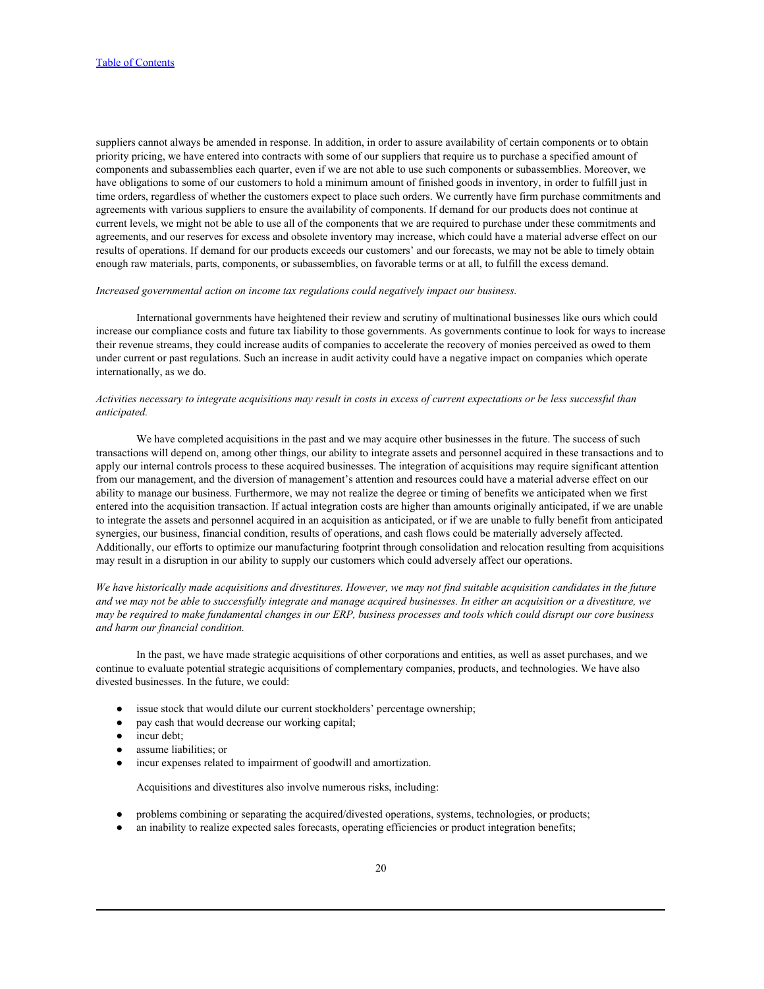suppliers cannot always be amended in response. In addition, in order to assure availability of certain components or to obtain priority pricing, we have entered into contracts with some of our suppliers that require us to purchase a specified amount of components and subassemblies each quarter, even if we are not able to use such components or subassemblies. Moreover, we have obligations to some of our customers to hold a minimum amount of finished goods in inventory, in order to fulfill just in time orders, regardless of whether the customers expect to place such orders. We currently have firm purchase commitments and agreements with various suppliers to ensure the availability of components. If demand for our products does not continue at current levels, we might not be able to use all of the components that we are required to purchase under these commitments and agreements, and our reserves for excess and obsolete inventory may increase, which could have a material adverse effect on our results of operations. If demand for our products exceeds our customers' and our forecasts, we may not be able to timely obtain enough raw materials, parts, components, or subassemblies, on favorable terms or at all, to fulfill the excess demand.

#### *Increased governmental action on income tax regulations could negatively impact our business.*

International governments have heightened their review and scrutiny of multinational businesses like ours which could increase our compliance costs and future tax liability to those governments. As governments continue to look for ways to increase their revenue streams, they could increase audits of companies to accelerate the recovery of monies perceived as owed to them under current or past regulations. Such an increase in audit activity could have a negative impact on companies which operate internationally, as we do.

## *Activities necessary to integrate acquisitions may result in costs in excess of current expectations or be less successful than anticipated.*

We have completed acquisitions in the past and we may acquire other businesses in the future. The success of such transactions will depend on, among other things, our ability to integrate assets and personnel acquired in these transactions and to apply our internal controls process to these acquired businesses. The integration of acquisitions may require significant attention from our management, and the diversion of management's attention and resources could have a material adverse effect on our ability to manage our business. Furthermore, we may not realize the degree or timing of benefits we anticipated when we first entered into the acquisition transaction. If actual integration costs are higher than amounts originally anticipated, if we are unable to integrate the assets and personnel acquired in an acquisition as anticipated, or if we are unable to fully benefit from anticipated synergies, our business, financial condition, results of operations, and cash flows could be materially adversely affected. Additionally, our efforts to optimize our manufacturing footprint through consolidation and relocation resulting from acquisitions may result in a disruption in our ability to supply our customers which could adversely affect our operations.

*We have historically made acquisitions and divestitures. However, we may not find suitable acquisition candidates in the future and we may not be able to successfully integrate and manage acquired businesses. In either an acquisition or a divestiture, we may be required to make fundamental changes in our ERP, business processes and tools which could disrupt our core business and harm our financial condition.*

In the past, we have made strategic acquisitions of other corporations and entities, as well as asset purchases, and we continue to evaluate potential strategic acquisitions of complementary companies, products, and technologies. We have also divested businesses. In the future, we could:

- issue stock that would dilute our current stockholders' percentage ownership;
- pay cash that would decrease our working capital;
- incur debt;
- assume liabilities; or
- incur expenses related to impairment of goodwill and amortization.

Acquisitions and divestitures also involve numerous risks, including:

- problems combining or separating the acquired/divested operations, systems, technologies, or products;
- an inability to realize expected sales forecasts, operating efficiencies or product integration benefits;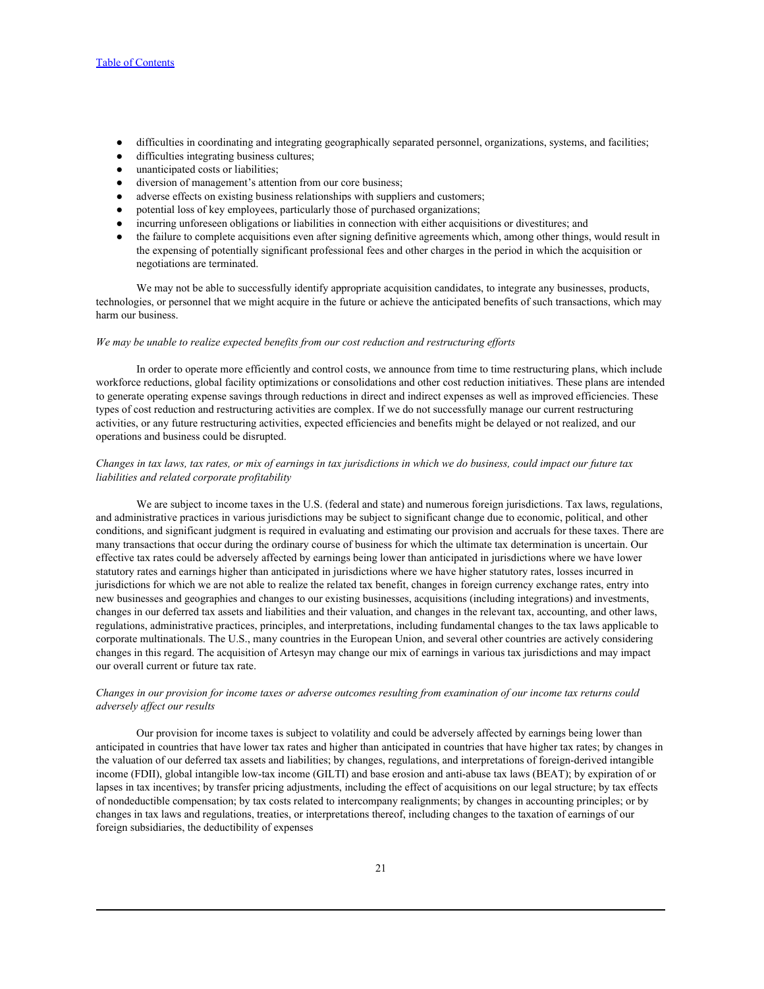- difficulties in coordinating and integrating geographically separated personnel, organizations, systems, and facilities;
- difficulties integrating business cultures;
- unanticipated costs or liabilities;
- diversion of management's attention from our core business;
- adverse effects on existing business relationships with suppliers and customers;
- potential loss of key employees, particularly those of purchased organizations;
- incurring unforeseen obligations or liabilities in connection with either acquisitions or divestitures; and
- the failure to complete acquisitions even after signing definitive agreements which, among other things, would result in the expensing of potentially significant professional fees and other charges in the period in which the acquisition or negotiations are terminated.

We may not be able to successfully identify appropriate acquisition candidates, to integrate any businesses, products, technologies, or personnel that we might acquire in the future or achieve the anticipated benefits of such transactions, which may harm our business.

#### *We may be unable to realize expected benefits from our cost reduction and restructuring efforts*

In order to operate more efficiently and control costs, we announce from time to time restructuring plans, which include workforce reductions, global facility optimizations or consolidations and other cost reduction initiatives. These plans are intended to generate operating expense savings through reductions in direct and indirect expenses as well as improved efficiencies. These types of cost reduction and restructuring activities are complex. If we do not successfully manage our current restructuring activities, or any future restructuring activities, expected efficiencies and benefits might be delayed or not realized, and our operations and business could be disrupted.

## *Changes in tax laws, tax rates, or mix of earnings in tax jurisdictions in which we do business, could impact our future tax liabilities and related corporate profitability*

We are subject to income taxes in the U.S. (federal and state) and numerous foreign jurisdictions. Tax laws, regulations, and administrative practices in various jurisdictions may be subject to significant change due to economic, political, and other conditions, and significant judgment is required in evaluating and estimating our provision and accruals for these taxes. There are many transactions that occur during the ordinary course of business for which the ultimate tax determination is uncertain. Our effective tax rates could be adversely affected by earnings being lower than anticipated in jurisdictions where we have lower statutory rates and earnings higher than anticipated in jurisdictions where we have higher statutory rates, losses incurred in jurisdictions for which we are not able to realize the related tax benefit, changes in foreign currency exchange rates, entry into new businesses and geographies and changes to our existing businesses, acquisitions (including integrations) and investments, changes in our deferred tax assets and liabilities and their valuation, and changes in the relevant tax, accounting, and other laws, regulations, administrative practices, principles, and interpretations, including fundamental changes to the tax laws applicable to corporate multinationals. The U.S., many countries in the European Union, and several other countries are actively considering changes in this regard. The acquisition of Artesyn may change our mix of earnings in various tax jurisdictions and may impact our overall current or future tax rate.

## *Changes in our provision for income taxes or adverse outcomes resulting from examination of our income tax returns could adversely affect our results*

Our provision for income taxes is subject to volatility and could be adversely affected by earnings being lower than anticipated in countries that have lower tax rates and higher than anticipated in countries that have higher tax rates; by changes in the valuation of our deferred tax assets and liabilities; by changes, regulations, and interpretations of foreign-derived intangible income (FDII), global intangible low-tax income (GILTI) and base erosion and anti-abuse tax laws (BEAT); by expiration of or lapses in tax incentives; by transfer pricing adjustments, including the effect of acquisitions on our legal structure; by tax effects of nondeductible compensation; by tax costs related to intercompany realignments; by changes in accounting principles; or by changes in tax laws and regulations, treaties, or interpretations thereof, including changes to the taxation of earnings of our foreign subsidiaries, the deductibility of expenses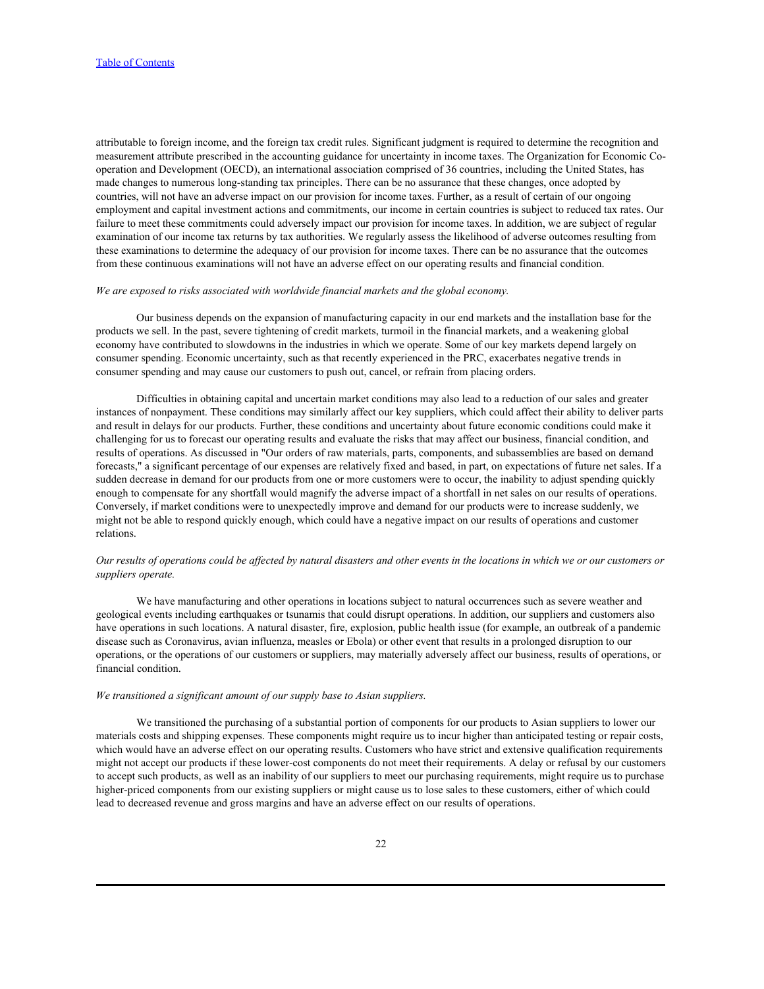attributable to foreign income, and the foreign tax credit rules. Significant judgment is required to determine the recognition and measurement attribute prescribed in the accounting guidance for uncertainty in income taxes. The Organization for Economic Cooperation and Development (OECD), an international association comprised of 36 countries, including the United States, has made changes to numerous long-standing tax principles. There can be no assurance that these changes, once adopted by countries, will not have an adverse impact on our provision for income taxes. Further, as a result of certain of our ongoing employment and capital investment actions and commitments, our income in certain countries is subject to reduced tax rates. Our failure to meet these commitments could adversely impact our provision for income taxes. In addition, we are subject of regular examination of our income tax returns by tax authorities. We regularly assess the likelihood of adverse outcomes resulting from these examinations to determine the adequacy of our provision for income taxes. There can be no assurance that the outcomes from these continuous examinations will not have an adverse effect on our operating results and financial condition.

#### *We are exposed to risks associated with worldwide financial markets and the global economy.*

Our business depends on the expansion of manufacturing capacity in our end markets and the installation base for the products we sell. In the past, severe tightening of credit markets, turmoil in the financial markets, and a weakening global economy have contributed to slowdowns in the industries in which we operate. Some of our key markets depend largely on consumer spending. Economic uncertainty, such as that recently experienced in the PRC, exacerbates negative trends in consumer spending and may cause our customers to push out, cancel, or refrain from placing orders.

Difficulties in obtaining capital and uncertain market conditions may also lead to a reduction of our sales and greater instances of nonpayment. These conditions may similarly affect our key suppliers, which could affect their ability to deliver parts and result in delays for our products. Further, these conditions and uncertainty about future economic conditions could make it challenging for us to forecast our operating results and evaluate the risks that may affect our business, financial condition, and results of operations. As discussed in "Our orders of raw materials, parts, components, and subassemblies are based on demand forecasts," a significant percentage of our expenses are relatively fixed and based, in part, on expectations of future net sales. If a sudden decrease in demand for our products from one or more customers were to occur, the inability to adjust spending quickly enough to compensate for any shortfall would magnify the adverse impact of a shortfall in net sales on our results of operations. Conversely, if market conditions were to unexpectedly improve and demand for our products were to increase suddenly, we might not be able to respond quickly enough, which could have a negative impact on our results of operations and customer relations.

## *Our results of operations could be affected by natural disasters and other events in the locations in which we or our customers or suppliers operate.*

We have manufacturing and other operations in locations subject to natural occurrences such as severe weather and geological events including earthquakes or tsunamis that could disrupt operations. In addition, our suppliers and customers also have operations in such locations. A natural disaster, fire, explosion, public health issue (for example, an outbreak of a pandemic disease such as Coronavirus, avian influenza, measles or Ebola) or other event that results in a prolonged disruption to our operations, or the operations of our customers or suppliers, may materially adversely affect our business, results of operations, or financial condition.

#### *We transitioned a significant amount of our supply base to Asian suppliers.*

We transitioned the purchasing of a substantial portion of components for our products to Asian suppliers to lower our materials costs and shipping expenses. These components might require us to incur higher than anticipated testing or repair costs, which would have an adverse effect on our operating results. Customers who have strict and extensive qualification requirements might not accept our products if these lower-cost components do not meet their requirements. A delay or refusal by our customers to accept such products, as well as an inability of our suppliers to meet our purchasing requirements, might require us to purchase higher-priced components from our existing suppliers or might cause us to lose sales to these customers, either of which could lead to decreased revenue and gross margins and have an adverse effect on our results of operations.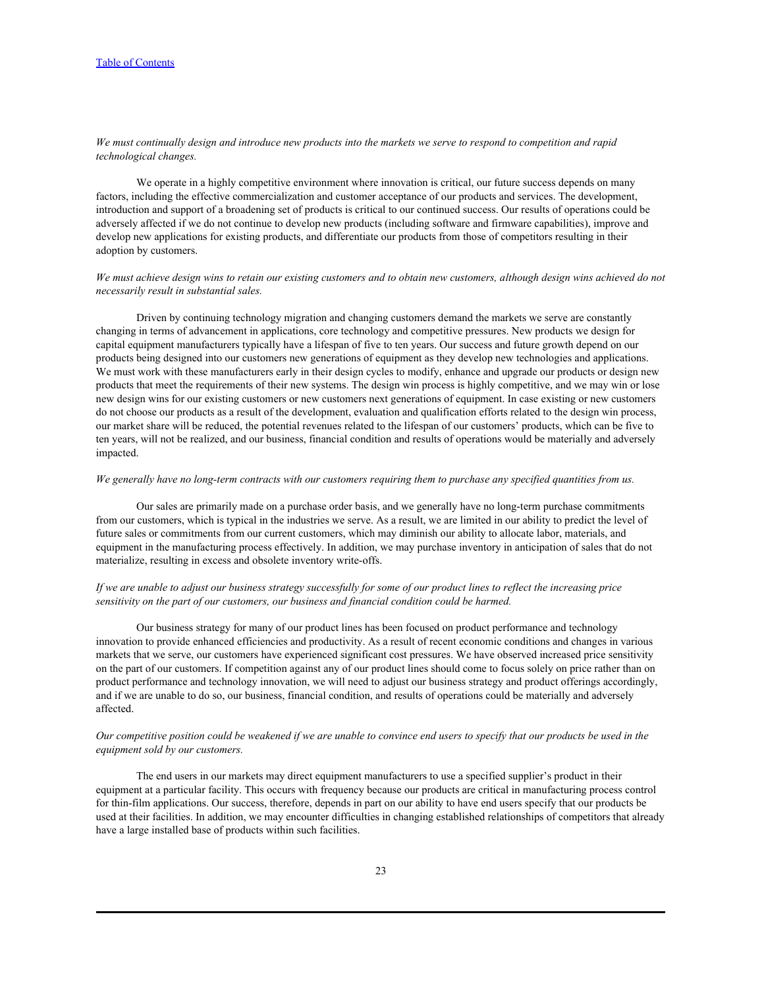## *We must continually design and introduce new products into the markets we serve to respond to competition and rapid technological changes.*

We operate in a highly competitive environment where innovation is critical, our future success depends on many factors, including the effective commercialization and customer acceptance of our products and services. The development, introduction and support of a broadening set of products is critical to our continued success. Our results of operations could be adversely affected if we do not continue to develop new products (including software and firmware capabilities), improve and develop new applications for existing products, and differentiate our products from those of competitors resulting in their adoption by customers.

## *We must achieve design wins to retain our existing customers and to obtain new customers, although design wins achieved do not necessarily result in substantial sales.*

Driven by continuing technology migration and changing customers demand the markets we serve are constantly changing in terms of advancement in applications, core technology and competitive pressures. New products we design for capital equipment manufacturers typically have a lifespan of five to ten years. Our success and future growth depend on our products being designed into our customers new generations of equipment as they develop new technologies and applications. We must work with these manufacturers early in their design cycles to modify, enhance and upgrade our products or design new products that meet the requirements of their new systems. The design win process is highly competitive, and we may win or lose new design wins for our existing customers or new customers next generations of equipment. In case existing or new customers do not choose our products as a result of the development, evaluation and qualification efforts related to the design win process, our market share will be reduced, the potential revenues related to the lifespan of our customers' products, which can be five to ten years, will not be realized, and our business, financial condition and results of operations would be materially and adversely impacted.

#### *We generally have no long-term contracts with our customers requiring them to purchase any specified quantities from us.*

Our sales are primarily made on a purchase order basis, and we generally have no long-term purchase commitments from our customers, which is typical in the industries we serve. As a result, we are limited in our ability to predict the level of future sales or commitments from our current customers, which may diminish our ability to allocate labor, materials, and equipment in the manufacturing process effectively. In addition, we may purchase inventory in anticipation of sales that do not materialize, resulting in excess and obsolete inventory write-offs.

## *If we are unable to adjust our business strategy successfully for some of our product lines to reflect the increasing price sensitivity on the part of our customers, our business and financial condition could be harmed.*

Our business strategy for many of our product lines has been focused on product performance and technology innovation to provide enhanced efficiencies and productivity. As a result of recent economic conditions and changes in various markets that we serve, our customers have experienced significant cost pressures. We have observed increased price sensitivity on the part of our customers. If competition against any of our product lines should come to focus solely on price rather than on product performance and technology innovation, we will need to adjust our business strategy and product offerings accordingly, and if we are unable to do so, our business, financial condition, and results of operations could be materially and adversely affected.

## *Our competitive position could be weakened if we are unable to convince end users to specify that our products be used in the equipment sold by our customers.*

The end users in our markets may direct equipment manufacturers to use a specified supplier's product in their equipment at a particular facility. This occurs with frequency because our products are critical in manufacturing process control for thin-film applications. Our success, therefore, depends in part on our ability to have end users specify that our products be used at their facilities. In addition, we may encounter difficulties in changing established relationships of competitors that already have a large installed base of products within such facilities.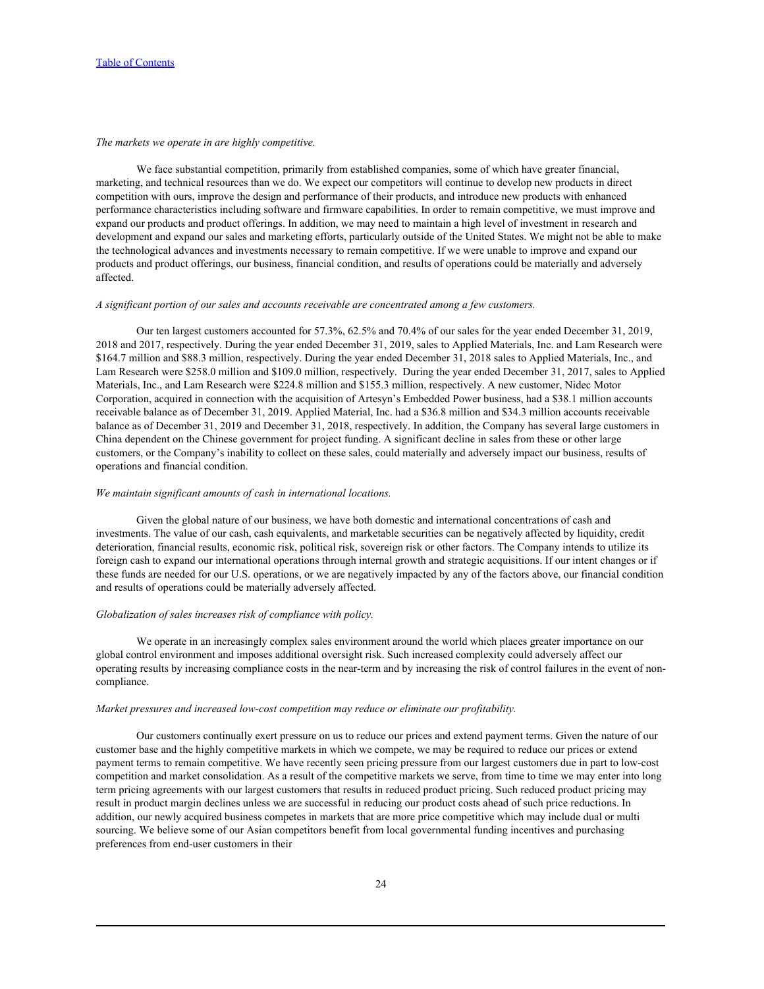*The markets we operate in are highly competitive.*

We face substantial competition, primarily from established companies, some of which have greater financial, marketing, and technical resources than we do. We expect our competitors will continue to develop new products in direct competition with ours, improve the design and performance of their products, and introduce new products with enhanced performance characteristics including software and firmware capabilities. In order to remain competitive, we must improve and expand our products and product offerings. In addition, we may need to maintain a high level of investment in research and development and expand our sales and marketing efforts, particularly outside of the United States. We might not be able to make the technological advances and investments necessary to remain competitive. If we were unable to improve and expand our products and product offerings, our business, financial condition, and results of operations could be materially and adversely affected.

#### *A significant portion of our sales and accounts receivable are concentrated among a few customers.*

Our ten largest customers accounted for 57.3%, 62.5% and 70.4% of our sales for the year ended December 31, 2019, 2018 and 2017, respectively. During the year ended December 31, 2019, sales to Applied Materials, Inc. and Lam Research were \$164.7 million and \$88.3 million, respectively. During the year ended December 31, 2018 sales to Applied Materials, Inc., and Lam Research were \$258.0 million and \$109.0 million, respectively. During the year ended December 31, 2017, sales to Applied Materials, Inc., and Lam Research were \$224.8 million and \$155.3 million, respectively. A new customer, Nidec Motor Corporation, acquired in connection with the acquisition of Artesyn's Embedded Power business, had a \$38.1 million accounts receivable balance as of December 31, 2019. Applied Material, Inc. had a \$36.8 million and \$34.3 million accounts receivable balance as of December 31, 2019 and December 31, 2018, respectively. In addition, the Company has several large customers in China dependent on the Chinese government for project funding. A significant decline in sales from these or other large customers, or the Company's inability to collect on these sales, could materially and adversely impact our business, results of operations and financial condition.

#### *We maintain significant amounts of cash in international locations.*

Given the global nature of our business, we have both domestic and international concentrations of cash and investments. The value of our cash, cash equivalents, and marketable securities can be negatively affected by liquidity, credit deterioration, financial results, economic risk, political risk, sovereign risk or other factors. The Company intends to utilize its foreign cash to expand our international operations through internal growth and strategic acquisitions. If our intent changes or if these funds are needed for our U.S. operations, or we are negatively impacted by any of the factors above, our financial condition and results of operations could be materially adversely affected.

#### *Globalization of sales increases risk of compliance with policy.*

We operate in an increasingly complex sales environment around the world which places greater importance on our global control environment and imposes additional oversight risk. Such increased complexity could adversely affect our operating results by increasing compliance costs in the near-term and by increasing the risk of control failures in the event of noncompliance.

#### *Market pressures and increased low-cost competition may reduce or eliminate our profitability.*

Our customers continually exert pressure on us to reduce our prices and extend payment terms. Given the nature of our customer base and the highly competitive markets in which we compete, we may be required to reduce our prices or extend payment terms to remain competitive. We have recently seen pricing pressure from our largest customers due in part to low-cost competition and market consolidation. As a result of the competitive markets we serve, from time to time we may enter into long term pricing agreements with our largest customers that results in reduced product pricing. Such reduced product pricing may result in product margin declines unless we are successful in reducing our product costs ahead of such price reductions. In addition, our newly acquired business competes in markets that are more price competitive which may include dual or multi sourcing. We believe some of our Asian competitors benefit from local governmental funding incentives and purchasing preferences from end-user customers in their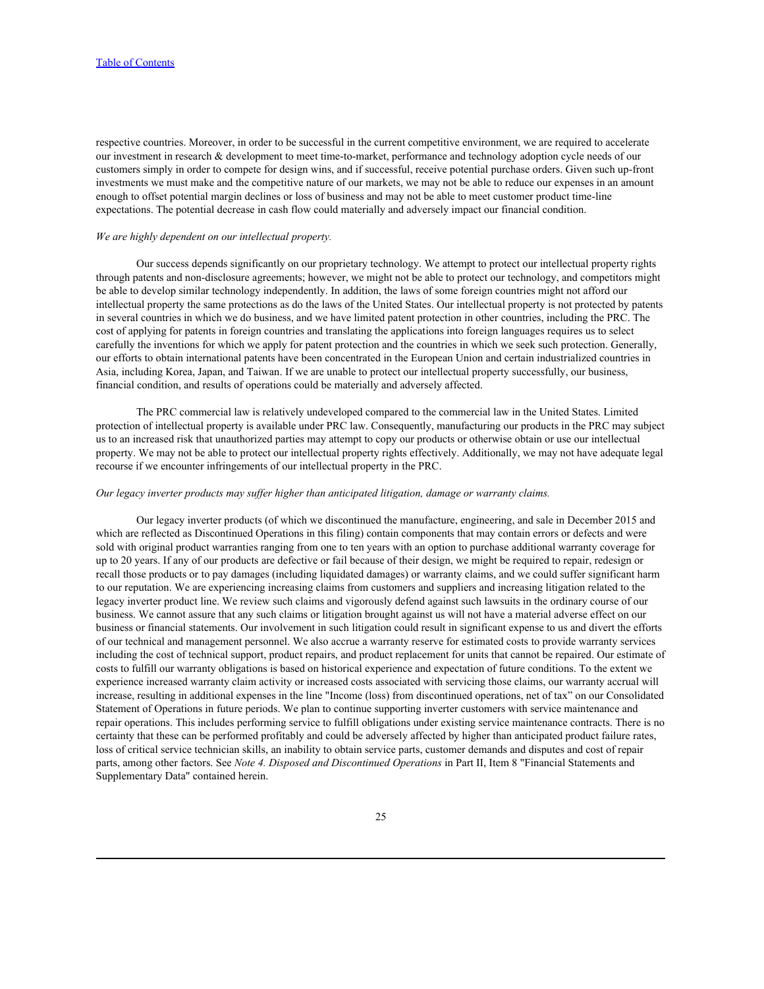respective countries. Moreover, in order to be successful in the current competitive environment, we are required to accelerate our investment in research & development to meet time-to-market, performance and technology adoption cycle needs of our customers simply in order to compete for design wins, and if successful, receive potential purchase orders. Given such up-front investments we must make and the competitive nature of our markets, we may not be able to reduce our expenses in an amount enough to offset potential margin declines or loss of business and may not be able to meet customer product time-line expectations. The potential decrease in cash flow could materially and adversely impact our financial condition.

#### *We are highly dependent on our intellectual property.*

Our success depends significantly on our proprietary technology. We attempt to protect our intellectual property rights through patents and non-disclosure agreements; however, we might not be able to protect our technology, and competitors might be able to develop similar technology independently. In addition, the laws of some foreign countries might not afford our intellectual property the same protections as do the laws of the United States. Our intellectual property is not protected by patents in several countries in which we do business, and we have limited patent protection in other countries, including the PRC. The cost of applying for patents in foreign countries and translating the applications into foreign languages requires us to select carefully the inventions for which we apply for patent protection and the countries in which we seek such protection. Generally, our efforts to obtain international patents have been concentrated in the European Union and certain industrialized countries in Asia, including Korea, Japan, and Taiwan. If we are unable to protect our intellectual property successfully, our business, financial condition, and results of operations could be materially and adversely affected.

The PRC commercial law is relatively undeveloped compared to the commercial law in the United States. Limited protection of intellectual property is available under PRC law. Consequently, manufacturing our products in the PRC may subject us to an increased risk that unauthorized parties may attempt to copy our products or otherwise obtain or use our intellectual property. We may not be able to protect our intellectual property rights effectively. Additionally, we may not have adequate legal recourse if we encounter infringements of our intellectual property in the PRC.

#### *Our legacy inverter products may suffer higher than anticipated litigation, damage or warranty claims.*

Our legacy inverter products (of which we discontinued the manufacture, engineering, and sale in December 2015 and which are reflected as Discontinued Operations in this filing) contain components that may contain errors or defects and were sold with original product warranties ranging from one to ten years with an option to purchase additional warranty coverage for up to 20 years. If any of our products are defective or fail because of their design, we might be required to repair, redesign or recall those products or to pay damages (including liquidated damages) or warranty claims, and we could suffer significant harm to our reputation. We are experiencing increasing claims from customers and suppliers and increasing litigation related to the legacy inverter product line. We review such claims and vigorously defend against such lawsuits in the ordinary course of our business. We cannot assure that any such claims or litigation brought against us will not have a material adverse effect on our business or financial statements. Our involvement in such litigation could result in significant expense to us and divert the efforts of our technical and management personnel. We also accrue a warranty reserve for estimated costs to provide warranty services including the cost of technical support, product repairs, and product replacement for units that cannot be repaired. Our estimate of costs to fulfill our warranty obligations is based on historical experience and expectation of future conditions. To the extent we experience increased warranty claim activity or increased costs associated with servicing those claims, our warranty accrual will increase, resulting in additional expenses in the line "Income (loss) from discontinued operations, net of tax" on our Consolidated Statement of Operations in future periods. We plan to continue supporting inverter customers with service maintenance and repair operations. This includes performing service to fulfill obligations under existing service maintenance contracts. There is no certainty that these can be performed profitably and could be adversely affected by higher than anticipated product failure rates, loss of critical service technician skills, an inability to obtain service parts, customer demands and disputes and cost of repair parts, among other factors. See *Note 4. Disposed and Discontinued Operations* in Part II, Item 8 "Financial Statements and Supplementary Data" contained herein.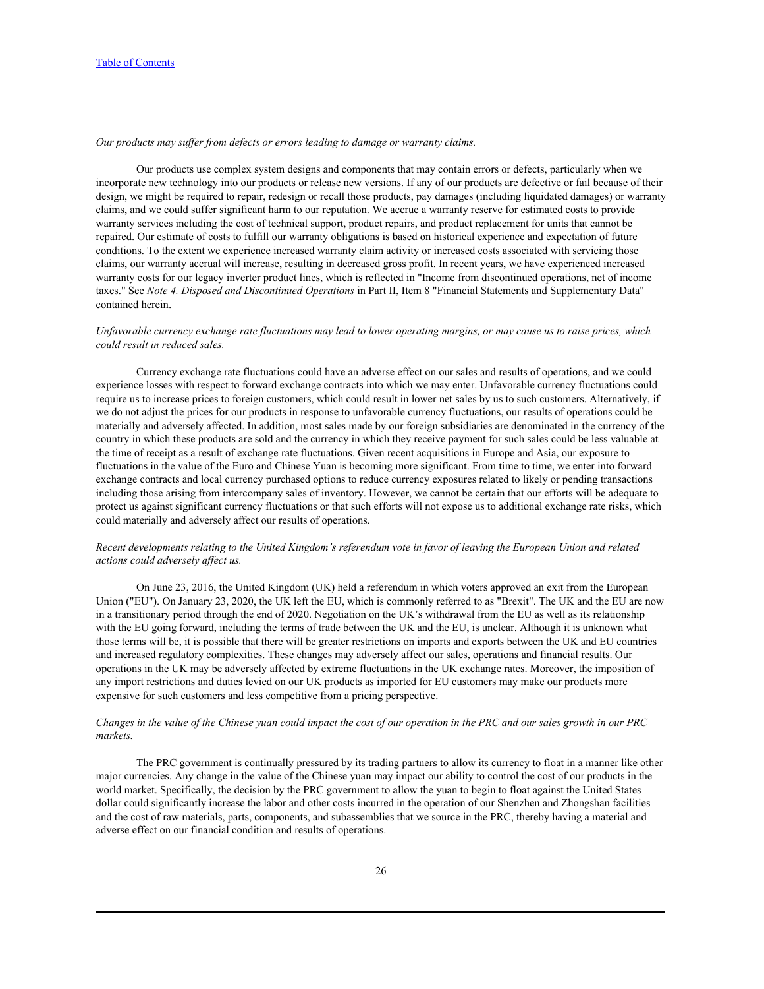## *Our products may suffer from defects or errors leading to damage or warranty claims.*

Our products use complex system designs and components that may contain errors or defects, particularly when we incorporate new technology into our products or release new versions. If any of our products are defective or fail because of their design, we might be required to repair, redesign or recall those products, pay damages (including liquidated damages) or warranty claims, and we could suffer significant harm to our reputation. We accrue a warranty reserve for estimated costs to provide warranty services including the cost of technical support, product repairs, and product replacement for units that cannot be repaired. Our estimate of costs to fulfill our warranty obligations is based on historical experience and expectation of future conditions. To the extent we experience increased warranty claim activity or increased costs associated with servicing those claims, our warranty accrual will increase, resulting in decreased gross profit. In recent years, we have experienced increased warranty costs for our legacy inverter product lines, which is reflected in "Income from discontinued operations, net of income taxes." See *Note 4. Disposed and Discontinued Operations* in Part II, Item 8 "Financial Statements and Supplementary Data" contained herein.

#### *Unfavorable currency exchange rate fluctuations may lead to lower operating margins, or may cause us to raise prices, which could result in reduced sales.*

Currency exchange rate fluctuations could have an adverse effect on our sales and results of operations, and we could experience losses with respect to forward exchange contracts into which we may enter. Unfavorable currency fluctuations could require us to increase prices to foreign customers, which could result in lower net sales by us to such customers. Alternatively, if we do not adjust the prices for our products in response to unfavorable currency fluctuations, our results of operations could be materially and adversely affected. In addition, most sales made by our foreign subsidiaries are denominated in the currency of the country in which these products are sold and the currency in which they receive payment for such sales could be less valuable at the time of receipt as a result of exchange rate fluctuations. Given recent acquisitions in Europe and Asia, our exposure to fluctuations in the value of the Euro and Chinese Yuan is becoming more significant. From time to time, we enter into forward exchange contracts and local currency purchased options to reduce currency exposures related to likely or pending transactions including those arising from intercompany sales of inventory. However, we cannot be certain that our efforts will be adequate to protect us against significant currency fluctuations or that such efforts will not expose us to additional exchange rate risks, which could materially and adversely affect our results of operations.

### *Recent developments relating to the United Kingdom's referendum vote in favor of leaving the European Union and related actions could adversely affect us.*

On June 23, 2016, the United Kingdom (UK) held a referendum in which voters approved an exit from the European Union ("EU"). On January 23, 2020, the UK left the EU, which is commonly referred to as "Brexit". The UK and the EU are now in a transitionary period through the end of 2020. Negotiation on the UK's withdrawal from the EU as well as its relationship with the EU going forward, including the terms of trade between the UK and the EU, is unclear. Although it is unknown what those terms will be, it is possible that there will be greater restrictions on imports and exports between the UK and EU countries and increased regulatory complexities. These changes may adversely affect our sales, operations and financial results. Our operations in the UK may be adversely affected by extreme fluctuations in the UK exchange rates. Moreover, the imposition of any import restrictions and duties levied on our UK products as imported for EU customers may make our products more expensive for such customers and less competitive from a pricing perspective.

## *Changes in the value of the Chinese yuan could impact the cost of our operation in the PRC and our sales growth in our PRC markets.*

The PRC government is continually pressured by its trading partners to allow its currency to float in a manner like other major currencies. Any change in the value of the Chinese yuan may impact our ability to control the cost of our products in the world market. Specifically, the decision by the PRC government to allow the yuan to begin to float against the United States dollar could significantly increase the labor and other costs incurred in the operation of our Shenzhen and Zhongshan facilities and the cost of raw materials, parts, components, and subassemblies that we source in the PRC, thereby having a material and adverse effect on our financial condition and results of operations.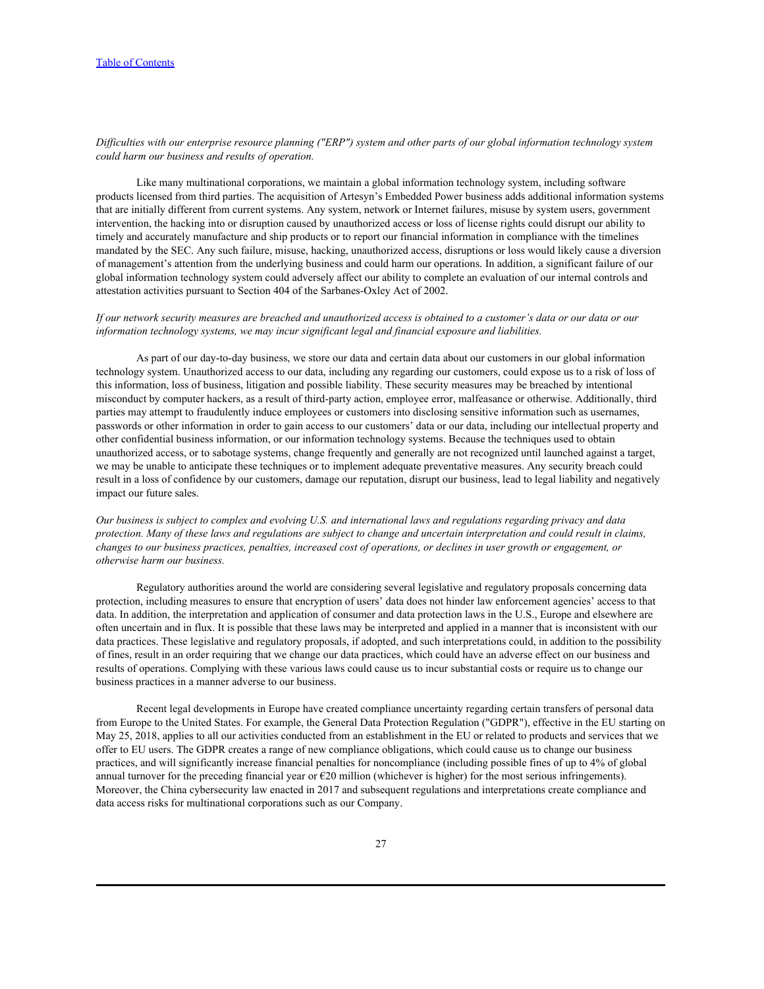## *Difficulties with our enterprise resource planning ("ERP") system and other parts of our global information technology system could harm our business and results of operation.*

Like many multinational corporations, we maintain a global information technology system, including software products licensed from third parties. The acquisition of Artesyn's Embedded Power business adds additional information systems that are initially different from current systems. Any system, network or Internet failures, misuse by system users, government intervention, the hacking into or disruption caused by unauthorized access or loss of license rights could disrupt our ability to timely and accurately manufacture and ship products or to report our financial information in compliance with the timelines mandated by the SEC. Any such failure, misuse, hacking, unauthorized access, disruptions or loss would likely cause a diversion of management's attention from the underlying business and could harm our operations. In addition, a significant failure of our global information technology system could adversely affect our ability to complete an evaluation of our internal controls and attestation activities pursuant to Section 404 of the Sarbanes-Oxley Act of 2002.

## *If our network security measures are breached and unauthorized access is obtained to a customer's data or our data or our information technology systems, we may incur significant legal and financial exposure and liabilities.*

As part of our day-to-day business, we store our data and certain data about our customers in our global information technology system. Unauthorized access to our data, including any regarding our customers, could expose us to a risk of loss of this information, loss of business, litigation and possible liability. These security measures may be breached by intentional misconduct by computer hackers, as a result of third-party action, employee error, malfeasance or otherwise. Additionally, third parties may attempt to fraudulently induce employees or customers into disclosing sensitive information such as usernames, passwords or other information in order to gain access to our customers' data or our data, including our intellectual property and other confidential business information, or our information technology systems. Because the techniques used to obtain unauthorized access, or to sabotage systems, change frequently and generally are not recognized until launched against a target, we may be unable to anticipate these techniques or to implement adequate preventative measures. Any security breach could result in a loss of confidence by our customers, damage our reputation, disrupt our business, lead to legal liability and negatively impact our future sales.

*Our business is subject to complex and evolving U.S. and international laws and regulations regarding privacy and data protection. Many of these laws and regulations are subject to change and uncertain interpretation and could result in claims, changes to our business practices, penalties, increased cost of operations, or declines in user growth or engagement, or otherwise harm our business.*

Regulatory authorities around the world are considering several legislative and regulatory proposals concerning data protection, including measures to ensure that encryption of users' data does not hinder law enforcement agencies' access to that data. In addition, the interpretation and application of consumer and data protection laws in the U.S., Europe and elsewhere are often uncertain and in flux. It is possible that these laws may be interpreted and applied in a manner that is inconsistent with our data practices. These legislative and regulatory proposals, if adopted, and such interpretations could, in addition to the possibility of fines, result in an order requiring that we change our data practices, which could have an adverse effect on our business and results of operations. Complying with these various laws could cause us to incur substantial costs or require us to change our business practices in a manner adverse to our business.

Recent legal developments in Europe have created compliance uncertainty regarding certain transfers of personal data from Europe to the United States. For example, the General Data Protection Regulation ("GDPR"), effective in the EU starting on May 25, 2018, applies to all our activities conducted from an establishment in the EU or related to products and services that we offer to EU users. The GDPR creates a range of new compliance obligations, which could cause us to change our business practices, and will significantly increase financial penalties for noncompliance (including possible fines of up to 4% of global annual turnover for the preceding financial year or  $E20$  million (whichever is higher) for the most serious infringements). Moreover, the China cybersecurity law enacted in 2017 and subsequent regulations and interpretations create compliance and data access risks for multinational corporations such as our Company.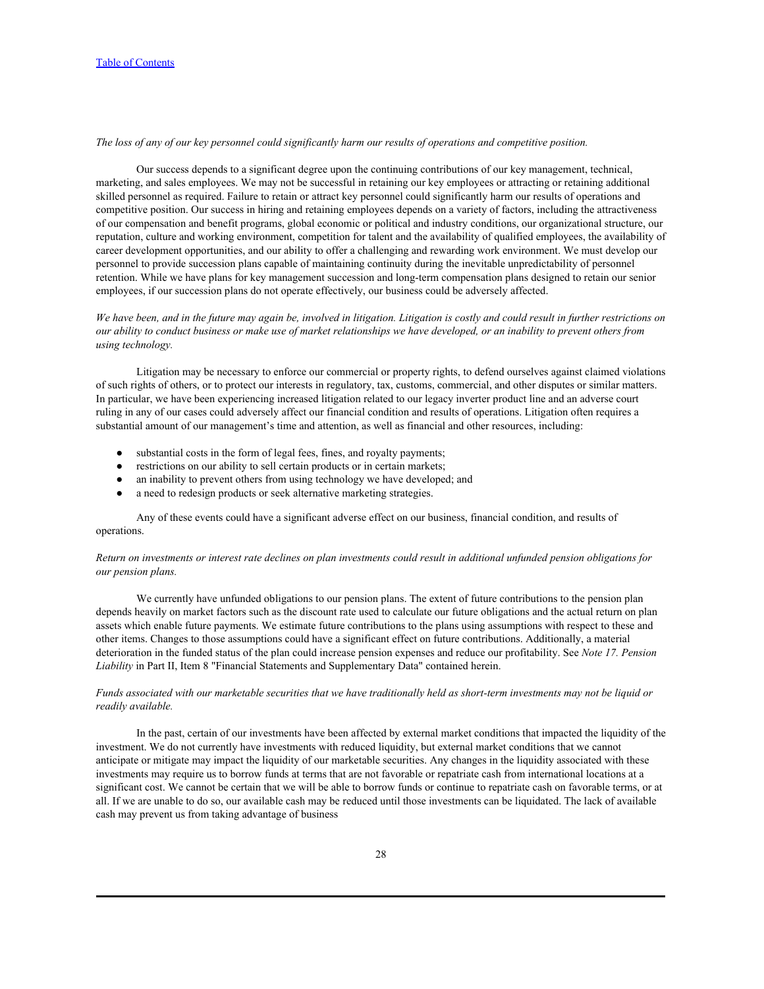## *The loss of any of our key personnel could significantly harm our results of operations and competitive position.*

Our success depends to a significant degree upon the continuing contributions of our key management, technical, marketing, and sales employees. We may not be successful in retaining our key employees or attracting or retaining additional skilled personnel as required. Failure to retain or attract key personnel could significantly harm our results of operations and competitive position. Our success in hiring and retaining employees depends on a variety of factors, including the attractiveness of our compensation and benefit programs, global economic or political and industry conditions, our organizational structure, our reputation, culture and working environment, competition for talent and the availability of qualified employees, the availability of career development opportunities, and our ability to offer a challenging and rewarding work environment. We must develop our personnel to provide succession plans capable of maintaining continuity during the inevitable unpredictability of personnel retention. While we have plans for key management succession and long-term compensation plans designed to retain our senior employees, if our succession plans do not operate effectively, our business could be adversely affected.

*We have been, and in the future may again be, involved in litigation. Litigation is costly and could result in further restrictions on our ability to conduct business or make use of market relationships we have developed, or an inability to prevent others from using technology.*

Litigation may be necessary to enforce our commercial or property rights, to defend ourselves against claimed violations of such rights of others, or to protect our interests in regulatory, tax, customs, commercial, and other disputes or similar matters. In particular, we have been experiencing increased litigation related to our legacy inverter product line and an adverse court ruling in any of our cases could adversely affect our financial condition and results of operations. Litigation often requires a substantial amount of our management's time and attention, as well as financial and other resources, including:

- substantial costs in the form of legal fees, fines, and royalty payments;
- restrictions on our ability to sell certain products or in certain markets;
- an inability to prevent others from using technology we have developed; and
- a need to redesign products or seek alternative marketing strategies.

Any of these events could have a significant adverse effect on our business, financial condition, and results of operations.

## *Return on investments or interest rate declines on plan investments could result in additional unfunded pension obligations for our pension plans.*

We currently have unfunded obligations to our pension plans. The extent of future contributions to the pension plan depends heavily on market factors such as the discount rate used to calculate our future obligations and the actual return on plan assets which enable future payments. We estimate future contributions to the plans using assumptions with respect to these and other items. Changes to those assumptions could have a significant effect on future contributions. Additionally, a material deterioration in the funded status of the plan could increase pension expenses and reduce our profitability. See *Note 17. Pension Liability* in Part II, Item 8 "Financial Statements and Supplementary Data" contained herein.

## *Funds associated with our marketable securities that we have traditionally held as short-term investments may not be liquid or readily available.*

In the past, certain of our investments have been affected by external market conditions that impacted the liquidity of the investment. We do not currently have investments with reduced liquidity, but external market conditions that we cannot anticipate or mitigate may impact the liquidity of our marketable securities. Any changes in the liquidity associated with these investments may require us to borrow funds at terms that are not favorable or repatriate cash from international locations at a significant cost. We cannot be certain that we will be able to borrow funds or continue to repatriate cash on favorable terms, or at all. If we are unable to do so, our available cash may be reduced until those investments can be liquidated. The lack of available cash may prevent us from taking advantage of business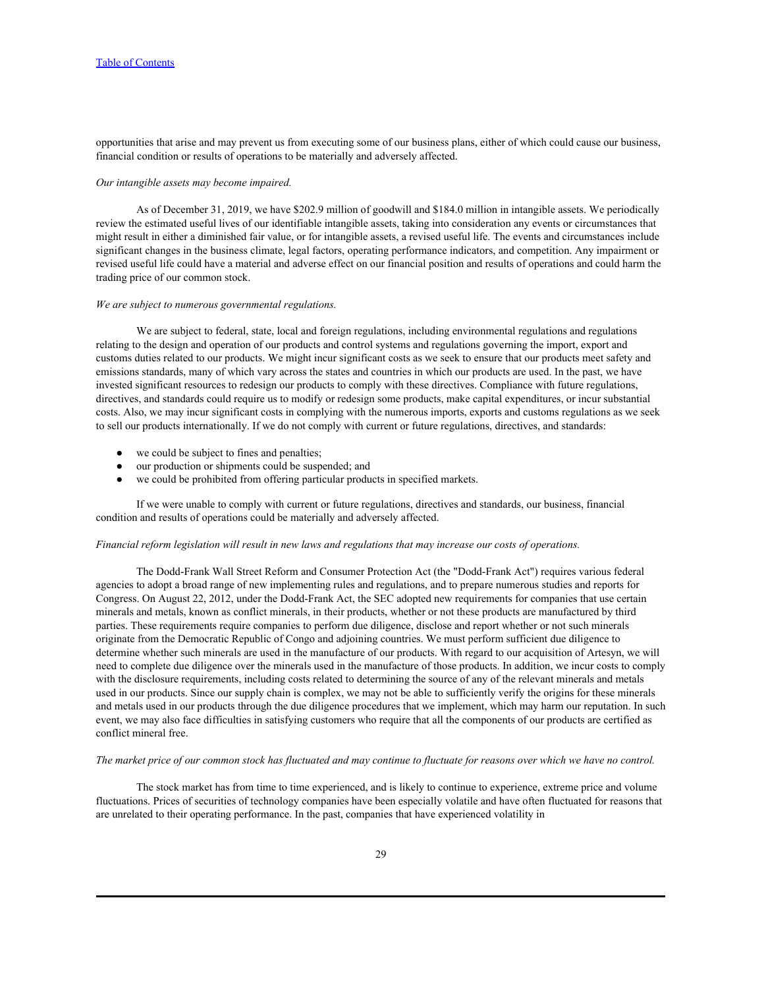opportunities that arise and may prevent us from executing some of our business plans, either of which could cause our business, financial condition or results of operations to be materially and adversely affected.

#### *Our intangible assets may become impaired.*

As of December 31, 2019, we have \$202.9 million of goodwill and \$184.0 million in intangible assets. We periodically review the estimated useful lives of our identifiable intangible assets, taking into consideration any events or circumstances that might result in either a diminished fair value, or for intangible assets, a revised useful life. The events and circumstances include significant changes in the business climate, legal factors, operating performance indicators, and competition. Any impairment or revised useful life could have a material and adverse effect on our financial position and results of operations and could harm the trading price of our common stock.

#### *We are subject to numerous governmental regulations.*

We are subject to federal, state, local and foreign regulations, including environmental regulations and regulations relating to the design and operation of our products and control systems and regulations governing the import, export and customs duties related to our products. We might incur significant costs as we seek to ensure that our products meet safety and emissions standards, many of which vary across the states and countries in which our products are used. In the past, we have invested significant resources to redesign our products to comply with these directives. Compliance with future regulations, directives, and standards could require us to modify or redesign some products, make capital expenditures, or incur substantial costs. Also, we may incur significant costs in complying with the numerous imports, exports and customs regulations as we seek to sell our products internationally. If we do not comply with current or future regulations, directives, and standards:

- we could be subject to fines and penalties;
- our production or shipments could be suspended; and
- we could be prohibited from offering particular products in specified markets.

If we were unable to comply with current or future regulations, directives and standards, our business, financial condition and results of operations could be materially and adversely affected.

#### *Financial reform legislation will result in new laws and regulations that may increase our costs of operations.*

The Dodd-Frank Wall Street Reform and Consumer Protection Act (the "Dodd-Frank Act") requires various federal agencies to adopt a broad range of new implementing rules and regulations, and to prepare numerous studies and reports for Congress. On August 22, 2012, under the Dodd-Frank Act, the SEC adopted new requirements for companies that use certain minerals and metals, known as conflict minerals, in their products, whether or not these products are manufactured by third parties. These requirements require companies to perform due diligence, disclose and report whether or not such minerals originate from the Democratic Republic of Congo and adjoining countries. We must perform sufficient due diligence to determine whether such minerals are used in the manufacture of our products. With regard to our acquisition of Artesyn, we will need to complete due diligence over the minerals used in the manufacture of those products. In addition, we incur costs to comply with the disclosure requirements, including costs related to determining the source of any of the relevant minerals and metals used in our products. Since our supply chain is complex, we may not be able to sufficiently verify the origins for these minerals and metals used in our products through the due diligence procedures that we implement, which may harm our reputation. In such event, we may also face difficulties in satisfying customers who require that all the components of our products are certified as conflict mineral free.

#### *The market price of our common stock has fluctuated and may continue to fluctuate for reasons over which we have no control.*

The stock market has from time to time experienced, and is likely to continue to experience, extreme price and volume fluctuations. Prices of securities of technology companies have been especially volatile and have often fluctuated for reasons that are unrelated to their operating performance. In the past, companies that have experienced volatility in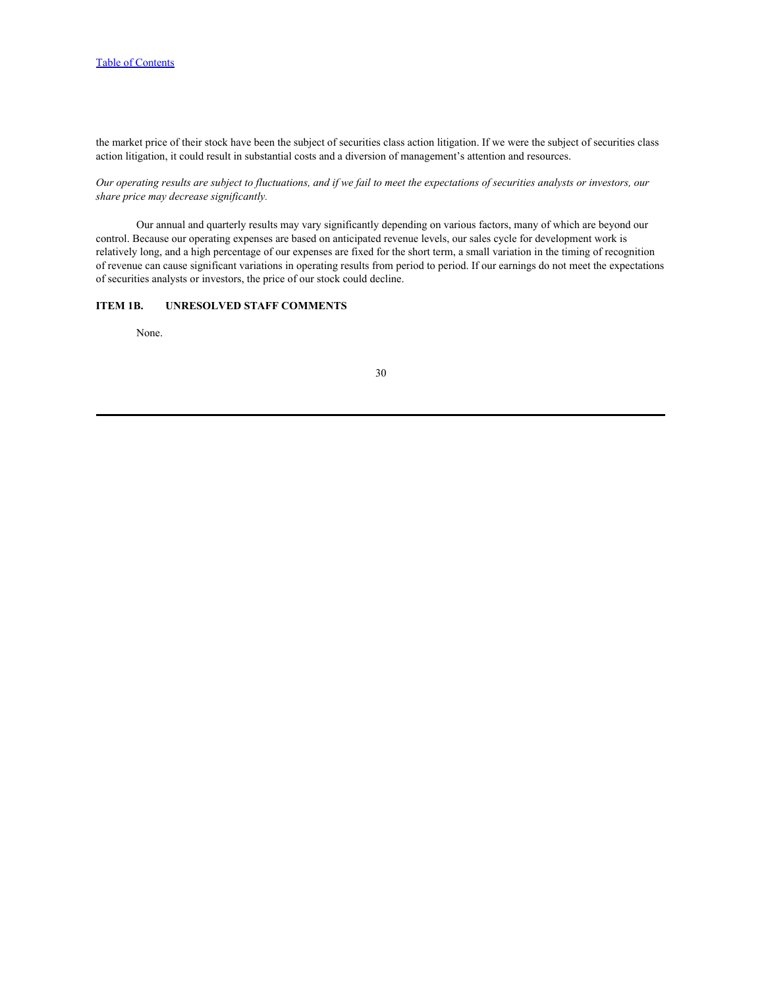the market price of their stock have been the subject of securities class action litigation. If we were the subject of securities class action litigation, it could result in substantial costs and a diversion of management's attention and resources.

*Our operating results are subject to fluctuations, and if we fail to meet the expectations of securities analysts or investors, our share price may decrease significantly.*

Our annual and quarterly results may vary significantly depending on various factors, many of which are beyond our control. Because our operating expenses are based on anticipated revenue levels, our sales cycle for development work is relatively long, and a high percentage of our expenses are fixed for the short term, a small variation in the timing of recognition of revenue can cause significant variations in operating results from period to period. If our earnings do not meet the expectations of securities analysts or investors, the price of our stock could decline.

## <span id="page-29-0"></span>**ITEM 1B. UNRESOLVED STAFF COMMENTS**

None.

30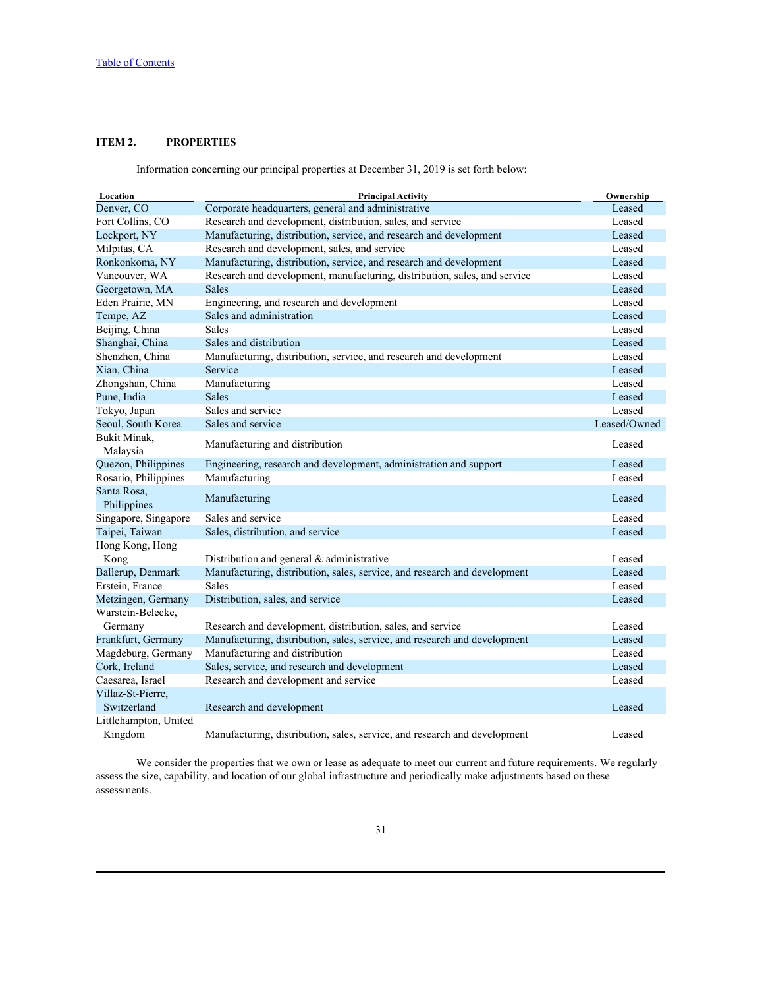## <span id="page-30-0"></span>**ITEM 2. PROPERTIES**

Information concerning our principal properties at December 31, 2019 is set forth below:

| Location                   | <b>Principal Activity</b>                                                 | Ownership    |
|----------------------------|---------------------------------------------------------------------------|--------------|
| Denver, CO                 | Corporate headquarters, general and administrative                        | Leased       |
| Fort Collins, CO           | Research and development, distribution, sales, and service                | Leased       |
| Lockport, NY               | Manufacturing, distribution, service, and research and development        | Leased       |
| Milpitas, CA               | Research and development, sales, and service                              | Leased       |
| Ronkonkoma, NY             | Manufacturing, distribution, service, and research and development        | Leased       |
| Vancouver, WA              | Research and development, manufacturing, distribution, sales, and service | Leased       |
| Georgetown, MA             | <b>Sales</b>                                                              | Leased       |
| Eden Prairie, MN           | Engineering, and research and development                                 | Leased       |
| Tempe, AZ                  | Sales and administration                                                  | Leased       |
| Beijing, China             | <b>Sales</b>                                                              | Leased       |
| Shanghai, China            | Sales and distribution                                                    | Leased       |
| Shenzhen, China            | Manufacturing, distribution, service, and research and development        | Leased       |
| Xian, China                | Service                                                                   | Leased       |
| Zhongshan, China           | Manufacturing                                                             | Leased       |
| Pune, India                | <b>Sales</b>                                                              | Leased       |
| Tokyo, Japan               | Sales and service                                                         | Leased       |
| Seoul, South Korea         | Sales and service                                                         | Leased/Owned |
| Bukit Minak,<br>Malaysia   | Manufacturing and distribution                                            | Leased       |
| Quezon, Philippines        | Engineering, research and development, administration and support         | Leased       |
| Rosario, Philippines       | Manufacturing                                                             | Leased       |
| Santa Rosa,<br>Philippines | Manufacturing                                                             | Leased       |
| Singapore, Singapore       | Sales and service                                                         | Leased       |
| Taipei, Taiwan             | Sales, distribution, and service                                          | Leased       |
| Hong Kong, Hong            |                                                                           |              |
| Kong                       | Distribution and general $&$ administrative                               | Leased       |
| Ballerup, Denmark          | Manufacturing, distribution, sales, service, and research and development | Leased       |
| Erstein, France            | Sales                                                                     | Leased       |
| Metzingen, Germany         | Distribution, sales, and service                                          | Leased       |
| Warstein-Belecke,          |                                                                           |              |
| Germany                    | Research and development, distribution, sales, and service                | Leased       |
| Frankfurt, Germany         | Manufacturing, distribution, sales, service, and research and development | Leased       |
| Magdeburg, Germany         | Manufacturing and distribution                                            | Leased       |
| Cork, Ireland              | Sales, service, and research and development                              | Leased       |
| Caesarea, Israel           | Research and development and service                                      | Leased       |
| Villaz-St-Pierre,          |                                                                           |              |
| Switzerland                | Research and development                                                  | Leased       |
| Littlehampton, United      |                                                                           |              |
| Kingdom                    | Manufacturing, distribution, sales, service, and research and development | Leased       |

We consider the properties that we own or lease as adequate to meet our current and future requirements. We regularly assess the size, capability, and location of our global infrastructure and periodically make adjustments based on these assessments.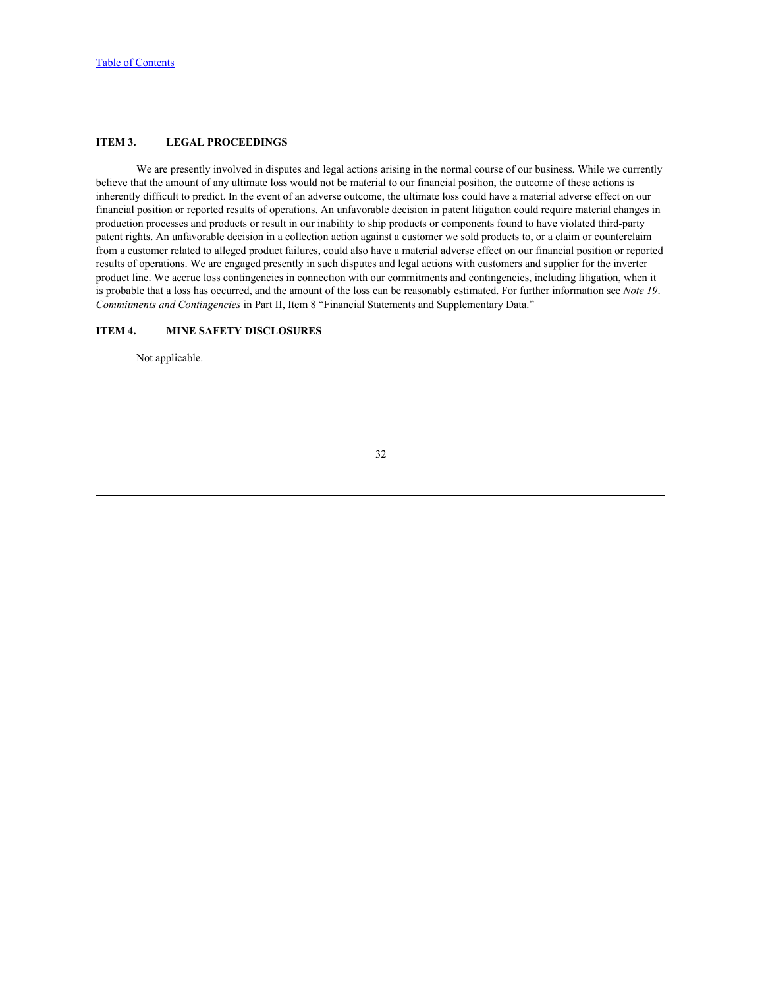## <span id="page-31-0"></span>**ITEM 3. LEGAL PROCEEDINGS**

We are presently involved in disputes and legal actions arising in the normal course of our business. While we currently believe that the amount of any ultimate loss would not be material to our financial position, the outcome of these actions is inherently difficult to predict. In the event of an adverse outcome, the ultimate loss could have a material adverse effect on our financial position or reported results of operations. An unfavorable decision in patent litigation could require material changes in production processes and products or result in our inability to ship products or components found to have violated third-party patent rights. An unfavorable decision in a collection action against a customer we sold products to, or a claim or counterclaim from a customer related to alleged product failures, could also have a material adverse effect on our financial position or reported results of operations. We are engaged presently in such disputes and legal actions with customers and supplier for the inverter product line. We accrue loss contingencies in connection with our commitments and contingencies, including litigation, when it is probable that a loss has occurred, and the amount of the loss can be reasonably estimated. For further information see *Note 19*. *Commitments and Contingencies* in Part II, Item 8 "Financial Statements and Supplementary Data."

## <span id="page-31-1"></span>**ITEM 4. MINE SAFETY DISCLOSURES**

Not applicable.

32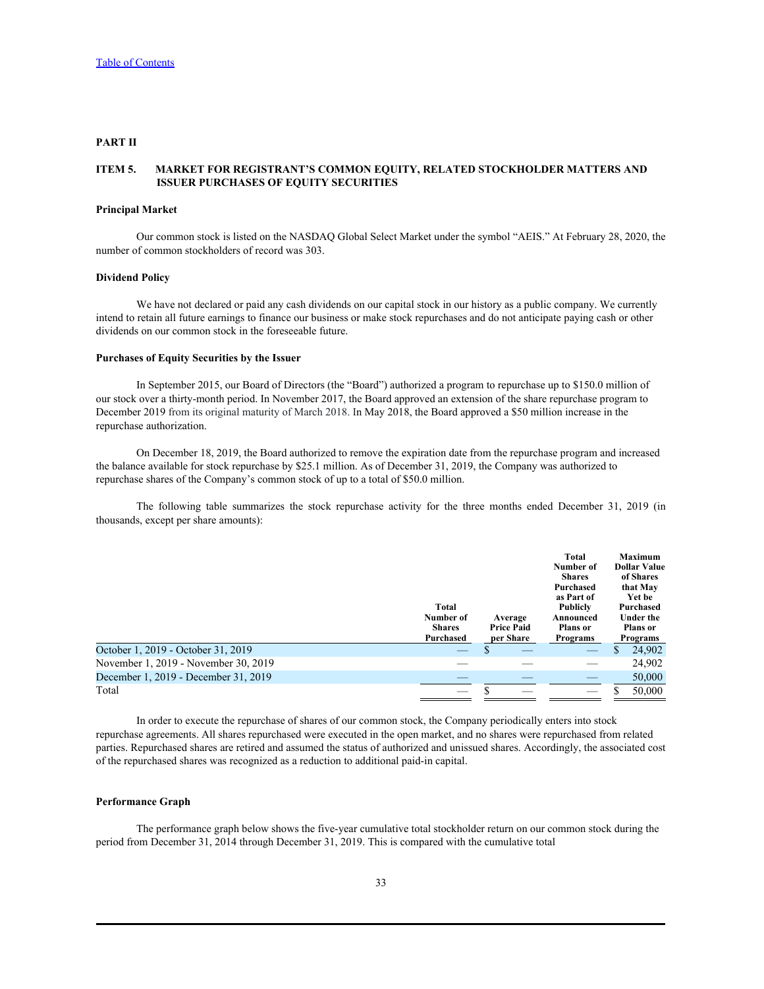## <span id="page-32-0"></span>**PART II**

## <span id="page-32-1"></span>**ITEM 5. MARKET FOR REGISTRANT'S COMMON EQUITY, RELATED STOCKHOLDER MATTERS AND ISSUER PURCHASES OF EQUITY SECURITIES**

#### **Principal Market**

### **Dividend Policy**

## **Purchases of Equity Securities by the Issuer**

| <b>PART II</b>          |                                                                                                                                                                                                                                                                                                                                                                                                          |                                                         |                                           |                                                                                                                                      |                                                                                                                                   |
|-------------------------|----------------------------------------------------------------------------------------------------------------------------------------------------------------------------------------------------------------------------------------------------------------------------------------------------------------------------------------------------------------------------------------------------------|---------------------------------------------------------|-------------------------------------------|--------------------------------------------------------------------------------------------------------------------------------------|-----------------------------------------------------------------------------------------------------------------------------------|
| ITEM 5.                 | MARKET FOR REGISTRANT'S COMMON EQUITY, RELATED STOCKHOLDER MATTERS AND<br><b>ISSUER PURCHASES OF EQUITY SECURITIES</b>                                                                                                                                                                                                                                                                                   |                                                         |                                           |                                                                                                                                      |                                                                                                                                   |
| <b>Principal Market</b> |                                                                                                                                                                                                                                                                                                                                                                                                          |                                                         |                                           |                                                                                                                                      |                                                                                                                                   |
|                         | Our common stock is listed on the NASDAQ Global Select Market under the symbol "AEIS." At February 28, 2020, the<br>number of common stockholders of record was 303.                                                                                                                                                                                                                                     |                                                         |                                           |                                                                                                                                      |                                                                                                                                   |
| <b>Dividend Policy</b>  |                                                                                                                                                                                                                                                                                                                                                                                                          |                                                         |                                           |                                                                                                                                      |                                                                                                                                   |
|                         | We have not declared or paid any cash dividends on our capital stock in our history as a public company. We currently<br>intend to retain all future earnings to finance our business or make stock repurchases and do not anticipate paying cash or other<br>dividends on our common stock in the foreseeable future.                                                                                   |                                                         |                                           |                                                                                                                                      |                                                                                                                                   |
|                         | Purchases of Equity Securities by the Issuer                                                                                                                                                                                                                                                                                                                                                             |                                                         |                                           |                                                                                                                                      |                                                                                                                                   |
|                         | In September 2015, our Board of Directors (the "Board") authorized a program to repurchase up to \$150.0 million of<br>our stock over a thirty-month period. In November 2017, the Board approved an extension of the share repurchase program to<br>December 2019 from its original maturity of March 2018. In May 2018, the Board approved a \$50 million increase in the<br>repurchase authorization. |                                                         |                                           |                                                                                                                                      |                                                                                                                                   |
|                         | On December 18, 2019, the Board authorized to remove the expiration date from the repurchase program and increased<br>the balance available for stock repurchase by \$25.1 million. As of December 31, 2019, the Company was authorized to<br>repurchase shares of the Company's common stock of up to a total of \$50.0 million.                                                                        |                                                         |                                           |                                                                                                                                      |                                                                                                                                   |
|                         | The following table summarizes the stock repurchase activity for the three months ended December 31, 2019 (in<br>thousands, except per share amounts):                                                                                                                                                                                                                                                   |                                                         |                                           |                                                                                                                                      |                                                                                                                                   |
|                         |                                                                                                                                                                                                                                                                                                                                                                                                          | <b>Total</b><br>Number of<br><b>Shares</b><br>Purchased | Average<br><b>Price Paid</b><br>per Share | <b>Total</b><br>Number of<br><b>Shares</b><br>Purchased<br>as Part of<br><b>Publicly</b><br>Announced<br><b>Plans or</b><br>Programs | Maximum<br><b>Dollar Value</b><br>of Shares<br>that May<br>Yet be<br>Purchased<br>Under the<br><b>Plans or</b><br><b>Programs</b> |
|                         | October 1, 2019 - October 31, 2019                                                                                                                                                                                                                                                                                                                                                                       |                                                         | -S                                        |                                                                                                                                      | 24,902<br>-S                                                                                                                      |
|                         | November 1, 2019 - November 30, 2019<br>December 1, 2019 - December 31, 2019                                                                                                                                                                                                                                                                                                                             |                                                         |                                           |                                                                                                                                      | 24,902<br>50,000                                                                                                                  |
| Total                   |                                                                                                                                                                                                                                                                                                                                                                                                          |                                                         | <sup>\$</sup>                             | $\overline{\phantom{m}}$                                                                                                             | 50,000<br>\$                                                                                                                      |

In order to execute the repurchase of shares of our common stock, the Company periodically enters into stock repurchase agreements. All shares repurchased were executed in the open market, and no shares were repurchased from related parties. Repurchased shares are retired and assumed the status of authorized and unissued shares. Accordingly, the associated cost of the repurchased shares was recognized as a reduction to additional paid-in capital.

## **Performance Graph**

The performance graph below shows the five-year cumulative total stockholder return on our common stock during the period from December 31, 2014 through December 31, 2019. This is compared with the cumulative total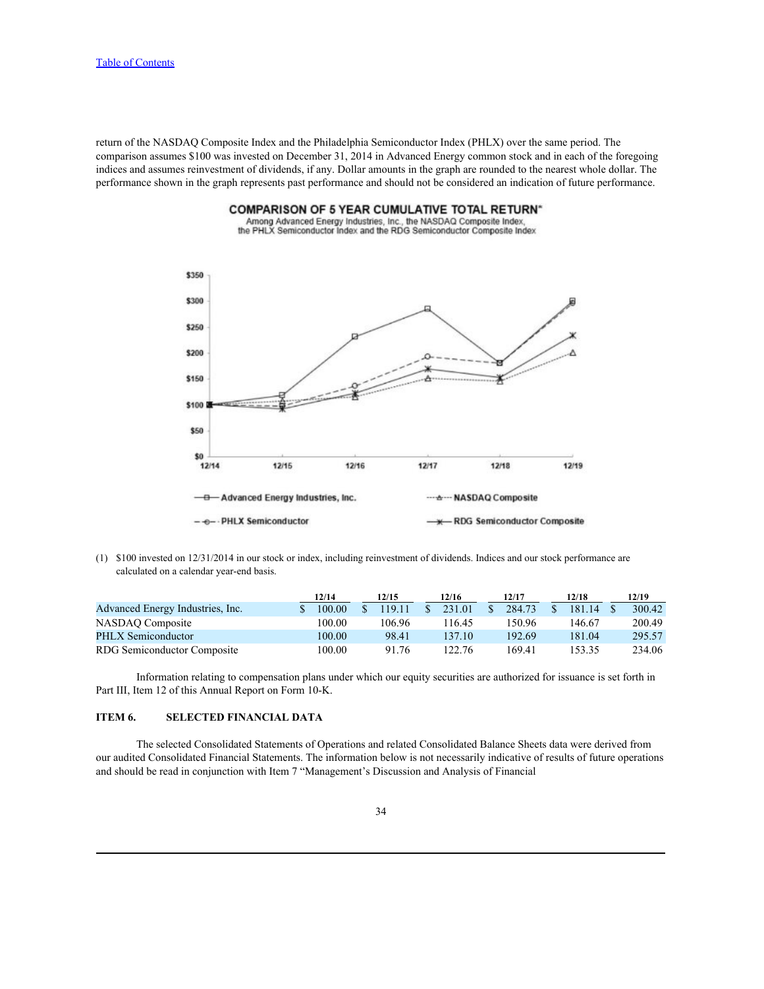return of the NASDAQ Composite Index and the Philadelphia Semiconductor Index (PHLX) over the same period. The comparison assumes \$100 was invested on December 31, 2014 in Advanced Energy common stock and in each of the foregoing indices and assumes reinvestment of dividends, if any. Dollar amounts in the graph are rounded to the nearest whole dollar. The performance shown in the graph represents past performance and should not be considered an indication of future performance.

COMPARISON OF 5 YEAR CUMULATIVE TOTAL RETURN\*



(1) \$100 invested on 12/31/2014 in our stock or index, including reinvestment of dividends. Indices and our stock performance are calculated on a calendar year-end basis.

|                                  | 12/14  | 12/15  |  | 12/16  |  | 12/17  |  | 12/18  | 12/19  |  |
|----------------------------------|--------|--------|--|--------|--|--------|--|--------|--------|--|
| Advanced Energy Industries, Inc. | 100.00 | 119.11 |  | 231.01 |  | 284.73 |  | 181.14 | 300.42 |  |
| NASDAQ Composite                 | 100.00 | 106.96 |  | 116.45 |  | 150.96 |  | 146.67 | 200.49 |  |
| PHLX Semiconductor               | 100.00 | 98.41  |  | 137.10 |  | 192.69 |  | 181.04 | 295.57 |  |
| RDG Semiconductor Composite      | 100.00 | 91.76  |  | 122.76 |  | 169.41 |  | 53.35  | 234.06 |  |

Information relating to compensation plans under which our equity securities are authorized for issuance is set forth in Part III, Item 12 of this Annual Report on Form 10-K.

## <span id="page-33-0"></span>**ITEM 6. SELECTED FINANCIAL DATA**

The selected Consolidated Statements of Operations and related Consolidated Balance Sheets data were derived from our audited Consolidated Financial Statements. The information below is not necessarily indicative of results of future operations and should be read in conjunction with Item 7 "Management's Discussion and Analysis of Financial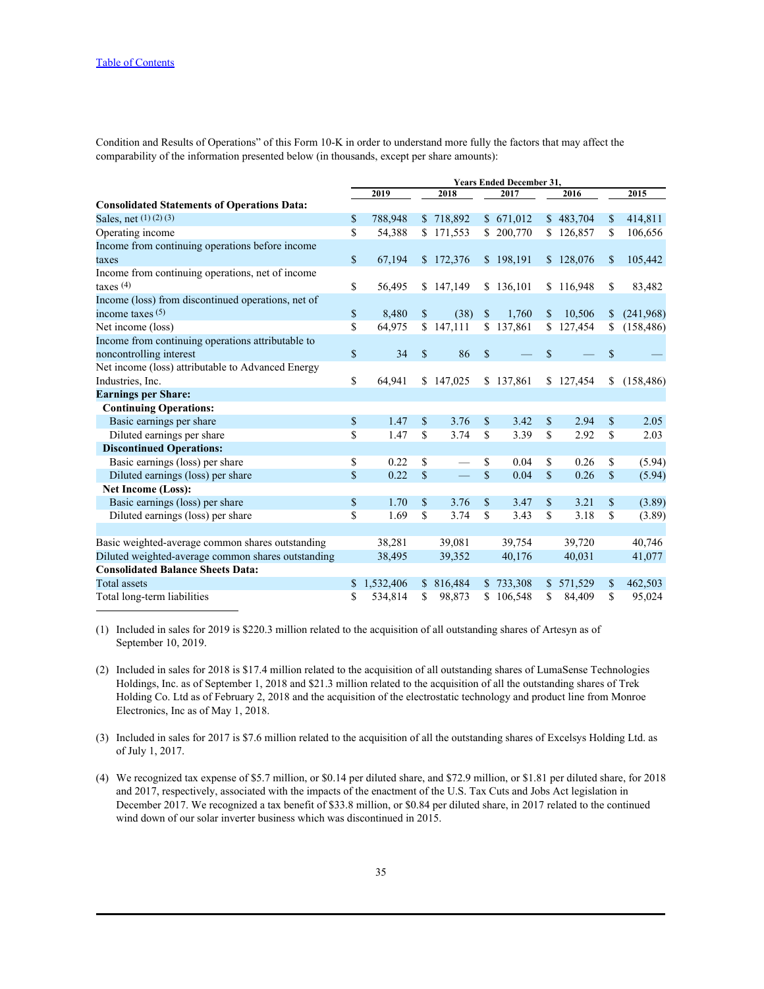Condition and Results of Operations" of this Form 10-K in order to understand more fully the factors that may affect the comparability of the information presented below (in thousands, except per share amounts):

|                                                  | 2019                                               |                                                                    | 2018                     |                                                                                                                              | 2017            |                                                             | 2016         |                                                                                                         | 2015                                                                                                                                                 |
|--------------------------------------------------|----------------------------------------------------|--------------------------------------------------------------------|--------------------------|------------------------------------------------------------------------------------------------------------------------------|-----------------|-------------------------------------------------------------|--------------|---------------------------------------------------------------------------------------------------------|------------------------------------------------------------------------------------------------------------------------------------------------------|
|                                                  |                                                    |                                                                    |                          |                                                                                                                              |                 |                                                             |              |                                                                                                         |                                                                                                                                                      |
|                                                  | 788,948                                            |                                                                    |                          |                                                                                                                              |                 |                                                             |              |                                                                                                         | 414,811                                                                                                                                              |
|                                                  | 54,388                                             |                                                                    |                          |                                                                                                                              |                 |                                                             |              | -S                                                                                                      | 106,656                                                                                                                                              |
|                                                  |                                                    |                                                                    |                          |                                                                                                                              |                 |                                                             |              |                                                                                                         |                                                                                                                                                      |
|                                                  | 67,194                                             |                                                                    |                          |                                                                                                                              |                 |                                                             |              |                                                                                                         | 105,442                                                                                                                                              |
|                                                  |                                                    |                                                                    |                          |                                                                                                                              |                 |                                                             |              |                                                                                                         |                                                                                                                                                      |
|                                                  | 56,495                                             |                                                                    |                          |                                                                                                                              |                 |                                                             |              |                                                                                                         | 83,482                                                                                                                                               |
|                                                  |                                                    |                                                                    |                          |                                                                                                                              |                 |                                                             |              |                                                                                                         |                                                                                                                                                      |
| S.                                               | 8,480                                              |                                                                    | (38)                     | - 5                                                                                                                          | 1,760           | -S.                                                         | 10,506       |                                                                                                         | $\frac{1}{2}$ (241,968)                                                                                                                              |
|                                                  | 64,975                                             |                                                                    |                          |                                                                                                                              |                 |                                                             |              | <sup>\$</sup>                                                                                           | (158, 486)                                                                                                                                           |
|                                                  |                                                    |                                                                    |                          |                                                                                                                              |                 |                                                             |              |                                                                                                         |                                                                                                                                                      |
|                                                  |                                                    |                                                                    |                          | - S                                                                                                                          |                 |                                                             |              |                                                                                                         |                                                                                                                                                      |
|                                                  |                                                    |                                                                    |                          |                                                                                                                              |                 |                                                             |              |                                                                                                         |                                                                                                                                                      |
|                                                  | 64,941                                             |                                                                    |                          |                                                                                                                              |                 |                                                             |              |                                                                                                         |                                                                                                                                                      |
|                                                  |                                                    |                                                                    |                          |                                                                                                                              |                 |                                                             |              |                                                                                                         |                                                                                                                                                      |
|                                                  |                                                    |                                                                    |                          |                                                                                                                              |                 |                                                             |              |                                                                                                         |                                                                                                                                                      |
|                                                  | 1.47                                               | -8                                                                 | 3.76                     | -8                                                                                                                           | 3.42            | -8                                                          | 2.94         |                                                                                                         | 2.05                                                                                                                                                 |
|                                                  | 1.47                                               |                                                                    | 3.74                     | - \$                                                                                                                         | 3.39            | - \$                                                        |              |                                                                                                         | 2.03                                                                                                                                                 |
|                                                  |                                                    |                                                                    |                          |                                                                                                                              |                 |                                                             |              |                                                                                                         |                                                                                                                                                      |
|                                                  | 0.22                                               |                                                                    |                          |                                                                                                                              | 0.04            | - \$                                                        |              |                                                                                                         | (5.94)                                                                                                                                               |
| $\mathbf{s}$                                     | 0.22                                               |                                                                    | $\overline{\phantom{0}}$ | - \$                                                                                                                         | 0.04            | <b>S</b>                                                    |              |                                                                                                         | (5.94)                                                                                                                                               |
|                                                  |                                                    |                                                                    |                          |                                                                                                                              |                 |                                                             |              |                                                                                                         |                                                                                                                                                      |
|                                                  | 1.70                                               |                                                                    | 3.76                     | -8                                                                                                                           | 3.47            | - S                                                         |              |                                                                                                         | (3.89)                                                                                                                                               |
|                                                  | 1.69                                               |                                                                    | 3.74                     | -S                                                                                                                           | 3.43            | -S                                                          |              |                                                                                                         | (3.89)                                                                                                                                               |
|                                                  |                                                    |                                                                    |                          |                                                                                                                              |                 |                                                             |              |                                                                                                         |                                                                                                                                                      |
|                                                  | 38,281                                             |                                                                    | 39,081                   |                                                                                                                              | 39,754          |                                                             | 39,720       |                                                                                                         | 40,746                                                                                                                                               |
|                                                  | 38,495                                             |                                                                    | 39,352                   |                                                                                                                              | 40,176          |                                                             | 40,031       |                                                                                                         | 41,077                                                                                                                                               |
|                                                  |                                                    |                                                                    |                          |                                                                                                                              |                 |                                                             |              |                                                                                                         |                                                                                                                                                      |
|                                                  |                                                    |                                                                    | 816,484                  | S.                                                                                                                           |                 | -SS                                                         |              |                                                                                                         | 462,503                                                                                                                                              |
|                                                  | 534,814                                            |                                                                    | 98,873                   |                                                                                                                              |                 |                                                             |              |                                                                                                         | 95,024                                                                                                                                               |
| Basic weighted-average common shares outstanding | Diluted weighted-average common shares outstanding | <sup>S</sup><br><sup>\$</sup><br>$\mathbb{S}$<br>\$<br>\$1,532,406 |                          | \$718,892<br>\$171,553<br>\$172,376<br>\$147,149<br>- S<br>\$147,111<br>34S<br>-S<br>- \$<br>-S<br>- 8<br>-S<br><sup>S</sup> | 86<br>\$147,025 | \$671,012<br>\$136,101<br>\$137,861<br>733.308<br>\$106,548 | $\mathbb{S}$ | <b>Years Ended December 31.</b><br>\$483,704<br>\$ 200,770 \$ 126,857<br>127,454<br>571,529<br>\$84,409 | $$198,191$ $$128,076$ $$$<br>$$116,948$ \ \$<br>$$137,861$ $$127,454$ $$158,486$<br>2.92 S<br>$0.26$ \$<br>$0.26$ \$<br>$3.21 \quad$ \$<br>$3.18$ \$ |

(1) Included in sales for 2019 is \$220.3 million related to the acquisition of all outstanding shares of Artesyn as of September 10, 2019.

- (2) Included in sales for 2018 is \$17.4 million related to the acquisition of all outstanding shares of LumaSense Technologies Holdings, Inc. as of September 1, 2018 and \$21.3 million related to the acquisition of all the outstanding shares of Trek Holding Co. Ltd as of February 2, 2018 and the acquisition of the electrostatic technology and product line from Monroe Electronics, Inc as of May 1, 2018.
- (3) Included in sales for 2017 is \$7.6 million related to the acquisition of all the outstanding shares of Excelsys Holding Ltd. as of July 1, 2017.
- (4) We recognized tax expense of \$5.7 million, or \$0.14 per diluted share, and \$72.9 million, or \$1.81 per diluted share, for 2018 and 2017, respectively, associated with the impacts of the enactment of the U.S. Tax Cuts and Jobs Act legislation in December 2017. We recognized a tax benefit of \$33.8 million, or \$0.84 per diluted share, in 2017 related to the continued wind down of our solar inverter business which was discontinued in 2015.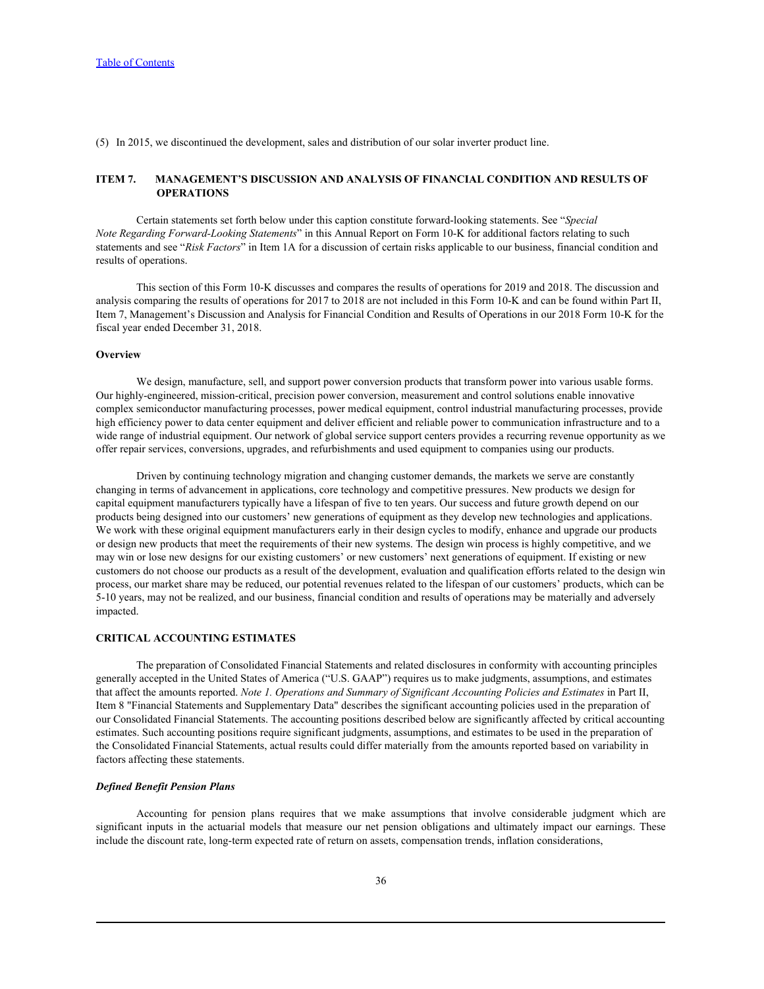(5) In 2015, we discontinued the development, sales and distribution of our solar inverter product line.

## <span id="page-35-0"></span>**ITEM 7. MANAGEMENT'S DISCUSSION AND ANALYSIS OF FINANCIAL CONDITION AND RESULTS OF OPERATIONS**

Certain statements set forth below under this caption constitute forward-looking statements. See "*Special Note Regarding Forward-Looking Statements*" in this Annual Report on Form 10-K for additional factors relating to such statements and see "*Risk Factors*" in Item 1A for a discussion of certain risks applicable to our business, financial condition and results of operations.

This section of this Form 10-K discusses and compares the results of operations for 2019 and 2018. The discussion and analysis comparing the results of operations for 2017 to 2018 are not included in this Form 10-K and can be found within Part II, Item 7, Management's Discussion and Analysis for Financial Condition and Results of Operations in our 2018 Form 10-K for the fiscal year ended December 31, 2018.

#### **Overview Overview Overview Overview Overview Overview Overview Overview Overview Overview Overview Overview Overview Overview Overview Overview Overview Overview Overview Overview O**

We design, manufacture, sell, and support power conversion products that transform power into various usable forms. Our highly-engineered, mission-critical, precision power conversion, measurement and control solutions enable innovative complex semiconductor manufacturing processes, power medical equipment, control industrial manufacturing processes, provide high efficiency power to data center equipment and deliver efficient and reliable power to communication infrastructure and to a wide range of industrial equipment. Our network of global service support centers provides a recurring revenue opportunity as we offer repair services, conversions, upgrades, and refurbishments and used equipment to companies using our products.

Driven by continuing technology migration and changing customer demands, the markets we serve are constantly changing in terms of advancement in applications, core technology and competitive pressures. New products we design for capital equipment manufacturers typically have a lifespan of five to ten years. Our success and future growth depend on our products being designed into our customers' new generations of equipment as they develop new technologies and applications. We work with these original equipment manufacturers early in their design cycles to modify, enhance and upgrade our products or design new products that meet the requirements of their new systems. The design win process is highly competitive, and we may win or lose new designs for our existing customers' or new customers' next generations of equipment. If existing or new customers do not choose our products as a result of the development, evaluation and qualification efforts related to the design win process, our market share may be reduced, our potential revenues related to the lifespan of our customers' products, which can be 5-10 years, may not be realized, and our business, financial condition and results of operations may be materially and adversely impacted. semiondated manifestating process as power model equipment, control industrial manifestion manifestation and considerable property to communication infrastructure and to a ge of malastra equirective, one per of malastra e inputs in the transportant in the case of the reformed in the reformed interest in the relationship are the actual treaty in the significant models in the significant models in the significant of the significant models in

## **CRITICAL ACCOUNTING ESTIMATES**

The preparation of Consolidated Financial Statements and related disclosures in conformity with accounting principles generally accepted in the United States of America ("U.S. GAAP") requires us to make judgments, assumptions, and estimates that affect the amounts reported. *Note 1. Operations and Summary of Significant Accounting Policies and Estimates* in Part II, Item 8 "Financial Statements and Supplementary Data" describes the significant accounting policies used in the preparation of our Consolidated Financial Statements. The accounting positions described below are significantly affected by critical accounting estimates. Such accounting positions require significant judgments, assumptions, and estimates to be used in the preparation of the Consolidated Financial Statements, actual results could differ materially from the amounts reported based on variability in factors affecting these statements.

#### *Defined Benefit Pension Plans*

include the discount rate, long-term expected rate of return on assets, compensation trends, inflation considerations,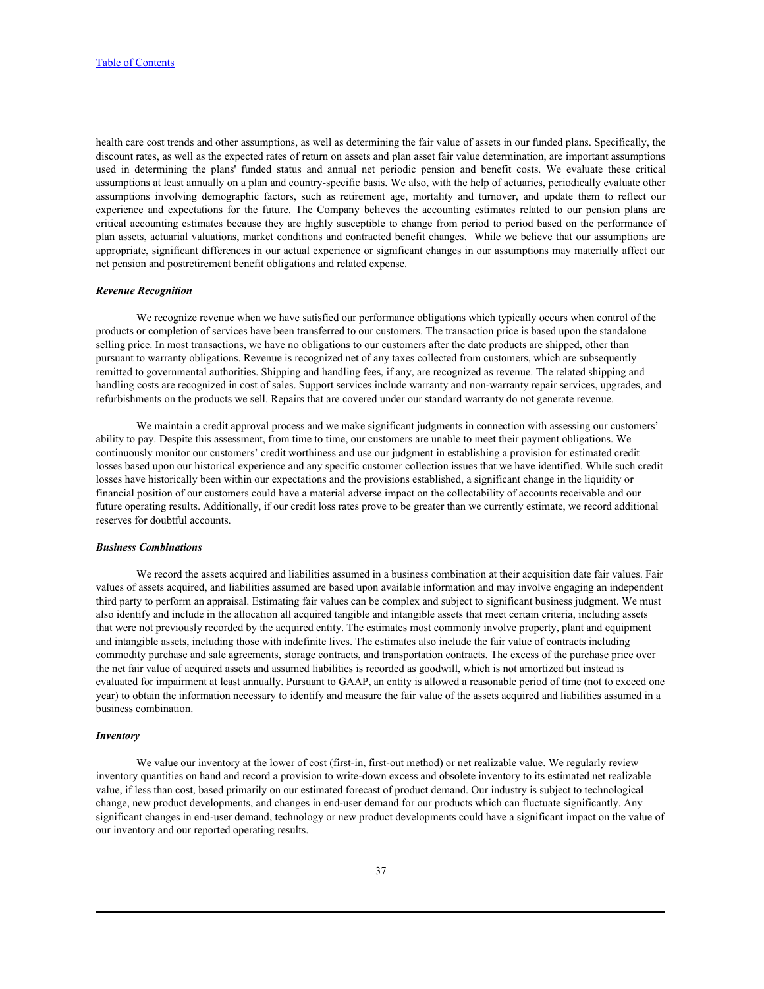health care cost trends and other assumptions, as well as determining the fair value of assets in our funded plans. Specifically, the discount rates, as well as the expected rates of return on assets and plan asset fair value determination, are important assumptions Tableof Contents<br>
Irable of Contents<br>
absocunt rates, as well as the expected rates of return on assets and plan asset fair value of assets in our funded plans. Specifically, the<br>
discount rates, as well as the expected r assumptions at least annually on a plan and country-specific basis. We also, with the help of actuaries, periodically evaluate other Table of Contents<br>
absolut rates, as well as the expected rates of return on assets and plan asset fair value of assets in our funded plans. Specifically, the<br>
discount rates, as well as the expected rates of return on ass Table of Contents<br>health care cost trends and other assumptions, as well as determining the fair value of assets in our funded plans. Specifically, the<br>discount rates, as well as the expected rates of return on assets and critical accounting estimates because they are highly susceptible to change from period to period based on the performance of plan assets, actuarial valuations, market conditions and contracted benefit changes. While we believe that our assumptions are appropriate, significant differences in our actual experience or significant changes in our assumptions may materially affect our net pension and postretirement benefit obligations and related expense.

#### *Revenue Recognition*

We recognize revenue when we have satisfied our performance obligations which typically occurs when control of the products or completion of services have been transferred to our customers. The transaction price is based upon the standalone selling price. In most transactions, we have no obligations to our customers after the date products are shipped, other than pursuant to warranty obligations. Revenue is recognized net of any taxes collected from customers, which are subsequently remitted to governmental authorities. Shipping and handling fees, if any, are recognized as revenue. The related shipping and handling costs are recognized in cost of sales. Support services include warranty and non-warranty repair services, upgrades, and refurbishments on the products we sell. Repairs that are covered under our standard warranty do not generate revenue.

We maintain a credit approval process and we make significant judgments in connection with assessing our customers' ability to pay. Despite this assessment, from time to time, our customers are unable to meet their payment obligations. We continuously monitor our customers' credit worthiness and use our judgment in establishing a provision for estimated credit losses based upon our historical experience and any specific customer collection issues that we have identified. While such credit losses have historically been within our expectations and the provisions established, a significant change in the liquidity or financial position of our customers could have a material adverse impact on the collectability of accounts receivable and our future operating results. Additionally, if our credit loss rates prove to be greater than we currently estimate, we record additional reserves for doubtful accounts.

#### *Business Combinations*

We record the assets acquired and liabilities assumed in a business combination at their acquisition date fair values. Fair values of assets acquired, and liabilities assumed are based upon available information and may involve engaging an independent third party to perform an appraisal. Estimating fair values can be complex and subject to significant business judgment. We must also identify and include in the allocation all acquired tangible and intangible assets that meet certain criteria, including assets that were not previously recorded by the acquired entity. The estimates most commonly involve property, plant and equipment and intangible assets, including those with indefinite lives. The estimates also include the fair value of contracts including commodity purchase and sale agreements, storage contracts, and transportation contracts. The excess of the purchase price over the net fair value of acquired assets and assumed liabilities is recorded as goodwill, which is not amortized but instead is evaluated for impairment at least annually. Pursuant to GAAP, an entity is allowed a reasonable period of time (not to exceed one year) to obtain the information necessary to identify and measure the fair value of the assets acquired and liabilities assumed in a business combination.

### *Inventory*

We value our inventory at the lower of cost (first-in, first-out method) or net realizable value. We regularly review inventory quantities on hand and record a provision to write-down excess and obsolete inventory to its estimated net realizable value, if less than cost, based primarily on our estimated forecast of product demand. Our industry is subject to technological change, new product developments, and changes in end-user demand for our products which can fluctuate significantly. Any significant changes in end-user demand, technology or new product developments could have a significant impact on the value of our inventory and our reported operating results.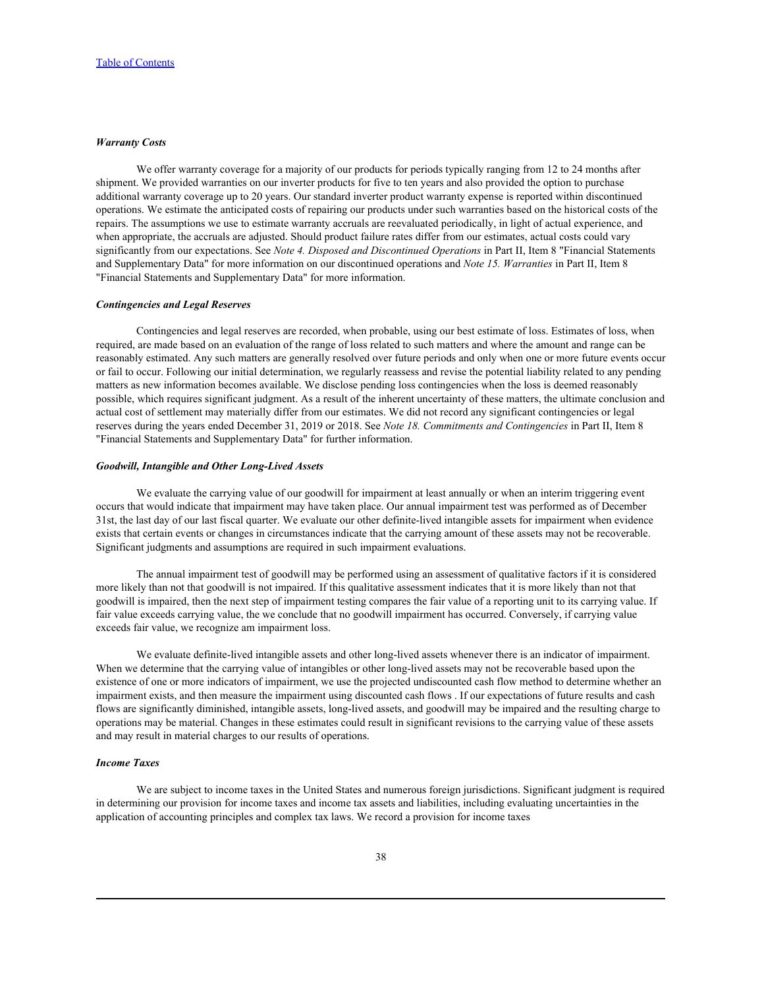### *Warranty Costs*

We offer warranty coverage for a majority of our products for periods typically ranging from 12 to 24 months after shipment. We provided warranties on our inverter products for five to ten years and also provided the option to purchase additional warranty coverage up to 20 years. Our standard inverter product warranty expense is reported within discontinued operations. We estimate the anticipated costs of repairing our products under such warranties based on the historical costs of the repairs. The assumptions we use to estimate warranty accruals are reevaluated periodically, in light of actual experience, and when appropriate, the accruals are adjusted. Should product failure rates differ from our estimates, actual costs could vary significantly from our expectations. See *Note 4. Disposed and Discontinued Operations* in Part II, Item 8 "Financial Statements and Supplementary Data" for more information on our discontinued operations and *Note 15. Warranties* in Part II, Item 8 "Financial Statements and Supplementary Data" for more information.

#### *Contingencies and Legal Reserves*

Contingencies and legal reserves are recorded, when probable, using our best estimate of loss. Estimates of loss, when required, are made based on an evaluation of the range of loss related to such matters and where the amount and range can be reasonably estimated. Any such matters are generally resolved over future periods and only when one or more future events occur or fail to occur. Following our initial determination, we regularly reassess and revise the potential liability related to any pending matters as new information becomes available. We disclose pending loss contingencies when the loss is deemed reasonably possible, which requires significant judgment. As a result of the inherent uncertainty of these matters, the ultimate conclusion and actual cost of settlement may materially differ from our estimates. We did not record any significant contingencies or legal reserves during the years ended December 31, 2019 or 2018. See *Note 18. Commitments and Contingencies* in Part II, Item 8 "Financial Statements and Supplementary Data" for further information.

#### *Goodwill, Intangible and Other Long-Lived Assets*

We evaluate the carrying value of our goodwill for impairment at least annually or when an interim triggering event occurs that would indicate that impairment may have taken place. Our annual impairment test was performed as of December 31st, the last day of our last fiscal quarter. We evaluate our other definite-lived intangible assets for impairment when evidence exists that certain events or changes in circumstances indicate that the carrying amount of these assets may not be recoverable. Significant judgments and assumptions are required in such impairment evaluations.

The annual impairment test of goodwill may be performed using an assessment of qualitative factors if it is considered more likely than not that goodwill is not impaired. If this qualitative assessment indicates that it is more likely than not that goodwill is impaired, then the next step of impairment testing compares the fair value of a reporting unit to its carrying value. If fair value exceeds carrying value, the we conclude that no goodwill impairment has occurred. Conversely, if carrying value exceeds fair value, we recognize am impairment loss.

We evaluate definite-lived intangible assets and other long-lived assets whenever there is an indicator of impairment. When we determine that the carrying value of intangibles or other long-lived assets may not be recoverable based upon the existence of one or more indicators of impairment, we use the projected undiscounted cash flow method to determine whether an impairment exists, and then measure the impairment using discounted cash flows . If our expectations of future results and cash flows are significantly diminished, intangible assets, long-lived assets, and goodwill may be impaired and the resulting charge to operations may be material. Changes in these estimates could result in significant revisions to the carrying value of these assets and may result in material charges to our results of operations.

### *Income Taxes*

We are subject to income taxes in the United States and numerous foreign jurisdictions. Significant judgment is required in determining our provision for income taxes and income tax assets and liabilities, including evaluating uncertainties in the application of accounting principles and complex tax laws. We record a provision for income taxes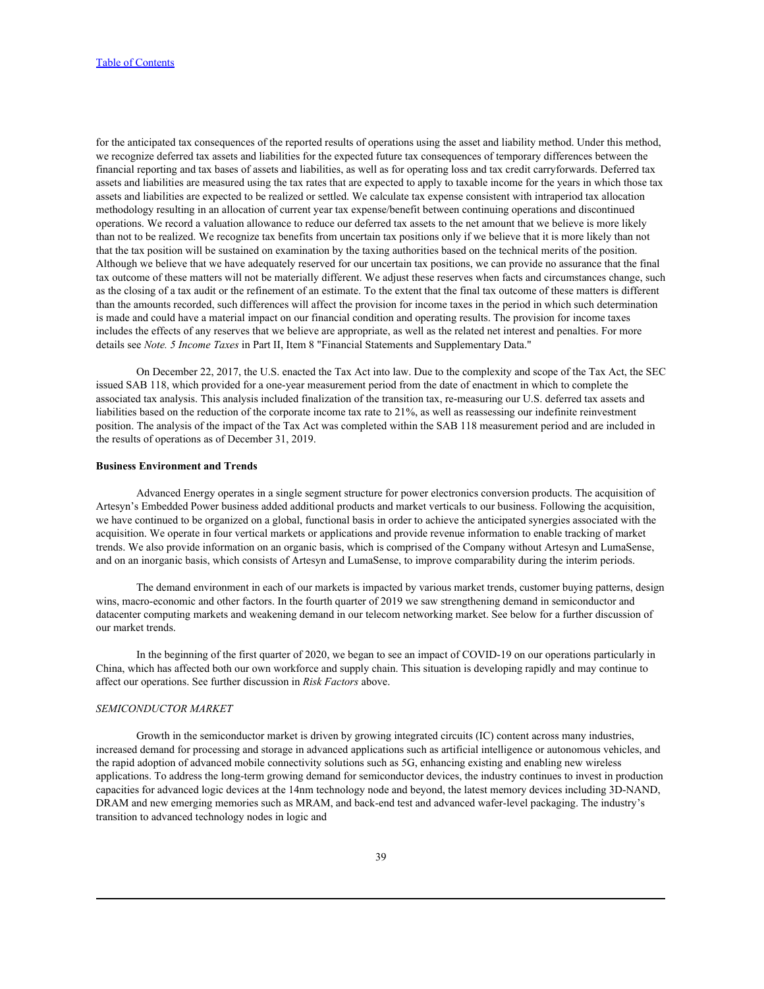for the anticipated tax consequences of the reported results of operations using the asset and liability method. Under this method, we recognize deferred tax assets and liabilities for the expected future tax consequences of temporary differences between the financial reporting and tax bases of assets and liabilities, as well as for operating loss and tax credit carryforwards. Deferred tax assets and liabilities are measured using the tax rates that are expected to apply to taxable income for the years in which those tax assets and liabilities are expected to be realized or settled. We calculate tax expense consistent with intraperiod tax allocation methodology resulting in an allocation of current year tax expense/benefit between continuing operations and discontinued operations. We record a valuation allowance to reduce our deferred tax assets to the net amount that we believe is more likely than not to be realized. We recognize tax benefits from uncertain tax positions only if we believe that it is more likely than not that the tax position will be sustained on examination by the taxing authorities based on the technical merits of the position. Although we believe that we have adequately reserved for our uncertain tax positions, we can provide no assurance that the final tax outcome of these matters will not be materially different. We adjust these reserves when facts and circumstances change, such as the closing of a tax audit or the refinement of an estimate. To the extent that the final tax outcome of these matters is different than the amounts recorded, such differences will affect the provision for income taxes in the period in which such determination is made and could have a material impact on our financial condition and operating results. The provision for income taxes includes the effects of any reserves that we believe are appropriate, as well as the related net interest and penalties. For more details see *Note. 5 Income Taxes* in Part II, Item 8 "Financial Statements and Supplementary Data."

On December 22, 2017, the U.S. enacted the Tax Act into law. Due to the complexity and scope of the Tax Act, the SEC issued SAB 118, which provided for a one-year measurement period from the date of enactment in which to complete the associated tax analysis. This analysis included finalization of the transition tax, re-measuring our U.S. deferred tax assets and liabilities based on the reduction of the corporate income tax rate to 21%, as well as reassessing our indefinite reinvestment position. The analysis of the impact of the Tax Act was completed within the SAB 118 measurement period and are included in the results of operations as of December 31, 2019.

#### **Business Environment and Trends**

Advanced Energy operates in a single segment structure for power electronics conversion products. The acquisition of Artesyn's Embedded Power business added additional products and market verticals to our business. Following the acquisition, we have continued to be organized on a global, functional basis in order to achieve the anticipated synergies associated with the acquisition. We operate in four vertical markets or applications and provide revenue information to enable tracking of market trends. We also provide information on an organic basis, which is comprised of the Company without Artesyn and LumaSense, and on an inorganic basis, which consists of Artesyn and LumaSense, to improve comparability during the interim periods.

The demand environment in each of our markets is impacted by various market trends, customer buying patterns, design wins, macro-economic and other factors. In the fourth quarter of 2019 we saw strengthening demand in semiconductor and datacenter computing markets and weakening demand in our telecom networking market. See below for a further discussion of our market trends.

In the beginning of the first quarter of 2020, we began to see an impact of COVID-19 on our operations particularly in China, which has affected both our own workforce and supply chain. This situation is developing rapidly and may continue to affect our operations. See further discussion in *Risk Factors* above.

### *SEMICONDUCTOR MARKET*

Growth in the semiconductor market is driven by growing integrated circuits (IC) content across many industries, increased demand for processing and storage in advanced applications such as artificial intelligence or autonomous vehicles, and the rapid adoption of advanced mobile connectivity solutions such as 5G, enhancing existing and enabling new wireless applications. To address the long-term growing demand for semiconductor devices, the industry continues to invest in production capacities for advanced logic devices at the 14nm technology node and beyond, the latest memory devices including 3D-NAND, DRAM and new emerging memories such as MRAM, and back-end test and advanced wafer-level packaging. The industry's transition to advanced technology nodes in logic and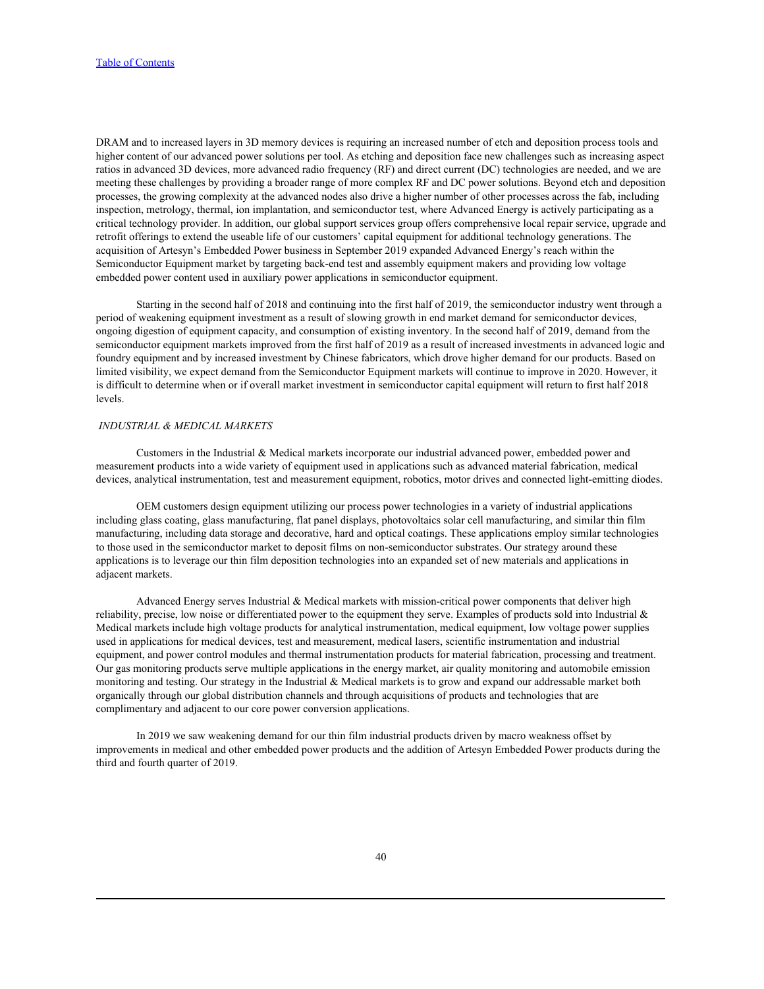DRAM and to increased layers in 3D memory devices is requiring an increased number of etch and deposition process tools and higher content of our advanced power solutions per tool. As etching and deposition face new challenges such as increasing aspect ratios in advanced 3D devices, more advanced radio frequency (RF) and direct current (DC) technologies are needed, and we are meeting these challenges by providing a broader range of more complex RF and DC power solutions. Beyond etch and deposition processes, the growing complexity at the advanced nodes also drive a higher number of other processes across the fab, including inspection, metrology, thermal, ion implantation, and semiconductor test, where Advanced Energy is actively participating as a critical technology provider. In addition, our global support services group offers comprehensive local repair service, upgrade and retrofit offerings to extend the useable life of our customers' capital equipment for additional technology generations. The acquisition of Artesyn's Embedded Power business in September 2019 expanded Advanced Energy's reach within the Semiconductor Equipment market by targeting back-end test and assembly equipment makers and providing low voltage embedded power content used in auxiliary power applications in semiconductor equipment.

Starting in the second half of 2018 and continuing into the first half of 2019, the semiconductor industry went through a period of weakening equipment investment as a result of slowing growth in end market demand for semiconductor devices, ongoing digestion of equipment capacity, and consumption of existing inventory. In the second half of 2019, demand from the semiconductor equipment markets improved from the first half of 2019 as a result of increased investments in advanced logic and foundry equipment and by increased investment by Chinese fabricators, which drove higher demand for our products. Based on limited visibility, we expect demand from the Semiconductor Equipment markets will continue to improve in 2020. However, it is difficult to determine when or if overall market investment in semiconductor capital equipment will return to first half 2018 levels.

#### *INDUSTRIAL & MEDICAL MARKETS*

Customers in the Industrial & Medical markets incorporate our industrial advanced power, embedded power and measurement products into a wide variety of equipment used in applications such as advanced material fabrication, medical devices, analytical instrumentation, test and measurement equipment, robotics, motor drives and connected light-emitting diodes.

OEM customers design equipment utilizing our process power technologies in a variety of industrial applications including glass coating, glass manufacturing, flat panel displays, photovoltaics solar cell manufacturing, and similar thin film manufacturing, including data storage and decorative, hard and optical coatings. These applications employ similar technologies to those used in the semiconductor market to deposit films on non-semiconductor substrates. Our strategy around these applications is to leverage our thin film deposition technologies into an expanded set of new materials and applications in adjacent markets.

Advanced Energy serves Industrial & Medical markets with mission-critical power components that deliver high reliability, precise, low noise or differentiated power to the equipment they serve. Examples of products sold into Industrial & Medical markets include high voltage products for analytical instrumentation, medical equipment, low voltage power supplies used in applications for medical devices, test and measurement, medical lasers, scientific instrumentation and industrial equipment, and power control modules and thermal instrumentation products for material fabrication, processing and treatment. Our gas monitoring products serve multiple applications in the energy market, air quality monitoring and automobile emission monitoring and testing. Our strategy in the Industrial  $\&$  Medical markets is to grow and expand our addressable market both organically through our global distribution channels and through acquisitions of products and technologies that are complimentary and adjacent to our core power conversion applications.

In 2019 we saw weakening demand for our thin film industrial products driven by macro weakness offset by improvements in medical and other embedded power products and the addition of Artesyn Embedded Power products during the third and fourth quarter of 2019.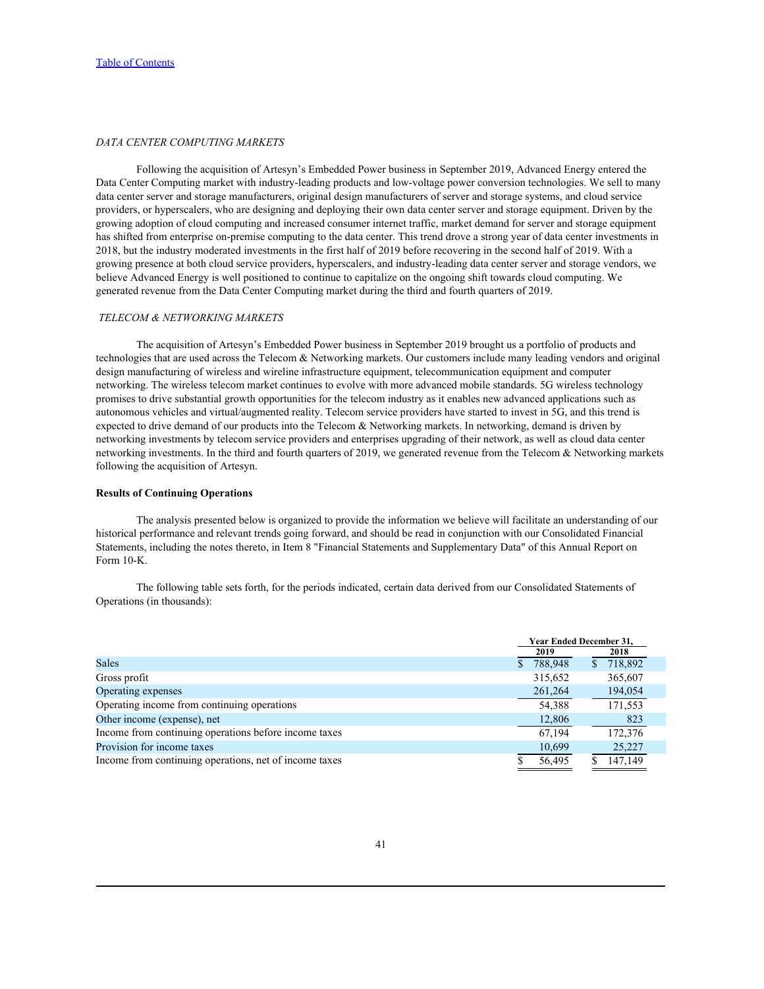## *DATA CENTER COMPUTING MARKETS*

Following the acquisition of Artesyn's Embedded Power business in September 2019, Advanced Energy entered the Data Center Computing market with industry-leading products and low-voltage power conversion technologies. We sell to many data center server and storage manufacturers, original design manufacturers of server and storage systems, and cloud service providers, or hyperscalers, who are designing and deploying their own data center server and storage equipment. Driven by the growing adoption of cloud computing and increased consumer internet traffic, market demand for server and storage equipment has shifted from enterprise on-premise computing to the data center. This trend drove a strong year of data center investments in 2018, but the industry moderated investments in the first half of 2019 before recovering in the second half of 2019. With a growing presence at both cloud service providers, hyperscalers, and industry-leading data center server and storage vendors, we believe Advanced Energy is well positioned to continue to capitalize on the ongoing shift towards cloud computing. We generated revenue from the Data Center Computing market during the third and fourth quarters of 2019.

### *TELECOM & NETWORKING MARKETS*

The acquisition of Artesyn's Embedded Power business in September 2019 brought us a portfolio of products and technologies that are used across the Telecom & Networking markets. Our customers include many leading vendors and original design manufacturing of wireless and wireline infrastructure equipment, telecommunication equipment and computer networking. The wireless telecom market continues to evolve with more advanced mobile standards. 5G wireless technology promises to drive substantial growth opportunities for the telecom industry as it enables new advanced applications such as autonomous vehicles and virtual/augmented reality. Telecom service providers have started to invest in 5G, and this trend is expected to drive demand of our products into the Telecom & Networking markets. In networking, demand is driven by networking investments by telecom service providers and enterprises upgrading of their network, as well as cloud data center networking investments. In the third and fourth quarters of 2019, we generated revenue from the Telecom & Networking markets following the acquisition of Artesyn.

# **Results of Continuing Operations**

The analysis presented below is organized to provide the information we believe will facilitate an understanding of our historical performance and relevant trends going forward, and should be read in conjunction with our Consolidated Financial Statements, including the notes thereto, in Item 8 "Financial Statements and Supplementary Data" of this Annual Report on Form 10-K.

The following table sets forth, for the periods indicated, certain data derived from our Consolidated Statements of Operations (in thousands):

|                                                        | <b>Year Ended December 31,</b> |         |  |  |  |
|--------------------------------------------------------|--------------------------------|---------|--|--|--|
|                                                        | 2019                           | 2018    |  |  |  |
| <b>Sales</b>                                           | 788,948                        | 718,892 |  |  |  |
| Gross profit                                           | 315,652                        | 365,607 |  |  |  |
| Operating expenses                                     | 261,264                        | 194,054 |  |  |  |
| Operating income from continuing operations            | 54,388                         | 171,553 |  |  |  |
| Other income (expense), net                            | 12,806                         | 823     |  |  |  |
| Income from continuing operations before income taxes  | 67.194                         | 172,376 |  |  |  |
| Provision for income taxes                             | 10,699                         | 25,227  |  |  |  |
| Income from continuing operations, net of income taxes | 56,495                         | 147,149 |  |  |  |
|                                                        |                                |         |  |  |  |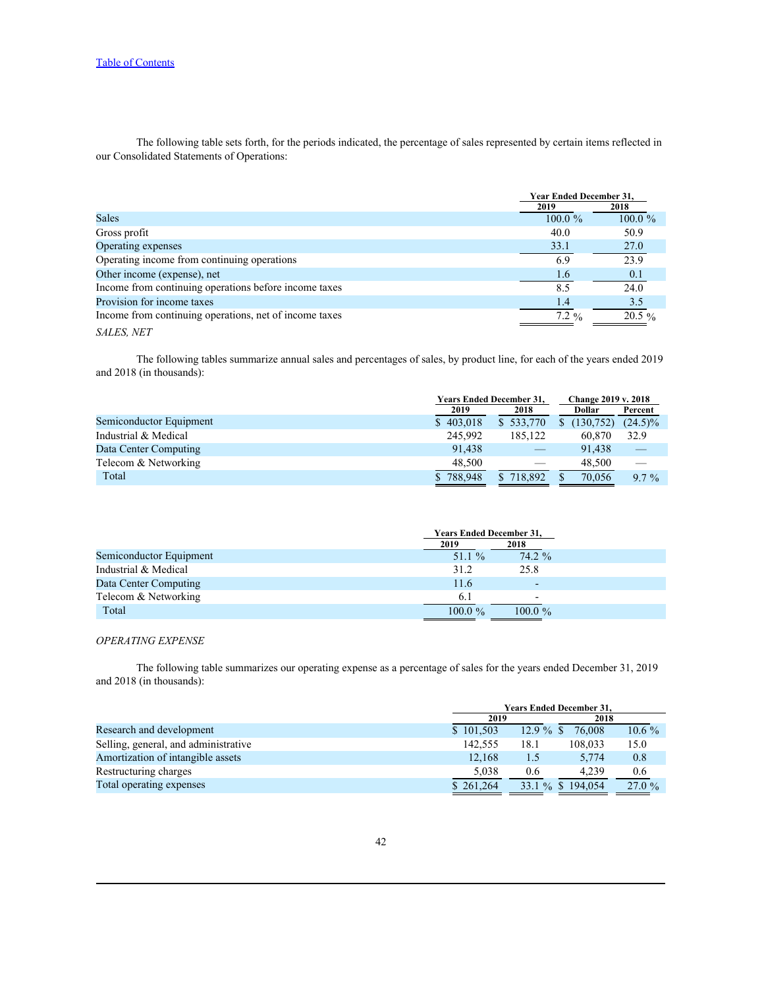The following table sets forth, for the periods indicated, the percentage of sales represented by certain items reflected in our Consolidated Statements of Operations:

|                                                        | <b>Year Ended December 31,</b> |            |  |  |
|--------------------------------------------------------|--------------------------------|------------|--|--|
|                                                        | 2019                           | 2018       |  |  |
| <b>Sales</b>                                           | $100.0 \%$                     | $100.0 \%$ |  |  |
| Gross profit                                           | 40.0                           | 50.9       |  |  |
| Operating expenses                                     | 33.1                           | 27.0       |  |  |
| Operating income from continuing operations            | 6.9                            | 23.9       |  |  |
| Other income (expense), net                            | 1.6                            | 0.1        |  |  |
| Income from continuing operations before income taxes  | 8.5                            | 24.0       |  |  |
| Provision for income taxes                             | 1.4                            | 3.5        |  |  |
| Income from continuing operations, net of income taxes | $7.2 \%$                       | $20.5\%$   |  |  |
| <b>SALES, NET</b>                                      |                                |            |  |  |

The following tables summarize annual sales and percentages of sales, by product line, for each of the years ended 2019 and 2018 (in thousands):

| 2019    | 2018      | Dollar                          | Percent                                                      |
|---------|-----------|---------------------------------|--------------------------------------------------------------|
| 403,018 | \$533,770 |                                 |                                                              |
| 245,992 | 185,122   |                                 |                                                              |
| 91,438  |           | 11,438                          | $\overline{\phantom{m}}$                                     |
| 48,500  |           | 48,500                          | $\hspace{0.1mm}-\hspace{0.1mm}$                              |
| 788,948 | 718,892   | 70,056                          | $9.7\%$                                                      |
|         |           | <b>Years Ended December 31,</b> | Change 2019 v. 2018<br>$(130,752)$ $(24.5)\%$<br>60,870 32.9 |

|                         | <b>Years Ended December 31,</b> |                          |  |
|-------------------------|---------------------------------|--------------------------|--|
|                         | 2019                            | 2018                     |  |
| Semiconductor Equipment | 51.1 %                          | 74.2 %                   |  |
| Industrial & Medical    | 31.2                            | 25.8                     |  |
| Data Center Computing   | 11.6                            | . .                      |  |
| Telecom & Networking    | $\mathfrak{b}$ .                | $\overline{\phantom{a}}$ |  |
| Total                   | $100.0 \%$                      | $100.0 \%$               |  |

# *OPERATING EXPENSE*

The following table summarizes our operating expense as a percentage of sales for the years ended December 31, 2019 and 2018 (in thousands):

|                                      | <b>Years Ended December 31,</b> |                   |         |          |  |  |  |
|--------------------------------------|---------------------------------|-------------------|---------|----------|--|--|--|
|                                      | 2019                            |                   | 2018    |          |  |  |  |
| Research and development             | \$101,503                       | $12.9 \%$ \$      | 76,008  | $10.6\%$ |  |  |  |
| Selling, general, and administrative | 142.555                         | 18.1              | 108.033 | 15.0     |  |  |  |
| Amortization of intangible assets    | 12.168                          |                   | 5,774   | 0.8      |  |  |  |
| Restructuring charges                | 5,038                           | 0.6               | 4.239   | 0.6      |  |  |  |
| Total operating expenses             | \$261,264                       | 33.1 % \$ 194,054 |         | 27.0%    |  |  |  |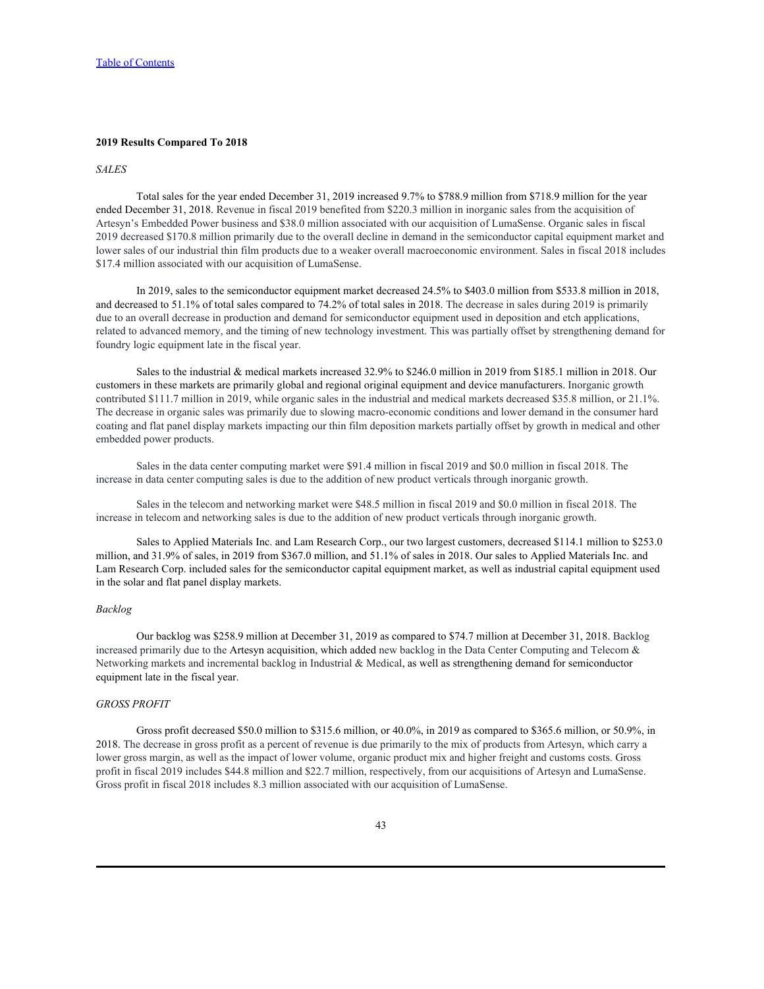### **2019 Results Compared To 2018**

#### *SALES*

Total sales for the year ended December 31, 2019 increased 9.7% to \$788.9 million from \$718.9 million for the year ended December 31, 2018. Revenue in fiscal 2019 benefited from \$220.3 million in inorganic sales from the acquisition of Artesyn's Embedded Power business and \$38.0 million associated with our acquisition of LumaSense. Organic sales in fiscal 2019 decreased \$170.8 million primarily due to the overall decline in demand in the semiconductor capital equipment market and lower sales of our industrial thin film products due to a weaker overall macroeconomic environment. Sales in fiscal 2018 includes \$17.4 million associated with our acquisition of LumaSense.

In 2019, sales to the semiconductor equipment market decreased 24.5% to \$403.0 million from \$533.8 million in 2018, and decreased to 51.1% of total sales compared to 74.2% of total sales in 2018. The decrease in sales during 2019 is primarily due to an overall decrease in production and demand for semiconductor equipment used in deposition and etch applications, related to advanced memory, and the timing of new technology investment. This was partially offset by strengthening demand for foundry logic equipment late in the fiscal year.

Sales to the industrial & medical markets increased 32.9% to \$246.0 million in 2019 from \$185.1 million in 2018. Our customers in these markets are primarily global and regional original equipment and device manufacturers. Inorganic growth contributed \$111.7 million in 2019, while organic sales in the industrial and medical markets decreased \$35.8 million, or 21.1%. The decrease in organic sales was primarily due to slowing macro-economic conditions and lower demand in the consumer hard coating and flat panel display markets impacting our thin film deposition markets partially offset by growth in medical and other embedded power products.

Sales in the data center computing market were \$91.4 million in fiscal 2019 and \$0.0 million in fiscal 2018. The increase in data center computing sales is due to the addition of new product verticals through inorganic growth.

Sales in the telecom and networking market were \$48.5 million in fiscal 2019 and \$0.0 million in fiscal 2018. The increase in telecom and networking sales is due to the addition of new product verticals through inorganic growth.

Sales to Applied Materials Inc. and Lam Research Corp., our two largest customers, decreased \$114.1 million to \$253.0 million, and 31.9% of sales, in 2019 from \$367.0 million, and 51.1% of sales in 2018. Our sales to Applied Materials Inc. and Lam Research Corp. included sales for the semiconductor capital equipment market, as well as industrial capital equipment used in the solar and flat panel display markets.

# *Backlog*

Our backlog was \$258.9 million at December 31, 2019 as compared to \$74.7 million at December 31, 2018. Backlog increased primarily due to the Artesyn acquisition, which added new backlog in the Data Center Computing and Telecom & Networking markets and incremental backlog in Industrial & Medical, as well as strengthening demand for semiconductor equipment late in the fiscal year.

### *GROSS PROFIT*

Gross profit decreased \$50.0 million to \$315.6 million, or 40.0%, in 2019 as compared to \$365.6 million, or 50.9%, in 2018. The decrease in gross profit as a percent of revenue is due primarily to the mix of products from Artesyn, which carry a lower gross margin, as well as the impact of lower volume, organic product mix and higher freight and customs costs. Gross profit in fiscal 2019 includes \$44.8 million and \$22.7 million, respectively, from our acquisitions of Artesyn and LumaSense. Gross profit in fiscal 2018 includes 8.3 million associated with our acquisition of LumaSense.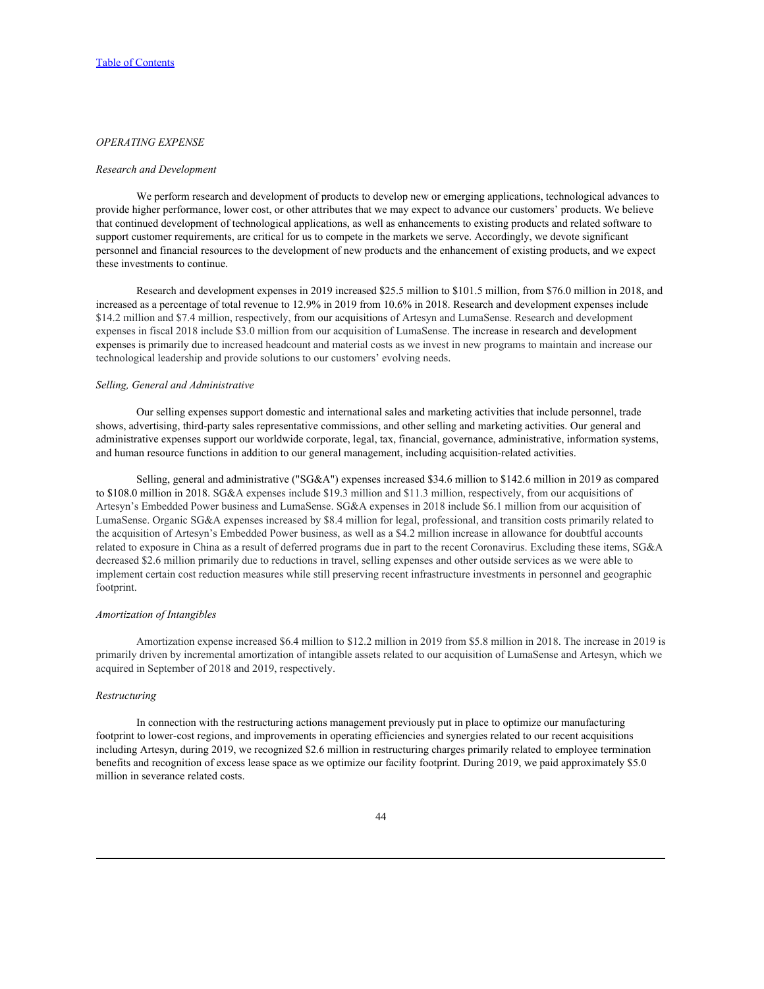### *OPERATING EXPENSE*

#### *Research and Development*

We perform research and development of products to develop new or emerging applications, technological advances to provide higher performance, lower cost, or other attributes that we may expect to advance our customers' products. We believe that continued development of technological applications, as well as enhancements to existing products and related software to support customer requirements, are critical for us to compete in the markets we serve. Accordingly, we devote significant personnel and financial resources to the development of new products and the enhancement of existing products, and we expect these investments to continue.

Research and development expenses in 2019 increased \$25.5 million to \$101.5 million, from \$76.0 million in 2018, and increased as a percentage of total revenue to 12.9% in 2019 from 10.6% in 2018. Research and development expenses include \$14.2 million and \$7.4 million, respectively, from our acquisitions of Artesyn and LumaSense. Research and development expenses in fiscal 2018 include \$3.0 million from our acquisition of LumaSense. The increase in research and development expenses is primarily due to increased headcount and material costs as we invest in new programs to maintain and increase our technological leadership and provide solutions to our customers' evolving needs.

#### *Selling, General and Administrative*

Our selling expenses support domestic and international sales and marketing activities that include personnel, trade shows, advertising, third-party sales representative commissions, and other selling and marketing activities. Our general and administrative expenses support our worldwide corporate, legal, tax, financial, governance, administrative, information systems, and human resource functions in addition to our general management, including acquisition-related activities.

Selling, general and administrative ("SG&A") expenses increased \$34.6 million to \$142.6 million in 2019 as compared to \$108.0 million in 2018. SG&A expenses include \$19.3 million and \$11.3 million, respectively, from our acquisitions of Artesyn's Embedded Power business and LumaSense. SG&A expenses in 2018 include \$6.1 million from our acquisition of LumaSense. Organic SG&A expenses increased by \$8.4 million for legal, professional, and transition costs primarily related to the acquisition of Artesyn's Embedded Power business, as well as a \$4.2 million increase in allowance for doubtful accounts related to exposure in China as a result of deferred programs due in part to the recent Coronavirus. Excluding these items, SG&A decreased \$2.6 million primarily due to reductions in travel, selling expenses and other outside services as we were able to implement certain cost reduction measures while still preserving recent infrastructure investments in personnel and geographic footprint.

#### *Amortization of Intangibles*

Amortization expense increased \$6.4 million to \$12.2 million in 2019 from \$5.8 million in 2018. The increase in 2019 is primarily driven by incremental amortization of intangible assets related to our acquisition of LumaSense and Artesyn, which we acquired in September of 2018 and 2019, respectively.

#### *Restructuring*

In connection with the restructuring actions management previously put in place to optimize our manufacturing footprint to lower-cost regions, and improvements in operating efficiencies and synergies related to our recent acquisitions including Artesyn, during 2019, we recognized \$2.6 million in restructuring charges primarily related to employee termination benefits and recognition of excess lease space as we optimize our facility footprint. During 2019, we paid approximately \$5.0 million in severance related costs.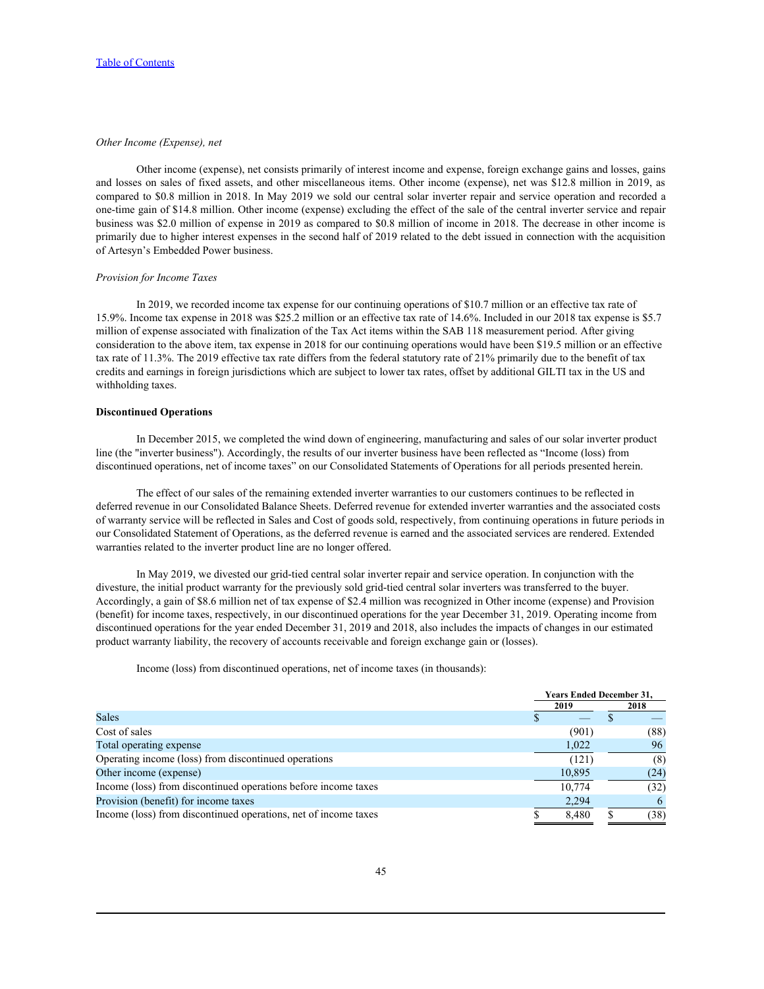### *Other Income (Expense), net*

Other income (expense), net consists primarily of interest income and expense, foreign exchange gains and losses, gains and losses on sales of fixed assets, and other miscellaneous items. Other income (expense), net was \$12.8 million in 2019, as compared to \$0.8 million in 2018. In May 2019 we sold our central solar inverter repair and service operation and recorded a one-time gain of \$14.8 million. Other income (expense) excluding the effect of the sale of the central inverter service and repair business was \$2.0 million of expense in 2019 as compared to \$0.8 million of income in 2018. The decrease in other income is primarily due to higher interest expenses in the second half of 2019 related to the debt issued in connection with the acquisition of Artesyn's Embedded Power business.

#### *Provision for Income Taxes*

In 2019, we recorded income tax expense for our continuing operations of \$10.7 million or an effective tax rate of 15.9%. Income tax expense in 2018 was \$25.2 million or an effective tax rate of 14.6%. Included in our 2018 tax expense is \$5.7 million of expense associated with finalization of the Tax Act items within the SAB 118 measurement period. After giving consideration to the above item, tax expense in 2018 for our continuing operations would have been \$19.5 million or an effective tax rate of 11.3%. The 2019 effective tax rate differs from the federal statutory rate of 21% primarily due to the benefit of tax credits and earnings in foreign jurisdictions which are subject to lower tax rates, offset by additional GILTI tax in the US and withholding taxes.

# **Discontinued Operations**

In December 2015, we completed the wind down of engineering, manufacturing and sales of our solar inverter product line (the "inverter business"). Accordingly, the results of our inverter business have been reflected as "Income (loss) from discontinued operations, net of income taxes" on our Consolidated Statements of Operations for all periods presented herein.

The effect of our sales of the remaining extended inverter warranties to our customers continues to be reflected in deferred revenue in our Consolidated Balance Sheets. Deferred revenue for extended inverter warranties and the associated costs of warranty service will be reflected in Sales and Cost of goods sold, respectively, from continuing operations in future periods in our Consolidated Statement of Operations, as the deferred revenue is earned and the associated services are rendered. Extended warranties related to the inverter product line are no longer offered.

In May 2019, we divested our grid-tied central solar inverter repair and service operation. In conjunction with the divesture, the initial product warranty for the previously sold grid-tied central solar inverters was transferred to the buyer. Accordingly, a gain of \$8.6 million net of tax expense of \$2.4 million was recognized in Other income (expense) and Provision (benefit) for income taxes, respectively, in our discontinued operations for the year December 31, 2019. Operating income from discontinued operations for the year ended December 31, 2019 and 2018, also includes the impacts of changes in our estimated product warranty liability, the recovery of accounts receivable and foreign exchange gain or (losses).

Income (loss) from discontinued operations, net of income taxes (in thousands):

|                                                                 |        | <b>Years Ended December 31.</b> |  |      |
|-----------------------------------------------------------------|--------|---------------------------------|--|------|
|                                                                 | 2019   |                                 |  | 2018 |
| <b>Sales</b>                                                    |        | __                              |  |      |
| Cost of sales                                                   | (901)  |                                 |  | (88) |
| Total operating expense                                         | 1,022  |                                 |  |      |
| Operating income (loss) from discontinued operations            | (121)  |                                 |  |      |
| Other income (expense)                                          | 10,895 |                                 |  | (24  |
| Income (loss) from discontinued operations before income taxes  | 10,774 |                                 |  | (32) |
| Provision (benefit) for income taxes                            | 2,294  |                                 |  |      |
| Income (loss) from discontinued operations, net of income taxes | 8,480  |                                 |  | (38) |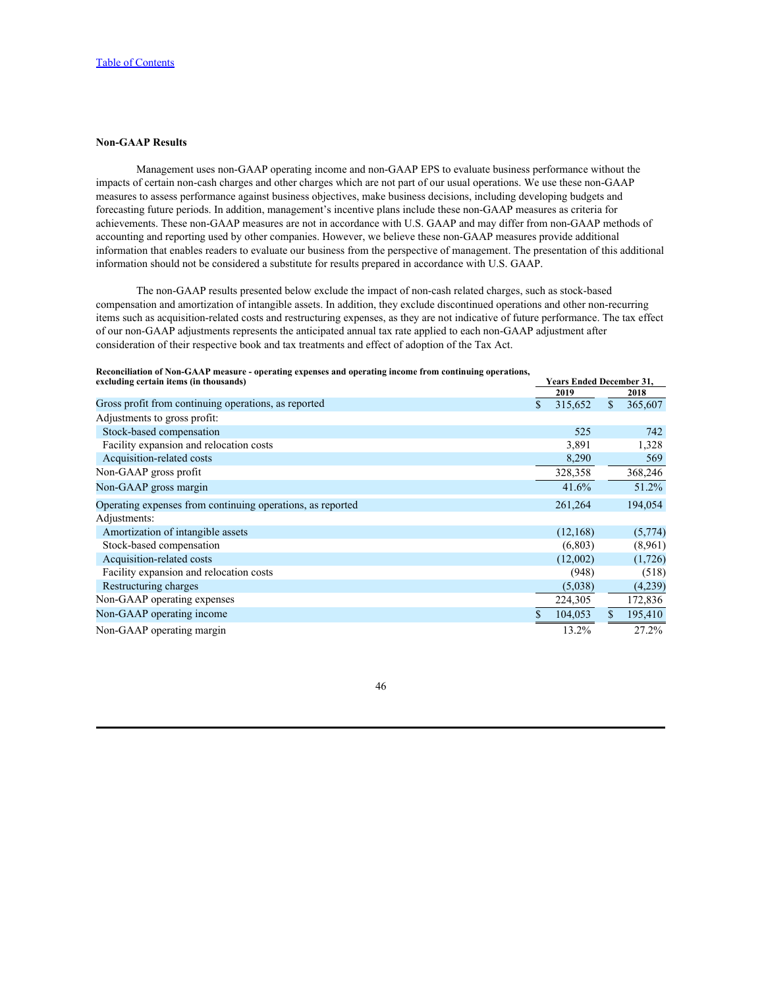### **Non-GAAP Results**

Management uses non-GAAP operating income and non-GAAP EPS to evaluate business performance without the impacts of certain non-cash charges and other charges which are not part of our usual operations. We use these non-GAAP measures to assess performance against business objectives, make business decisions, including developing budgets and forecasting future periods. In addition, management's incentive plans include these non-GAAP measures as criteria for achievements. These non-GAAP measures are not in accordance with U.S. GAAP and may differ from non-GAAP methods of accounting and reporting used by other companies. However, we believe these non-GAAP measures provide additional information that enables readers to evaluate our business from the perspective of management. The presentation of this additional information should not be considered a substitute for results prepared in accordance with U.S. GAAP.

The non-GAAP results presented below exclude the impact of non-cash related charges, such as stock-based compensation and amortization of intangible assets. In addition, they exclude discontinued operations and other non-recurring items such as acquisition-related costs and restructuring expenses, as they are not indicative of future performance. The tax effect of our non-GAAP adjustments represents the anticipated annual tax rate applied to each non-GAAP adjustment after consideration of their respective book and tax treatments and effect of adoption of the Tax Act.

| excluding certain items (in thousands)                     | <b>Years Ended December 31,</b> |  |         |  |  |
|------------------------------------------------------------|---------------------------------|--|---------|--|--|
|                                                            | 2019                            |  | 2018    |  |  |
| Gross profit from continuing operations, as reported       | 315,652                         |  | 365,607 |  |  |
| Adjustments to gross profit:                               |                                 |  |         |  |  |
| Stock-based compensation                                   | 525                             |  | 742     |  |  |
| Facility expansion and relocation costs                    | 3,891                           |  | 1,328   |  |  |
| Acquisition-related costs                                  | 8,290                           |  | 569     |  |  |
| Non-GAAP gross profit                                      | 328,358                         |  | 368,246 |  |  |
| Non-GAAP gross margin                                      | 41.6%                           |  | 51.2%   |  |  |
| Operating expenses from continuing operations, as reported | 261,264                         |  | 194,054 |  |  |
| Adjustments:                                               |                                 |  |         |  |  |
| Amortization of intangible assets                          | (12,168)                        |  | (5,774) |  |  |
| Stock-based compensation                                   | (6,803)                         |  | (8,961) |  |  |
| Acquisition-related costs                                  | (12,002)                        |  | (1,726) |  |  |
| Facility expansion and relocation costs                    | (948)                           |  | (518)   |  |  |
| Restructuring charges                                      | (5,038)                         |  | (4,239) |  |  |
| Non-GAAP operating expenses                                | 224,305                         |  | 172,836 |  |  |
| Non-GAAP operating income                                  | 104,053                         |  | 195,410 |  |  |
| Non-GAAP operating margin                                  | 13.2%                           |  | 27.2%   |  |  |

| Reconciliation of Non-GAAP measure - operating expenses and operating income from continuing operations, |                             |
|----------------------------------------------------------------------------------------------------------|-----------------------------|
| excluding certain items (in thousands)                                                                   | <b>Years Ended December</b> |

#### 46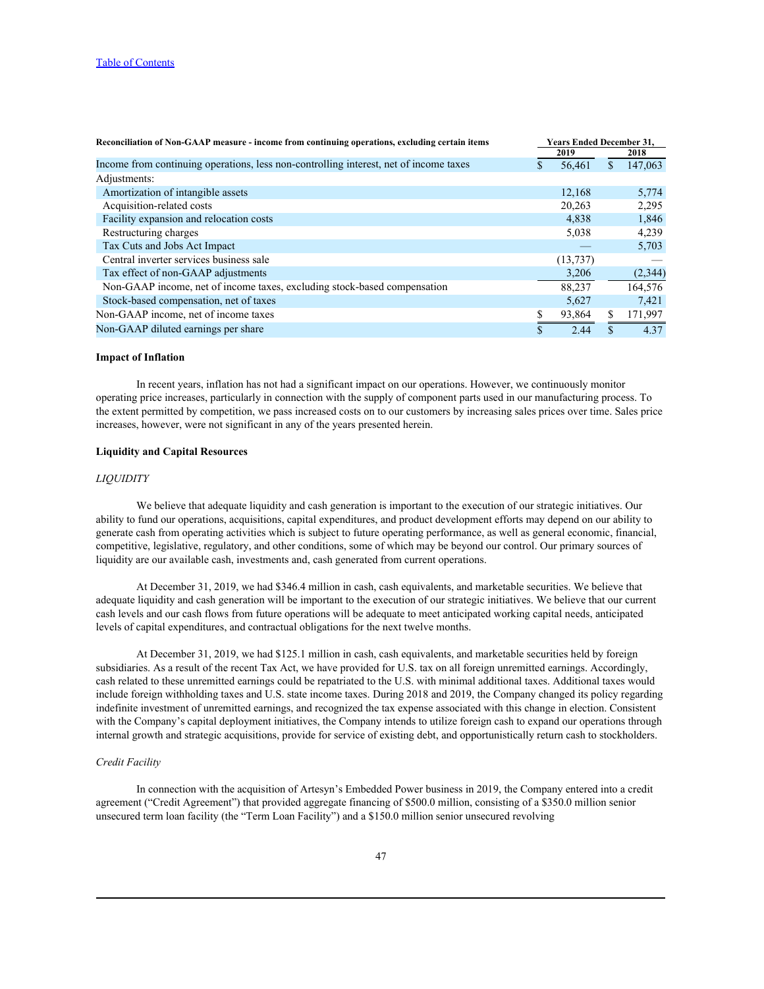|  |     |                                                                                                                 | 2018                            |  |  |
|--|-----|-----------------------------------------------------------------------------------------------------------------|---------------------------------|--|--|
|  |     |                                                                                                                 | 147,063                         |  |  |
|  |     |                                                                                                                 |                                 |  |  |
|  |     |                                                                                                                 | 5,774                           |  |  |
|  |     |                                                                                                                 | 2,295                           |  |  |
|  |     |                                                                                                                 | 1,846                           |  |  |
|  |     |                                                                                                                 | 4,239                           |  |  |
|  | $-$ |                                                                                                                 | 5,703                           |  |  |
|  |     |                                                                                                                 |                                 |  |  |
|  |     |                                                                                                                 | (2, 344)                        |  |  |
|  |     |                                                                                                                 | 164,576                         |  |  |
|  |     |                                                                                                                 | 7,421                           |  |  |
|  |     |                                                                                                                 | 171,997                         |  |  |
|  |     |                                                                                                                 | 4.37                            |  |  |
|  |     | 2019<br>56,461<br>12,168<br>20,263<br>4,838<br>5,038<br>(13, 737)<br>3,206<br>88,237<br>5,627<br>93,864<br>2.44 | <b>Years Ended December 31.</b> |  |  |

#### **Impact of Inflation**

In recent years, inflation has not had a significant impact on our operations. However, we continuously monitor operating price increases, particularly in connection with the supply of component parts used in our manufacturing process. To the extent permitted by competition, we pass increased costs on to our customers by increasing sales prices over time. Sales price increases, however, were not significant in any of the years presented herein.

## **Liquidity and Capital Resources**

### *LIQUIDITY*

We believe that adequate liquidity and cash generation is important to the execution of our strategic initiatives. Our ability to fund our operations, acquisitions, capital expenditures, and product development efforts may depend on our ability to generate cash from operating activities which is subject to future operating performance, as well as general economic, financial, competitive, legislative, regulatory, and other conditions, some of which may be beyond our control. Our primary sources of liquidity are our available cash, investments and, cash generated from current operations.

At December 31, 2019, we had \$346.4 million in cash, cash equivalents, and marketable securities. We believe that adequate liquidity and cash generation will be important to the execution of our strategic initiatives. We believe that our current cash levels and our cash flows from future operations will be adequate to meet anticipated working capital needs, anticipated levels of capital expenditures, and contractual obligations for the next twelve months.

At December 31, 2019, we had \$125.1 million in cash, cash equivalents, and marketable securities held by foreign subsidiaries. As a result of the recent Tax Act, we have provided for U.S. tax on all foreign unremitted earnings. Accordingly, cash related to these unremitted earnings could be repatriated to the U.S. with minimal additional taxes. Additional taxes would include foreign withholding taxes and U.S. state income taxes. During 2018 and 2019, the Company changed its policy regarding indefinite investment of unremitted earnings, and recognized the tax expense associated with this change in election. Consistent with the Company's capital deployment initiatives, the Company intends to utilize foreign cash to expand our operations through internal growth and strategic acquisitions, provide for service of existing debt, and opportunistically return cash to stockholders.

# *Credit Facility*

In connection with the acquisition of Artesyn's Embedded Power business in 2019, the Company entered into a credit agreement ("Credit Agreement") that provided aggregate financing of \$500.0 million, consisting of a \$350.0 million senior unsecured term loan facility (the "Term Loan Facility") and a \$150.0 million senior unsecured revolving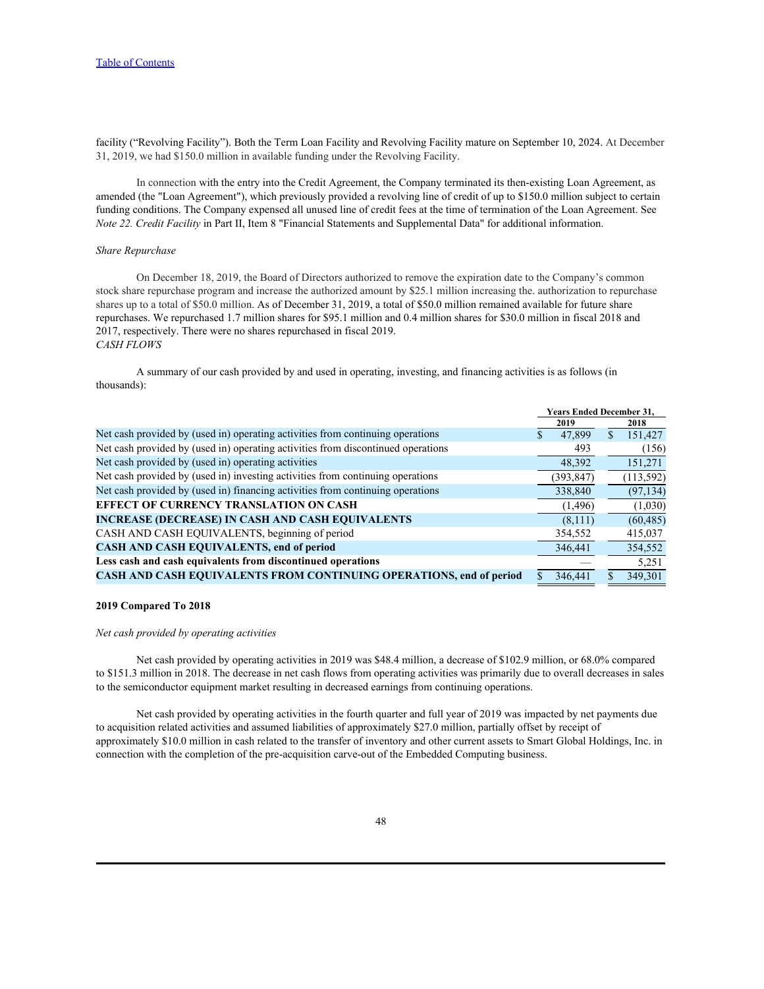facility ("Revolving Facility"). Both the Term Loan Facility and Revolving Facility mature on September 10, 2024. At December 31, 2019, we had \$150.0 million in available funding under the Revolving Facility.

In connection with the entry into the Credit Agreement, the Company terminated its then-existing Loan Agreement, as amended (the "Loan Agreement"), which previously provided a revolving line of credit of up to \$150.0 million subject to certain funding conditions. The Company expensed all unused line of credit fees at the time of termination of the Loan Agreement. See *Note 22. Credit Facility* in Part II, Item 8 "Financial Statements and Supplemental Data" for additional information.

#### *Share Repurchase*

On December 18, 2019, the Board of Directors authorized to remove the expiration date to the Company's common stock share repurchase program and increase the authorized amount by \$25.1 million increasing the. authorization to repurchase shares up to a total of \$50.0 million. As of December 31, 2019, a total of \$50.0 million remained available for future share repurchases. We repurchased 1.7 million shares for \$95.1 million and 0.4 million shares for \$30.0 million in fiscal 2018 and 2017, respectively. There were no shares repurchased in fiscal 2019. *CASH FLOWS*

A summary of our cash provided by and used in operating, investing, and financing activities is as follows (in thousands):

|                                                                                  |            | <b>Years Ended December 31.</b> |
|----------------------------------------------------------------------------------|------------|---------------------------------|
|                                                                                  | 2019       | 2018                            |
| Net cash provided by (used in) operating activities from continuing operations   | 47,899     | 151,427                         |
| Net cash provided by (used in) operating activities from discontinued operations | 493        | (156)                           |
| Net cash provided by (used in) operating activities                              | 48,392     | 151,271                         |
| Net cash provided by (used in) investing activities from continuing operations   | (393, 847) | (113, 592)                      |
| Net cash provided by (used in) financing activities from continuing operations   | 338,840    | (97, 134)                       |
| <b>EFFECT OF CURRENCY TRANSLATION ON CASH</b>                                    | (1, 496)   | (1,030)                         |
| <b>INCREASE (DECREASE) IN CASH AND CASH EQUIVALENTS</b>                          | (8,111)    | (60, 485)                       |
| CASH AND CASH EQUIVALENTS, beginning of period                                   | 354,552    | 415,037                         |
| <b>CASH AND CASH EQUIVALENTS, end of period</b>                                  | 346,441    | 354,552                         |
| Less cash and cash equivalents from discontinued operations                      |            | 5,251                           |
| CASH AND CASH EQUIVALENTS FROM CONTINUING OPERATIONS, end of period              | 346,441    | 349,301                         |
|                                                                                  |            |                                 |

#### **2019 Compared To 2018**

#### *Net cash provided by operating activities*

Net cash provided by operating activities in 2019 was \$48.4 million, a decrease of \$102.9 million, or 68.0% compared to \$151.3 million in 2018. The decrease in net cash flows from operating activities was primarily due to overall decreases in sales to the semiconductor equipment market resulting in decreased earnings from continuing operations.

Net cash provided by operating activities in the fourth quarter and full year of 2019 was impacted by net payments due to acquisition related activities and assumed liabilities of approximately \$27.0 million, partially offset by receipt of approximately \$10.0 million in cash related to the transfer of inventory and other current assets to Smart Global Holdings, Inc. in connection with the completion of the pre-acquisition carve-out of the Embedded Computing business.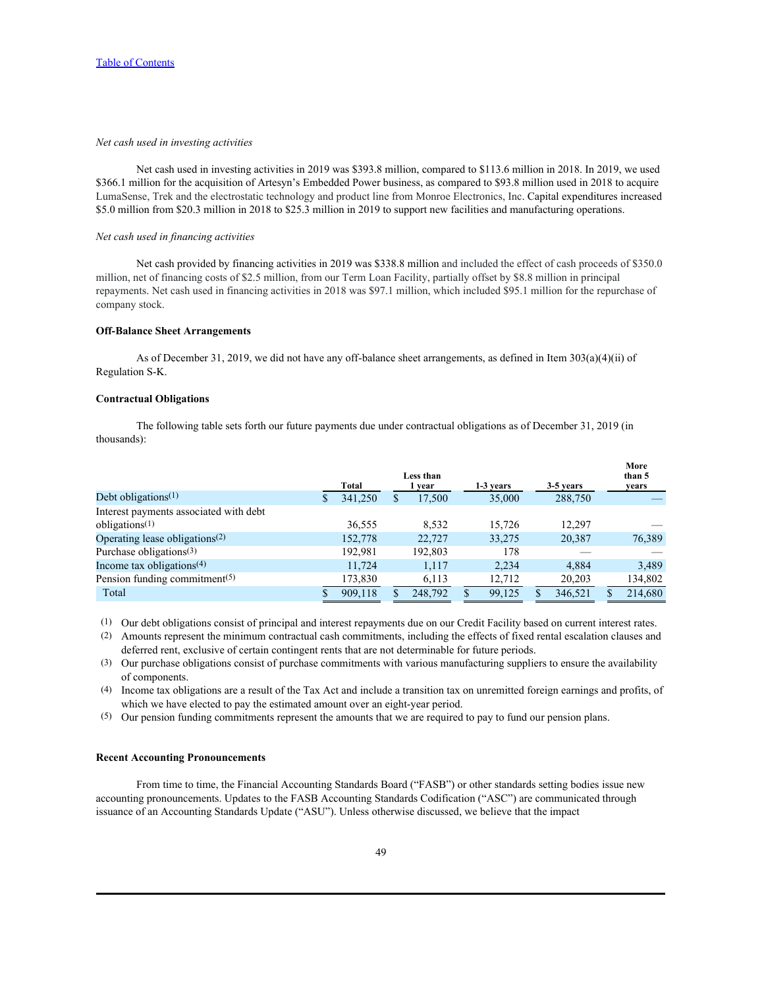### *Net cash used in investing activities*

Net cash used in investing activities in 2019 was \$393.8 million, compared to \$113.6 million in 2018. In 2019, we used \$366.1 million for the acquisition of Artesyn's Embedded Power business, as compared to \$93.8 million used in 2018 to acquire LumaSense, Trek and the electrostatic technology and product line from Monroe Electronics, Inc. Capital expenditures increased \$5.0 million from \$20.3 million in 2018 to \$25.3 million in 2019 to support new facilities and manufacturing operations.

#### *Net cash used in financing activities*

Net cash provided by financing activities in 2019 was \$338.8 million and included the effect of cash proceeds of \$350.0 million, net of financing costs of \$2.5 million, from our Term Loan Facility, partially offset by \$8.8 million in principal repayments. Net cash used in financing activities in 2018 was \$97.1 million, which included \$95.1 million for the repurchase of company stock.

#### **Off-Balance Sheet Arrangements**

As of December 31, 2019, we did not have any off-balance sheet arrangements, as defined in Item 303(a)(4)(ii) of Regulation S-K.

### **Contractual Obligations**

The following table sets forth our future payments due under contractual obligations as of December 31, 2019 (in thousands):

|                                            |         | Less than |           |                   | More                           |
|--------------------------------------------|---------|-----------|-----------|-------------------|--------------------------------|
|                                            | Total   | 1 year    | 1-3 years | 3-5 years         | than 5<br>years                |
| Debt obligations $(1)$                     | 341,250 | 17,500    | 35,000    | 288,750           |                                |
| Interest payments associated with debt     |         |           |           |                   |                                |
| obligations <sup>(1)</sup>                 | 36,555  | 8,532     | 15,726    | 12,297            | $\overbrace{\hspace{25mm}}^{}$ |
| Operating lease obligations <sup>(2)</sup> | 152,778 | 22,727    | 33,275    | 20,387            | 76,389                         |
| Purchase obligations $(3)$                 | 192,981 | 192,803   | 178       | $\hspace{0.05cm}$ | $\overbrace{\hspace{25mm}}^{}$ |
| Income tax obligations $(4)$               | 11,724  | 1,117     | 2,234     | 4,884             | 3,489                          |
| Pension funding commitment <sup>(5)</sup>  | 173,830 | 6,113     | 12,712    | 20,203            | 134,802                        |
| Total                                      | 909,118 | 248,792   | 99,125    | 346,521           | 214,680                        |
|                                            |         |           |           |                   |                                |

(1) Our debt obligations consist of principal and interest repayments due on our Credit Facility based on current interest rates.

(2) Amounts represent the minimum contractual cash commitments, including the effects of fixed rental escalation clauses and deferred rent, exclusive of certain contingent rents that are not determinable for future periods.

(3) Our purchase obligations consist of purchase commitments with various manufacturing suppliers to ensure the availability of components.

(4) Income tax obligations are a result of the Tax Act and include a transition tax on unremitted foreign earnings and profits, of which we have elected to pay the estimated amount over an eight-year period.

(5) Our pension funding commitments represent the amounts that we are required to pay to fund our pension plans.

#### **Recent Accounting Pronouncements**

From time to time, the Financial Accounting Standards Board ("FASB") or other standards setting bodies issue new accounting pronouncements. Updates to the FASB Accounting Standards Codification ("ASC") are communicated through issuance of an Accounting Standards Update ("ASU"). Unless otherwise discussed, we believe that the impact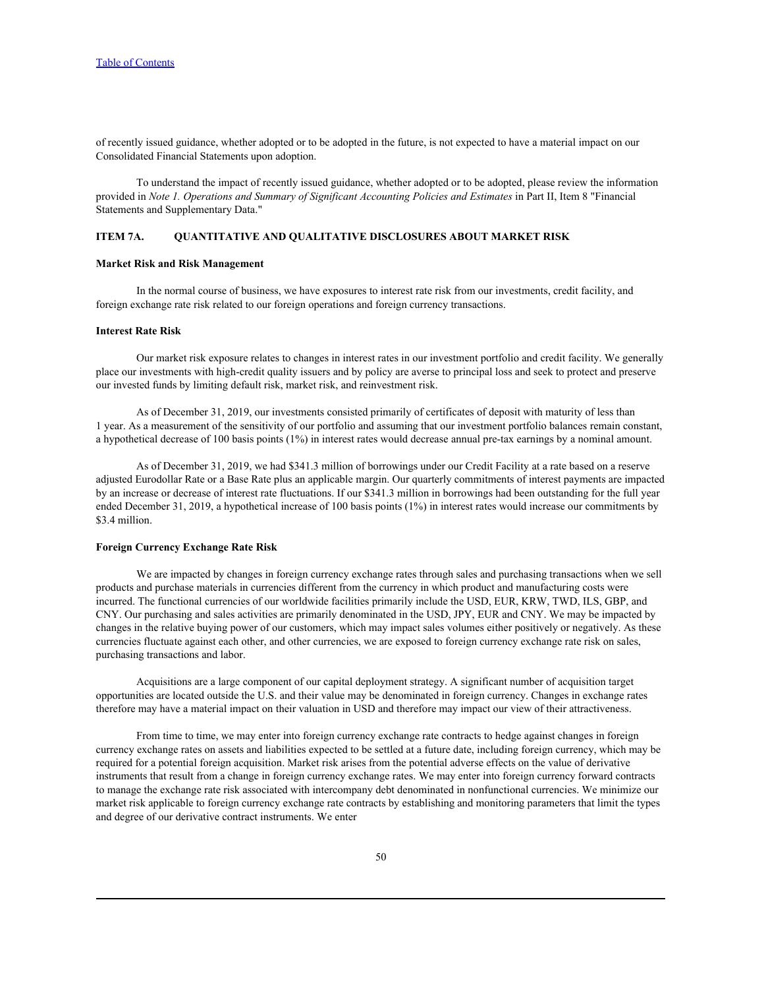of recently issued guidance, whether adopted or to be adopted in the future, is not expected to have a material impact on our Consolidated Financial Statements upon adoption.

To understand the impact of recently issued guidance, whether adopted or to be adopted, please review the information provided in *Note 1. Operations and Summary of Significant Accounting Policies and Estimates* in Part II, Item 8 "Financial Statements and Supplementary Data."

### **ITEM 7A. QUANTITATIVE AND QUALITATIVE DISCLOSURES ABOUT MARKET RISK**

#### **Market Risk and Risk Management**

In the normal course of business, we have exposures to interest rate risk from our investments, credit facility, and foreign exchange rate risk related to our foreign operations and foreign currency transactions.

### **Interest Rate Risk**

Our market risk exposure relates to changes in interest rates in our investment portfolio and credit facility. We generally place our investments with high-credit quality issuers and by policy are averse to principal loss and seek to protect and preserve our invested funds by limiting default risk, market risk, and reinvestment risk.

As of December 31, 2019, our investments consisted primarily of certificates of deposit with maturity of less than 1 year. As a measurement of the sensitivity of our portfolio and assuming that our investment portfolio balances remain constant, a hypothetical decrease of 100 basis points (1%) in interest rates would decrease annual pre-tax earnings by a nominal amount.

As of December 31, 2019, we had \$341.3 million of borrowings under our Credit Facility at a rate based on a reserve adjusted Eurodollar Rate or a Base Rate plus an applicable margin. Our quarterly commitments of interest payments are impacted by an increase or decrease of interest rate fluctuations. If our \$341.3 million in borrowings had been outstanding for the full year ended December 31, 2019, a hypothetical increase of 100 basis points (1%) in interest rates would increase our commitments by \$3.4 million.

#### **Foreign Currency Exchange Rate Risk**

We are impacted by changes in foreign currency exchange rates through sales and purchasing transactions when we sell products and purchase materials in currencies different from the currency in which product and manufacturing costs were incurred. The functional currencies of our worldwide facilities primarily include the USD, EUR, KRW, TWD, ILS, GBP, and CNY. Our purchasing and sales activities are primarily denominated in the USD, JPY, EUR and CNY. We may be impacted by changes in the relative buying power of our customers, which may impact sales volumes either positively or negatively. As these currencies fluctuate against each other, and other currencies, we are exposed to foreign currency exchange rate risk on sales, purchasing transactions and labor.

Acquisitions are a large component of our capital deployment strategy. A significant number of acquisition target opportunities are located outside the U.S. and their value may be denominated in foreign currency. Changes in exchange rates therefore may have a material impact on their valuation in USD and therefore may impact our view of their attractiveness.

From time to time, we may enter into foreign currency exchange rate contracts to hedge against changes in foreign currency exchange rates on assets and liabilities expected to be settled at a future date, including foreign currency, which may be required for a potential foreign acquisition. Market risk arises from the potential adverse effects on the value of derivative instruments that result from a change in foreign currency exchange rates. We may enter into foreign currency forward contracts to manage the exchange rate risk associated with intercompany debt denominated in nonfunctional currencies. We minimize our market risk applicable to foreign currency exchange rate contracts by establishing and monitoring parameters that limit the types and degree of our derivative contract instruments. We enter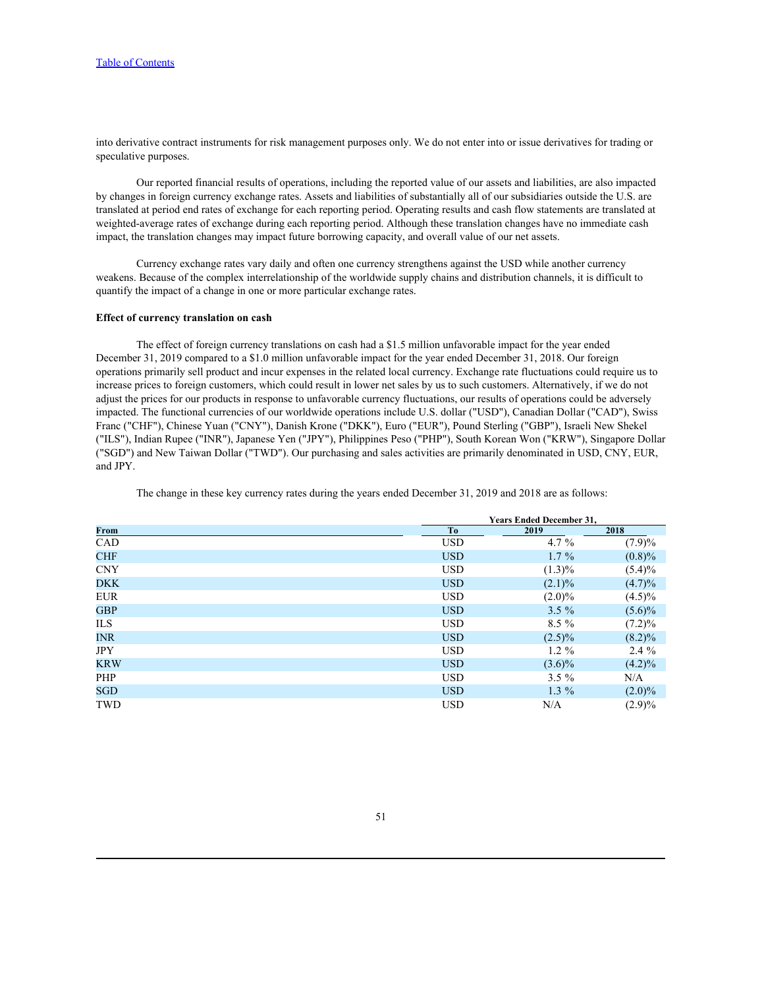into derivative contract instruments for risk management purposes only. We do not enter into or issue derivatives for trading or speculative purposes.

Our reported financial results of operations, including the reported value of our assets and liabilities, are also impacted by changes in foreign currency exchange rates. Assets and liabilities of substantially all of our subsidiaries outside the U.S. are translated at period end rates of exchange for each reporting period. Operating results and cash flow statements are translated at weighted-average rates of exchange during each reporting period. Although these translation changes have no immediate cash impact, the translation changes may impact future borrowing capacity, and overall value of our net assets.

Currency exchange rates vary daily and often one currency strengthens against the USD while another currency weakens. Because of the complex interrelationship of the worldwide supply chains and distribution channels, it is difficult to quantify the impact of a change in one or more particular exchange rates.

#### **Effect of currency translation on cash**

The effect of foreign currency translations on cash had a \$1.5 million unfavorable impact for the year ended December 31, 2019 compared to a \$1.0 million unfavorable impact for the year ended December 31, 2018. Our foreign operations primarily sell product and incur expenses in the related local currency. Exchange rate fluctuations could require us to increase prices to foreign customers, which could result in lower net sales by us to such customers. Alternatively, if we do not adjust the prices for our products in response to unfavorable currency fluctuations, our results of operations could be adversely impacted. The functional currencies of our worldwide operations include U.S. dollar ("USD"), Canadian Dollar ("CAD"), Swiss Franc ("CHF"), Chinese Yuan ("CNY"), Danish Krone ("DKK"), Euro ("EUR"), Pound Sterling ("GBP"), Israeli New Shekel ("ILS"), Indian Rupee ("INR"), Japanese Yen ("JPY"), Philippines Peso ("PHP"), South Korean Won ("KRW"), Singapore Dollar ("SGD") and New Taiwan Dollar ("TWD"). Our purchasing and sales activities are primarily denominated in USD, CNY, EUR, and JPY.

|                | <b>Years Ended December 31,</b> |           |           |  |  |  |  |  |
|----------------|---------------------------------|-----------|-----------|--|--|--|--|--|
| From           | T0                              | 2019      | 2018      |  |  |  |  |  |
| ${\rm CAD}$    | <b>USD</b>                      | 4.7 $%$   | (7.9)%    |  |  |  |  |  |
| <b>CHF</b>     | <b>USD</b>                      | $1.7\%$   | $(0.8)\%$ |  |  |  |  |  |
| $\mbox{CNY}$   | USD                             | $(1.3)\%$ | $(5.4)\%$ |  |  |  |  |  |
| <b>DKK</b>     | <b>USD</b>                      | $(2.1)\%$ | (4.7)%    |  |  |  |  |  |
| ${\rm EUR}$    | <b>USD</b>                      | $(2.0)\%$ | $(4.5)\%$ |  |  |  |  |  |
| <b>GBP</b>     | <b>USD</b>                      | $3.5 \%$  | $(5.6)\%$ |  |  |  |  |  |
| $\rm ILS$      | <b>USD</b>                      | $8.5\%$   | $(7.2)\%$ |  |  |  |  |  |
| <b>INR</b>     | <b>USD</b>                      | $(2.5)\%$ | $(8.2)\%$ |  |  |  |  |  |
| $\mathrm{JPY}$ | <b>USD</b>                      | $1.2 \%$  | 2.4 %     |  |  |  |  |  |
| <b>KRW</b>     | <b>USD</b>                      | $(3.6)\%$ | $(4.2)\%$ |  |  |  |  |  |
| PHP            | <b>USD</b>                      | $3.5 \%$  | N/A       |  |  |  |  |  |
| <b>SGD</b>     | <b>USD</b>                      | $1.3\%$   | $(2.0)\%$ |  |  |  |  |  |
| TWD            | <b>USD</b>                      | N/A       | $(2.9)\%$ |  |  |  |  |  |

The change in these key currency rates during the years ended December 31, 2019 and 2018 are as follows: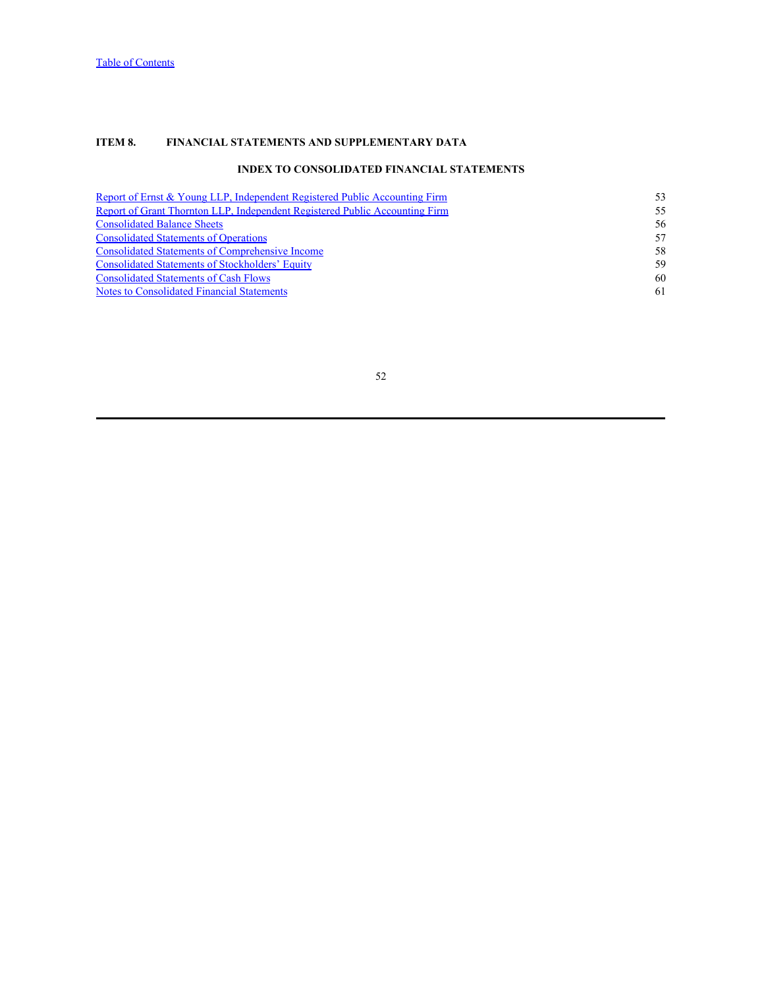# **ITEM 8. FINANCIAL STATEMENTS AND SUPPLEMENTARY DATA**

# **INDEX TO CONSOLIDATED FINANCIAL STATEMENTS**

| Report of Ernst & Young LLP, Independent Registered Public Accounting Firm  |    |
|-----------------------------------------------------------------------------|----|
| Report of Grant Thornton LLP, Independent Registered Public Accounting Firm |    |
| <b>Consolidated Balance Sheets</b>                                          | 56 |
| <b>Consolidated Statements of Operations</b>                                |    |
| <b>Consolidated Statements of Comprehensive Income</b>                      | 58 |
| <b>Consolidated Statements of Stockholders' Equity</b>                      | 59 |
| <b>Consolidated Statements of Cash Flows</b>                                | 60 |
| Notes to Consolidated Financial Statements                                  | 6  |

52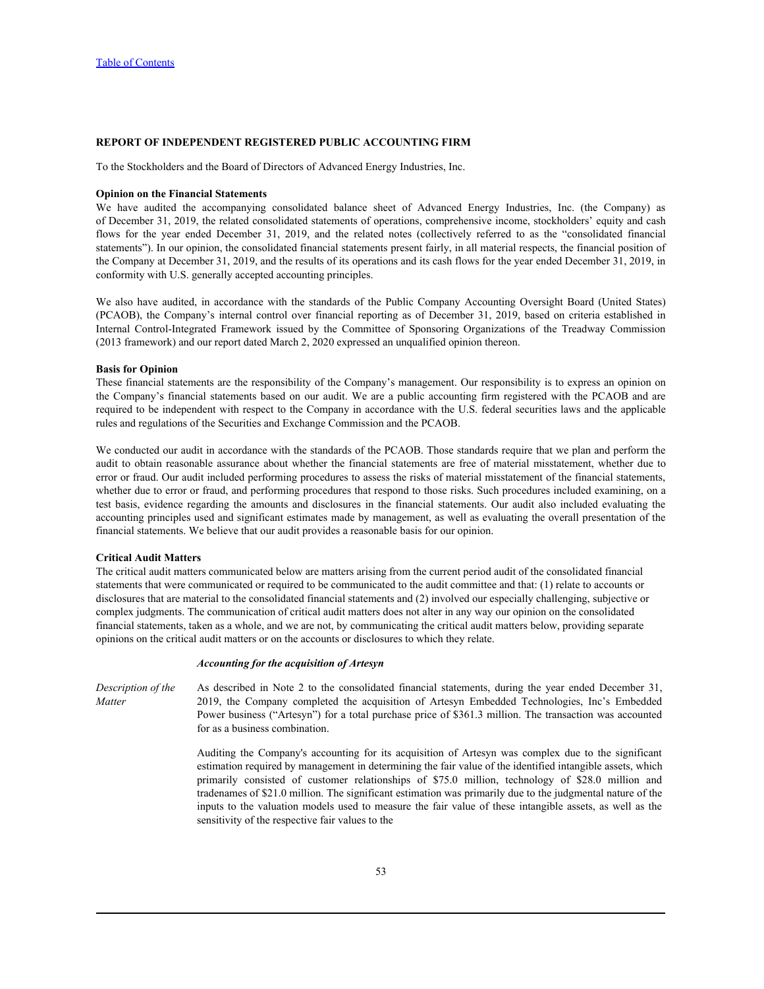### <span id="page-52-0"></span>**REPORT OF INDEPENDENT REGISTERED PUBLIC ACCOUNTING FIRM**

To the Stockholders and the Board of Directors of Advanced Energy Industries, Inc.

#### **Opinion on the Financial Statements**

Tableof Contents<br>To the Stockholders and the Board of Directors of Advanced Energy Industries, Inc.<br>Opinion on the Financial Statements<br>We have audited the accompanying consolidated balance sheet of Advanced Energy Indust of December 31, 2019, the related consolidated statements of operations, comprehensive income, stockholders' equity and cash Table of Contents<br>To the Stockholders and the Board of Directors of Advanced Energy Industries, Inc.<br>
Opinion on the Financial Statements<br>
Opinion on the Financial Statements<br>
of December 31, 2019, the related consolidated statements"). In our opinion, the consolidated financial statements present fairly, in all material respects, the financial position of the Company at December 31, 2019, and the results of its operations and its cash flows for the year ended December 31, 2019, in conformity with U.S. generally accepted accounting principles. Table of Contents<br>To the Stockholders and the Hoard of Directors of Advanced Finergy Industries, Inc.<br>
To the Stockholders and the Hoard of Directors of Advanced Finergy Industries, Inc.<br>
We have audited the accompanying c Table of Contents<br>
To the Soekholders and the Board of Directors of Advanced Energy Industries, Inc.<br> **Opinion on the Financial Statements**<br> **Opinion on the Financial Statements**<br> **Opinion on the Financial Statements**<br> **Op IEBN: Of Contents**<br> **IERNORY OF INDEPENDENT REGISTERED PUBLIC ACCOUNTING FIRM**<br>
To the Stockholders and the Board of Directors of Advanced Energy Industries, Inc.<br> **Opinion on the Framedal Statements**<br> **Opinion on the Fra** 

(2013 framework) and our report dated March 2, 2020 expressed an unqualified opinion thereon.

### **Basis for Opinion**

These financial statements are the responsibility of the Company's management. Our responsibility is to express an opinion on the Company's financial statements based on our audit. We are a public accounting firm registered with the PCAOB and are required to be independent with respect to the Company in accordance with the U.S. federal securities laws and the applicable rules and regulations of the Securities and Exchange Commission and the PCAOB.

We conducted our audit in accordance with the standards of the PCAOB. Those standards require that we plan and perform the Table of Contents<br>To the Stockholders and the Boott of Directions of Advanced Energy Industries, Inc.<br>To the Stockholders and the Boott of Directions of Advanced Energy Industries, Inc.<br>(We have and<br>independent of the acco error or fraud. Our audit included performing procedures to assess the risks of material misstatement of the financial statements, whether due to error or fraud, and performing procedures that respond to those risks. Such procedures included examining, on a **REPORT OF INDEPPENDIX IT BRGESTBRED PUBLIC-ACCOUNTING FIRM<br>
Organism on the Financial Statements<br>
We have and Financial Statements Consolidated balances about 5 Advanced Energy Industries, Inc. (the Company) as<br>
We have a** accounting principles used and significant estimates made by management, as well as evaluating the overall presentation of the financial statements. We believe that our audit provides a reasonable basis for our opinion. sheared and significant estimator in the basis of Theorem (1). Also, the consolidated in encoding the statements of the Treadway Commission of the Treadway Commission of the Treadway Commission and Francework times the Tr in accordance with the standards of the Public Company Accounting Oversight Board (United States)<br>y is reterral control over financial reperting as of December 31, 2019, based on criteria estiblished in<br>our report dated M our report dated March 2, 2020 expressed an unqualified opinion thereor.<br>
ents are the responsibility of the Company's management. Our responsibility is to express an opinion on<br>
al statements based on our and t We are a ents are the responsibility of the Company's management Our responsibility is to express an opinion on<br>al attemnents based on our andit. We are a public accounting firm registered with the PCAOB and are<br>determined to an an

### **Critical Audit Matters**

The critical audit matters communicated below are matters arising from the current period audit of the consolidated financial statements that were communicated or required to be communicated to the audit committee and that: (1) relate to accounts or disclosures that are material to the consolidated financial statements and (2) involved our especially challenging, subjective or complex judgments. The communication of critical audit matters does not alter in any way our opinion on the consolidated financial statements, taken as a whole, and we are not, by communicating the critical audit matters below, providing separate opinions on the critical audit matters or on the accounts or disclosures to which they relate.

#### *Accounting for the acquisition of Artesyn*

*Description of the* As described in Note 2 to the consolidated financial statements, during the year ended December 31, *Matter* 2019, the Company completed the acquisition of Artesyn Embedded Technologies, Inc's Embedded Power business ("Artesyn") for a total purchase price of \$361.3 million. The transaction was accounted for as a business combination.

> estimation required by management in determining the fair value of the identified intangible assets, which tradenames of \$21.0 million. The significant estimation was primarily due to the judgmental nature of the inputs to the valuation models used to measure the fair value of these intangible assets, as well as the sensitivity of the respective fair values to the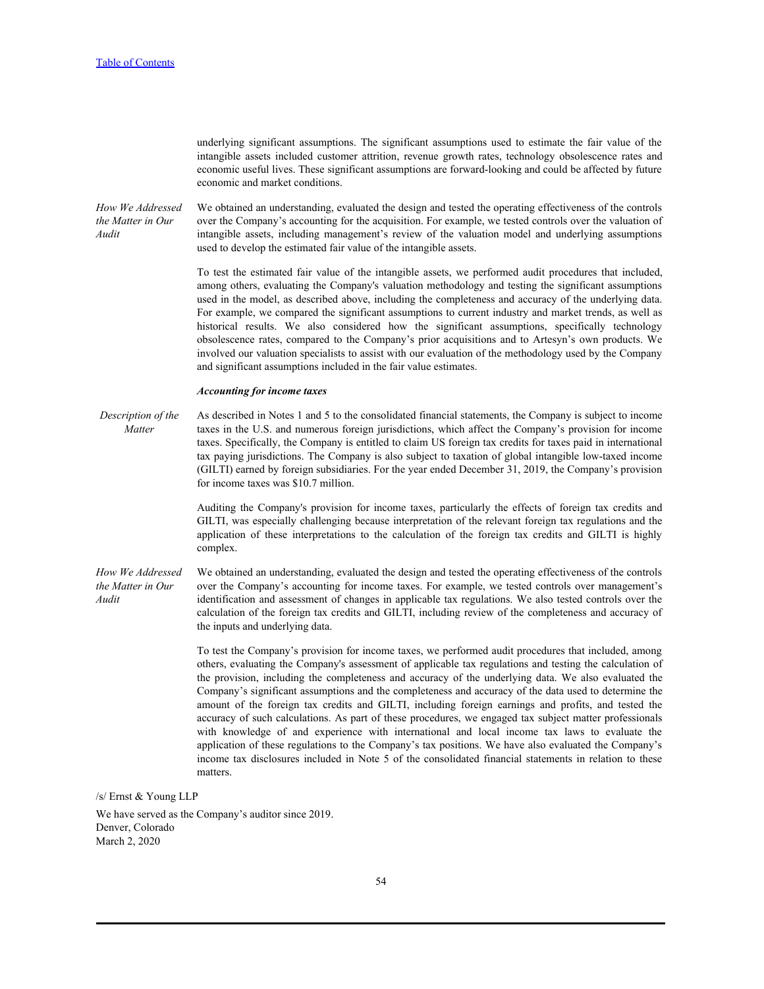underlying significant assumptions. The significant assumptions used to estimate the fair value of the intangible assets included customer attrition, revenue growth rates, technology obsolescence rates and economic useful underlying significant assumptions. The significant assumptions used to estimate the fair value of the intangible assets included customer attrition, revenue growth rates, technology obsolescence rates and economic useful economic useful lives. These significant assumptions are forward-looking and could be affected by future economic and market conditions.

*How We Addressed* We obtained an understanding, evaluated the design and tested the operating effectiveness of the controls *the Matter in Our* over the Company's accounting for the acquisition. For example, we tested controls over the valuation of *Audit* intangible assets, including management's review of the valuation model and underlying assumptions used to develop the estimated fair value of the intangible assets.

underlying significant assumptions. The significant assumptions used to estimate the fair value of the intangible assets included customer attrition, revenue growth rates, technology obsolescence rates and economic useful underlying significant assumptions. The significant assumptions used to estimate the fair value of the accomomic useful lives. These significant assumptions are forward-looking and could be affected by future economic and among others, evaluating the Company's valuation methodology and testing the significant assumptions used in the model, as described above, including the completeness and accuracy of the underlying data. For example, we compared the significant assumptions to current industry and market trends, as well as underlying significant assumptions. The significant assumptions used to estimate the finir value of the intangible assets included customer attrition, revenue growth rates, technology obsolscence rates and economic useful underlying significant assumptions. The significant assumptions used to estimate the fair value of the intumgible sasets included extorner atterition, revenue growth rates, bechanging soles/seence rates and economic useful involved our valuation specialists to assist with our evaluation of the methodology used by the Company and significant assumptions included in the fair value estimates. anderbying significant assumptions. The significant assumptions used to estimate the fair value of the company absents included customer attrition, revenue gowth rates, technology absolutescene rates and companyis are comm underlying significant assumptions. The significant assumption used to estimate the fair value of the hastern interplaces assets included custome attrition, revenue growth rates, rechnology obsolescence rates and occurrine

#### *Accounting for income taxes*

*Description of the* As described in Notes 1 and 5 to the consolidated financial statements, the Company is subject to income *Matter* taxes in the U.S. and numerous foreign jurisdictions, which affect the Company's provision for income taxes. Specifically, the Company is entitled to claim US foreign tax credits for taxes paid in international tax paying jurisdictions. The Company is also subject to taxation of global intangible low-taxed income (GILTI) earned by foreign subsidiaries. For the year ended December 31, 2019, the Company's provision for income taxes was \$10.7 million.

> GILTI, was especially challenging because interpretation of the relevant foreign tax regulations and the complex.

*How We Addressed* We obtained an understanding, evaluated the design and tested the operating effectiveness of the controls *the Matter in Our* over the Company's accounting for income taxes. For example, we tested controls over management's *Audit*identification and assessment of changes in applicable tax regulations. We also tested controls over the calculation of the foreign tax credits and GILTI, including review of the completeness and accuracy of the inputs and underlying data.

To test the Company's provision for income taxes, we performed audit procedures that included, among others, evaluating the Company's assessment of applicable tax regulations and testing the calculation of To tast the estimated fair value of the mangulak masses, we performed and procedures that included<br>To complete the model, as described above, including the completenes and accuracy of the underlying data.<br>For example, we Company's significant assumptions and the completeness and accuracy of the data used to determine the used in the model, as disserbed above, including the completiones and accuracy of the undeltying data.<br>Instructural results Awe a considered buy the significant assumptions to surrent indestry and market reads, as well as<br> accuracy of such calculations. As part of these procedures, we engaged tax subject matter professionals historical results. We also considered low the significant assumptions, specifically is choosing the significant<br>material solutions are distinguished assist with our evaluation of the methodology's over products. We<br>involv application of these regulations to the Company's tax positions. We have also evaluated the Company's involved our valuation positilists to assist with our evaluation of the methodology used by the Company<br>and significant assumptions included in the fin' value estimates. He Company is ushipet to income<br>Accounting for incom matters.

/s/ Ernst & Young LLP

We have served as the Company's auditor since 2019. Denver, Colorado March 2, 2020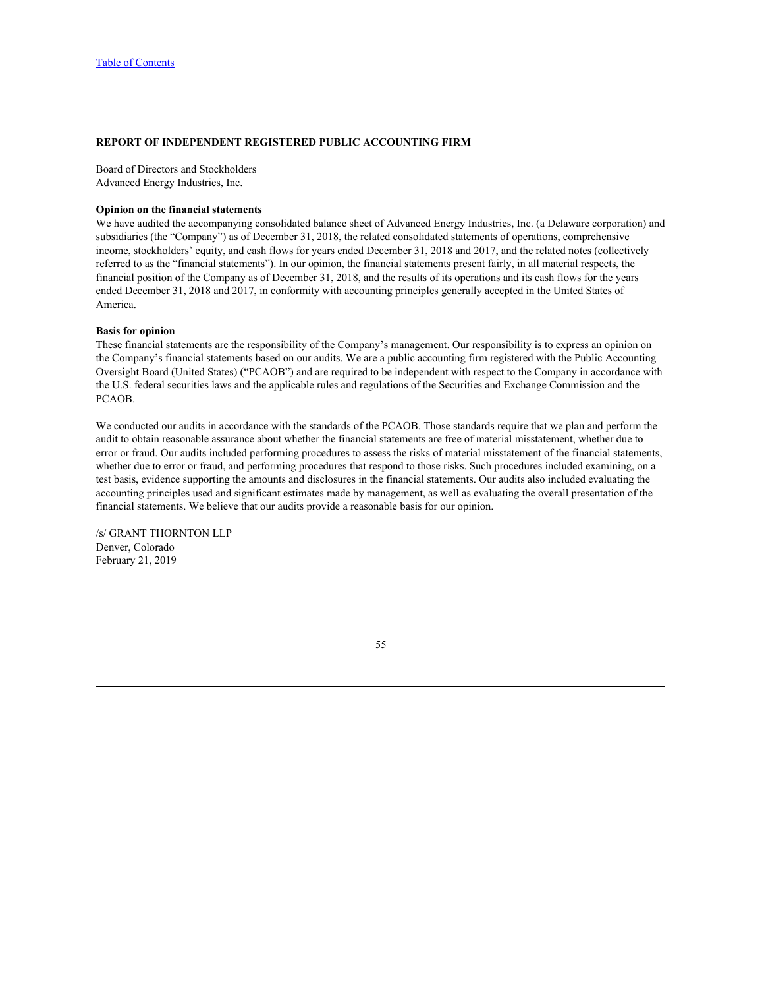### <span id="page-54-0"></span>**REPORT OF INDEPENDENT REGISTERED PUBLIC ACCOUNTING FIRM**

Board of Directors and Stockholders Advanced Energy Industries, Inc.

#### **Opinion on the financial statements**

We have audited the accompanying consolidated balance sheet of Advanced Energy Industries, Inc. (a Delaware corporation) and subsidiaries (the "Company") as of December 31, 2018, the related consolidated statements of operations, comprehensive income, stockholders' equity, and cash flows for years ended December 31, 2018 and 2017, and the related notes (collectively referred to as the "financial statements"). In our opinion, the financial statements present fairly, in all material respects, the financial position of the Company as of December 31, 2018, and the results of its operations and its cash flows for the years ended December 31, 2018 and 2017, in conformity with accounting principles generally accepted in the United States of America.

#### **Basis for opinion**

These financial statements are the responsibility of the Company's management. Our responsibility is to express an opinion on the Company's financial statements based on our audits. We are a public accounting firm registered with the Public Accounting Oversight Board (United States) ("PCAOB") and are required to be independent with respect to the Company in accordance with the U.S. federal securities laws and the applicable rules and regulations of the Securities and Exchange Commission and the PCAOB.

We conducted our audits in accordance with the standards of the PCAOB. Those standards require that we plan and perform the audit to obtain reasonable assurance about whether the financial statements are free of material misstatement, whether due to error or fraud. Our audits included performing procedures to assess the risks of material misstatement of the financial statements, whether due to error or fraud, and performing procedures that respond to those risks. Such procedures included examining, on a test basis, evidence supporting the amounts and disclosures in the financial statements. Our audits also included evaluating the accounting principles used and significant estimates made by management, as well as evaluating the overall presentation of the financial statements. We believe that our audits provide a reasonable basis for our opinion.

/s/ GRANT THORNTON LLP Denver, Colorado February 21, 2019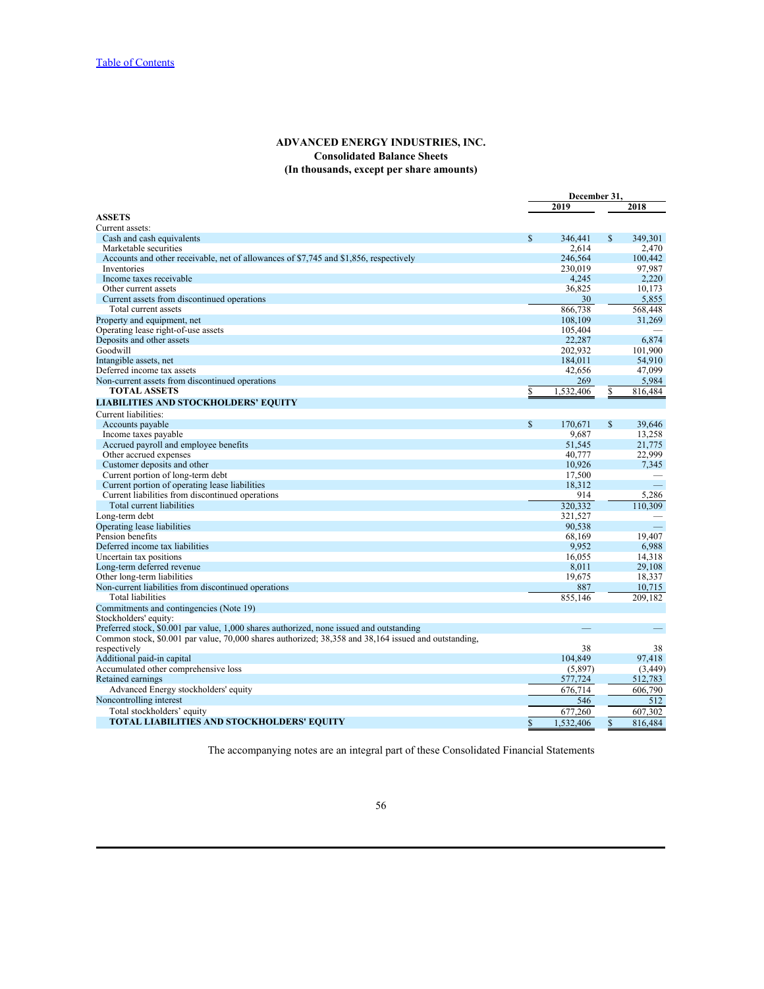# **ADVANCED ENERGY INDUSTRIES, INC. Consolidated Balance Sheets (In thousands, except per share amounts)**

<span id="page-55-0"></span>

|                                                                                                      | December 31,  |           |                    |                          |  |  |
|------------------------------------------------------------------------------------------------------|---------------|-----------|--------------------|--------------------------|--|--|
|                                                                                                      |               | 2019      |                    | 2018                     |  |  |
| <b>ASSETS</b>                                                                                        |               |           |                    |                          |  |  |
| Current assets:                                                                                      |               |           |                    |                          |  |  |
| Cash and cash equivalents                                                                            | -S            | 346,441   | $\mathbf{\hat{S}}$ | 349,301                  |  |  |
| Marketable securities                                                                                |               | 2,614     |                    | 2,470                    |  |  |
| Accounts and other receivable, net of allowances of \$7,745 and \$1,856, respectively                |               | 246,564   |                    | 100,442                  |  |  |
| Inventories                                                                                          |               | 230,019   |                    | 97,987                   |  |  |
| Income taxes receivable                                                                              |               | 4,245     |                    | 2,220                    |  |  |
| Other current assets                                                                                 |               | 36,825    |                    | 10,173                   |  |  |
| Current assets from discontinued operations                                                          |               | 30        |                    | 5,855                    |  |  |
| Total current assets                                                                                 |               | 866,738   |                    | 568,448                  |  |  |
| Property and equipment, net                                                                          |               | 108,109   |                    | 31,269                   |  |  |
|                                                                                                      |               | 105,404   |                    |                          |  |  |
| Operating lease right-of-use assets                                                                  |               | 22,287    |                    | 6,874                    |  |  |
| Deposits and other assets                                                                            |               |           |                    |                          |  |  |
| Goodwill                                                                                             |               | 202,932   |                    | 101,900                  |  |  |
| Intangible assets, net                                                                               |               | 184,011   |                    | 54,910                   |  |  |
| Deferred income tax assets                                                                           |               | 42,656    |                    | 47,099                   |  |  |
| Non-current assets from discontinued operations                                                      |               | 269       |                    | 5,984                    |  |  |
| <b>TOTAL ASSETS</b>                                                                                  |               | 1,532,406 |                    | 816,484                  |  |  |
| <b>LIABILITIES AND STOCKHOLDERS' EQUITY</b>                                                          |               |           |                    |                          |  |  |
| Current liabilities:                                                                                 |               |           |                    |                          |  |  |
| Accounts payable                                                                                     | $\mathcal{S}$ | 170,671   | -S                 | 39,646                   |  |  |
| Income taxes payable                                                                                 |               | 9,687     |                    | 13,258                   |  |  |
| Accrued payroll and employee benefits                                                                |               | 51,545    |                    | 21,775                   |  |  |
| Other accrued expenses                                                                               |               | 40,777    |                    | 22,999                   |  |  |
| Customer deposits and other                                                                          |               | 10,926    |                    | 7,345                    |  |  |
| Current portion of long-term debt                                                                    |               | 17,500    |                    |                          |  |  |
| Current portion of operating lease liabilities                                                       |               | 18,312    |                    | $\equiv$                 |  |  |
| Current liabilities from discontinued operations                                                     |               | 914       |                    | 5,286                    |  |  |
| Total current liabilities                                                                            |               | 320,332   |                    | 110,309                  |  |  |
| Long-term debt                                                                                       |               | 321,527   |                    |                          |  |  |
| Operating lease liabilities                                                                          |               | 90,538    |                    |                          |  |  |
| Pension benefits                                                                                     |               | 68,169    |                    | 19,407                   |  |  |
| Deferred income tax liabilities                                                                      |               | 9,952     |                    | 6,988                    |  |  |
| Uncertain tax positions                                                                              |               | 16,055    |                    | 14,318                   |  |  |
| Long-term deferred revenue                                                                           |               | 8,011     |                    | 29,108                   |  |  |
| Other long-term liabilities                                                                          |               | 19,675    |                    | 18,337                   |  |  |
| Non-current liabilities from discontinued operations                                                 |               | 887       |                    | 10,715                   |  |  |
| Total liabilities                                                                                    |               | 855,146   |                    | 209,182                  |  |  |
| Commitments and contingencies (Note 19)                                                              |               |           |                    |                          |  |  |
| Stockholders' equity:                                                                                |               |           |                    |                          |  |  |
|                                                                                                      |               |           |                    | $\overline{\phantom{m}}$ |  |  |
| Preferred stock, \$0.001 par value, 1,000 shares authorized, none issued and outstanding             |               |           |                    |                          |  |  |
| Common stock, \$0.001 par value, 70,000 shares authorized; 38,358 and 38,164 issued and outstanding, |               |           |                    |                          |  |  |
| respectively                                                                                         |               | 38        |                    | 38                       |  |  |
| Additional paid-in capital                                                                           |               | 104,849   |                    | 97,418                   |  |  |
| Accumulated other comprehensive loss                                                                 |               | (5,897)   |                    | (3, 449)                 |  |  |
| Retained earnings                                                                                    |               | 577,724   |                    | 512,783                  |  |  |
| Advanced Energy stockholders' equity                                                                 |               | 676,714   |                    | 606,790                  |  |  |
| Noncontrolling interest                                                                              |               | 546       |                    | 512                      |  |  |
| Total stockholders' equity                                                                           |               | 677,260   |                    | 607,302                  |  |  |
| <b>TOTAL LIABILITIES AND STOCKHOLDERS' EQUITY</b>                                                    |               | 1,532,406 | -S                 | 816,484                  |  |  |
|                                                                                                      |               |           |                    |                          |  |  |

The accompanying notes are an integral part of these Consolidated Financial Statements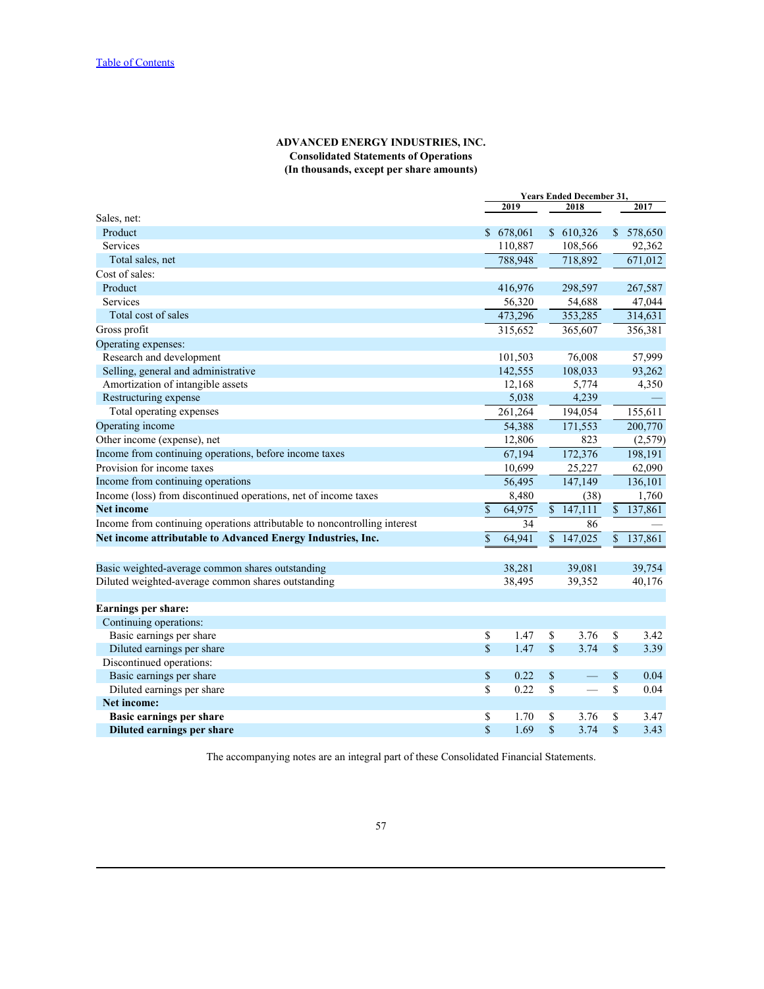# **ADVANCED ENERGY INDUSTRIES, INC. Consolidated Statements of Operations (In thousands, except per share amounts)**

<span id="page-56-0"></span>

|                                                                           |               |                       | <b>Years Ended December 31,</b> |                          |
|---------------------------------------------------------------------------|---------------|-----------------------|---------------------------------|--------------------------|
|                                                                           | 2019          |                       | 2018                            | 2017                     |
| Sales, net:                                                               |               |                       |                                 |                          |
| Product                                                                   | \$678,061     |                       | \$610,326                       | \$ 578,650               |
| Services                                                                  | 110,887       |                       | 108,566                         | 92,362                   |
| Total sales, net                                                          | 788,948       |                       | 718,892                         | 671,012                  |
| Cost of sales:                                                            |               |                       |                                 |                          |
| Product                                                                   | 416,976       |                       | 298,597                         | 267,587                  |
| Services                                                                  | 56,320        |                       | 54,688                          | 47,044                   |
| Total cost of sales                                                       | 473,296       |                       | 353,285                         | 314,631                  |
| Gross profit                                                              | 315,652       |                       | 365,607                         | 356,381                  |
| Operating expenses:                                                       |               |                       |                                 |                          |
| Research and development                                                  | 101,503       |                       | 76,008                          | 57,999                   |
| Selling, general and administrative                                       | 142,555       |                       | 108,033                         | 93,262                   |
| Amortization of intangible assets                                         | 12,168        |                       | 5,774                           | 4,350                    |
| Restructuring expense                                                     | 5,038         |                       | 4,239                           | $\overline{\phantom{m}}$ |
| Total operating expenses                                                  | 261,264       |                       | 194,054                         | 155,611                  |
| Operating income                                                          | 54,388        |                       | 171,553                         | 200,770                  |
| Other income (expense), net                                               | 12,806        |                       | 823                             | (2,579)                  |
| Income from continuing operations, before income taxes                    | 67,194        |                       | 172,376                         | 198,191                  |
| Provision for income taxes                                                | 10,699        |                       | 25,227                          | 62,090                   |
| Income from continuing operations                                         | 56,495        |                       | 147,149                         | 136,101                  |
| Income (loss) from discontinued operations, net of income taxes           | 8,480         |                       | (38)                            | 1,760                    |
| <b>Net income</b>                                                         | 64,975        | $\mathbb{S}^-$        | 147,111                         | \$137,861                |
| Income from continuing operations attributable to noncontrolling interest |               | $\overline{34}$       | 86                              | $\frac{1}{2}$            |
| Net income attributable to Advanced Energy Industries, Inc.               | 64,941        | $\mathbb{S}^-$        | 147,025                         | \$137,861                |
|                                                                           |               |                       |                                 |                          |
| Basic weighted-average common shares outstanding                          |               |                       | 39,081                          | 39,754                   |
|                                                                           | 38,281        |                       |                                 |                          |
| Diluted weighted-average common shares outstanding                        | 38,495        |                       | 39,352                          | 40,176                   |
| Earnings per share:                                                       |               |                       |                                 |                          |
| Continuing operations:                                                    |               |                       |                                 |                          |
|                                                                           | <sup>\$</sup> |                       | 3.76                            | 3.42                     |
| Basic earnings per share                                                  |               | 1.47<br>- \$          |                                 | -S                       |
| Diluted earnings per share                                                |               | -S<br>1.47            | 3.74                            | 3.39<br>- \$             |
| Discontinued operations:                                                  |               |                       |                                 |                          |
| Basic earnings per share                                                  | \$.           | 0.22<br>- \$<br>0.22  |                                 | 0.04<br>$\mathcal{S}$    |
| Diluted earnings per share                                                | <sup>\$</sup> | -S                    | $\overline{\phantom{0}}$        | 0.04                     |
| Net income:                                                               |               |                       |                                 |                          |
| Basic earnings per share                                                  | \$            | .70<br>-\$            | 3.76                            | 3.47<br><sup>S</sup>     |
| Diluted earnings per share                                                | $\mathcal{S}$ | 1.69<br>$\mathcal{S}$ | 3.74                            | 3.43<br>$\mathbf{s}$     |

The accompanying notes are an integral part of these Consolidated Financial Statements.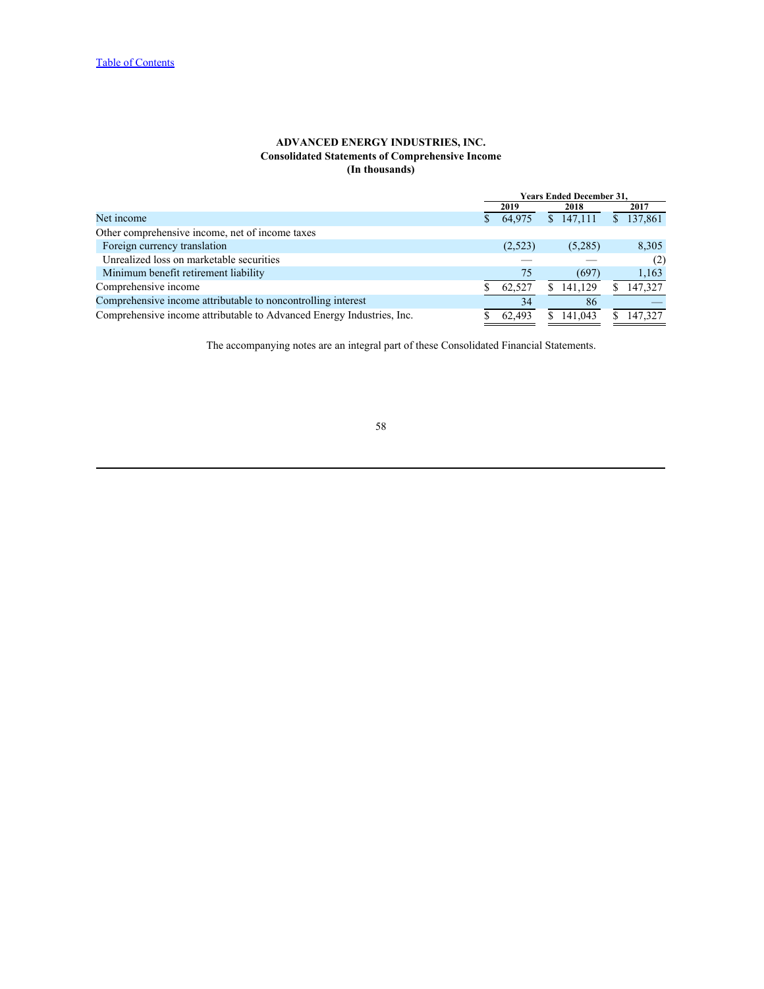# **ADVANCED ENERGY INDUSTRIES, INC. Consolidated Statements of Comprehensive Income (In thousands)**

<span id="page-57-0"></span>

|                                                                       |          | <b>Years Ended December 31,</b> |           |  |
|-----------------------------------------------------------------------|----------|---------------------------------|-----------|--|
|                                                                       | 2019     | 2018                            | 2017      |  |
| Net income                                                            | \$64,975 | \$147,111                       | \$137,861 |  |
| Other comprehensive income, net of income taxes                       |          |                                 |           |  |
| Foreign currency translation                                          | (2,523)  | (5,285)                         | 8,305     |  |
| Unrealized loss on marketable securities                              |          |                                 |           |  |
| Minimum benefit retirement liability                                  |          | (697)                           | 1,163     |  |
| Comprehensive income                                                  | 62,527   | 141,129                         | 147,327   |  |
| Comprehensive income attributable to noncontrolling interest          |          | 86                              |           |  |
| Comprehensive income attributable to Advanced Energy Industries, Inc. | 62.493   | 141.043                         | 147.327   |  |

The accompanying notes are an integral part of these Consolidated Financial Statements.

#### 58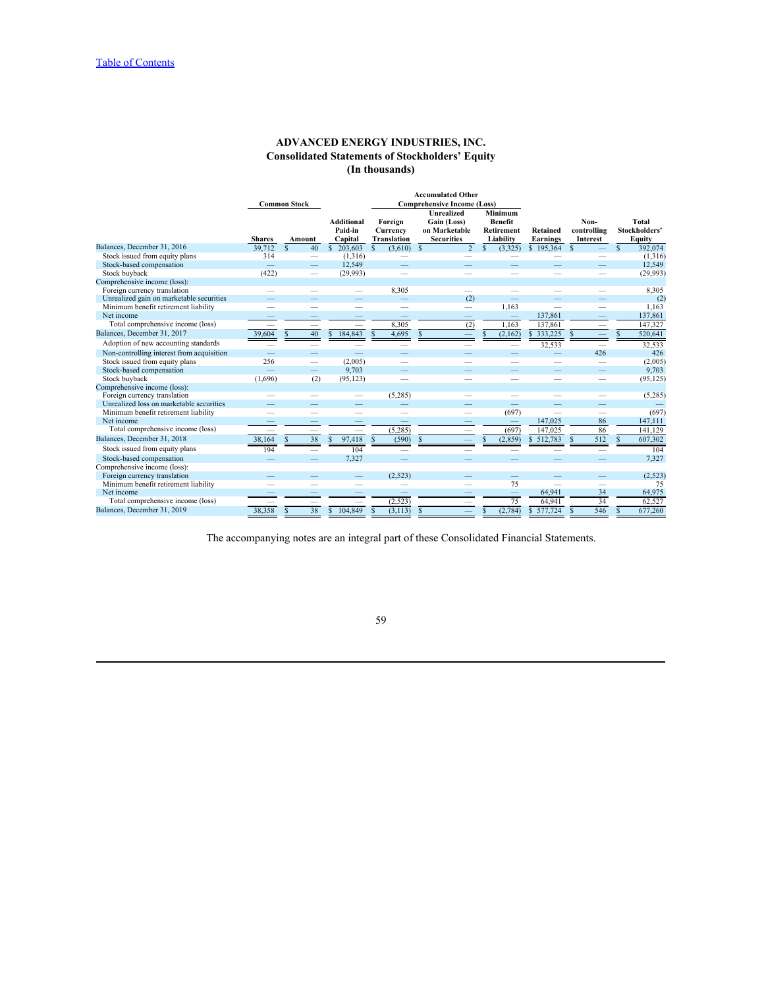# **ADVANCED ENERGY INDUSTRIES, INC. Consolidated Statements of Stockholders' Equity (In thousands)**

<span id="page-58-0"></span>

|                                           |                                 | <b>Common Stock</b>      |                                  |                                           | <b>Accumulated Other</b><br><b>Comprehensive Income (Loss)</b><br>Unrealized | Minimum                            |                             |                                 |                                         |
|-------------------------------------------|---------------------------------|--------------------------|----------------------------------|-------------------------------------------|------------------------------------------------------------------------------|------------------------------------|-----------------------------|---------------------------------|-----------------------------------------|
|                                           | Shares                          | Amount                   | Additional<br>Paid-in<br>Capital | Foreign<br>Currency<br><b>Translation</b> | Gain (Loss)<br>on Marketable<br><b>Securities</b>                            | Benefit<br>Retirement<br>Liability | Retained<br><b>Earnings</b> | Non-<br>controlling<br>Interest | Total<br>Stockholders'<br><b>Equity</b> |
| Balances, December 31, 2016               | 39.712                          | 40                       | 203,603                          | (3,610)                                   | -8                                                                           | (3.325)                            | 195.364                     |                                 | 392,074<br>S                            |
| Stock issued from equity plans            | 314                             |                          | (1,316)                          |                                           |                                                                              |                                    |                             |                                 | (1,316)                                 |
| Stock-based compensation                  | $\overline{\phantom{a}}$        |                          | 12,549                           |                                           | $\overline{\phantom{a}}$                                                     | $\sim$                             |                             | -                               | 12,549                                  |
| Stock buyback                             | (422)                           |                          | (29,993)                         |                                           |                                                                              |                                    |                             |                                 | (29,993)                                |
| Comprehensive income (loss):              |                                 |                          |                                  |                                           |                                                                              |                                    |                             |                                 |                                         |
| Foreign currency translation              |                                 |                          | -                                | 8.305                                     | $\overline{\phantom{0}}$                                                     |                                    |                             | -                               | 8,305                                   |
| Unrealized gain on marketable securities  | $\overline{\phantom{a}}$        |                          |                                  |                                           | (2)                                                                          | $\qquad \qquad -$                  |                             |                                 | (2)                                     |
| Minimum benefit retirement liability      | $\hspace{0.1mm}-\hspace{0.1mm}$ | -                        | -                                | $\hspace{1.0cm} \rule{1.5cm}{0.15cm}$     |                                                                              | 1,163                              |                             | $\overline{\phantom{m}}$        | 1,163                                   |
| Net income                                | $\hspace{0.1mm}-\hspace{0.1mm}$ |                          |                                  |                                           | $\hspace{1.0cm} \overline{\phantom{0}}$                                      | $\qquad \qquad$                    | 137,861                     | $\hspace{0.1mm}-\hspace{0.1mm}$ | 137,861                                 |
| Total comprehensive income (loss)         | $\hspace{0.1mm}-\hspace{0.1mm}$ |                          | -                                | 8,305                                     | (2)                                                                          | 1.163                              | 137,861                     | $\hspace{0.1mm}-\hspace{0.1mm}$ | 147,327                                 |
| Balances, December 31, 2017               | 39,604                          | 40                       | 184,843                          | 4,695                                     | $\overline{\phantom{m}}$                                                     | (2,162)                            | 333,225                     | -                               | 520,641                                 |
| Adoption of new accounting standards      | $\hspace{0.1mm}-\hspace{0.1mm}$ | -                        | -                                |                                           | $\overline{\phantom{0}}$                                                     |                                    | 32,533                      | $\hspace{0.1mm}-\hspace{0.1mm}$ | 32,533                                  |
| Non-controlling interest from acquisition | $\hspace{0.1mm}-\hspace{0.1mm}$ |                          | $\overline{\phantom{m}}$         | $\qquad \qquad - \qquad$                  | _                                                                            |                                    | -                           | 426                             | 426                                     |
| Stock issued from equity plans            | 256                             | -                        | (2,005)                          |                                           | -                                                                            | $\overline{\phantom{a}}$           | -                           | $\hspace{0.1mm}-\hspace{0.1mm}$ | (2,005)                                 |
| Stock-based compensation                  | $\overline{\phantom{m}}$        |                          | 9.703                            |                                           | _                                                                            |                                    |                             |                                 | 9,703                                   |
| Stock buyback                             | (1,696)                         | (2)                      | (95, 123)                        |                                           | $\overline{\phantom{m}}$                                                     | -                                  | -                           | $\hspace{0.1mm}-\hspace{0.1mm}$ | (95, 125)                               |
| Comprehensive income (loss):              |                                 |                          |                                  |                                           |                                                                              |                                    |                             |                                 |                                         |
| Foreign currency translation              | $\hspace{0.1mm}-\hspace{0.1mm}$ | -                        | $\hspace{0.1mm}-\hspace{0.1mm}$  | (5,285)                                   | $\overline{\phantom{a}}$                                                     |                                    | -                           | $\hspace{0.1mm}-\hspace{0.1mm}$ | (5,285)                                 |
| Unrealized loss on marketable securities  | $\overline{\phantom{m}}$        |                          |                                  |                                           | $\hspace{1.0cm} \overline{\phantom{0}}$                                      |                                    | -                           | -                               |                                         |
| Minimum benefit retirement liability      | $\hspace{0.1mm}-\hspace{0.1mm}$ | -                        | $\overline{\phantom{a}}$         | $\overline{\phantom{a}}$                  | $\hspace{0.1mm}-\hspace{0.1mm}$                                              | (697)                              | $\overline{\phantom{m}}$    | $\hspace{0.1mm}-\hspace{0.1mm}$ | (697)                                   |
| Net income                                | $\overline{\phantom{m}}$        |                          | $\overline{\phantom{a}}$         |                                           | $\qquad \qquad -$                                                            | $\qquad \qquad -$                  | 147,025                     | 86                              | 147,111                                 |
| Total comprehensive income (loss)         | $\hspace{0.1mm}-\hspace{0.1mm}$ | -                        | $\hspace{0.1mm}-\hspace{0.1mm}$  | (5,285)                                   | $\hspace{1.0cm} \rule{1.5cm}{0.15cm}$                                        | (697)                              | 147,025                     | 86                              | 141,129                                 |
| Balances, December 31, 2018               | 38,164                          | 38                       | 97,418                           | (590)                                     | $\overline{\phantom{0}}$                                                     | (2,859)                            | 512,783                     | 512                             | 607,302                                 |
| Stock issued from equity plans            | 194                             | $\overline{\phantom{0}}$ | 104                              |                                           |                                                                              | -                                  | -                           | $\overline{\phantom{a}}$        | 104                                     |
| Stock-based compensation                  | $\overline{\phantom{a}}$        |                          | 7,327                            | -                                         | _                                                                            |                                    |                             |                                 | 7,327                                   |
| Comprehensive income (loss):              |                                 |                          |                                  |                                           |                                                                              |                                    |                             |                                 |                                         |
| Foreign currency translation              | $\qquad \qquad -$               |                          | $\overline{\phantom{a}}$         | (2,523)                                   | $\qquad \qquad -$                                                            | $\overline{\phantom{0}}$           | -                           |                                 | (2,523)                                 |
| Minimum benefit retirement liability      | $\overbrace{\phantom{12333}}$   |                          | -                                | $\hspace{1.0cm} \rule{1.5cm}{0.15cm}$     | $\hspace{1.0cm} \rule{1.5cm}{0.15cm}$                                        | 75                                 | -                           |                                 | 75                                      |
| Net income                                | $\overline{\phantom{a}}$        | $\overline{\phantom{a}}$ | $\overline{\phantom{a}}$         |                                           | $\overline{\phantom{a}}$                                                     |                                    | 64,941                      | 34                              | 64,975                                  |
| Total comprehensive income (loss)         | $\hspace{0.1mm}-\hspace{0.1mm}$ |                          | $\overbrace{\phantom{12333}}$    | (2, 523)                                  | -                                                                            | 75                                 | 64,941                      | 34                              | 62,527                                  |
| Balances, December 31, 2019               | 38,358                          | 38                       | 104,849                          | (3, 113)                                  |                                                                              | (2,784)                            | 577,724                     | 546                             | 677,260                                 |
|                                           |                                 |                          |                                  |                                           |                                                                              |                                    |                             |                                 |                                         |

The accompanying notes are an integral part of these Consolidated Financial Statements.

59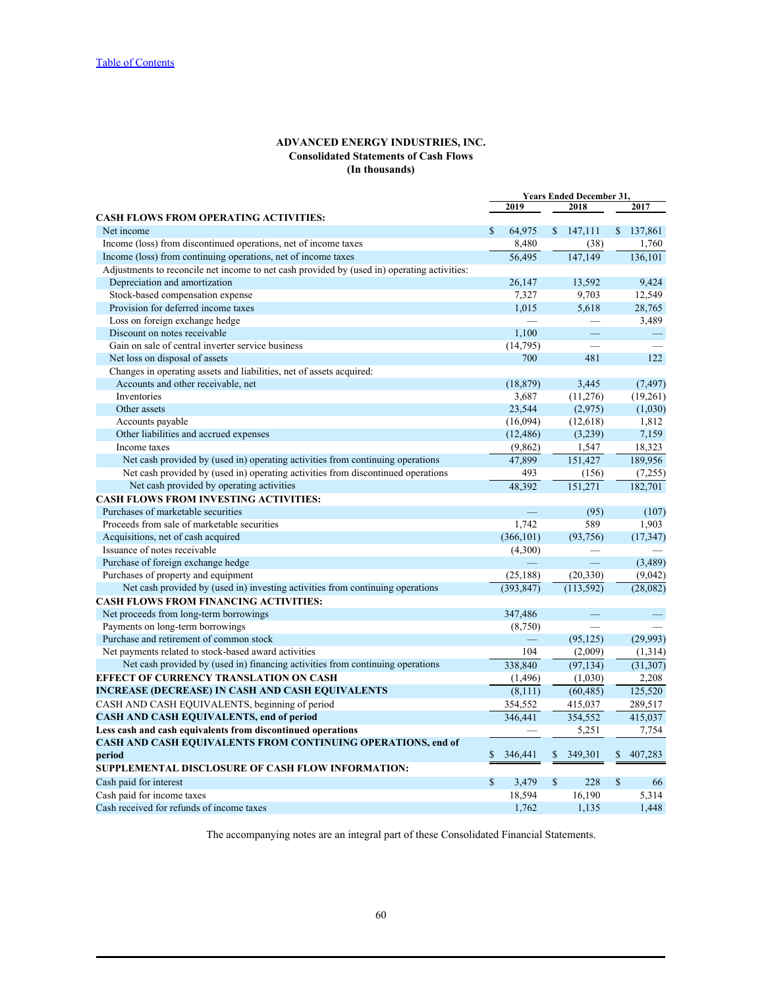# **ADVANCED ENERGY INDUSTRIES, INC. Consolidated Statements of Cash Flows (In thousands)**

<span id="page-59-0"></span>

|                                                                                             | <b>Years Ended December 31,</b> |                                 |                          |
|---------------------------------------------------------------------------------------------|---------------------------------|---------------------------------|--------------------------|
|                                                                                             | 2019                            | 2018                            | 2017                     |
| <b>CASH FLOWS FROM OPERATING ACTIVITIES:</b><br>Net income                                  |                                 | \$147,111                       | 137.861                  |
| Income (loss) from discontinued operations, net of income taxes                             | 64,975                          |                                 | <sup>S</sup>             |
|                                                                                             | 8,480                           | (38)                            | 1,760                    |
| Income (loss) from continuing operations, net of income taxes                               | 56,495                          | 147,149                         | 136,101                  |
| Adjustments to reconcile net income to net cash provided by (used in) operating activities: |                                 |                                 |                          |
| Depreciation and amortization                                                               | 26,147                          | 13,592                          | 9,424                    |
| Stock-based compensation expense                                                            | 7,327                           | 9,703                           | 12,549                   |
| Provision for deferred income taxes                                                         | 1,015                           | 5,618                           | 28,765                   |
| Loss on foreign exchange hedge                                                              | $\overline{\phantom{0}}$        |                                 | 3,489                    |
| Discount on notes receivable                                                                | 1,100                           | $\overline{\phantom{0}}$        | $\overline{\phantom{m}}$ |
| Gain on sale of central inverter service business                                           | (14,795)                        | $\overline{\phantom{m}}$        |                          |
| Net loss on disposal of assets                                                              | 700                             | 481                             | 122                      |
| Changes in operating assets and liabilities, net of assets acquired:                        |                                 |                                 |                          |
| Accounts and other receivable, net                                                          | (18, 879)                       | 3,445                           | (7, 497)                 |
| Inventories                                                                                 | 3,687                           | (11,276)                        | (19,261)                 |
| Other assets                                                                                | 23,544                          | (2,975)                         | (1,030)                  |
| Accounts payable                                                                            | (16,094)                        | (12,618)                        | 1,812                    |
| Other liabilities and accrued expenses                                                      | (12, 486)                       | (3,239)                         | 7,159                    |
| Income taxes                                                                                | (9,862)                         | 1,547                           | 18,323                   |
| Net cash provided by (used in) operating activities from continuing operations              | 47,899                          | 151,427                         | 189,956                  |
| Net cash provided by (used in) operating activities from discontinued operations            | 493                             | (156)                           | (7,255)                  |
| Net cash provided by operating activities                                                   | 48,392                          | 151,271                         | 182,701                  |
| <b>CASH FLOWS FROM INVESTING ACTIVITIES:</b>                                                |                                 |                                 |                          |
| Purchases of marketable securities                                                          | $\equiv$                        | (95)                            | (107)                    |
| Proceeds from sale of marketable securities                                                 | 1,742                           | 589                             | 1.903                    |
| Acquisitions, net of cash acquired                                                          | (366, 101)                      | (93, 756)                       | (17, 347)                |
| Issuance of notes receivable                                                                | (4,300)                         | $\hspace{0.1mm}-\hspace{0.1mm}$ | $\overline{\phantom{a}}$ |
| Purchase of foreign exchange hedge                                                          | $\qquad \qquad -$               | $\frac{1}{2}$                   | (3,489)                  |
| Purchases of property and equipment                                                         | (25, 188)                       | (20, 330)                       | (9,042)                  |
| Net cash provided by (used in) investing activities from continuing operations              | (393, 847)                      | (113, 592)                      | (28,082)                 |
| <b>CASH FLOWS FROM FINANCING ACTIVITIES:</b>                                                |                                 |                                 |                          |
|                                                                                             |                                 |                                 |                          |
| Net proceeds from long-term borrowings                                                      | 347,486                         |                                 |                          |
| Payments on long-term borrowings                                                            | (8,750)                         | $\hspace{0.1mm}-\hspace{0.1mm}$ |                          |
| Purchase and retirement of common stock                                                     | $\overline{\phantom{a}}$        | (95, 125)                       | (29,993)                 |
| Net payments related to stock-based award activities                                        | 104                             | (2,009)                         | (1,314)                  |
| Net cash provided by (used in) financing activities from continuing operations              | 338,840                         | (97, 134)                       | (31, 307)                |
| EFFECT OF CURRENCY TRANSLATION ON CASH                                                      | (1, 496)                        | (1,030)                         | 2,208                    |
| INCREASE (DECREASE) IN CASH AND CASH EQUIVALENTS                                            | (8,111)                         | (60, 485)                       | 125,520                  |
| CASH AND CASH EQUIVALENTS, beginning of period                                              | 354,552                         | 415,037                         | 289,517                  |
| CASH AND CASH EQUIVALENTS, end of period                                                    | 346,441                         | 354,552                         | 415,037                  |
| Less cash and cash equivalents from discontinued operations                                 | $\overline{\phantom{m}}$        | 5,251                           | 7,754                    |
| <b>CASH AND CASH EQUIVALENTS FROM CONTINUING OPERATIONS, end of</b>                         |                                 |                                 |                          |
| period                                                                                      | \$346,441                       | 349,301<br><sup>\$</sup>        | <sup>S</sup><br>407,283  |
| <b>SUPPLEMENTAL DISCLOSURE OF CASH FLOW INFORMATION:</b>                                    |                                 |                                 |                          |
| Cash paid for interest                                                                      | 3,479                           | 228<br>-8                       | 66<br>- \$               |
| Cash paid for income taxes                                                                  | 18,594                          | 16,190                          | 5,314                    |
| Cash received for refunds of income taxes                                                   | 1,762                           | 1,135                           | 1.448                    |
|                                                                                             |                                 |                                 |                          |

The accompanying notes are an integral part of these Consolidated Financial Statements.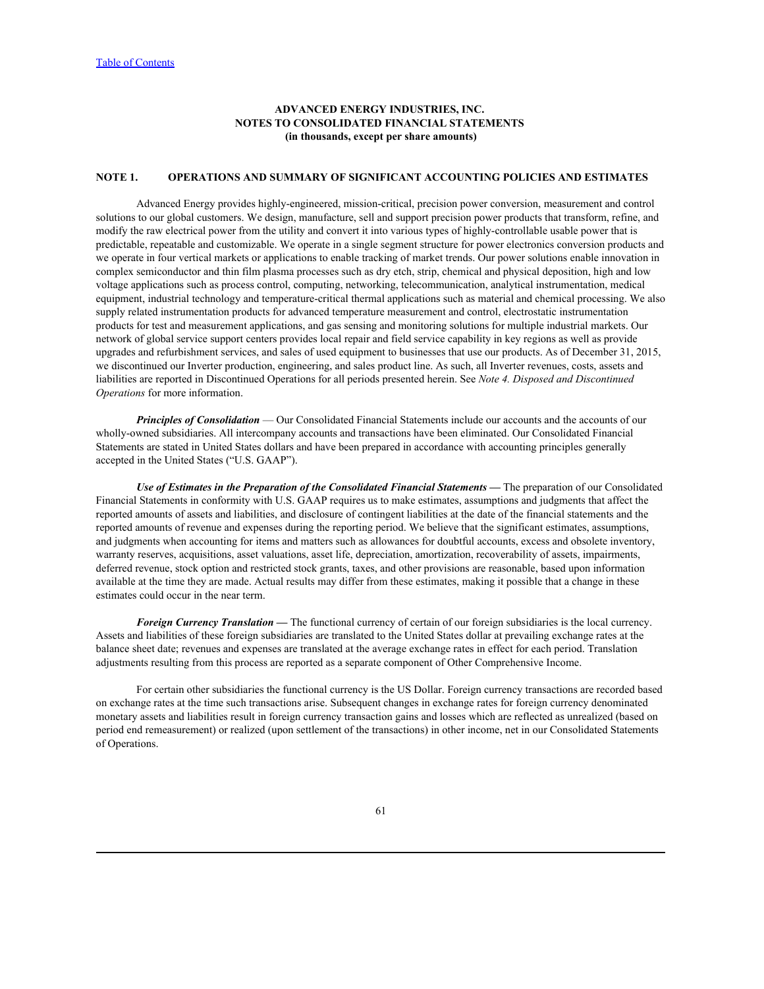#### <span id="page-60-0"></span>**NOTE 1. OPERATIONS AND SUMMARY OF SIGNIFICANT ACCOUNTING POLICIES AND ESTIMATES**

Advanced Energy provides highly-engineered, mission-critical, precision power conversion, measurement and control solutions to our global customers. We design, manufacture, sell and support precision power products that transform, refine, and modify the raw electrical power from the utility and convert it into various types of highly-controllable usable power that is predictable, repeatable and customizable. We operate in a single segment structure for power electronics conversion products and we operate in four vertical markets or applications to enable tracking of market trends. Our power solutions enable innovation in complex semiconductor and thin film plasma processes such as dry etch, strip, chemical and physical deposition, high and low voltage applications such as process control, computing, networking, telecommunication, analytical instrumentation, medical equipment, industrial technology and temperature-critical thermal applications such as material and chemical processing. We also supply related instrumentation products for advanced temperature measurement and control, electrostatic instrumentation products for test and measurement applications, and gas sensing and monitoring solutions for multiple industrial markets. Our network of global service support centers provides local repair and field service capability in key regions as well as provide upgrades and refurbishment services, and sales of used equipment to businesses that use our products. As of December 31, 2015, we discontinued our Inverter production, engineering, and sales product line. As such, all Inverter revenues, costs, assets and liabilities are reported in Discontinued Operations for all periods presented herein. See *Note 4. Disposed and Discontinued Operations* for more information.

*Principles of Consolidation* — Our Consolidated Financial Statements include our accounts and the accounts of our wholly-owned subsidiaries. All intercompany accounts and transactions have been eliminated. Our Consolidated Financial Statements are stated in United States dollars and have been prepared in accordance with accounting principles generally accepted in the United States ("U.S. GAAP").

*Use of Estimates in the Preparation of the Consolidated Financial Statements —* The preparation of our Consolidated Financial Statements in conformity with U.S. GAAP requires us to make estimates, assumptions and judgments that affect the reported amounts of assets and liabilities, and disclosure of contingent liabilities at the date of the financial statements and the reported amounts of revenue and expenses during the reporting period. We believe that the significant estimates, assumptions, and judgments when accounting for items and matters such as allowances for doubtful accounts, excess and obsolete inventory, warranty reserves, acquisitions, asset valuations, asset life, depreciation, amortization, recoverability of assets, impairments, deferred revenue, stock option and restricted stock grants, taxes, and other provisions are reasonable, based upon information available at the time they are made. Actual results may differ from these estimates, making it possible that a change in these estimates could occur in the near term.

*Foreign Currency Translation —* The functional currency of certain of our foreign subsidiaries is the local currency. Assets and liabilities of these foreign subsidiaries are translated to the United States dollar at prevailing exchange rates at the balance sheet date; revenues and expenses are translated at the average exchange rates in effect for each period. Translation adjustments resulting from this process are reported as a separate component of Other Comprehensive Income.

For certain other subsidiaries the functional currency is the US Dollar. Foreign currency transactions are recorded based on exchange rates at the time such transactions arise. Subsequent changes in exchange rates for foreign currency denominated monetary assets and liabilities result in foreign currency transaction gains and losses which are reflected as unrealized (based on period end remeasurement) or realized (upon settlement of the transactions) in other income, net in our Consolidated Statements of Operations.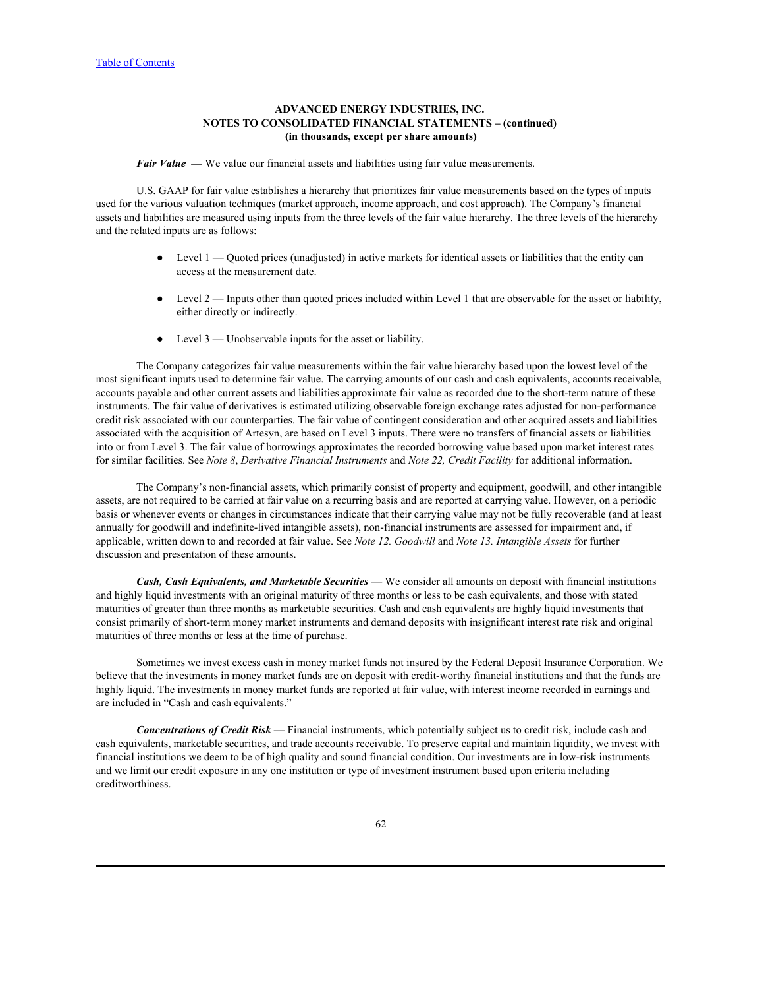*Fair Value* — We value our financial assets and liabilities using fair value measurements.

U.S. GAAP for fair value establishes a hierarchy that prioritizes fair value measurements based on the types of inputs used for the various valuation techniques (market approach, income approach, and cost approach). The Company's financial assets and liabilities are measured using inputs from the three levels of the fair value hierarchy. The three levels of the hierarchy and the related inputs are as follows:

- Level 1 Quoted prices (unadjusted) in active markets for identical assets or liabilities that the entity can access at the measurement date.
- Level 2 Inputs other than quoted prices included within Level 1 that are observable for the asset or liability, either directly or indirectly.
- Level 3 Unobservable inputs for the asset or liability.

The Company categorizes fair value measurements within the fair value hierarchy based upon the lowest level of the most significant inputs used to determine fair value. The carrying amounts of our cash and cash equivalents, accounts receivable, accounts payable and other current assets and liabilities approximate fair value as recorded due to the short-term nature of these instruments. The fair value of derivatives is estimated utilizing observable foreign exchange rates adjusted for non-performance credit risk associated with our counterparties. The fair value of contingent consideration and other acquired assets and liabilities associated with the acquisition of Artesyn, are based on Level 3 inputs. There were no transfers of financial assets or liabilities into or from Level 3. The fair value of borrowings approximates the recorded borrowing value based upon market interest rates for similar facilities. See *Note 8*, *Derivative Financial Instruments* and *Note 22, Credit Facility* for additional information.

The Company's non-financial assets, which primarily consist of property and equipment, goodwill, and other intangible assets, are not required to be carried at fair value on a recurring basis and are reported at carrying value. However, on a periodic basis or whenever events or changes in circumstances indicate that their carrying value may not be fully recoverable (and at least annually for goodwill and indefinite-lived intangible assets), non-financial instruments are assessed for impairment and, if applicable, written down to and recorded at fair value. See *Note 12. Goodwill* and *Note 13. Intangible Assets* for further discussion and presentation of these amounts.

*Cash, Cash Equivalents, and Marketable Securities* — We consider all amounts on deposit with financial institutions and highly liquid investments with an original maturity of three months or less to be cash equivalents, and those with stated maturities of greater than three months as marketable securities. Cash and cash equivalents are highly liquid investments that consist primarily of short-term money market instruments and demand deposits with insignificant interest rate risk and original maturities of three months or less at the time of purchase.

Sometimes we invest excess cash in money market funds not insured by the Federal Deposit Insurance Corporation. We believe that the investments in money market funds are on deposit with credit-worthy financial institutions and that the funds are highly liquid. The investments in money market funds are reported at fair value, with interest income recorded in earnings and are included in "Cash and cash equivalents."

*Concentrations of Credit Risk —* Financial instruments, which potentially subject us to credit risk, include cash and cash equivalents, marketable securities, and trade accounts receivable. To preserve capital and maintain liquidity, we invest with financial institutions we deem to be of high quality and sound financial condition. Our investments are in low-risk instruments and we limit our credit exposure in any one institution or type of investment instrument based upon criteria including creditworthiness.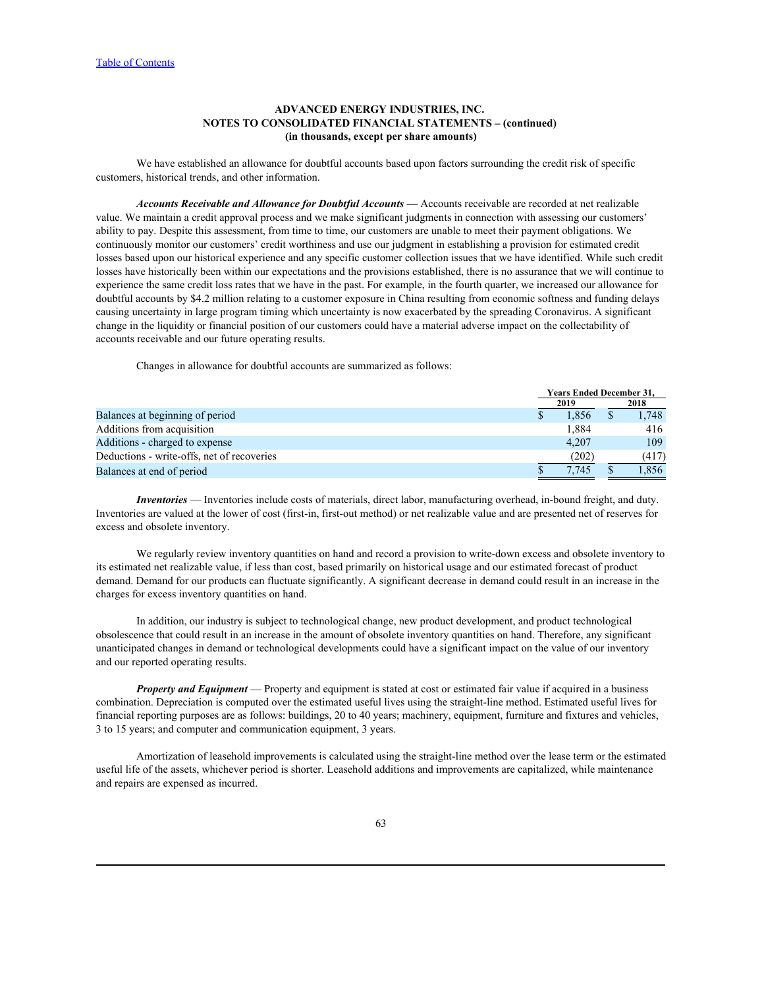We have established an allowance for doubtful accounts based upon factors surrounding the credit risk of specific customers, historical trends, and other information.

*Accounts Receivable and Allowance for Doubtful Accounts —* Accounts receivable are recorded at net realizable value. We maintain a credit approval process and we make significant judgments in connection with assessing our customers' ability to pay. Despite this assessment, from time to time, our customers are unable to meet their payment obligations. We continuously monitor our customers' credit worthiness and use our judgment in establishing a provision for estimated credit losses based upon our historical experience and any specific customer collection issues that we have identified. While such credit losses have historically been within our expectations and the provisions established, there is no assurance that we will continue to experience the same credit loss rates that we have in the past. For example, in the fourth quarter, we increased our allowance for doubtful accounts by \$4.2 million relating to a customer exposure in China resulting from economic softness and funding delays causing uncertainty in large program timing which uncertainty is now exacerbated by the spreading Coronavirus. A significant change in the liquidity or financial position of our customers could have a material adverse impact on the collectability of accounts receivable and our future operating results.

Changes in allowance for doubtful accounts are summarized as follows:

|                                            | <b>Years Ended December 31.</b> |       |  |       |
|--------------------------------------------|---------------------------------|-------|--|-------|
|                                            |                                 | 2019  |  | 2018  |
| Balances at beginning of period            |                                 | 1,856 |  | 1,748 |
| Additions from acquisition                 |                                 | .884  |  | 416   |
| Additions - charged to expense             |                                 | 4,207 |  | 109   |
| Deductions - write-offs, net of recoveries |                                 | (202) |  | (417) |
| Balances at end of period                  |                                 | 7,745 |  | .856  |

*Inventories* — Inventories include costs of materials, direct labor, manufacturing overhead, in-bound freight, and duty. Inventories are valued at the lower of cost (first-in, first-out method) or net realizable value and are presented net of reserves for excess and obsolete inventory.

We regularly review inventory quantities on hand and record a provision to write-down excess and obsolete inventory to its estimated net realizable value, if less than cost, based primarily on historical usage and our estimated forecast of product demand. Demand for our products can fluctuate significantly. A significant decrease in demand could result in an increase in the charges for excess inventory quantities on hand.

In addition, our industry is subject to technological change, new product development, and product technological obsolescence that could result in an increase in the amount of obsolete inventory quantities on hand. Therefore, any significant unanticipated changes in demand or technological developments could have a significant impact on the value of our inventory and our reported operating results.

*Property and Equipment* — Property and equipment is stated at cost or estimated fair value if acquired in a business combination. Depreciation is computed over the estimated useful lives using the straight-line method. Estimated useful lives for financial reporting purposes are as follows: buildings, 20 to 40 years; machinery, equipment, furniture and fixtures and vehicles, 3 to 15 years; and computer and communication equipment, 3 years.

Amortization of leasehold improvements is calculated using the straight-line method over the lease term or the estimated useful life of the assets, whichever period is shorter. Leasehold additions and improvements are capitalized, while maintenance and repairs are expensed as incurred.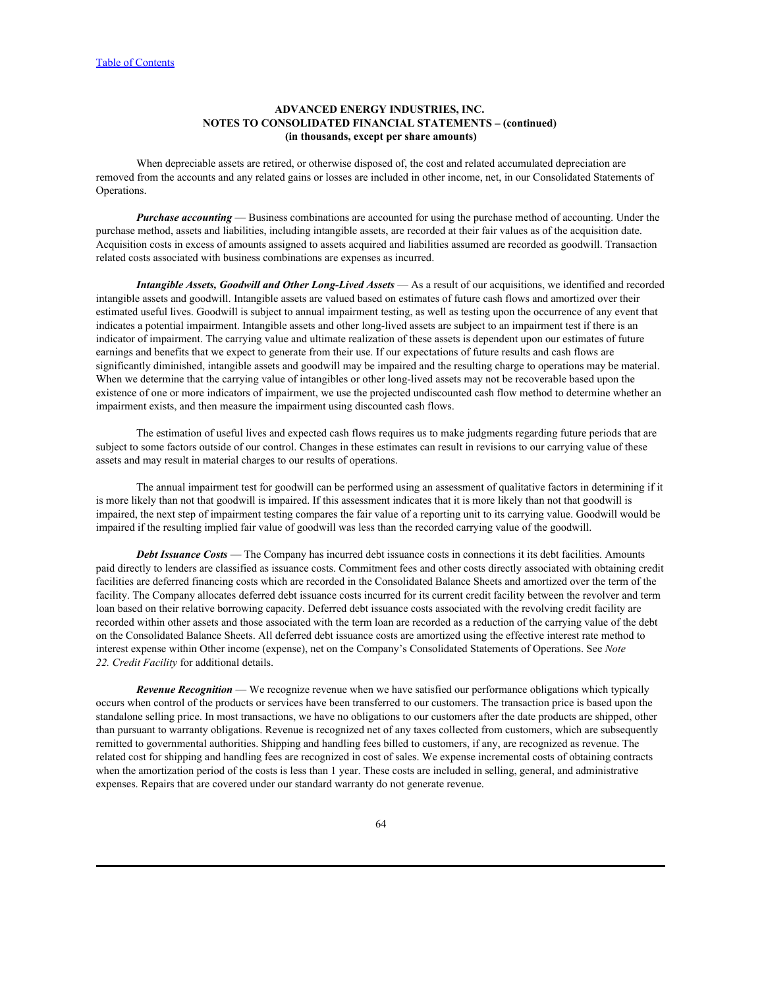When depreciable assets are retired, or otherwise disposed of, the cost and related accumulated depreciation are removed from the accounts and any related gains or losses are included in other income, net, in our Consolidated Statements of Operations.

*Purchase accounting* — Business combinations are accounted for using the purchase method of accounting. Under the purchase method, assets and liabilities, including intangible assets, are recorded at their fair values as of the acquisition date. Acquisition costs in excess of amounts assigned to assets acquired and liabilities assumed are recorded as goodwill. Transaction related costs associated with business combinations are expenses as incurred.

*Intangible Assets, Goodwill and Other Long-Lived Assets* — As a result of our acquisitions, we identified and recorded intangible assets and goodwill. Intangible assets are valued based on estimates of future cash flows and amortized over their estimated useful lives. Goodwill is subject to annual impairment testing, as well as testing upon the occurrence of any event that indicates a potential impairment. Intangible assets and other long-lived assets are subject to an impairment test if there is an indicator of impairment. The carrying value and ultimate realization of these assets is dependent upon our estimates of future earnings and benefits that we expect to generate from their use. If our expectations of future results and cash flows are significantly diminished, intangible assets and goodwill may be impaired and the resulting charge to operations may be material. When we determine that the carrying value of intangibles or other long-lived assets may not be recoverable based upon the existence of one or more indicators of impairment, we use the projected undiscounted cash flow method to determine whether an impairment exists, and then measure the impairment using discounted cash flows.

The estimation of useful lives and expected cash flows requires us to make judgments regarding future periods that are subject to some factors outside of our control. Changes in these estimates can result in revisions to our carrying value of these assets and may result in material charges to our results of operations.

The annual impairment test for goodwill can be performed using an assessment of qualitative factors in determining if it is more likely than not that goodwill is impaired. If this assessment indicates that it is more likely than not that goodwill is impaired, the next step of impairment testing compares the fair value of a reporting unit to its carrying value. Goodwill would be impaired if the resulting implied fair value of goodwill was less than the recorded carrying value of the goodwill.

*Debt Issuance Costs* — The Company has incurred debt issuance costs in connections it its debt facilities. Amounts paid directly to lenders are classified as issuance costs. Commitment fees and other costs directly associated with obtaining credit facilities are deferred financing costs which are recorded in the Consolidated Balance Sheets and amortized over the term of the facility. The Company allocates deferred debt issuance costs incurred for its current credit facility between the revolver and term loan based on their relative borrowing capacity. Deferred debt issuance costs associated with the revolving credit facility are recorded within other assets and those associated with the term loan are recorded as a reduction of the carrying value of the debt on the Consolidated Balance Sheets. All deferred debt issuance costs are amortized using the effective interest rate method to interest expense within Other income (expense), net on the Company's Consolidated Statements of Operations. See *Note 22. Credit Facility* for additional details.

*Revenue Recognition* — We recognize revenue when we have satisfied our performance obligations which typically occurs when control of the products or services have been transferred to our customers. The transaction price is based upon the standalone selling price. In most transactions, we have no obligations to our customers after the date products are shipped, other than pursuant to warranty obligations. Revenue is recognized net of any taxes collected from customers, which are subsequently remitted to governmental authorities. Shipping and handling fees billed to customers, if any, are recognized as revenue. The related cost for shipping and handling fees are recognized in cost of sales. We expense incremental costs of obtaining contracts when the amortization period of the costs is less than 1 year. These costs are included in selling, general, and administrative expenses. Repairs that are covered under our standard warranty do not generate revenue.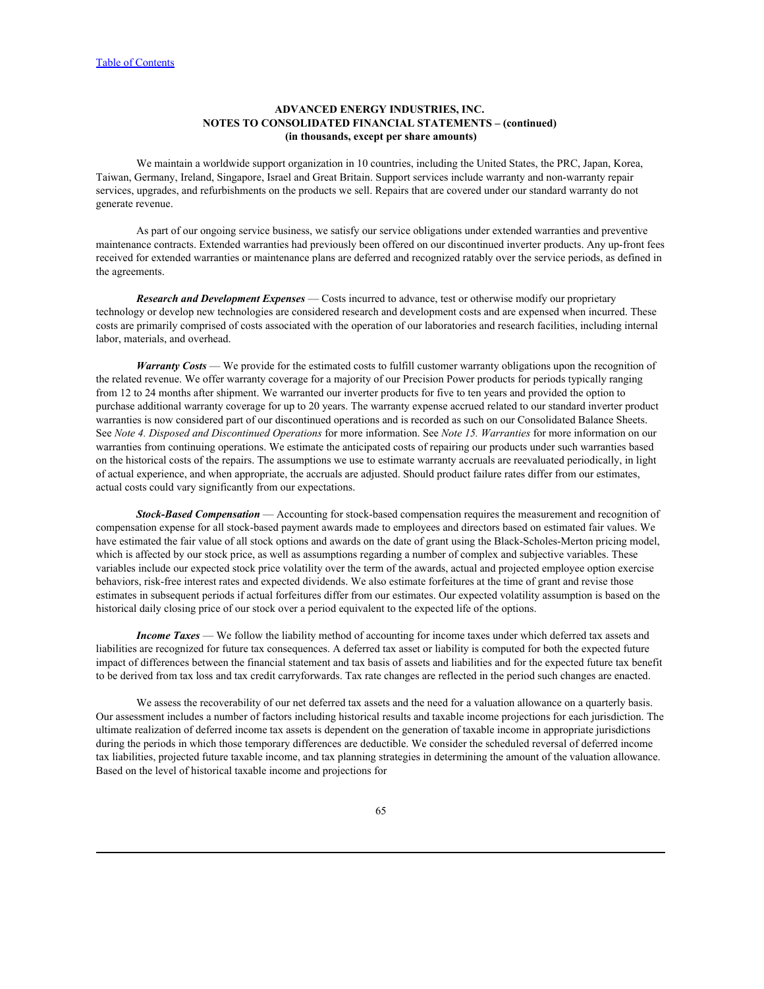We maintain a worldwide support organization in 10 countries, including the United States, the PRC, Japan, Korea, Taiwan, Germany, Ireland, Singapore, Israel and Great Britain. Support services include warranty and non-warranty repair services, upgrades, and refurbishments on the products we sell. Repairs that are covered under our standard warranty do not generate revenue.

As part of our ongoing service business, we satisfy our service obligations under extended warranties and preventive maintenance contracts. Extended warranties had previously been offered on our discontinued inverter products. Any up-front fees received for extended warranties or maintenance plans are deferred and recognized ratably over the service periods, as defined in the agreements.

*Research and Development Expenses* — Costs incurred to advance, test or otherwise modify our proprietary technology or develop new technologies are considered research and development costs and are expensed when incurred. These costs are primarily comprised of costs associated with the operation of our laboratories and research facilities, including internal labor, materials, and overhead.

*Warranty Costs* — We provide for the estimated costs to fulfill customer warranty obligations upon the recognition of the related revenue. We offer warranty coverage for a majority of our Precision Power products for periods typically ranging from 12 to 24 months after shipment. We warranted our inverter products for five to ten years and provided the option to purchase additional warranty coverage for up to 20 years. The warranty expense accrued related to our standard inverter product warranties is now considered part of our discontinued operations and is recorded as such on our Consolidated Balance Sheets. See *Note 4. Disposed and Discontinued Operations* for more information. See *Note 15. Warranties* for more information on our warranties from continuing operations. We estimate the anticipated costs of repairing our products under such warranties based on the historical costs of the repairs. The assumptions we use to estimate warranty accruals are reevaluated periodically, in light of actual experience, and when appropriate, the accruals are adjusted. Should product failure rates differ from our estimates, actual costs could vary significantly from our expectations.

*Stock-Based Compensation* — Accounting for stock-based compensation requires the measurement and recognition of compensation expense for all stock-based payment awards made to employees and directors based on estimated fair values. We have estimated the fair value of all stock options and awards on the date of grant using the Black-Scholes-Merton pricing model, which is affected by our stock price, as well as assumptions regarding a number of complex and subjective variables. These variables include our expected stock price volatility over the term of the awards, actual and projected employee option exercise behaviors, risk-free interest rates and expected dividends. We also estimate forfeitures at the time of grant and revise those estimates in subsequent periods if actual forfeitures differ from our estimates. Our expected volatility assumption is based on the historical daily closing price of our stock over a period equivalent to the expected life of the options.

*Income Taxes* — We follow the liability method of accounting for income taxes under which deferred tax assets and liabilities are recognized for future tax consequences. A deferred tax asset or liability is computed for both the expected future impact of differences between the financial statement and tax basis of assets and liabilities and for the expected future tax benefit to be derived from tax loss and tax credit carryforwards. Tax rate changes are reflected in the period such changes are enacted.

We assess the recoverability of our net deferred tax assets and the need for a valuation allowance on a quarterly basis. Our assessment includes a number of factors including historical results and taxable income projections for each jurisdiction. The ultimate realization of deferred income tax assets is dependent on the generation of taxable income in appropriate jurisdictions during the periods in which those temporary differences are deductible. We consider the scheduled reversal of deferred income tax liabilities, projected future taxable income, and tax planning strategies in determining the amount of the valuation allowance. Based on the level of historical taxable income and projections for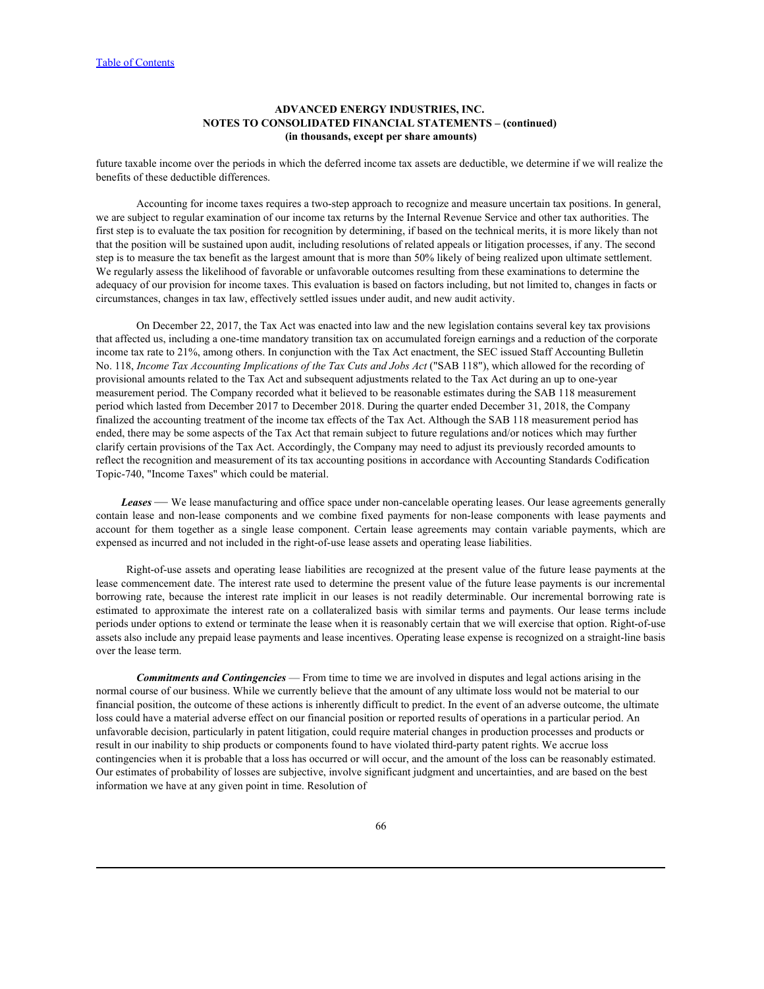future taxable income over the periods in which the deferred income tax assets are deductible, we determine if we will realize the benefits of these deductible differences.

Accounting for income taxes requires a two-step approach to recognize and measure uncertain tax positions. In general, we are subject to regular examination of our income tax returns by the Internal Revenue Service and other tax authorities. The first step is to evaluate the tax position for recognition by determining, if based on the technical merits, it is more likely than not that the position will be sustained upon audit, including resolutions of related appeals or litigation processes, if any. The second step is to measure the tax benefit as the largest amount that is more than 50% likely of being realized upon ultimate settlement. We regularly assess the likelihood of favorable or unfavorable outcomes resulting from these examinations to determine the adequacy of our provision for income taxes. This evaluation is based on factors including, but not limited to, changes in facts or circumstances, changes in tax law, effectively settled issues under audit, and new audit activity.

On December 22, 2017, the Tax Act was enacted into law and the new legislation contains several key tax provisions that affected us, including a one-time mandatory transition tax on accumulated foreign earnings and a reduction of the corporate income tax rate to 21%, among others. In conjunction with the Tax Act enactment, the SEC issued Staff Accounting Bulletin No. 118, *Income Tax Accounting Implications of the Tax Cuts and Jobs Act* ("SAB 118"), which allowed for the recording of provisional amounts related to the Tax Act and subsequent adjustments related to the Tax Act during an up to one-year measurement period. The Company recorded what it believed to be reasonable estimates during the SAB 118 measurement period which lasted from December 2017 to December 2018. During the quarter ended December 31, 2018, the Company finalized the accounting treatment of the income tax effects of the Tax Act. Although the SAB 118 measurement period has ended, there may be some aspects of the Tax Act that remain subject to future regulations and/or notices which may further clarify certain provisions of the Tax Act. Accordingly, the Company may need to adjust its previously recorded amounts to reflect the recognition and measurement of its tax accounting positions in accordance with Accounting Standards Codification Topic-740, "Income Taxes" which could be material. **COLUME ACTION ANDER ACTION CONSULTER CONTENTENTS. Continued in the container of the components of the components (a) COLUME CONTENTS. Container if we will retaine the members of the and components (a) Container ( NOTES TO CONSOLIDATES (CONTERNOTES) FORMATION Continued)**<br> **Charge the set of the defected in which the deferred income tax assets are denoted in two will resize the<br>
defected in the defected in the single payment of** Accounting for income taxes requires a two-step approach to recognize and measure uncertain tax positions. Its hereafter to regular contained for of interest and interest the interest and the determinable of the interest Associates to reader the two-relates equilibre to the interest on the equilibre interest in two specifics. In the collateral terms of the interest of the collateral methanolic first pair of the collateral methanolic first

*Leases* — We lease manufacturing and office space under non-cancelable operating leases. Our lease agreements generally expensed as incurred and not included in the right-of-use lease assets and operating lease liabilities.

Right-of-use assets and operating lease liabilities are recognized at the present value of the future lease payments at the lease commencement date. The interest rate used to determine the present value of the future lease payments is our incremental periods under options to extend or terminate the lease when it is reasonably certain that we will exercise that option. Right-of-use assets also include any prepaid lease payments and lease incentives. Operating lease expense is recognized on a straight-line basis over the lease term.

*Commitments and Contingencies* — From time to time we are involved in disputes and legal actions arising in the normal course of our business. While we currently believe that the amount of any ultimate loss would not be material to our financial position, the outcome of these actions is inherently difficult to predict. In the event of an adverse outcome, the ultimate loss could have a material adverse effect on our financial position or reported results of operations in a particular period. An unfavorable decision, particularly in patent litigation, could require material changes in production processes and products or result in our inability to ship products or components found to have violated third-party patent rights. We accrue loss contingencies when it is probable that a loss has occurred or will occur, and the amount of the loss can be reasonably estimated. Our estimates of probability of losses are subjective, involve significant judgment and uncertainties, and are based on the best information we have at any given point in time. Resolution of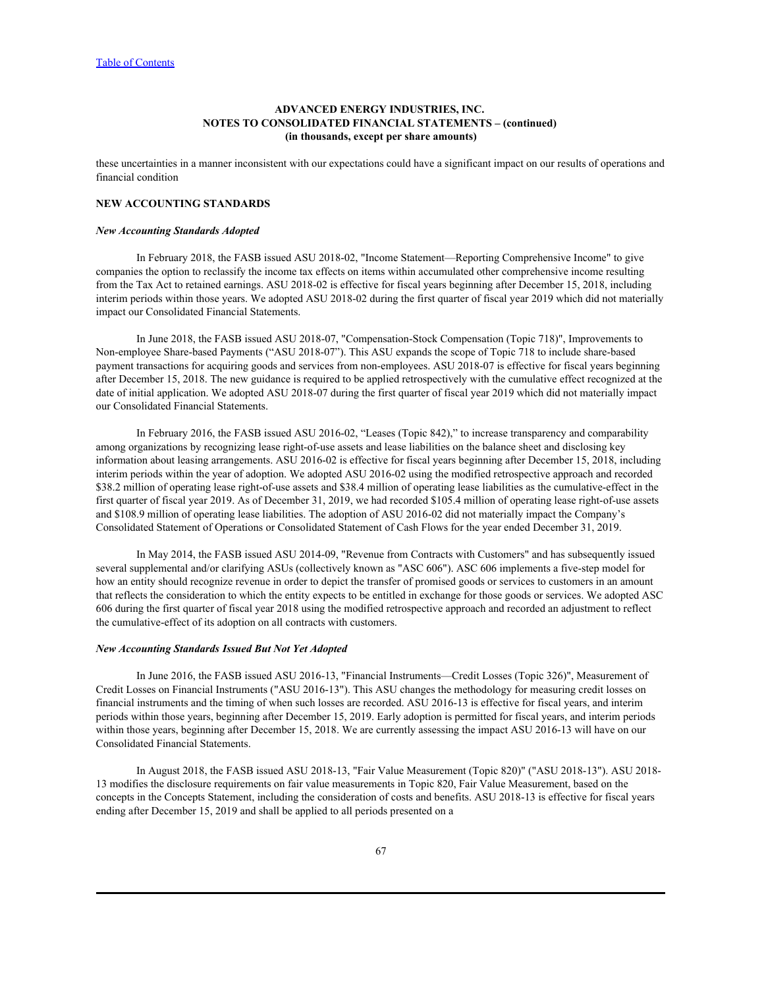these uncertainties in a manner inconsistent with our expectations could have a significant impact on our results of operations and financial condition

## **NEW ACCOUNTING STANDARDS**

## *New Accounting Standards Adopted*

In February 2018, the FASB issued ASU 2018-02, "Income Statement—Reporting Comprehensive Income" to give companies the option to reclassify the income tax effects on items within accumulated other comprehensive income resulting from the Tax Act to retained earnings. ASU 2018-02 is effective for fiscal years beginning after December 15, 2018, including interim periods within those years. We adopted ASU 2018-02 during the first quarter of fiscal year 2019 which did not materially impact our Consolidated Financial Statements.

In June 2018, the FASB issued ASU 2018-07, "Compensation-Stock Compensation (Topic 718)", Improvements to Non-employee Share-based Payments ("ASU 2018-07"). This ASU expands the scope of Topic 718 to include share-based payment transactions for acquiring goods and services from non-employees. ASU 2018-07 is effective for fiscal years beginning after December 15, 2018. The new guidance is required to be applied retrospectively with the cumulative effect recognized at the date of initial application. We adopted ASU 2018-07 during the first quarter of fiscal year 2019 which did not materially impact our Consolidated Financial Statements.

In February 2016, the FASB issued ASU 2016-02, "Leases (Topic 842)," to increase transparency and comparability among organizations by recognizing lease right-of-use assets and lease liabilities on the balance sheet and disclosing key information about leasing arrangements. ASU 2016-02 is effective for fiscal years beginning after December 15, 2018, including interim periods within the year of adoption. We adopted ASU 2016-02 using the modified retrospective approach and recorded \$38.2 million of operating lease right-of-use assets and \$38.4 million of operating lease liabilities as the cumulative-effect in the first quarter of fiscal year 2019. As of December 31, 2019, we had recorded \$105.4 million of operating lease right-of-use assets and \$108.9 million of operating lease liabilities. The adoption of ASU 2016-02 did not materially impact the Company's Consolidated Statement of Operations or Consolidated Statement of Cash Flows for the year ended December 31, 2019.

In May 2014, the FASB issued ASU 2014-09, "Revenue from Contracts with Customers" and has subsequently issued several supplemental and/or clarifying ASUs (collectively known as "ASC 606"). ASC 606 implements a five-step model for how an entity should recognize revenue in order to depict the transfer of promised goods or services to customers in an amount that reflects the consideration to which the entity expects to be entitled in exchange for those goods or services. We adopted ASC 606 during the first quarter of fiscal year 2018 using the modified retrospective approach and recorded an adjustment to reflect the cumulative-effect of its adoption on all contracts with customers.

#### *New Accounting Standards Issued But Not Yet Adopted*

In June 2016, the FASB issued ASU 2016-13, "Financial Instruments—Credit Losses (Topic 326)", Measurement of Credit Losses on Financial Instruments ("ASU 2016-13"). This ASU changes the methodology for measuring credit losses on financial instruments and the timing of when such losses are recorded. ASU 2016-13 is effective for fiscal years, and interim periods within those years, beginning after December 15, 2019. Early adoption is permitted for fiscal years, and interim periods within those years, beginning after December 15, 2018. We are currently assessing the impact ASU 2016-13 will have on our Consolidated Financial Statements.

In August 2018, the FASB issued ASU 2018-13, "Fair Value Measurement (Topic 820)" ("ASU 2018-13"). ASU 2018- 13 modifies the disclosure requirements on fair value measurements in Topic 820, Fair Value Measurement, based on the concepts in the Concepts Statement, including the consideration of costs and benefits. ASU 2018-13 is effective for fiscal years ending after December 15, 2019 and shall be applied to all periods presented on a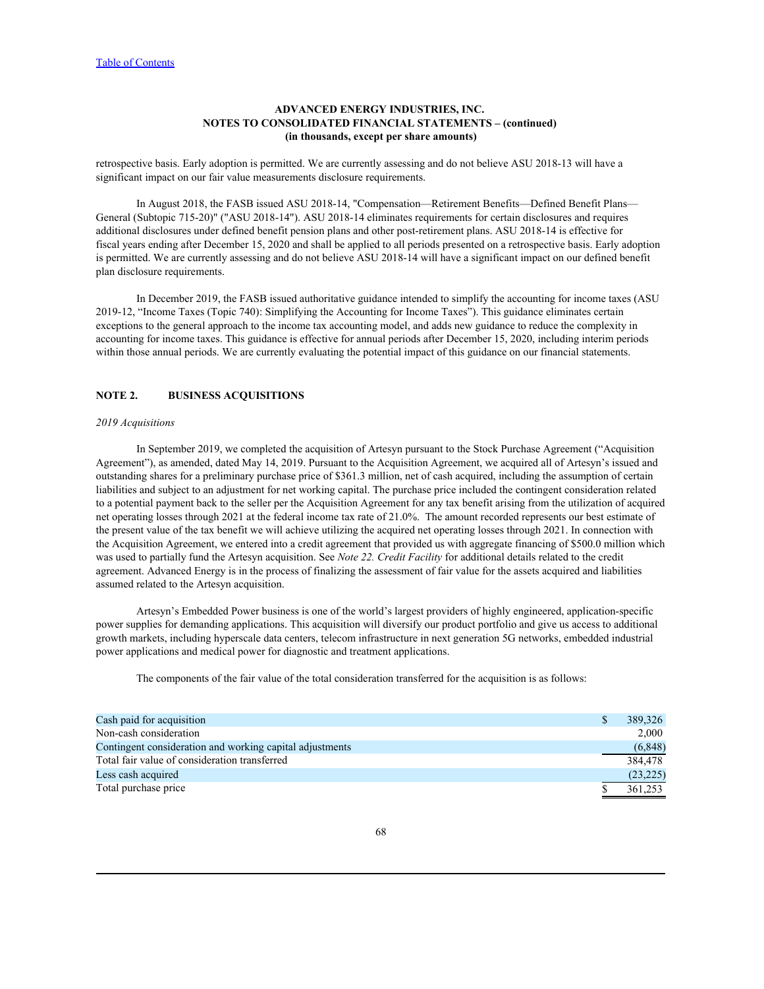retrospective basis. Early adoption is permitted. We are currently assessing and do not believe ASU 2018-13 will have a significant impact on our fair value measurements disclosure requirements.

In August 2018, the FASB issued ASU 2018-14, "Compensation—Retirement Benefits—Defined Benefit Plans— General (Subtopic 715-20)" ("ASU 2018-14"). ASU 2018-14 eliminates requirements for certain disclosures and requires additional disclosures under defined benefit pension plans and other post-retirement plans. ASU 2018-14 is effective for fiscal years ending after December 15, 2020 and shall be applied to all periods presented on a retrospective basis. Early adoption is permitted. We are currently assessing and do not believe ASU 2018-14 will have a significant impact on our defined benefit plan disclosure requirements.

In December 2019, the FASB issued authoritative guidance intended to simplify the accounting for income taxes (ASU 2019-12, "Income Taxes (Topic 740): Simplifying the Accounting for Income Taxes"). This guidance eliminates certain exceptions to the general approach to the income tax accounting model, and adds new guidance to reduce the complexity in accounting for income taxes. This guidance is effective for annual periods after December 15, 2020, including interim periods within those annual periods. We are currently evaluating the potential impact of this guidance on our financial statements.

# **NOTE 2. BUSINESS ACQUISITIONS**

#### *2019 Acquisitions*

In September 2019, we completed the acquisition of Artesyn pursuant to the Stock Purchase Agreement ("Acquisition Agreement"), as amended, dated May 14, 2019. Pursuant to the Acquisition Agreement, we acquired all of Artesyn's issued and outstanding shares for a preliminary purchase price of \$361.3 million, net of cash acquired, including the assumption of certain liabilities and subject to an adjustment for net working capital. The purchase price included the contingent consideration related to a potential payment back to the seller per the Acquisition Agreement for any tax benefit arising from the utilization of acquired net operating losses through 2021 at the federal income tax rate of 21.0%. The amount recorded represents our best estimate of the present value of the tax benefit we will achieve utilizing the acquired net operating losses through 2021. In connection with the Acquisition Agreement, we entered into a credit agreement that provided us with aggregate financing of \$500.0 million which was used to partially fund the Artesyn acquisition. See *Note 22. Credit Facility* for additional details related to the credit agreement. Advanced Energy is in the process of finalizing the assessment of fair value for the assets acquired and liabilities assumed related to the Artesyn acquisition.

Artesyn's Embedded Power business is one of the world's largest providers of highly engineered, application-specific power supplies for demanding applications. This acquisition will diversify our product portfolio and give us access to additional growth markets, including hyperscale data centers, telecom infrastructure in next generation 5G networks, embedded industrial power applications and medical power for diagnostic and treatment applications.

The components of the fair value of the total consideration transferred for the acquisition is as follows:

| 389,326   |
|-----------|
| 2,000     |
| (6,848)   |
| 384,478   |
| (23, 225) |
| 361,253   |
|           |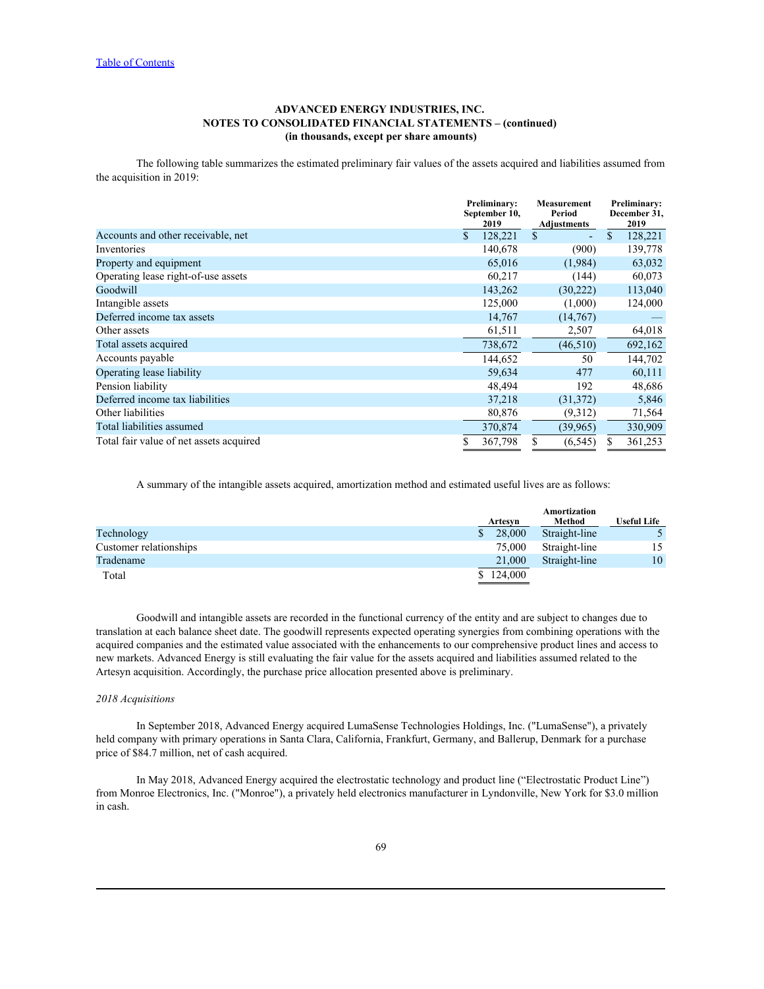The following table summarizes the estimated preliminary fair values of the assets acquired and liabilities assumed from the acquisition in 2019:

|                                         | Preliminary:<br>September 10,<br>2019 | Measurement<br>Period<br>Adjustments | Preliminary:<br>December 31,<br>2019 |
|-----------------------------------------|---------------------------------------|--------------------------------------|--------------------------------------|
| Accounts and other receivable, net      | 128,221                               | $\sim$                               | 128,221                              |
| Inventories                             | 140,678                               | (900)                                | 139,778                              |
| Property and equipment                  | 65,016                                | (1,984)                              | 63,032                               |
| Operating lease right-of-use assets     | 60,217                                | (144)                                | 60,073                               |
| Goodwill                                | 143,262                               | (30,222)                             | 113,040                              |
| Intangible assets                       | 125,000                               | (1,000)                              | 124,000                              |
| Deferred income tax assets              | 14,767                                | (14,767)                             |                                      |
| Other assets                            | 61,511                                | 2,507                                | 64,018                               |
| Total assets acquired                   | 738,672                               | (46, 510)                            | 692,162                              |
| Accounts payable                        | 144,652                               | 50                                   | 144,702                              |
| Operating lease liability               | 59,634                                | 477                                  | 60,111                               |
| Pension liability                       | 48,494                                | 192                                  | 48,686                               |
| Deferred income tax liabilities         | 37,218                                | (31,372)                             | 5,846                                |
| Other liabilities                       | 80,876                                | (9,312)                              | 71,564                               |
| Total liabilities assumed               | 370,874                               | (39, 965)                            | 330,909                              |
| Total fair value of net assets acquired | 367,798                               | (6, 545)                             | 361,253                              |

A summary of the intangible assets acquired, amortization method and estimated useful lives are as follows:

|                        |                  | Amortization  |                    |  |
|------------------------|------------------|---------------|--------------------|--|
|                        | Artesyn          | Method        | <b>Useful Life</b> |  |
| Technology             | 28,000           | Straight-line |                    |  |
| Customer relationships | 75,000           | Straight-line |                    |  |
| Tradename              | 21,000           | Straight-line | 10                 |  |
| Total                  | 124,000<br>_____ |               |                    |  |

Goodwill and intangible assets are recorded in the functional currency of the entity and are subject to changes due to translation at each balance sheet date. The goodwill represents expected operating synergies from combining operations with the acquired companies and the estimated value associated with the enhancements to our comprehensive product lines and access to new markets. Advanced Energy is still evaluating the fair value for the assets acquired and liabilities assumed related to the Artesyn acquisition. Accordingly, the purchase price allocation presented above is preliminary.

## *2018 Acquisitions*

In September 2018, Advanced Energy acquired LumaSense Technologies Holdings, Inc. ("LumaSense"), a privately held company with primary operations in Santa Clara, California, Frankfurt, Germany, and Ballerup, Denmark for a purchase price of \$84.7 million, net of cash acquired.

In May 2018, Advanced Energy acquired the electrostatic technology and product line ("Electrostatic Product Line") from Monroe Electronics, Inc. ("Monroe"), a privately held electronics manufacturer in Lyndonville, New York for \$3.0 million in cash.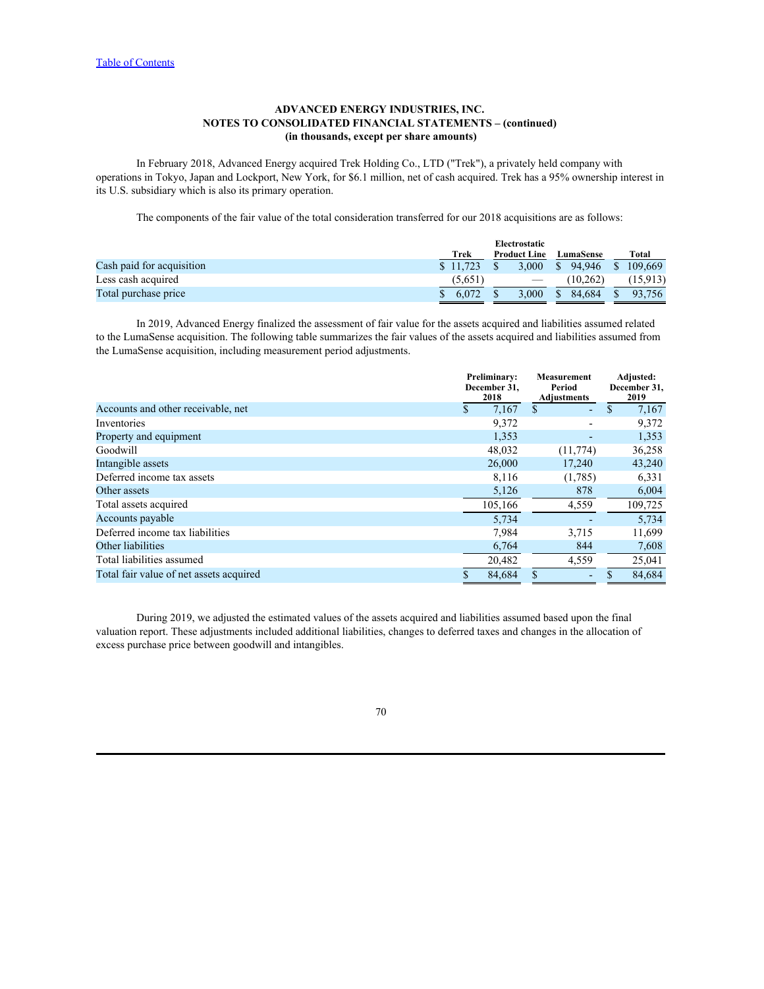In February 2018, Advanced Energy acquired Trek Holding Co., LTD ("Trek"), a privately held company with operations in Tokyo, Japan and Lockport, New York, for \$6.1 million, net of cash acquired. Trek has a 95% ownership interest in its U.S. subsidiary which is also its primary operation.

The components of the fair value of the total consideration transferred for our 2018 acquisitions are as follows:

|                           |             | Electrostatic       |           |          |
|---------------------------|-------------|---------------------|-----------|----------|
|                           | <b>Trek</b> | <b>Product Line</b> | LumaSense | Total    |
| Cash paid for acquisition | 11,723      | 000,                | 94,946    | 109,669  |
| Less cash acquired        | (5,651)     |                     | (10, 262) | (15,913) |
| Total purchase price      | 6,072       | 000,                | 84,684    | 93,756   |

In 2019, Advanced Energy finalized the assessment of fair value for the assets acquired and liabilities assumed related to the LumaSense acquisition. The following table summarizes the fair values of the assets acquired and liabilities assumed from the LumaSense acquisition, including measurement period adjustments.

|                                         | Preliminary:<br>December 31.<br>2018 | Measurement<br>Period<br><b>Adjustments</b> | Adjusted:<br>December 31,<br>2019 |  |
|-----------------------------------------|--------------------------------------|---------------------------------------------|-----------------------------------|--|
| Accounts and other receivable, net      | 7,167                                | $\sim$                                      | 7,167<br><sup>\$</sup>            |  |
| Inventories                             | 9,372                                | $\overline{\phantom{0}}$                    | 9,372                             |  |
| Property and equipment                  | 1,353                                | $\overline{\phantom{0}}$                    | 1,353                             |  |
| Goodwill                                | 48,032                               | (11, 774)                                   | 36,258                            |  |
| Intangible assets                       | 26,000                               | 17,240                                      | 43,240                            |  |
| Deferred income tax assets              | 8,116                                | (1,785)                                     | 6,331                             |  |
| Other assets                            | 5,126                                | 878                                         | 6,004                             |  |
| Total assets acquired                   | 105,166                              | 4,559                                       | 109,725                           |  |
| Accounts payable                        | 5,734                                |                                             | 5,734                             |  |
| Deferred income tax liabilities         | 7,984                                | 3,715                                       | 11,699                            |  |
| Other liabilities                       | 6,764                                | 844                                         | 7,608                             |  |
| Total liabilities assumed               | 20,482                               | 4,559                                       | 25,041                            |  |
| Total fair value of net assets acquired | 84,684                               |                                             | 84,684                            |  |
|                                         |                                      |                                             |                                   |  |

During 2019, we adjusted the estimated values of the assets acquired and liabilities assumed based upon the final valuation report. These adjustments included additional liabilities, changes to deferred taxes and changes in the allocation of excess purchase price between goodwill and intangibles.

70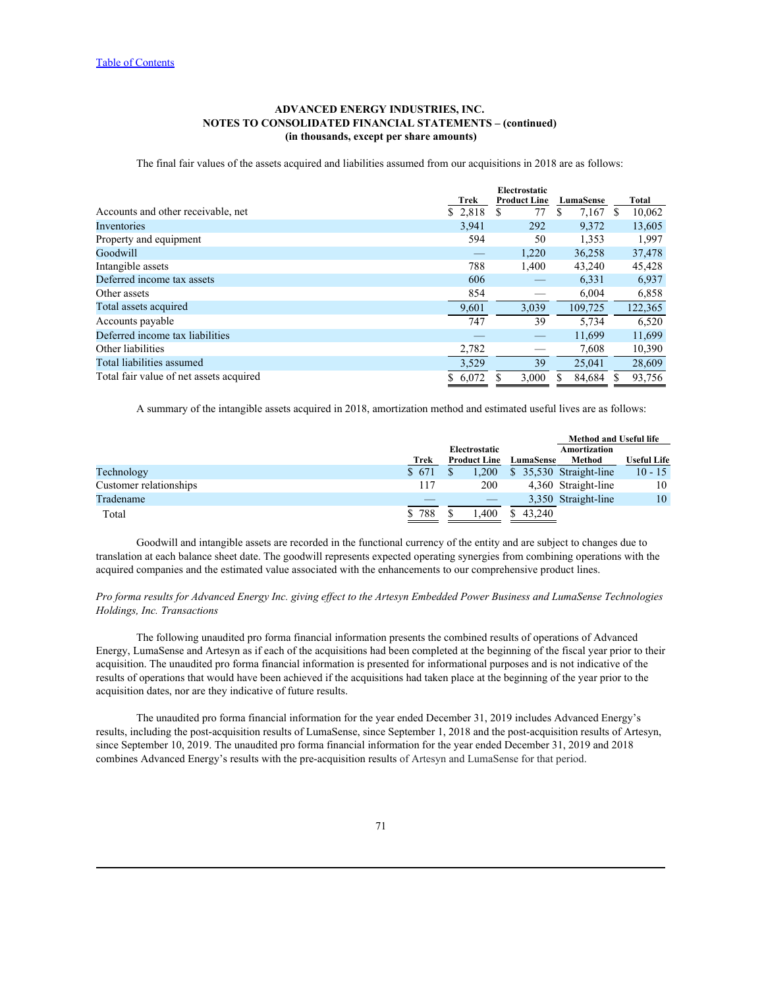The final fair values of the assets acquired and liabilities assumed from our acquisitions in 2018 are as follows:

|                                         |               | Electrostatic                   |               |               |
|-----------------------------------------|---------------|---------------------------------|---------------|---------------|
|                                         | Trek          | <b>Product Line</b>             | LumaSense     | Total         |
| Accounts and other receivable, net      | \$2,818       | 77                              | 7,167<br>- 55 | 10,062<br>- 8 |
| Inventories                             | 3,941         | 292                             | 9,372         | 13,605        |
| Property and equipment                  | 594           | 50                              | 1,353         | 1,997         |
| Goodwill                                |               | 1,220                           | 36,258        | 37,478        |
| Intangible assets                       | 788           | 1,400                           | 43,240        | 45,428        |
| Deferred income tax assets              | 606           | $\hspace{0.05cm}$               | 6,331         | 6,937         |
| Other assets                            | 854           | $\hspace{0.05cm}$               | 6,004         | 6,858         |
| Total assets acquired                   | 9,601         | 3,039                           | 109,725       | 122,365       |
| Accounts payable                        | 747           | 39                              | 5,734         | 6,520         |
| Deferred income tax liabilities         | $-$           | $\hspace{0.1mm}-\hspace{0.1mm}$ | 11,699        | 11,699        |
| Other liabilities                       | 2,782         |                                 | 7,608         | 10,390        |
| Total liabilities assumed               | 3,529         | 39                              | 25,041        | 28,609        |
| Total fair value of net assets acquired | $$6,072$ \ \$ | 3,000                           | 84,684        | 93,756        |

A summary of the intangible assets acquired in 2018, amortization method and estimated useful lives are as follows:

|       | <b>Method and Useful life</b> |          |                                                                                        |                                                                                 |  |
|-------|-------------------------------|----------|----------------------------------------------------------------------------------------|---------------------------------------------------------------------------------|--|
|       |                               |          | Amortization                                                                           |                                                                                 |  |
| Trek  |                               |          | Method                                                                                 | <b>Useful Life</b>                                                              |  |
| \$671 |                               |          |                                                                                        | $10 - 15$                                                                       |  |
| 117   |                               |          |                                                                                        | 10                                                                              |  |
|       |                               |          |                                                                                        | 10                                                                              |  |
| , 788 |                               | \$43,240 |                                                                                        |                                                                                 |  |
|       |                               | ,200     | Electrostatic<br><b>Product Line</b><br>200<br>$\hspace{0.1mm}-\hspace{0.1mm}$<br>,400 | LumaSense<br>35,530 Straight-line<br>4,360 Straight-line<br>3,350 Straight-line |  |

Goodwill and intangible assets are recorded in the functional currency of the entity and are subject to changes due to translation at each balance sheet date. The goodwill represents expected operating synergies from combining operations with the acquired companies and the estimated value associated with the enhancements to our comprehensive product lines.

# *Pro forma results for Advanced Energy Inc. giving effect to the Artesyn Embedded Power Business and LumaSense Technologies Holdings, Inc. Transactions*

The following unaudited pro forma financial information presents the combined results of operations of Advanced Energy, LumaSense and Artesyn as if each of the acquisitions had been completed at the beginning of the fiscal year prior to their acquisition. The unaudited pro forma financial information is presented for informational purposes and is not indicative of the results of operations that would have been achieved if the acquisitions had taken place at the beginning of the year prior to the acquisition dates, nor are they indicative of future results.

The unaudited pro forma financial information for the year ended December 31, 2019 includes Advanced Energy's results, including the post-acquisition results of LumaSense, since September 1, 2018 and the post-acquisition results of Artesyn, since September 10, 2019. The unaudited pro forma financial information for the year ended December 31, 2019 and 2018 combines Advanced Energy's results with the pre-acquisition results of Artesyn and LumaSense for that period.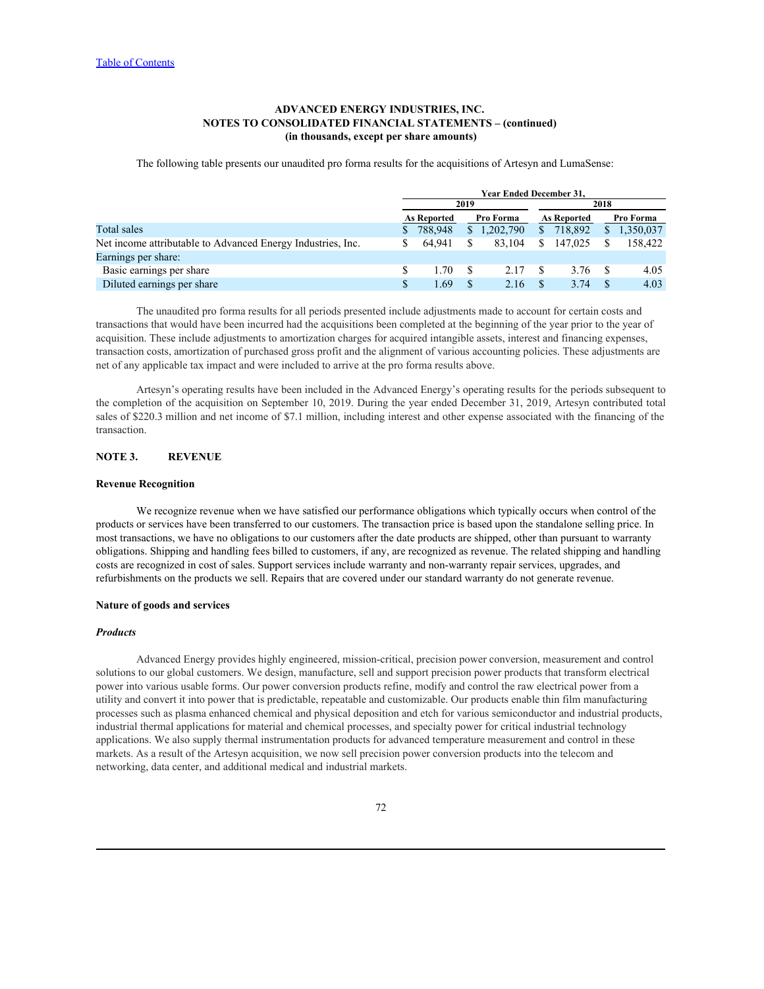The following table presents our unaudited pro forma results for the acquisitions of Artesyn and LumaSense:

|                                                             | Year Ended December 31, |                    |  |           |  |                    |  |           |  |  |
|-------------------------------------------------------------|-------------------------|--------------------|--|-----------|--|--------------------|--|-----------|--|--|
|                                                             |                         | 2019               |  |           |  | 2018               |  |           |  |  |
|                                                             |                         | <b>As Reported</b> |  | Pro Forma |  | <b>As Reported</b> |  | Pro Forma |  |  |
| Total sales                                                 |                         | 788,948            |  | ,202,790  |  | 718,892            |  | ,350,037  |  |  |
| Net income attributable to Advanced Energy Industries, Inc. |                         | 64.941             |  | 83.104    |  | 147,025            |  | 158,422   |  |  |
| Earnings per share:                                         |                         |                    |  |           |  |                    |  |           |  |  |
| Basic earnings per share                                    |                         | .70                |  | 2.17      |  | 3.76               |  | 4.05      |  |  |
| Diluted earnings per share                                  |                         | .69                |  | 2.16      |  | 3.74               |  | 4.03      |  |  |

The unaudited pro forma results for all periods presented include adjustments made to account for certain costs and transactions that would have been incurred had the acquisitions been completed at the beginning of the year prior to the year of acquisition. These include adjustments to amortization charges for acquired intangible assets, interest and financing expenses, transaction costs, amortization of purchased gross profit and the alignment of various accounting policies. These adjustments are net of any applicable tax impact and were included to arrive at the pro forma results above.

Artesyn's operating results have been included in the Advanced Energy's operating results for the periods subsequent to the completion of the acquisition on September 10, 2019. During the year ended December 31, 2019, Artesyn contributed total sales of \$220.3 million and net income of \$7.1 million, including interest and other expense associated with the financing of the transaction.

### **NOTE 3. REVENUE**

#### **Revenue Recognition**

We recognize revenue when we have satisfied our performance obligations which typically occurs when control of the products or services have been transferred to our customers. The transaction price is based upon the standalone selling price. In most transactions, we have no obligations to our customers after the date products are shipped, other than pursuant to warranty obligations. Shipping and handling fees billed to customers, if any, are recognized as revenue. The related shipping and handling costs are recognized in cost of sales. Support services include warranty and non-warranty repair services, upgrades, and refurbishments on the products we sell. Repairs that are covered under our standard warranty do not generate revenue.

#### **Nature of goods and services**

#### *Products*

Advanced Energy provides highly engineered, mission-critical, precision power conversion, measurement and control solutions to our global customers. We design, manufacture, sell and support precision power products that transform electrical power into various usable forms. Our power conversion products refine, modify and control the raw electrical power from a utility and convert it into power that is predictable, repeatable and customizable. Our products enable thin film manufacturing processes such as plasma enhanced chemical and physical deposition and etch for various semiconductor and industrial products, industrial thermal applications for material and chemical processes, and specialty power for critical industrial technology applications. We also supply thermal instrumentation products for advanced temperature measurement and control in these markets. As a result of the Artesyn acquisition, we now sell precision power conversion products into the telecom and networking, data center, and additional medical and industrial markets.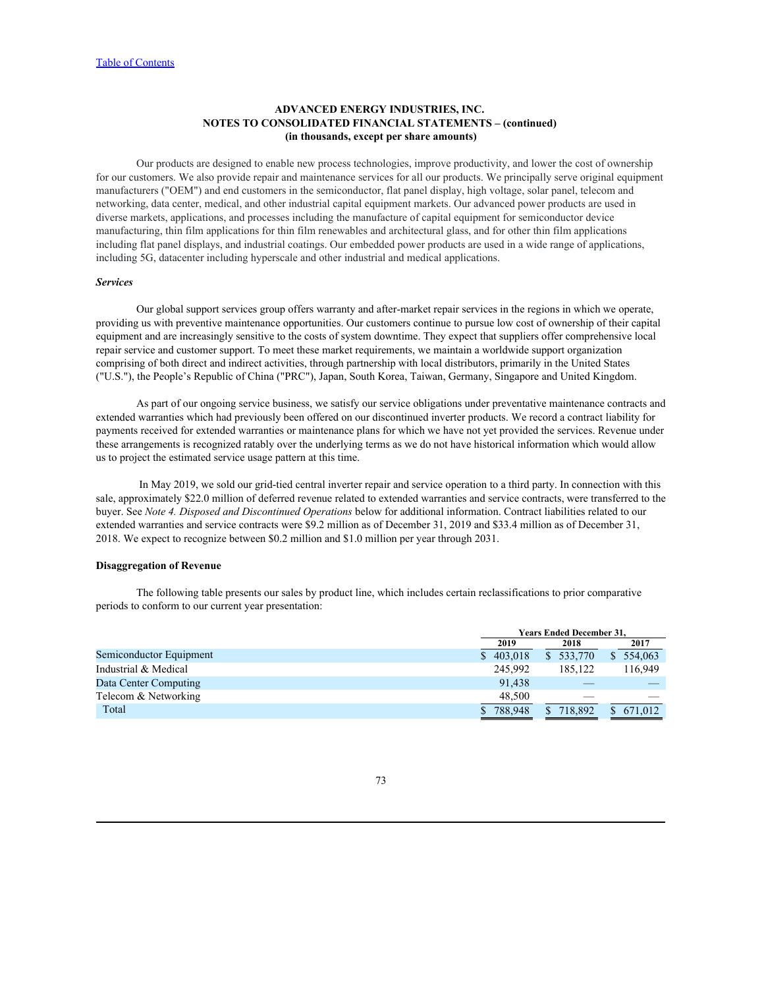Our products are designed to enable new process technologies, improve productivity, and lower the cost of ownership for our customers. We also provide repair and maintenance services for all our products. We principally serve original equipment manufacturers ("OEM") and end customers in the semiconductor, flat panel display, high voltage, solar panel, telecom and networking, data center, medical, and other industrial capital equipment markets. Our advanced power products are used in diverse markets, applications, and processes including the manufacture of capital equipment for semiconductor device manufacturing, thin film applications for thin film renewables and architectural glass, and for other thin film applications including flat panel displays, and industrial coatings. Our embedded power products are used in a wide range of applications, including 5G, datacenter including hyperscale and other industrial and medical applications.

#### *Services*

Our global support services group offers warranty and after-market repair services in the regions in which we operate, providing us with preventive maintenance opportunities. Our customers continue to pursue low cost of ownership of their capital equipment and are increasingly sensitive to the costs of system downtime. They expect that suppliers offer comprehensive local repair service and customer support. To meet these market requirements, we maintain a worldwide support organization comprising of both direct and indirect activities, through partnership with local distributors, primarily in the United States ("U.S."), the People's Republic of China ("PRC"), Japan, South Korea, Taiwan, Germany, Singapore and United Kingdom.

As part of our ongoing service business, we satisfy our service obligations under preventative maintenance contracts and extended warranties which had previously been offered on our discontinued inverter products. We record a contract liability for payments received for extended warranties or maintenance plans for which we have not yet provided the services. Revenue under these arrangements is recognized ratably over the underlying terms as we do not have historical information which would allow us to project the estimated service usage pattern at this time.

 In May 2019, we sold our grid-tied central inverter repair and service operation to a third party. In connection with this sale, approximately \$22.0 million of deferred revenue related to extended warranties and service contracts, were transferred to the buyer. See *Note 4. Disposed and Discontinued Operations* below for additional information. Contract liabilities related to our extended warranties and service contracts were \$9.2 million as of December 31, 2019 and \$33.4 million as of December 31, 2018. We expect to recognize between \$0.2 million and \$1.0 million per year through 2031.

#### **Disaggregation of Revenue**

The following table presents our sales by product line, which includes certain reclassifications to prior comparative periods to conform to our current year presentation:

|                         |         | <b>Years Ended December 31,</b> |                                |
|-------------------------|---------|---------------------------------|--------------------------------|
|                         | 2019    | 2018                            | 2017                           |
| Semiconductor Equipment | 403,018 | \$533,770                       | \$554,063                      |
| Industrial & Medical    | 245,992 | 185,122                         | 116,949                        |
| Data Center Computing   | 91,438  | $\hspace{0.1cm}$                | $\overbrace{\phantom{aaaaa}}$  |
| Telecom & Networking    | 48,500  | $\hspace{0.1mm}-\hspace{0.1mm}$ | $\overbrace{\hspace{25mm}}^{}$ |
| Total                   | 788,948 | 718,892                         | 671,012                        |
|                         |         |                                 |                                |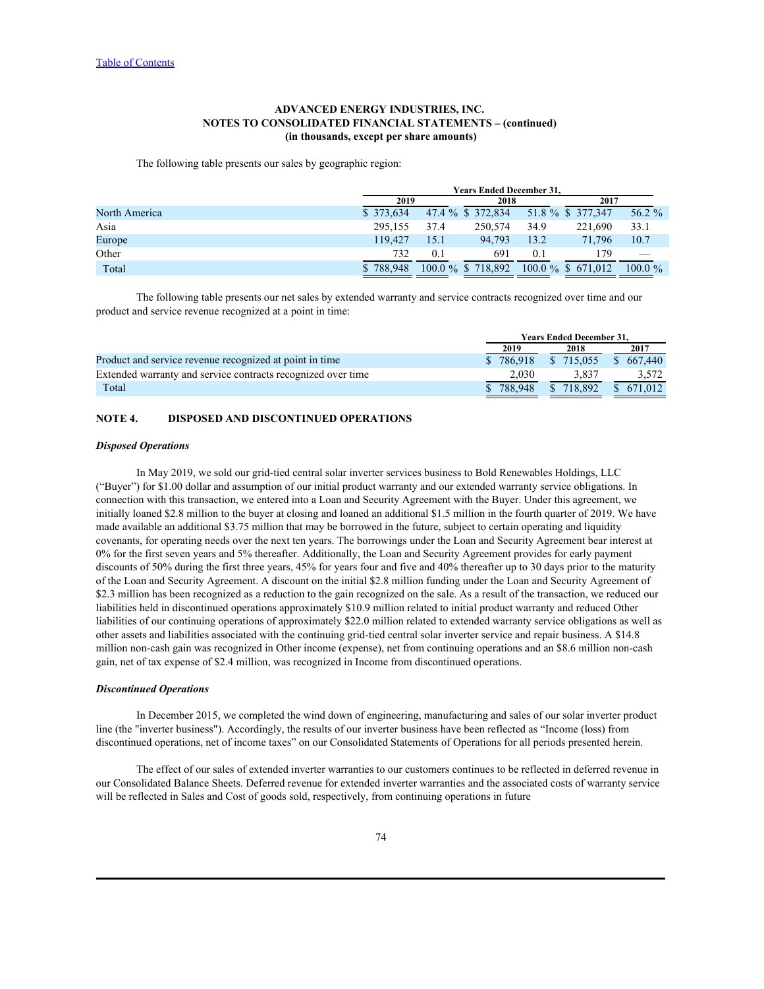The following table presents our sales by geographic region:

|               |           |       | <b>Years Ended December 31,</b> |       |                      |                          |
|---------------|-----------|-------|---------------------------------|-------|----------------------|--------------------------|
|               | 2019      |       | 2018                            |       | 2017                 |                          |
| North America | \$373,634 |       | 47.4 % \$ 372,834               |       | 51.8 % \$ 377,347    | 56.2 %                   |
| Asia          | 295,155   | 37.4  | 250,574                         | 34.9  | 221,690              | 33.1                     |
| Europe        | 19,427    | 15.1  | 94,793                          | 13.2  | 71,796               | 10.7                     |
| Other         | 732       | $0$ . | 691                             | $0$ . |                      | $\overline{\phantom{m}}$ |
| Total         | 788,948   |       | $100.0\%$ \$ 718,892            |       | $100.0\%$ \$ 671,012 | $100.0\%$                |

The following table presents our net sales by extended warranty and service contracts recognized over time and our product and service revenue recognized at a point in time:

|                                                              |           | <b>Years Ended December 31.</b> |         |
|--------------------------------------------------------------|-----------|---------------------------------|---------|
|                                                              | 2019      | 2018                            | 2017    |
| Product and service revenue recognized at point in time      | \$786.918 | 715.055                         | 667,440 |
| Extended warranty and service contracts recognized over time | 2,030     | 3.837                           | ← الرد  |
| Total                                                        | 788.948   | 718.892                         | 671.012 |

### **NOTE 4. DISPOSED AND DISCONTINUED OPERATIONS**

#### *Disposed Operations*

In May 2019, we sold our grid-tied central solar inverter services business to Bold Renewables Holdings, LLC ("Buyer") for \$1.00 dollar and assumption of our initial product warranty and our extended warranty service obligations. In connection with this transaction, we entered into a Loan and Security Agreement with the Buyer. Under this agreement, we initially loaned \$2.8 million to the buyer at closing and loaned an additional \$1.5 million in the fourth quarter of 2019. We have made available an additional \$3.75 million that may be borrowed in the future, subject to certain operating and liquidity covenants, for operating needs over the next ten years. The borrowings under the Loan and Security Agreement bear interest at 0% for the first seven years and 5% thereafter. Additionally, the Loan and Security Agreement provides for early payment discounts of 50% during the first three years, 45% for years four and five and 40% thereafter up to 30 days prior to the maturity of the Loan and Security Agreement. A discount on the initial \$2.8 million funding under the Loan and Security Agreement of \$2.3 million has been recognized as a reduction to the gain recognized on the sale. As a result of the transaction, we reduced our liabilities held in discontinued operations approximately \$10.9 million related to initial product warranty and reduced Other liabilities of our continuing operations of approximately \$22.0 million related to extended warranty service obligations as well as other assets and liabilities associated with the continuing grid-tied central solar inverter service and repair business. A \$14.8 million non-cash gain was recognized in Other income (expense), net from continuing operations and an \$8.6 million non-cash gain, net of tax expense of \$2.4 million, was recognized in Income from discontinued operations.

#### *Discontinued Operations*

In December 2015, we completed the wind down of engineering, manufacturing and sales of our solar inverter product line (the "inverter business"). Accordingly, the results of our inverter business have been reflected as "Income (loss) from discontinued operations, net of income taxes" on our Consolidated Statements of Operations for all periods presented herein.

The effect of our sales of extended inverter warranties to our customers continues to be reflected in deferred revenue in our Consolidated Balance Sheets. Deferred revenue for extended inverter warranties and the associated costs of warranty service will be reflected in Sales and Cost of goods sold, respectively, from continuing operations in future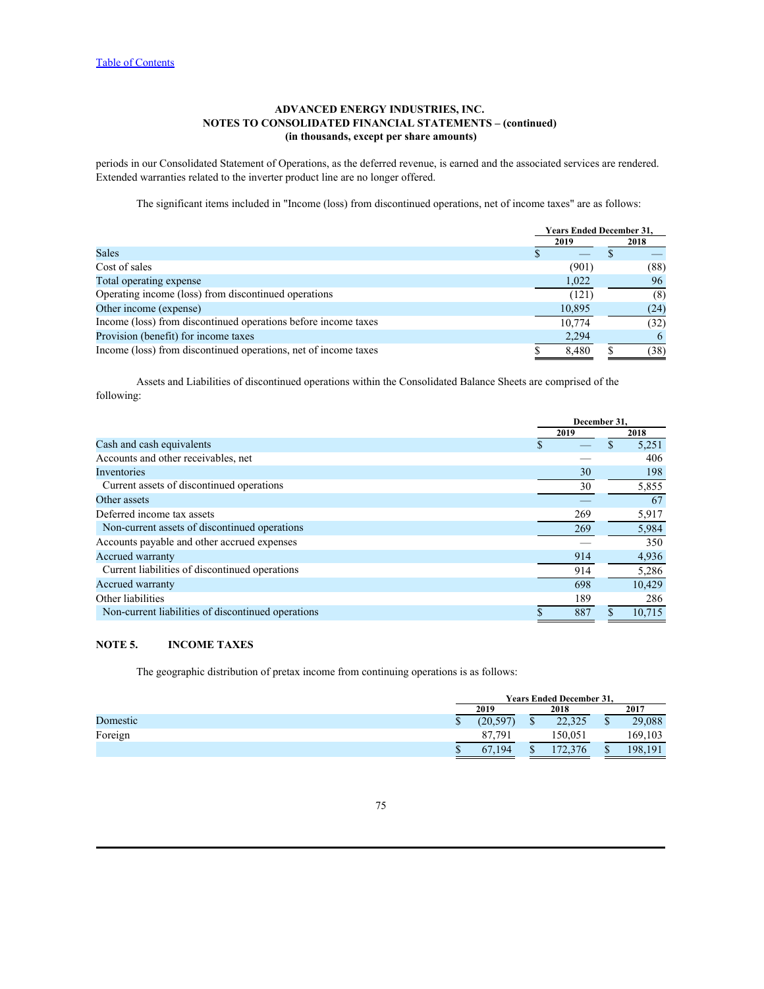periods in our Consolidated Statement of Operations, as the deferred revenue, is earned and the associated services are rendered. Extended warranties related to the inverter product line are no longer offered.

The significant items included in "Income (loss) from discontinued operations, net of income taxes" are as follows:

|                                                                 | <b>Years Ended December 31,</b> |      |
|-----------------------------------------------------------------|---------------------------------|------|
|                                                                 | 2019                            | 2018 |
| Sales                                                           |                                 |      |
| Cost of sales                                                   | (901)                           | (88) |
| Total operating expense                                         | 1,022                           |      |
| Operating income (loss) from discontinued operations            | (121)                           |      |
| Other income (expense)                                          | 10,895                          | (24) |
| Income (loss) from discontinued operations before income taxes  | 10.774                          | (32) |
| Provision (benefit) for income taxes                            | 2,294                           |      |
| Income (loss) from discontinued operations, net of income taxes | 8.480                           | (38) |

Assets and Liabilities of discontinued operations within the Consolidated Balance Sheets are comprised of the following:

| December 31, |     |      |        |
|--------------|-----|------|--------|
|              |     |      | 2018   |
|              |     |      | 5,251  |
|              |     |      | 406    |
|              | 30  |      | 198    |
|              | 30  |      | 5,855  |
|              |     |      | 67     |
|              | 269 |      | 5,917  |
|              | 269 |      | 5,984  |
|              |     |      | 350    |
|              | 914 |      | 4,936  |
|              | 914 |      | 5,286  |
|              | 698 |      | 10,429 |
|              | 189 |      | 286    |
|              | 887 |      | 10,715 |
|              |     | 2019 |        |

## **NOTE 5. INCOME TAXES**

The geographic distribution of pretax income from continuing operations is as follows:

|          |           | <b>Years Ended December 31,</b> |         |
|----------|-----------|---------------------------------|---------|
|          | 2019      | 2018                            | 2017    |
| Domestic | (20, 597) | 22,325                          | 29,088  |
| Foreign  | 87,791    | 150,051                         | 169,103 |
|          | 67,194    | .12,376                         | 198,191 |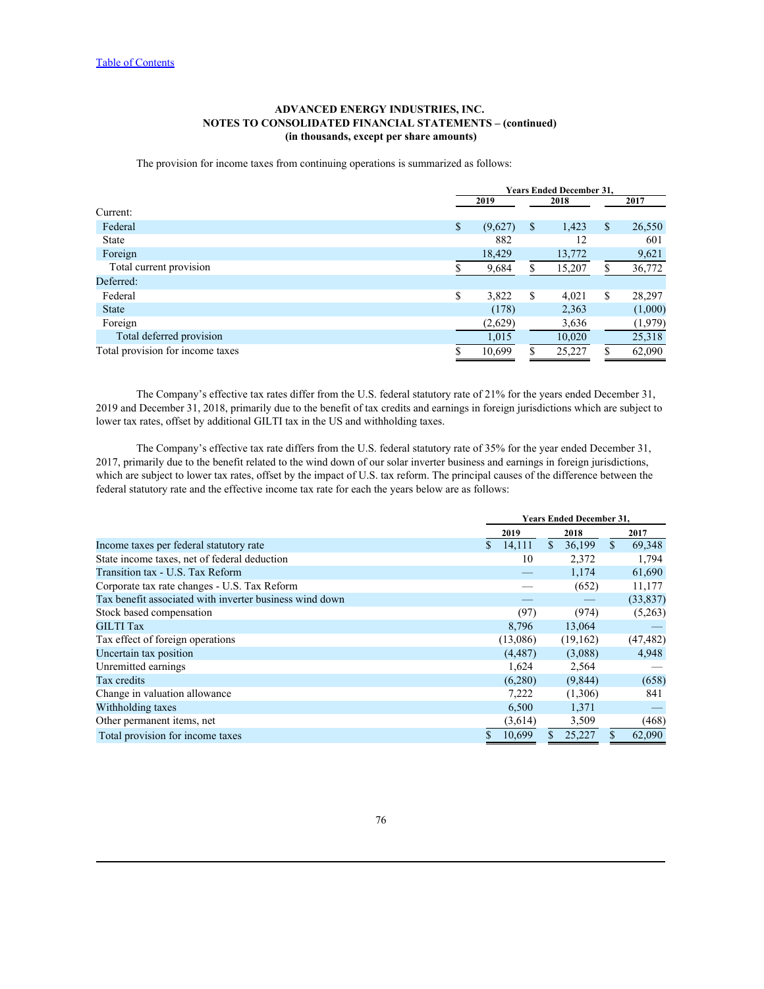The provision for income taxes from continuing operations is summarized as follows:

|                                  |    |         |               | <b>Years Ended December 31,</b> |   |         |
|----------------------------------|----|---------|---------------|---------------------------------|---|---------|
|                                  |    | 2019    |               | 2018                            |   | 2017    |
| Current:                         |    |         |               |                                 |   |         |
| Federal                          | \$ | (9,627) | - \$          | 1,423                           | S | 26,550  |
| <b>State</b>                     |    | 882     |               | 12                              |   | 601     |
| Foreign                          |    | 18,429  |               | 13,772                          |   | 9,621   |
| Total current provision          |    | 9,684   |               | 15,207                          |   | 36,772  |
| Deferred:                        |    |         |               |                                 |   |         |
| Federal                          | ጦ  | 3,822   | <sup>\$</sup> | 4,021                           | S | 28,297  |
| <b>State</b>                     |    | (178)   |               | 2,363                           |   | (1,000) |
| Foreign                          |    | (2,629) |               | 3,636                           |   | (1,979) |
| Total deferred provision         |    | 1,015   |               | 10,020                          |   | 25,318  |
| Total provision for income taxes |    | 10,699  |               | 25,227                          |   | 62,090  |
|                                  |    |         |               |                                 |   |         |

The Company's effective tax rates differ from the U.S. federal statutory rate of 21% for the years ended December 31, 2019 and December 31, 2018, primarily due to the benefit of tax credits and earnings in foreign jurisdictions which are subject to lower tax rates, offset by additional GILTI tax in the US and withholding taxes.

The Company's effective tax rate differs from the U.S. federal statutory rate of 35% for the year ended December 31, 2017, primarily due to the benefit related to the wind down of our solar inverter business and earnings in foreign jurisdictions, which are subject to lower tax rates, offset by the impact of U.S. tax reform. The principal causes of the difference between the federal statutory rate and the effective income tax rate for each the years below are as follows:

|                                                         |                          | <b>Years Ended December 31.</b> |                                |
|---------------------------------------------------------|--------------------------|---------------------------------|--------------------------------|
|                                                         | 2019                     | 2018                            | 2017                           |
| Income taxes per federal statutory rate                 | 14,111                   | 36,199                          | 69,348                         |
| State income taxes, net of federal deduction            | 10                       | 2,372                           | 1,794                          |
| Transition tax - U.S. Tax Reform                        | $\overline{\phantom{m}}$ | 1,174                           | 61,690                         |
| Corporate tax rate changes - U.S. Tax Reform            |                          | (652)                           | 11,177                         |
| Tax benefit associated with inverter business wind down |                          | $\hspace{0.1cm}$                | (33, 837)                      |
| Stock based compensation                                | (97)                     | (974)                           | (5,263)                        |
| <b>GILTI Tax</b>                                        | 8,796                    | 13,064                          |                                |
| Tax effect of foreign operations                        | (13,086)                 | (19,162)                        | (47, 482)                      |
| Uncertain tax position                                  | (4, 487)                 | (3,088)                         | 4,948                          |
| Unremitted earnings                                     | 1,624                    | 2,564                           | $\overbrace{\hspace{25mm}}^{}$ |
| Tax credits                                             | (6,280)                  | (9,844)                         | (658)                          |
| Change in valuation allowance                           | 7,222                    | (1,306)                         | 841                            |
| Withholding taxes                                       | 6,500                    | 1,371                           |                                |
| Other permanent items, net                              | (3,614)                  | 3,509                           | (468)                          |
| Total provision for income taxes                        | 10,699                   | 25,227                          | 62,090                         |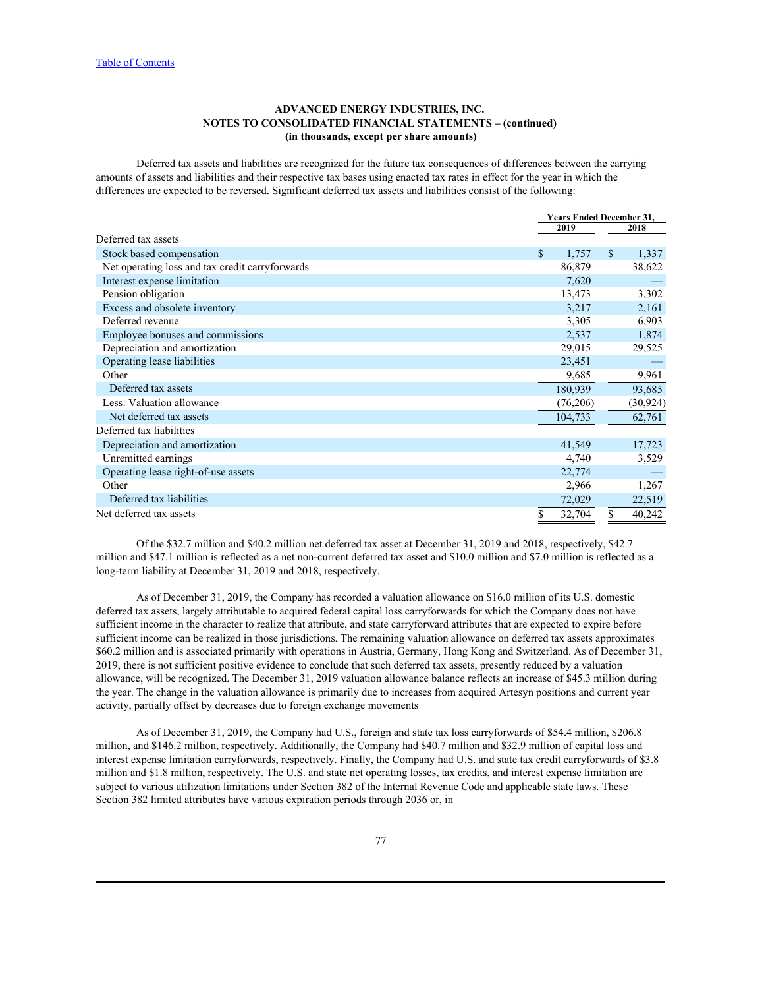Deferred tax assets and liabilities are recognized for the future tax consequences of differences between the carrying amounts of assets and liabilities and their respective tax bases using enacted tax rates in effect for the year in which the differences are expected to be reversed. Significant deferred tax assets and liabilities consist of the following:

| 2019 |                                                                                                                                                                                        | 2018                                        |
|------|----------------------------------------------------------------------------------------------------------------------------------------------------------------------------------------|---------------------------------------------|
|      |                                                                                                                                                                                        |                                             |
|      |                                                                                                                                                                                        | 1,337                                       |
|      |                                                                                                                                                                                        | 38,622                                      |
|      |                                                                                                                                                                                        | $\overbrace{\phantom{aaaaa}}$               |
|      |                                                                                                                                                                                        | 3,302                                       |
|      |                                                                                                                                                                                        | 2,161                                       |
|      |                                                                                                                                                                                        | 6,903                                       |
|      |                                                                                                                                                                                        | 1,874                                       |
|      |                                                                                                                                                                                        | 29,525                                      |
|      |                                                                                                                                                                                        | $\overbrace{\phantom{13333}}$               |
|      |                                                                                                                                                                                        | 9,961                                       |
|      |                                                                                                                                                                                        | 93,685                                      |
|      |                                                                                                                                                                                        | (30, 924)                                   |
|      |                                                                                                                                                                                        | 62,761                                      |
|      |                                                                                                                                                                                        |                                             |
|      |                                                                                                                                                                                        | 17,723                                      |
|      |                                                                                                                                                                                        | 3,529                                       |
|      |                                                                                                                                                                                        |                                             |
|      |                                                                                                                                                                                        | 1,267                                       |
|      |                                                                                                                                                                                        | 22,519                                      |
|      |                                                                                                                                                                                        | 40,242                                      |
|      | 1,757<br>86,879<br>7,620<br>13,473<br>3,217<br>3,305<br>2,537<br>29,015<br>23,451<br>9,685<br>180,939<br>(76,206)<br>104,733<br>41,549<br>4,740<br>22,774<br>2,966<br>72,029<br>32,704 | <b>Years Ended December 31,</b><br>$\sim$ S |

Of the \$32.7 million and \$40.2 million net deferred tax asset at December 31, 2019 and 2018, respectively, \$42.7 million and \$47.1 million is reflected as a net non-current deferred tax asset and \$10.0 million and \$7.0 million is reflected as a long-term liability at December 31, 2019 and 2018, respectively.

As of December 31, 2019, the Company has recorded a valuation allowance on \$16.0 million of its U.S. domestic deferred tax assets, largely attributable to acquired federal capital loss carryforwards for which the Company does not have sufficient income in the character to realize that attribute, and state carryforward attributes that are expected to expire before sufficient income can be realized in those jurisdictions. The remaining valuation allowance on deferred tax assets approximates \$60.2 million and is associated primarily with operations in Austria, Germany, Hong Kong and Switzerland. As of December 31, 2019, there is not sufficient positive evidence to conclude that such deferred tax assets, presently reduced by a valuation allowance, will be recognized. The December 31, 2019 valuation allowance balance reflects an increase of \$45.3 million during the year. The change in the valuation allowance is primarily due to increases from acquired Artesyn positions and current year activity, partially offset by decreases due to foreign exchange movements

As of December 31, 2019, the Company had U.S., foreign and state tax loss carryforwards of \$54.4 million, \$206.8 million, and \$146.2 million, respectively. Additionally, the Company had \$40.7 million and \$32.9 million of capital loss and interest expense limitation carryforwards, respectively. Finally, the Company had U.S. and state tax credit carryforwards of \$3.8 million and \$1.8 million, respectively. The U.S. and state net operating losses, tax credits, and interest expense limitation are subject to various utilization limitations under Section 382 of the Internal Revenue Code and applicable state laws. These Section 382 limited attributes have various expiration periods through 2036 or, in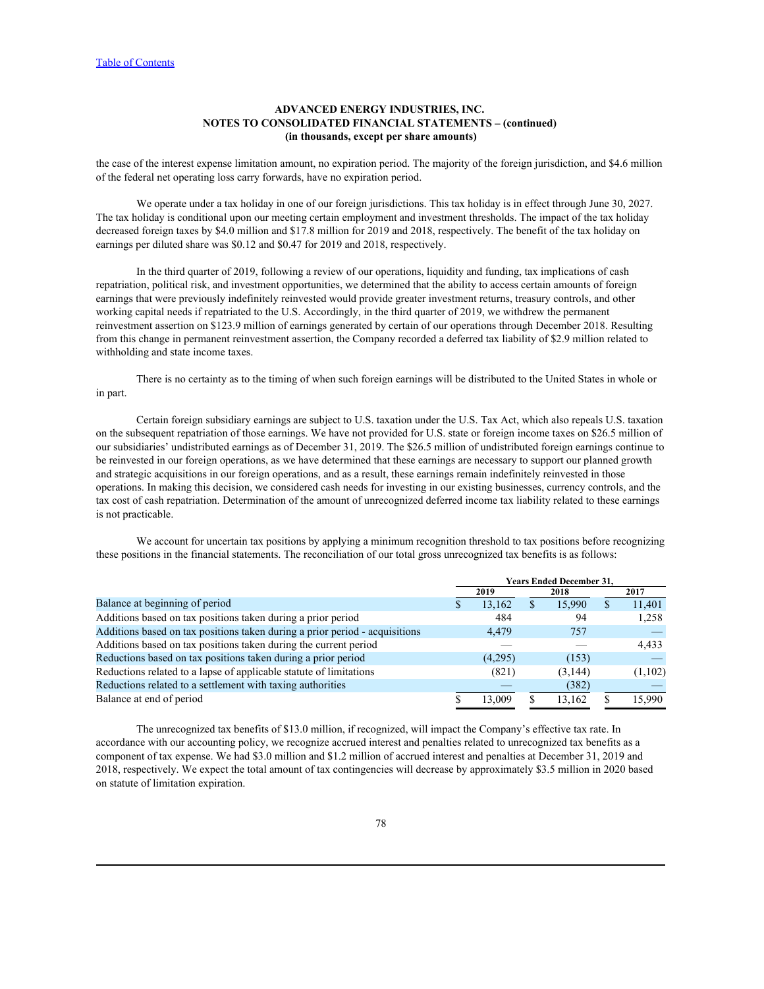the case of the interest expense limitation amount, no expiration period. The majority of the foreign jurisdiction, and \$4.6 million of the federal net operating loss carry forwards, have no expiration period.

We operate under a tax holiday in one of our foreign jurisdictions. This tax holiday is in effect through June 30, 2027. The tax holiday is conditional upon our meeting certain employment and investment thresholds. The impact of the tax holiday decreased foreign taxes by \$4.0 million and \$17.8 million for 2019 and 2018, respectively. The benefit of the tax holiday on earnings per diluted share was \$0.12 and \$0.47 for 2019 and 2018, respectively.

In the third quarter of 2019, following a review of our operations, liquidity and funding, tax implications of cash repatriation, political risk, and investment opportunities, we determined that the ability to access certain amounts of foreign earnings that were previously indefinitely reinvested would provide greater investment returns, treasury controls, and other working capital needs if repatriated to the U.S. Accordingly, in the third quarter of 2019, we withdrew the permanent reinvestment assertion on \$123.9 million of earnings generated by certain of our operations through December 2018. Resulting from this change in permanent reinvestment assertion, the Company recorded a deferred tax liability of \$2.9 million related to withholding and state income taxes.

There is no certainty as to the timing of when such foreign earnings will be distributed to the United States in whole or in part.

Certain foreign subsidiary earnings are subject to U.S. taxation under the U.S. Tax Act, which also repeals U.S. taxation on the subsequent repatriation of those earnings. We have not provided for U.S. state or foreign income taxes on \$26.5 million of our subsidiaries' undistributed earnings as of December 31, 2019. The \$26.5 million of undistributed foreign earnings continue to be reinvested in our foreign operations, as we have determined that these earnings are necessary to support our planned growth and strategic acquisitions in our foreign operations, and as a result, these earnings remain indefinitely reinvested in those operations. In making this decision, we considered cash needs for investing in our existing businesses, currency controls, and the tax cost of cash repatriation. Determination of the amount of unrecognized deferred income tax liability related to these earnings is not practicable.

We account for uncertain tax positions by applying a minimum recognition threshold to tax positions before recognizing these positions in the financial statements. The reconciliation of our total gross unrecognized tax benefits is as follows:

|                                                                             |                 | <b>Years Ended December 31.</b> |         |
|-----------------------------------------------------------------------------|-----------------|---------------------------------|---------|
|                                                                             | 2019            | 2018                            | 2017    |
| Balance at beginning of period                                              | 13,162          | 15.990                          | 11,401  |
| Additions based on tax positions taken during a prior period                | 484             |                                 | 1,258   |
| Additions based on tax positions taken during a prior period - acquisitions | 4,479           | 757                             |         |
| Additions based on tax positions taken during the current period            | $\qquad \qquad$ | $\overbrace{\phantom{13333}}$   | 4,433   |
| Reductions based on tax positions taken during a prior period               | (4,295)         | (153)                           |         |
| Reductions related to a lapse of applicable statute of limitations          | (821)           | (3,144)                         | (1,102) |
| Reductions related to a settlement with taxing authorities                  |                 | (382)                           |         |
| Balance at end of period                                                    | 13,009          | 13.162                          | 15,990  |

The unrecognized tax benefits of \$13.0 million, if recognized, will impact the Company's effective tax rate. In accordance with our accounting policy, we recognize accrued interest and penalties related to unrecognized tax benefits as a component of tax expense. We had \$3.0 million and \$1.2 million of accrued interest and penalties at December 31, 2019 and 2018, respectively. We expect the total amount of tax contingencies will decrease by approximately \$3.5 million in 2020 based on statute of limitation expiration.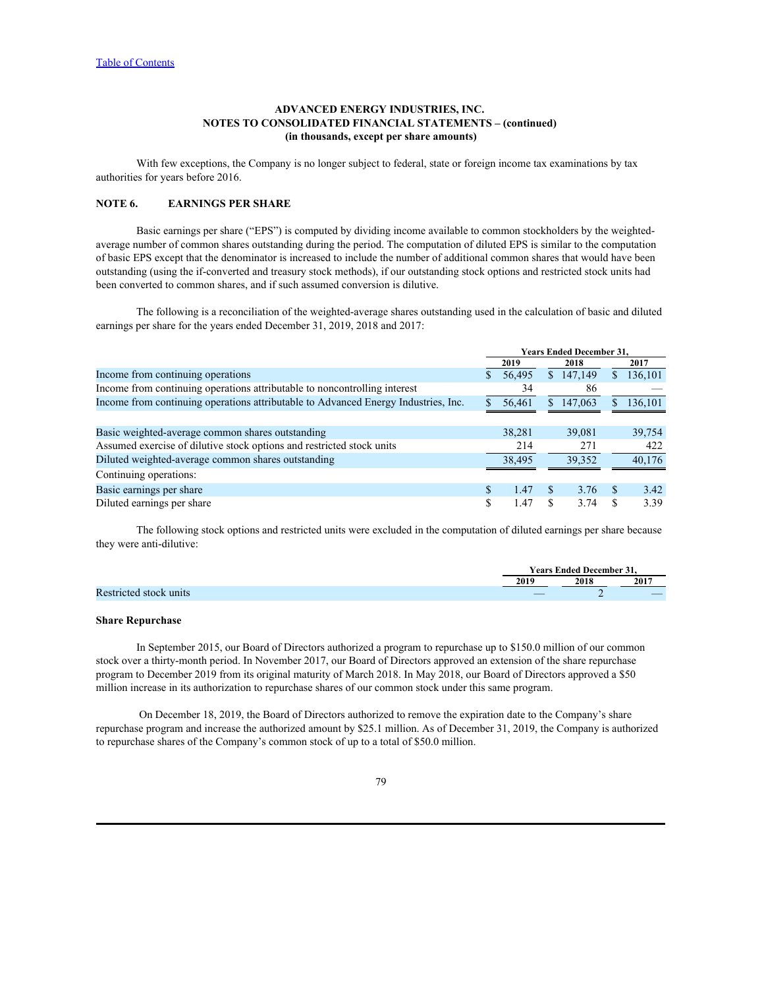With few exceptions, the Company is no longer subject to federal, state or foreign income tax examinations by tax authorities for years before 2016.

## **NOTE 6. EARNINGS PER SHARE**

Basic earnings per share ("EPS") is computed by dividing income available to common stockholders by the weightedaverage number of common shares outstanding during the period. The computation of diluted EPS is similar to the computation of basic EPS except that the denominator is increased to include the number of additional common shares that would have been outstanding (using the if-converted and treasury stock methods), if our outstanding stock options and restricted stock units had been converted to common shares, and if such assumed conversion is dilutive.

The following is a reconciliation of the weighted-average shares outstanding used in the calculation of basic and diluted earnings per share for the years ended December 31, 2019, 2018 and 2017:

|                                                                                    |        |         | <b>Years Ended December 31.</b> |         |
|------------------------------------------------------------------------------------|--------|---------|---------------------------------|---------|
|                                                                                    | 2019   |         | 2018                            | 2017    |
| Income from continuing operations                                                  | 56,495 |         | 147,149<br>- 35                 | 136,101 |
| Income from continuing operations attributable to noncontrolling interest          |        |         | 86                              |         |
| Income from continuing operations attributable to Advanced Energy Industries, Inc. |        | 56 46 L | 47.063                          | 136.101 |
|                                                                                    |        |         |                                 |         |
| Basic weighted-average common shares outstanding                                   | 38,281 |         | 39,081                          | 39,754  |
| Assumed exercise of dilutive stock options and restricted stock units              |        | 214     | 271                             | 422     |
| Diluted weighted-average common shares outstanding                                 | 38.495 |         | 39,352                          | 40,176  |
| Continuing operations:                                                             |        |         |                                 |         |
| Basic earnings per share                                                           |        | 1.47    | .76                             | 3.42    |
| Diluted earnings per share                                                         |        | . 47    | 74                              | 3.39    |

The following stock options and restricted units were excluded in the computation of diluted earnings per share because they were anti-dilutive:

|                        | Y ear                                                                                                                                             | 's Ended December 31.  | $\sim$ |
|------------------------|---------------------------------------------------------------------------------------------------------------------------------------------------|------------------------|--------|
|                        | 2019                                                                                                                                              | 2018                   | 2017   |
| Restricted stock units | <b>Contract Contract Contract Contract Contract Contract Contract Contract Contract Contract Contract Contract Co</b><br>$\overline{\phantom{a}}$ | <b>Service Service</b> |        |

### **Share Repurchase**

In September 2015, our Board of Directors authorized a program to repurchase up to \$150.0 million of our common stock over a thirty-month period. In November 2017, our Board of Directors approved an extension of the share repurchase program to December 2019 from its original maturity of March 2018. In May 2018, our Board of Directors approved a \$50 million increase in its authorization to repurchase shares of our common stock under this same program.

 On December 18, 2019, the Board of Directors authorized to remove the expiration date to the Company's share repurchase program and increase the authorized amount by \$25.1 million. As of December 31, 2019, the Company is authorized to repurchase shares of the Company's common stock of up to a total of \$50.0 million.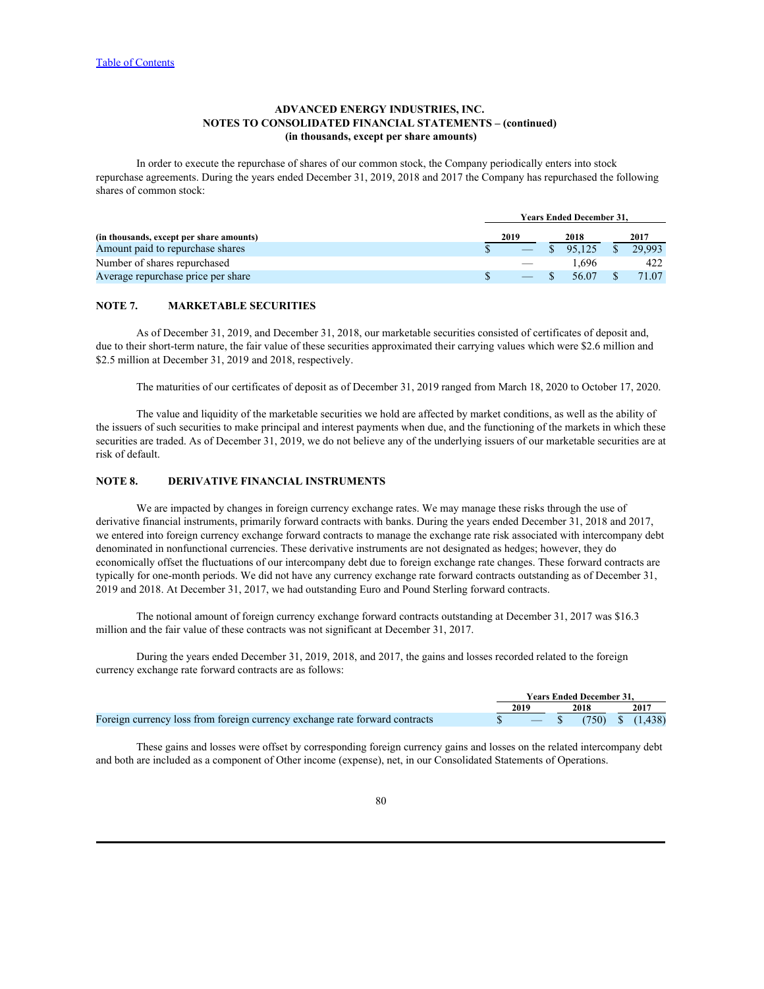In order to execute the repurchase of shares of our common stock, the Company periodically enters into stock repurchase agreements. During the years ended December 31, 2019, 2018 and 2017 the Company has repurchased the following shares of common stock:

|                                          | <b>Years Ended December 31.</b> |  |        |  |        |  |  |  |  |  |  |
|------------------------------------------|---------------------------------|--|--------|--|--------|--|--|--|--|--|--|
| (in thousands, except per share amounts) | 2019                            |  | 2018   |  | 2017   |  |  |  |  |  |  |
| Amount paid to repurchase shares         | $\overline{\phantom{0}}$        |  | 95,125 |  | 29.993 |  |  |  |  |  |  |
| Number of shares repurchased             |                                 |  | .696   |  | 422    |  |  |  |  |  |  |
| Average repurchase price per share       |                                 |  | 56.07  |  | 71.07  |  |  |  |  |  |  |

#### **NOTE 7. MARKETABLE SECURITIES**

As of December 31, 2019, and December 31, 2018, our marketable securities consisted of certificates of deposit and, due to their short-term nature, the fair value of these securities approximated their carrying values which were \$2.6 million and \$2.5 million at December 31, 2019 and 2018, respectively.

The maturities of our certificates of deposit as of December 31, 2019 ranged from March 18, 2020 to October 17, 2020.

The value and liquidity of the marketable securities we hold are affected by market conditions, as well as the ability of the issuers of such securities to make principal and interest payments when due, and the functioning of the markets in which these securities are traded. As of December 31, 2019, we do not believe any of the underlying issuers of our marketable securities are at risk of default.

### **NOTE 8. DERIVATIVE FINANCIAL INSTRUMENTS**

We are impacted by changes in foreign currency exchange rates. We may manage these risks through the use of derivative financial instruments, primarily forward contracts with banks. During the years ended December 31, 2018 and 2017, we entered into foreign currency exchange forward contracts to manage the exchange rate risk associated with intercompany debt denominated in nonfunctional currencies. These derivative instruments are not designated as hedges; however, they do economically offset the fluctuations of our intercompany debt due to foreign exchange rate changes. These forward contracts are typically for one-month periods. We did not have any currency exchange rate forward contracts outstanding as of December 31, 2019 and 2018. At December 31, 2017, we had outstanding Euro and Pound Sterling forward contracts.

The notional amount of foreign currency exchange forward contracts outstanding at December 31, 2017 was \$16.3 million and the fair value of these contracts was not significant at December 31, 2017.

During the years ended December 31, 2019, 2018, and 2017, the gains and losses recorded related to the foreign currency exchange rate forward contracts are as follows:

|                                                                             |      | Years Ended December 31. |      |          |  |  |
|-----------------------------------------------------------------------------|------|--------------------------|------|----------|--|--|
|                                                                             | 2019 |                          | 2018 | 2017     |  |  |
| Foreign currency loss from foreign currency exchange rate forward contracts |      |                          | 750) | (1, 438) |  |  |

These gains and losses were offset by corresponding foreign currency gains and losses on the related intercompany debt and both are included as a component of Other income (expense), net, in our Consolidated Statements of Operations.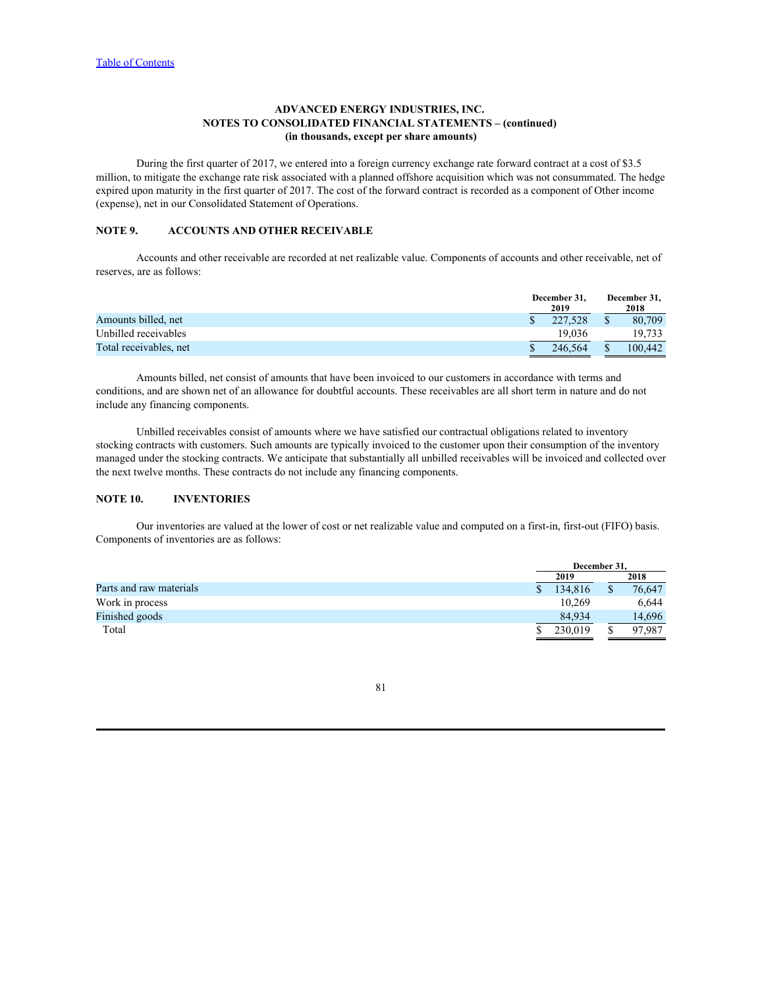During the first quarter of 2017, we entered into a foreign currency exchange rate forward contract at a cost of \$3.5 million, to mitigate the exchange rate risk associated with a planned offshore acquisition which was not consummated. The hedge expired upon maturity in the first quarter of 2017. The cost of the forward contract is recorded as a component of Other income (expense), net in our Consolidated Statement of Operations.

## **NOTE 9. ACCOUNTS AND OTHER RECEIVABLE**

Accounts and other receivable are recorded at net realizable value. Components of accounts and other receivable, net of reserves, are as follows:

|                        | December 31.<br>2019 | December 31,<br>2018 |
|------------------------|----------------------|----------------------|
| Amounts billed, net    | 227,528              | 80,709               |
| Unbilled receivables   | 19,036               | 19,733               |
| Total receivables, net | 246,564              | 100,442              |

Amounts billed, net consist of amounts that have been invoiced to our customers in accordance with terms and conditions, and are shown net of an allowance for doubtful accounts. These receivables are all short term in nature and do not include any financing components.

Unbilled receivables consist of amounts where we have satisfied our contractual obligations related to inventory stocking contracts with customers. Such amounts are typically invoiced to the customer upon their consumption of the inventory managed under the stocking contracts. We anticipate that substantially all unbilled receivables will be invoiced and collected over the next twelve months. These contracts do not include any financing components.

#### **NOTE 10. INVENTORIES**

Our inventories are valued at the lower of cost or net realizable value and computed on a first-in, first-out (FIFO) basis. Components of inventories are as follows:

|                         |   | December 31, |  |        |  |
|-------------------------|---|--------------|--|--------|--|
|                         |   | 2019         |  | 2018   |  |
| Parts and raw materials | J | 134.816      |  | 76,647 |  |
| Work in process         |   | 10,269       |  | 6,644  |  |
| Finished goods          |   | 84,934       |  | 14,696 |  |
| Total                   |   | 230,019      |  | 97,987 |  |

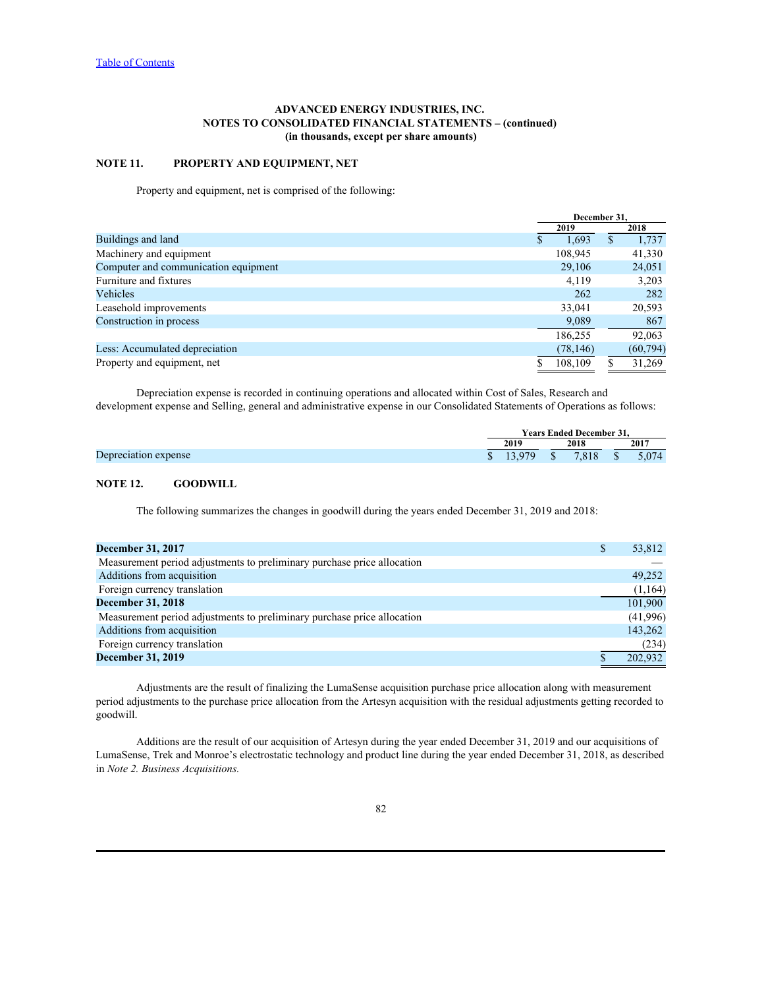## **NOTE 11. PROPERTY AND EQUIPMENT, NET**

Property and equipment, net is comprised of the following:

|                                      | December 31. |           |  |           |  |
|--------------------------------------|--------------|-----------|--|-----------|--|
|                                      |              | 2019      |  | 2018      |  |
| Buildings and land                   |              | 1,693     |  | 1,737     |  |
| Machinery and equipment              |              | 108,945   |  | 41,330    |  |
| Computer and communication equipment |              | 29,106    |  | 24,051    |  |
| Furniture and fixtures               |              | 4,119     |  | 3,203     |  |
| Vehicles                             |              | 262       |  | 282       |  |
| Leasehold improvements               |              | 33,041    |  | 20,593    |  |
| Construction in process              |              | 9,089     |  | 867       |  |
|                                      |              | 186,255   |  | 92,063    |  |
| Less: Accumulated depreciation       |              | (78, 146) |  | (60, 794) |  |
| Property and equipment, net          |              | 108,109   |  | 31,269    |  |
|                                      |              |           |  |           |  |

Depreciation expense is recorded in continuing operations and allocated within Cost of Sales, Research and development expense and Selling, general and administrative expense in our Consolidated Statements of Operations as follows:

|                      | Y ear    | s Ended December 31. |       |    |       |  |  |
|----------------------|----------|----------------------|-------|----|-------|--|--|
|                      | 2019     |                      | 2018  |    | 2017  |  |  |
| Depreciation expense | 070<br>. | .                    | 7.818 | м. | 5,074 |  |  |

## **NOTE 12. GOODWILL**

The following summarizes the changes in goodwill during the years ended December 31, 2019 and 2018:

| <b>December 31, 2017</b>                                                | 53,812   |
|-------------------------------------------------------------------------|----------|
| Measurement period adjustments to preliminary purchase price allocation |          |
| Additions from acquisition                                              | 49,252   |
| Foreign currency translation                                            | (1, 164) |
| <b>December 31, 2018</b>                                                | 101,900  |
| Measurement period adjustments to preliminary purchase price allocation | (41,996) |
| Additions from acquisition                                              | 143,262  |
| Foreign currency translation                                            | (234)    |
| <b>December 31, 2019</b>                                                | 202,932  |
|                                                                         |          |

Adjustments are the result of finalizing the LumaSense acquisition purchase price allocation along with measurement period adjustments to the purchase price allocation from the Artesyn acquisition with the residual adjustments getting recorded to goodwill.

Additions are the result of our acquisition of Artesyn during the year ended December 31, 2019 and our acquisitions of LumaSense, Trek and Monroe's electrostatic technology and product line during the year ended December 31, 2018, as described in *Note 2. Business Acquisitions.*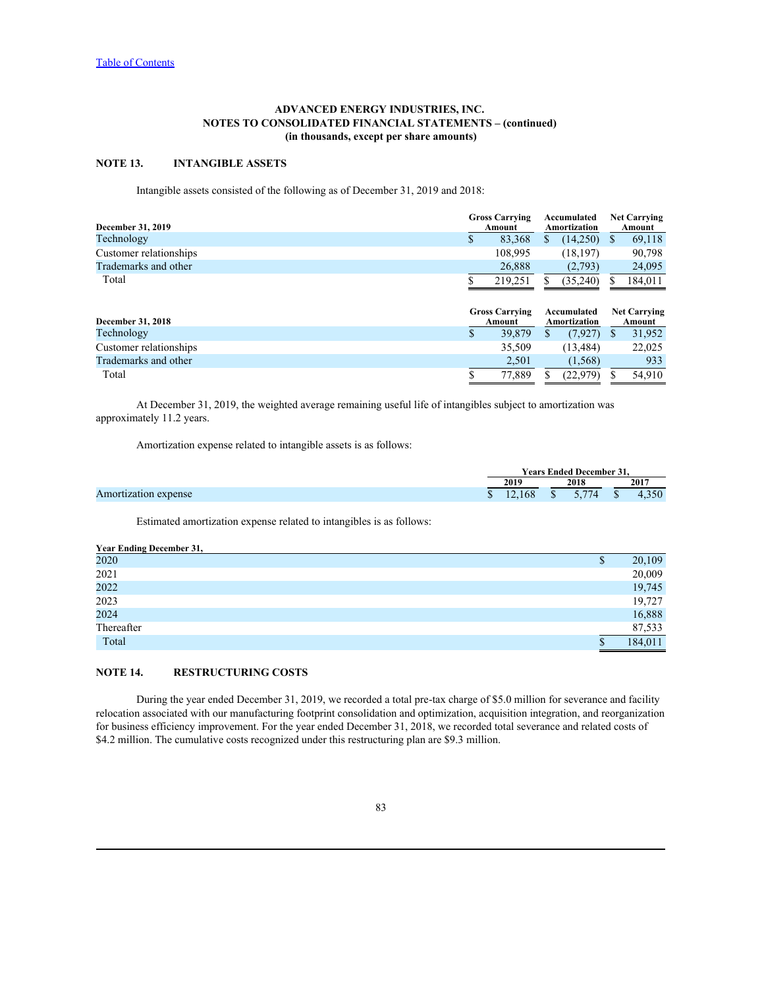# **NOTE 13. INTANGIBLE ASSETS**

Intangible assets consisted of the following as of December 31, 2019 and 2018:

|                        | <b>Gross Carrying</b> |                       |   | Accumulated  |    | <b>Net Carrying</b> |
|------------------------|-----------------------|-----------------------|---|--------------|----|---------------------|
| December 31, 2019      |                       | Amount                |   | Amortization |    | Amount              |
| Technology             |                       | 83,368                |   | (14,250)     | ъ  | 69,118              |
| Customer relationships |                       | 108,995               |   | (18, 197)    |    | 90,798              |
| Trademarks and other   |                       | 26,888                |   | (2,793)      |    | 24,095              |
| Total                  |                       | 219,251               |   | (35,240)     |    | 184,011             |
|                        |                       | <b>Gross Carrying</b> |   | Accumulated  |    | <b>Net Carrying</b> |
| December 31, 2018      |                       | Amount                |   | Amortization |    | Amount              |
| Technology             |                       | 39,879                | ж | (7, 927)     | Ж. | 31,952              |
|                        |                       |                       |   |              |    |                     |
| Customer relationships |                       | 35,509                |   | (13, 484)    |    | 22,025              |
| Trademarks and other   |                       | 2,501                 |   | (1, 568)     |    | 933                 |

At December 31, 2019, the weighted average remaining useful life of intangibles subject to amortization was approximately 11.2 years.

Amortization expense related to intangible assets is as follows:

|                      |              | <b>Years Ended December 31.</b> |           |  |                                   |  |  |
|----------------------|--------------|---------------------------------|-----------|--|-----------------------------------|--|--|
|                      | 2019         |                                 | 2018      |  | 2017                              |  |  |
| Amortization expense | . 108<br>. . |                                 | .<br>- 72 |  | 4,350<br>$\overline{\phantom{a}}$ |  |  |

Estimated amortization expense related to intangibles is as follows:

| <b>Year Ending December 31,</b> |         |
|---------------------------------|---------|
| 2020                            | 20,109  |
| 2021                            | 20,009  |
| 2022                            | 19,745  |
| 2023                            | 19,727  |
| 2024                            | 16,888  |
| Thereafter                      | 87,533  |
| Total                           | 184,011 |

## **NOTE 14. RESTRUCTURING COSTS**

During the year ended December 31, 2019, we recorded a total pre-tax charge of \$5.0 million for severance and facility relocation associated with our manufacturing footprint consolidation and optimization, acquisition integration, and reorganization for business efficiency improvement. For the year ended December 31, 2018, we recorded total severance and related costs of \$4.2 million. The cumulative costs recognized under this restructuring plan are \$9.3 million.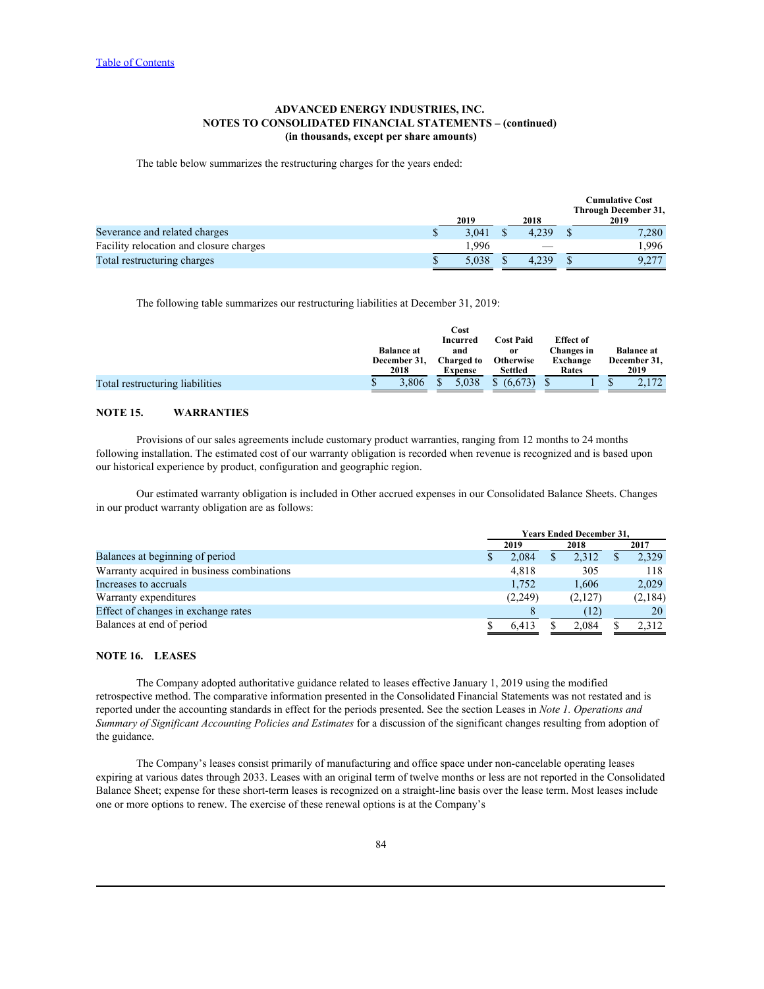The table below summarizes the restructuring charges for the years ended:

|                                         |       |       | <b>Cumulative Cost</b><br>Through December 31, |  |  |  |  |
|-----------------------------------------|-------|-------|------------------------------------------------|--|--|--|--|
|                                         | 2019  | 2018  | 2019                                           |  |  |  |  |
| Severance and related charges           | 3.041 | 4,239 | 7,280                                          |  |  |  |  |
| Facility relocation and closure charges | .996  |       | ,996                                           |  |  |  |  |
| Total restructuring charges             | 5,038 | 4,239 | 9,277                                          |  |  |  |  |

The following table summarizes our restructuring liabilities at December 31, 2019:

|                                 |                   | Cost              |                  |                   |                   |
|---------------------------------|-------------------|-------------------|------------------|-------------------|-------------------|
|                                 |                   | Incurred          | <b>Cost Paid</b> | <b>Effect</b> of  |                   |
|                                 | <b>Balance at</b> | and               | or               | <b>Changes</b> in | <b>Balance at</b> |
|                                 | December 31,      | <b>Charged to</b> | <b>Otherwise</b> | Exchange          | December 31,      |
|                                 | 2018              | Expense           | <b>Settled</b>   | Rates             | 2019              |
| Total restructuring liabilities | 3,806             | ,038              | (6,673)          |                   | 2,172             |

## **NOTE 15. WARRANTIES**

Provisions of our sales agreements include customary product warranties, ranging from 12 months to 24 months following installation. The estimated cost of our warranty obligation is recorded when revenue is recognized and is based upon our historical experience by product, configuration and geographic region.

Our estimated warranty obligation is included in Other accrued expenses in our Consolidated Balance Sheets. Changes in our product warranty obligation are as follows:

|                                            | <b>Years Ended December 31,</b> |         |  |         |  |         |  |  |  |
|--------------------------------------------|---------------------------------|---------|--|---------|--|---------|--|--|--|
|                                            |                                 | 2019    |  | 2018    |  | 2017    |  |  |  |
| Balances at beginning of period            |                                 | 2,084   |  | 2,312   |  | 2,329   |  |  |  |
| Warranty acquired in business combinations |                                 | 4,818   |  | 305     |  | 118     |  |  |  |
| Increases to accruals                      |                                 | l.752   |  | 1,606   |  | 2,029   |  |  |  |
| Warranty expenditures                      |                                 | (2,249) |  | (2,127) |  | (2,184) |  |  |  |
| Effect of changes in exchange rates        |                                 |         |  | (12)    |  | 20      |  |  |  |
| Balances at end of period                  |                                 | 6.413   |  | 2,084   |  | 2,312   |  |  |  |
|                                            |                                 |         |  |         |  |         |  |  |  |

#### **NOTE 16. LEASES**

The Company adopted authoritative guidance related to leases effective January 1, 2019 using the modified retrospective method. The comparative information presented in the Consolidated Financial Statements was not restated and is reported under the accounting standards in effect for the periods presented. See the section Leases in *Note 1. Operations and Summary of Significant Accounting Policies and Estimates* for a discussion of the significant changes resulting from adoption of the guidance.

The Company's leases consist primarily of manufacturing and office space under non-cancelable operating leases expiring at various dates through 2033. Leases with an original term of twelve months or less are not reported in the Consolidated Balance Sheet; expense for these short-term leases is recognized on a straight-line basis over the lease term. Most leases include one or more options to renew. The exercise of these renewal options is at the Company's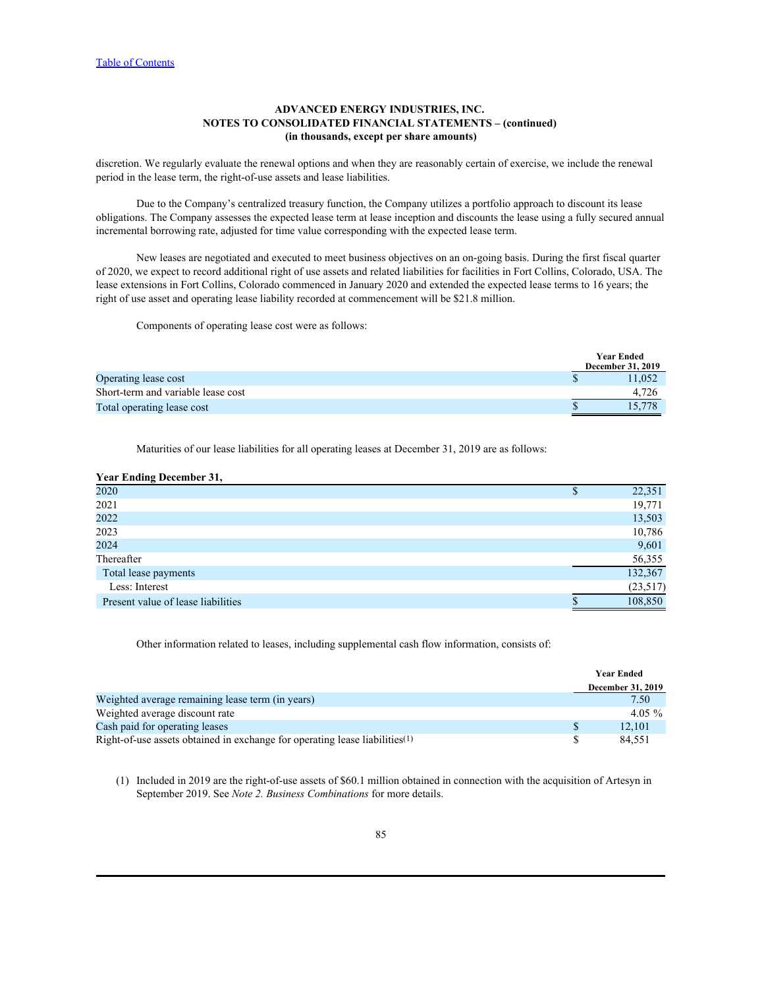discretion. We regularly evaluate the renewal options and when they are reasonably certain of exercise, we include the renewal period in the lease term, the right-of-use assets and lease liabilities.

Due to the Company's centralized treasury function, the Company utilizes a portfolio approach to discount its lease obligations. The Company assesses the expected lease term at lease inception and discounts the lease using a fully secured annual incremental borrowing rate, adjusted for time value corresponding with the expected lease term.

New leases are negotiated and executed to meet business objectives on an on-going basis. During the first fiscal quarter of 2020, we expect to record additional right of use assets and related liabilities for facilities in Fort Collins, Colorado, USA. The lease extensions in Fort Collins, Colorado commenced in January 2020 and extended the expected lease terms to 16 years; the right of use asset and operating lease liability recorded at commencement will be \$21.8 million.

Components of operating lease cost were as follows:

|                                    | <b>Year Ended</b> |
|------------------------------------|-------------------|
|                                    | December 31, 2019 |
| Operating lease cost               | 11,052            |
| Short-term and variable lease cost | 4,726             |
| Total operating lease cost         | 15,778            |
|                                    |                   |

Maturities of our lease liabilities for all operating leases at December 31, 2019 are as follows:

#### **Year Ending December 31,**

| 2020                               | 22,351   |
|------------------------------------|----------|
| 2021                               | 19,771   |
| 2022                               | 13,503   |
| 2023                               | 10,786   |
| 2024                               | 9,601    |
| Thereafter                         | 56,355   |
| Total lease payments               | 132,367  |
| Less: Interest                     | (23,517) |
| Present value of lease liabilities | 108,850  |

Other information related to leases, including supplemental cash flow information, consists of:

|                                                                                         | <b>Year Ended</b> |  |
|-----------------------------------------------------------------------------------------|-------------------|--|
|                                                                                         | December 31, 2019 |  |
| Weighted average remaining lease term (in years)                                        | 7.50              |  |
| Weighted average discount rate                                                          | 4.05 $%$          |  |
| Cash paid for operating leases                                                          | 12,101            |  |
| Right-of-use assets obtained in exchange for operating lease liabilities <sup>(1)</sup> | 84,551            |  |
|                                                                                         |                   |  |

(1) Included in 2019 are the right-of-use assets of \$60.1 million obtained in connection with the acquisition of Artesyn in September 2019. See *Note 2. Business Combinations* for more details.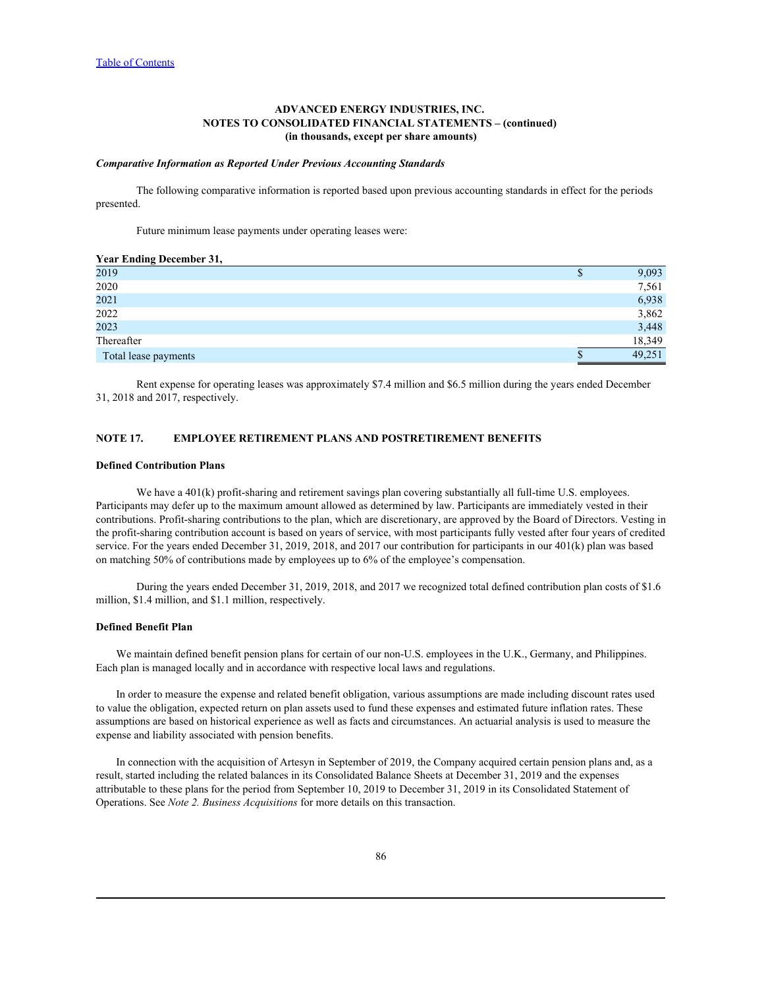#### *Comparative Information as Reported Under Previous Accounting Standards*

The following comparative information is reported based upon previous accounting standards in effect for the periods presented.

Future minimum lease payments under operating leases were:

| 9,093  |
|--------|
| 7,561  |
| 6,938  |
| 3,862  |
| 3,448  |
| 18,349 |
| 49,251 |
|        |

Rent expense for operating leases was approximately \$7.4 million and \$6.5 million during the years ended December 31, 2018 and 2017, respectively.

### **NOTE 17. EMPLOYEE RETIREMENT PLANS AND POSTRETIREMENT BENEFITS**

#### **Defined Contribution Plans**

We have a 401(k) profit-sharing and retirement savings plan covering substantially all full-time U.S. employees. Participants may defer up to the maximum amount allowed as determined by law. Participants are immediately vested in their contributions. Profit-sharing contributions to the plan, which are discretionary, are approved by the Board of Directors. Vesting in the profit-sharing contribution account is based on years of service, with most participants fully vested after four years of credited service. For the years ended December 31, 2019, 2018, and 2017 our contribution for participants in our 401(k) plan was based on matching 50% of contributions made by employees up to 6% of the employee's compensation.

During the years ended December 31, 2019, 2018, and 2017 we recognized total defined contribution plan costs of \$1.6 million, \$1.4 million, and \$1.1 million, respectively.

#### **Defined Benefit Plan**

We maintain defined benefit pension plans for certain of our non-U.S. employees in the U.K., Germany, and Philippines. Each plan is managed locally and in accordance with respective local laws and regulations.

In order to measure the expense and related benefit obligation, various assumptions are made including discount rates used to value the obligation, expected return on plan assets used to fund these expenses and estimated future inflation rates. These assumptions are based on historical experience as well as facts and circumstances. An actuarial analysis is used to measure the expense and liability associated with pension benefits.

In connection with the acquisition of Artesyn in September of 2019, the Company acquired certain pension plans and, as a result, started including the related balances in its Consolidated Balance Sheets at December 31, 2019 and the expenses attributable to these plans for the period from September 10, 2019 to December 31, 2019 in its Consolidated Statement of Operations. See *Note 2. Business Acquisitions* for more details on this transaction.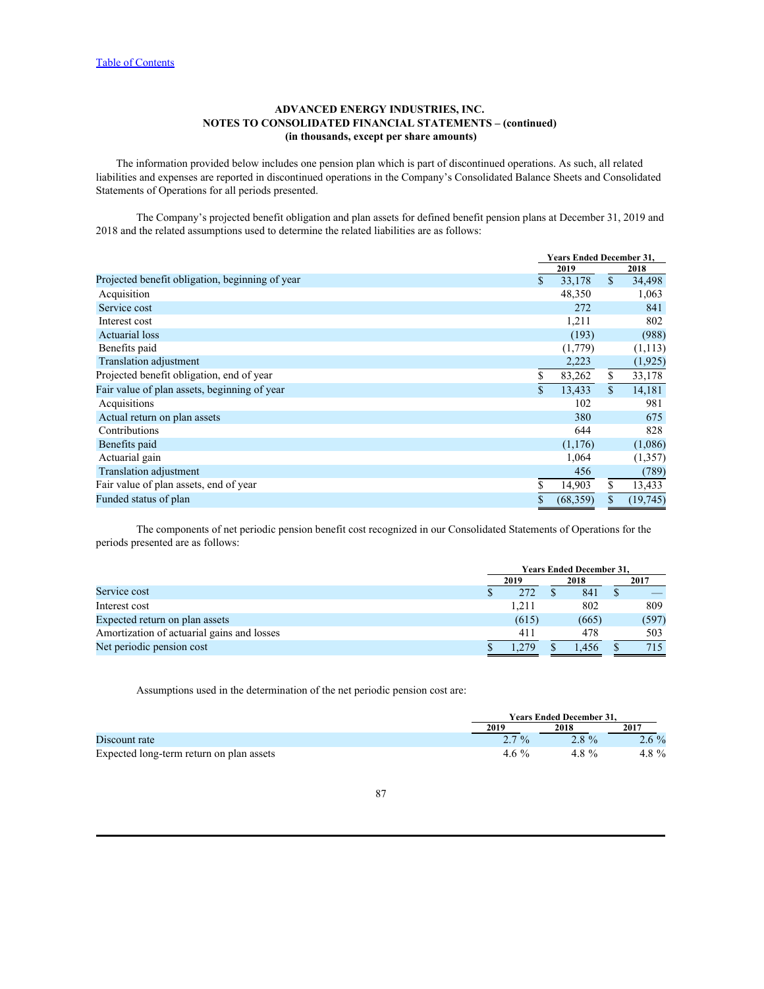The information provided below includes one pension plan which is part of discontinued operations. As such, all related liabilities and expenses are reported in discontinued operations in the Company's Consolidated Balance Sheets and Consolidated Statements of Operations for all periods presented.

The Company's projected benefit obligation and plan assets for defined benefit pension plans at December 31, 2019 and 2018 and the related assumptions used to determine the related liabilities are as follows:

|                                                 | <b>Years Ended December 31,</b> |          |    |           |  |  |
|-------------------------------------------------|---------------------------------|----------|----|-----------|--|--|
|                                                 |                                 | 2019     |    | 2018      |  |  |
| Projected benefit obligation, beginning of year | \$                              | 33,178   | S. | 34,498    |  |  |
| Acquisition                                     |                                 | 48,350   |    | 1,063     |  |  |
| Service cost                                    |                                 | 272      |    | 841       |  |  |
| Interest cost                                   |                                 | 1,211    |    | 802       |  |  |
| <b>Actuarial</b> loss                           |                                 | (193)    |    | (988)     |  |  |
| Benefits paid                                   |                                 | (1,779)  |    | (1,113)   |  |  |
| Translation adjustment                          |                                 | 2,223    |    | (1,925)   |  |  |
| Projected benefit obligation, end of year       |                                 | 83,262   |    | 33,178    |  |  |
| Fair value of plan assets, beginning of year    |                                 | 13,433   |    | 14,181    |  |  |
| Acquisitions                                    |                                 | 102      |    | 981       |  |  |
| Actual return on plan assets                    |                                 | 380      |    | 675       |  |  |
| Contributions                                   |                                 | 644      |    | 828       |  |  |
| Benefits paid                                   |                                 | (1,176)  |    | (1,086)   |  |  |
| Actuarial gain                                  |                                 | 1,064    |    | (1,357)   |  |  |
| Translation adjustment                          |                                 | 456      |    | (789)     |  |  |
| Fair value of plan assets, end of year          |                                 | 14,903   |    | 13,433    |  |  |
| Funded status of plan                           |                                 | (68,359) |    | (19, 745) |  |  |

The components of net periodic pension benefit cost recognized in our Consolidated Statements of Operations for the periods presented are as follows:

|                                            |      |       | <b>Years Ended December 31,</b> |       |      |             |  |
|--------------------------------------------|------|-------|---------------------------------|-------|------|-------------|--|
|                                            | 2019 |       | 2018                            |       | 2017 |             |  |
| Service cost                               |      | 272   |                                 | 841   |      |             |  |
| Interest cost                              |      | 1,211 |                                 | 802   |      | 809         |  |
| Expected return on plan assets             |      | (615) |                                 | (665) |      | (597)       |  |
| Amortization of actuarial gains and losses |      | 411   |                                 | 478   |      | 503         |  |
| Net periodic pension cost                  |      | 1,279 |                                 | 4,456 |      | $\sqrt{15}$ |  |
|                                            |      |       |                                 |       |      |             |  |

Assumptions used in the determination of the net periodic pension cost are:

|                                          |         | <b>Years Ended December 31.</b>      |          |  |  |  |
|------------------------------------------|---------|--------------------------------------|----------|--|--|--|
|                                          | 2019    | 2018                                 | 2017     |  |  |  |
| Discount rate                            | 270/    | 200<br>$\sim$ $\alpha$               | $2.6\%$  |  |  |  |
| Expected long-term return on plan assets | 4.6 $%$ | $\Omega$ $\Omega$<br>$\cdot$ $\cdot$ | 4.8 $\%$ |  |  |  |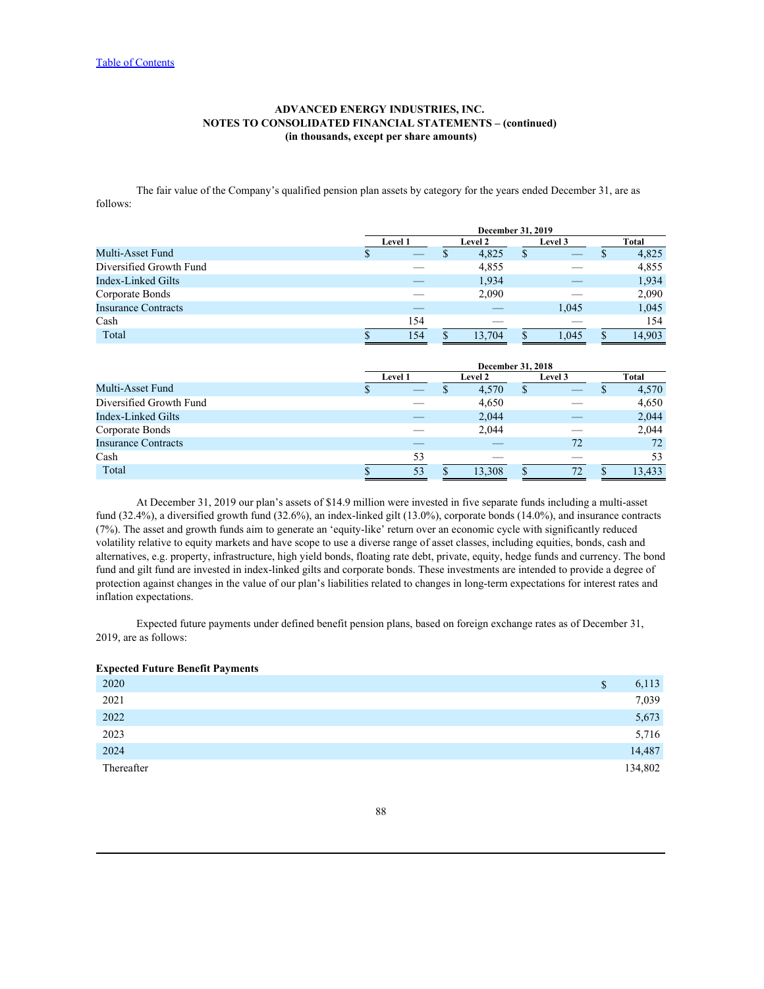The fair value of the Company's qualified pension plan assets by category for the years ended December 31, are as follows:

|                            |                | December 31, 2019               |                |                                 |  |                                |  |        |  |  |
|----------------------------|----------------|---------------------------------|----------------|---------------------------------|--|--------------------------------|--|--------|--|--|
|                            | <b>Level 1</b> |                                 | <b>Level 2</b> |                                 |  | Level 3                        |  | Total  |  |  |
| Multi-Asset Fund           |                |                                 |                | 4,825                           |  |                                |  | 4,825  |  |  |
| Diversified Growth Fund    |                | $\hspace{0.1mm}-\hspace{0.1mm}$ |                | 4,855                           |  |                                |  | 4,855  |  |  |
| Index-Linked Gilts         |                | $\hspace{0.1mm}-\hspace{0.1mm}$ |                | 1,934                           |  |                                |  | 1,934  |  |  |
| Corporate Bonds            |                | $\hspace{0.1mm}-\hspace{0.1mm}$ |                | 2,090                           |  | $\qquad \qquad \longleftarrow$ |  | 2,090  |  |  |
| <b>Insurance Contracts</b> |                | $\hspace{0.1mm}-\hspace{0.1mm}$ |                | $\hspace{0.1mm}-\hspace{0.1mm}$ |  | 1,045                          |  | 1,045  |  |  |
| Cash                       |                | 154                             |                | $\hspace{0.1mm}-\hspace{0.1mm}$ |  |                                |  | 154    |  |  |
| Total                      |                | 154                             |                | 13,704                          |  | 1,045                          |  | 14,903 |  |  |

|                            | December 31, 2018                         |  |                                 |  |                                |  |        |  |  |
|----------------------------|-------------------------------------------|--|---------------------------------|--|--------------------------------|--|--------|--|--|
|                            | <b>Level 1</b>                            |  | <b>Level 2</b>                  |  | Level 3                        |  | Total  |  |  |
| Multi-Asset Fund           | $\hspace{0.1mm}-\hspace{0.1mm}$           |  | 4,570                           |  |                                |  | 4,570  |  |  |
| Diversified Growth Fund    | $\qquad \qquad \overline{\qquad \qquad }$ |  | 4,650                           |  | $\overline{\phantom{0}}$       |  | 4,650  |  |  |
| Index-Linked Gilts         | $\hspace{0.1mm}-\hspace{0.1mm}$           |  | 2,044                           |  |                                |  | 2,044  |  |  |
| Corporate Bonds            | $\hspace{0.1mm}-\hspace{0.1mm}$           |  | 2,044                           |  | $\overline{\phantom{m}}$       |  | 2,044  |  |  |
| <b>Insurance Contracts</b> |                                           |  | $\hspace{0.1mm}-\hspace{0.1mm}$ |  | 72                             |  | 72     |  |  |
| Cash                       | 53                                        |  | $\overline{\phantom{m}}$        |  | $\overbrace{\phantom{123321}}$ |  |        |  |  |
| Total                      | 53                                        |  | 3,308                           |  | 72.                            |  | 13,433 |  |  |

At December 31, 2019 our plan's assets of \$14.9 million were invested in five separate funds including a multi-asset fund (32.4%), a diversified growth fund (32.6%), an index-linked gilt (13.0%), corporate bonds (14.0%), and insurance contracts (7%). The asset and growth funds aim to generate an 'equity-like' return over an economic cycle with significantly reduced volatility relative to equity markets and have scope to use a diverse range of asset classes, including equities, bonds, cash and alternatives, e.g. property, infrastructure, high yield bonds, floating rate debt, private, equity, hedge funds and currency. The bond fund and gilt fund are invested in index-linked gilts and corporate bonds. These investments are intended to provide a degree of protection against changes in the value of our plan's liabilities related to changes in long-term expectations for interest rates and inflation expectations.

Expected future payments under defined benefit pension plans, based on foreign exchange rates as of December 31, 2019, are as follows:

#### **Expected Future Benefit Payments**

| 2020       | 6,113   |
|------------|---------|
| 2021       | 7,039   |
| 2022       | 5,673   |
| 2023       | 5,716   |
| 2024       | 14,487  |
| Thereafter | 134,802 |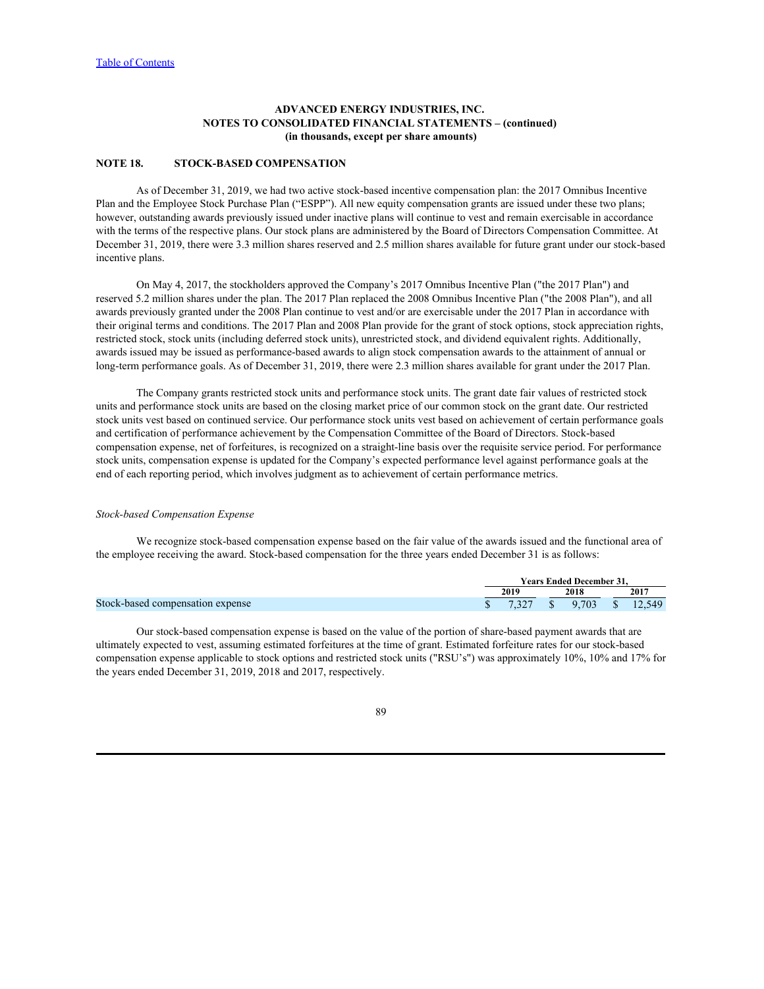#### **NOTE 18. STOCK-BASED COMPENSATION**

As of December 31, 2019, we had two active stock-based incentive compensation plan: the 2017 Omnibus Incentive Plan and the Employee Stock Purchase Plan ("ESPP"). All new equity compensation grants are issued under these two plans; however, outstanding awards previously issued under inactive plans will continue to vest and remain exercisable in accordance with the terms of the respective plans. Our stock plans are administered by the Board of Directors Compensation Committee. At December 31, 2019, there were 3.3 million shares reserved and 2.5 million shares available for future grant under our stock-based incentive plans.

On May 4, 2017, the stockholders approved the Company's 2017 Omnibus Incentive Plan ("the 2017 Plan") and reserved 5.2 million shares under the plan. The 2017 Plan replaced the 2008 Omnibus Incentive Plan ("the 2008 Plan"), and all awards previously granted under the 2008 Plan continue to vest and/or are exercisable under the 2017 Plan in accordance with their original terms and conditions. The 2017 Plan and 2008 Plan provide for the grant of stock options, stock appreciation rights, restricted stock, stock units (including deferred stock units), unrestricted stock, and dividend equivalent rights. Additionally, awards issued may be issued as performance-based awards to align stock compensation awards to the attainment of annual or long-term performance goals. As of December 31, 2019, there were 2.3 million shares available for grant under the 2017 Plan.

The Company grants restricted stock units and performance stock units. The grant date fair values of restricted stock units and performance stock units are based on the closing market price of our common stock on the grant date. Our restricted stock units vest based on continued service. Our performance stock units vest based on achievement of certain performance goals and certification of performance achievement by the Compensation Committee of the Board of Directors. Stock-based compensation expense, net of forfeitures, is recognized on a straight-line basis over the requisite service period. For performance stock units, compensation expense is updated for the Company's expected performance level against performance goals at the end of each reporting period, which involves judgment as to achievement of certain performance metrics.

#### *Stock-based Compensation Expense*

We recognize stock-based compensation expense based on the fair value of the awards issued and the functional area of the employee receiving the award. Stock-based compensation for the three years ended December 31 is as follows:

|                                  |      | r ear:                               | <b>Ended December 31.</b> |        |
|----------------------------------|------|--------------------------------------|---------------------------|--------|
|                                  | 2019 |                                      | 2018                      | 2017   |
| Stock-based compensation expense |      | $\overline{a}$ $\overline{a}$<br>ے د | .703                      | 12.549 |

Our stock-based compensation expense is based on the value of the portion of share-based payment awards that are ultimately expected to vest, assuming estimated forfeitures at the time of grant. Estimated forfeiture rates for our stock-based compensation expense applicable to stock options and restricted stock units ("RSU's") was approximately 10%, 10% and 17% for the years ended December 31, 2019, 2018 and 2017, respectively.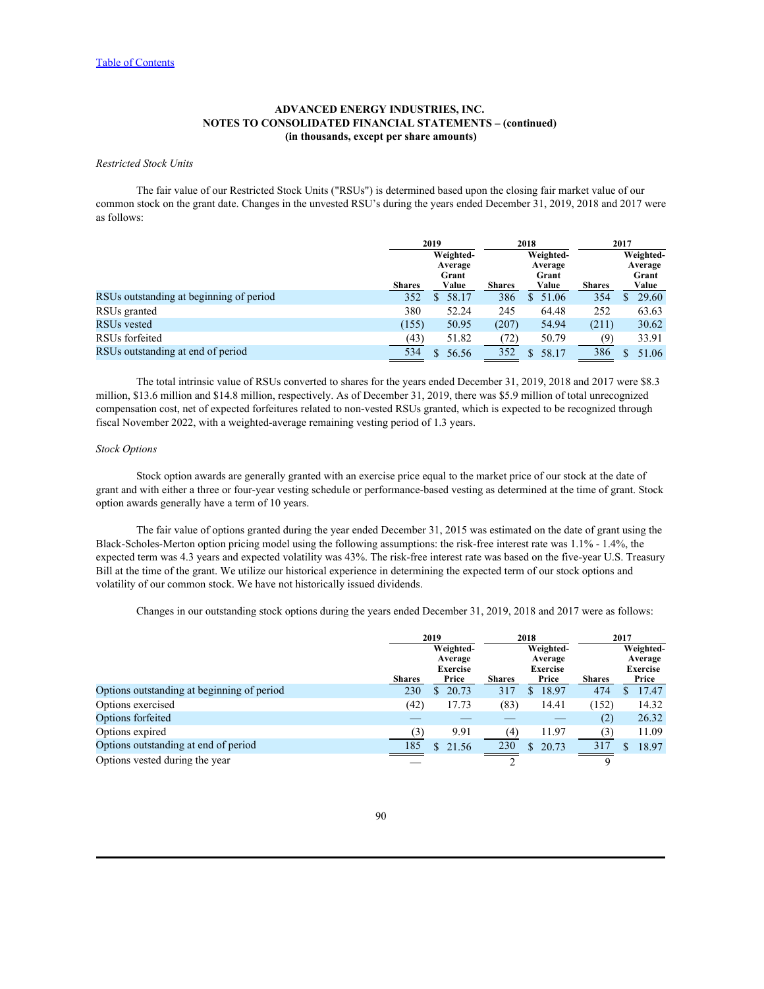#### *Restricted Stock Units*

The fair value of our Restricted Stock Units ("RSUs") is determined based upon the closing fair market value of our common stock on the grant date. Changes in the unvested RSU's during the years ended December 31, 2019, 2018 and 2017 were as follows:

|                                         |               | 2019      |               | 2018      |               | 2017      |
|-----------------------------------------|---------------|-----------|---------------|-----------|---------------|-----------|
|                                         |               | Weighted- |               | Weighted- |               | Weighted- |
|                                         |               | Average   |               | Average   |               | Average   |
|                                         |               | Grant     |               | Grant     |               | Grant     |
|                                         | <b>Shares</b> | Value     | <b>Shares</b> | Value     | <b>Shares</b> | Value     |
| RSUs outstanding at beginning of period | 352           | 58.17     | 386           | 51.06     | 354           | 29.60     |
| RSUs granted                            | 380           | 52.24     | 245           | 64.48     | 252           | 63.63     |
| RSUs vested                             | (155)         | 50.95     | (207)         | 54.94     | (211)         | 30.62     |
| RSUs forfeited                          | (43)          | 51.82     | (72)          | 50.79     | (9)           | 33.91     |
| RSUs outstanding at end of period       | 534           | \$56.56   | 352           | 58.17     | 386           | 51.06     |

The total intrinsic value of RSUs converted to shares for the years ended December 31, 2019, 2018 and 2017 were \$8.3 million, \$13.6 million and \$14.8 million, respectively. As of December 31, 2019, there was \$5.9 million of total unrecognized compensation cost, net of expected forfeitures related to non-vested RSUs granted, which is expected to be recognized through fiscal November 2022, with a weighted-average remaining vesting period of 1.3 years.

#### *Stock Options*

Stock option awards are generally granted with an exercise price equal to the market price of our stock at the date of grant and with either a three or four-year vesting schedule or performance-based vesting as determined at the time of grant. Stock option awards generally have a term of 10 years.

The fair value of options granted during the year ended December 31, 2015 was estimated on the date of grant using the Black-Scholes-Merton option pricing model using the following assumptions: the risk-free interest rate was 1.1% - 1.4%, the expected term was 4.3 years and expected volatility was 43%. The risk-free interest rate was based on the five-year U.S. Treasury Bill at the time of the grant. We utilize our historical experience in determining the expected term of our stock options and volatility of our common stock. We have not historically issued dividends.

Changes in our outstanding stock options during the years ended December 31, 2019, 2018 and 2017 were as follows:

|                                            | 2019          |                   |               | 2018              |               | 2017                     |  |
|--------------------------------------------|---------------|-------------------|---------------|-------------------|---------------|--------------------------|--|
|                                            |               | Weighted-         |               | Weighted-         |               | Weighted-                |  |
|                                            |               | Average           |               | Average           |               | Average                  |  |
|                                            | <b>Shares</b> | Exercise<br>Price | <b>Shares</b> | Exercise<br>Price | <b>Shares</b> | <b>Exercise</b><br>Price |  |
| Options outstanding at beginning of period | 230           | 20.73             | 317           | 18.97             | 474           | 17.47                    |  |
| Options exercised                          | (42)          | 17.73             | (83)          | 14.41             | (152)         | 14.32                    |  |
| Options forfeited                          |               |                   |               |                   | (2)           | 26.32                    |  |
| Options expired                            | (3)           | 9.91              |               | 1.97ء             | (3)           | 11.09                    |  |
| Options outstanding at end of period       | 185           | 21.56             | 230           | 20.73             | 317           | 18.97                    |  |
| Options vested during the year             |               |                   |               |                   |               |                          |  |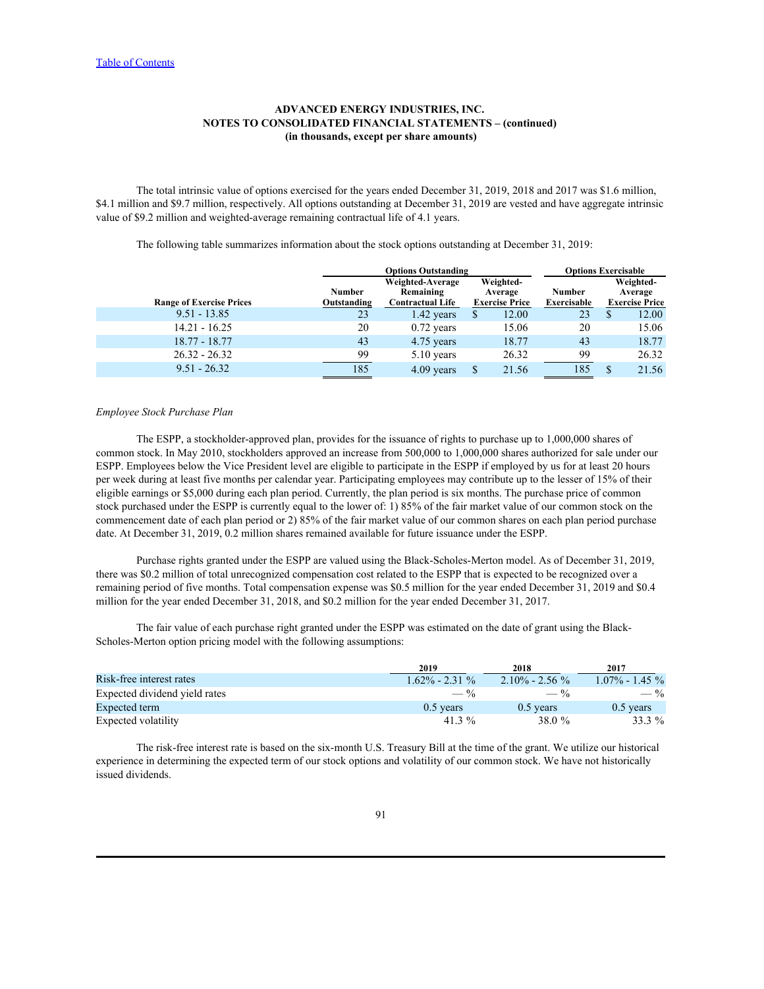The total intrinsic value of options exercised for the years ended December 31, 2019, 2018 and 2017 was \$1.6 million, \$4.1 million and \$9.7 million, respectively. All options outstanding at December 31, 2019 are vested and have aggregate intrinsic value of \$9.2 million and weighted-average remaining contractual life of 4.1 years.

The following table summarizes information about the stock options outstanding at December 31, 2019:

|                                 |                              | <b>Options Outstanding</b>           |                                  | <b>Options Exercisable</b> |                                  |
|---------------------------------|------------------------------|--------------------------------------|----------------------------------|----------------------------|----------------------------------|
|                                 |                              | Weighted-Average                     | Weighted-                        |                            | Weighted-                        |
| <b>Range of Exercise Prices</b> | <b>Number</b><br>Outstanding | Remaining<br><b>Contractual Life</b> | Average<br><b>Exercise Price</b> | Number<br>Exercisable      | Average<br><b>Exercise Price</b> |
| $9.51 - 13.85$                  | 23                           | 1.42 years                           | 12.00                            | 23                         | 12.00                            |
| $14.21 - 16.25$                 | 20                           | $0.72$ years                         | 15.06                            | 20                         | 15.06                            |
| $18.77 - 18.77$                 | 43                           | 4.75 years                           | 18.77                            | 43                         | 18.77                            |
| $26.32 - 26.32$                 | 99                           | $5.10$ years                         | 26.32                            | 99                         | 26.32                            |
| $9.51 - 26.32$                  | 185                          | 4.09 years                           | 21.56                            | 185                        | 21.56                            |

### *Employee Stock Purchase Plan*

The ESPP, a stockholder-approved plan, provides for the issuance of rights to purchase up to 1,000,000 shares of common stock. In May 2010, stockholders approved an increase from 500,000 to 1,000,000 shares authorized for sale under our ESPP. Employees below the Vice President level are eligible to participate in the ESPP if employed by us for at least 20 hours per week during at least five months per calendar year. Participating employees may contribute up to the lesser of 15% of their eligible earnings or \$5,000 during each plan period. Currently, the plan period is six months. The purchase price of common stock purchased under the ESPP is currently equal to the lower of: 1) 85% of the fair market value of our common stock on the commencement date of each plan period or 2) 85% of the fair market value of our common shares on each plan period purchase date. At December 31, 2019, 0.2 million shares remained available for future issuance under the ESPP.

Purchase rights granted under the ESPP are valued using the Black-Scholes-Merton model. As of December 31, 2019, there was \$0.2 million of total unrecognized compensation cost related to the ESPP that is expected to be recognized over a remaining period of five months. Total compensation expense was \$0.5 million for the year ended December 31, 2019 and \$0.4 million for the year ended December 31, 2018, and \$0.2 million for the year ended December 31, 2017.

The fair value of each purchase right granted under the ESPP was estimated on the date of grant using the Black-Scholes-Merton option pricing model with the following assumptions:

|                               | 2019              | 2018                            | 2017                            |
|-------------------------------|-------------------|---------------------------------|---------------------------------|
| Risk-free interest rates      | $1.62\% - 2.31\%$ | $2.10\% - 2.56\%$               | $1.07\% - 1.45\%$               |
| Expected dividend yield rates | $-$ %             | $\hspace{0.1mm}-\hspace{0.1mm}$ | $\hspace{0.1mm}-\hspace{0.1mm}$ |
| Expected term                 | $0.5$ years       | $\sim$ $\sim$<br>$0.5$ years    | $0.5$ years                     |
| Expected volatility           | 41.3 %            | 38.0 %                          | 33.3 %                          |

The risk-free interest rate is based on the six-month U.S. Treasury Bill at the time of the grant. We utilize our historical experience in determining the expected term of our stock options and volatility of our common stock. We have not historically issued dividends.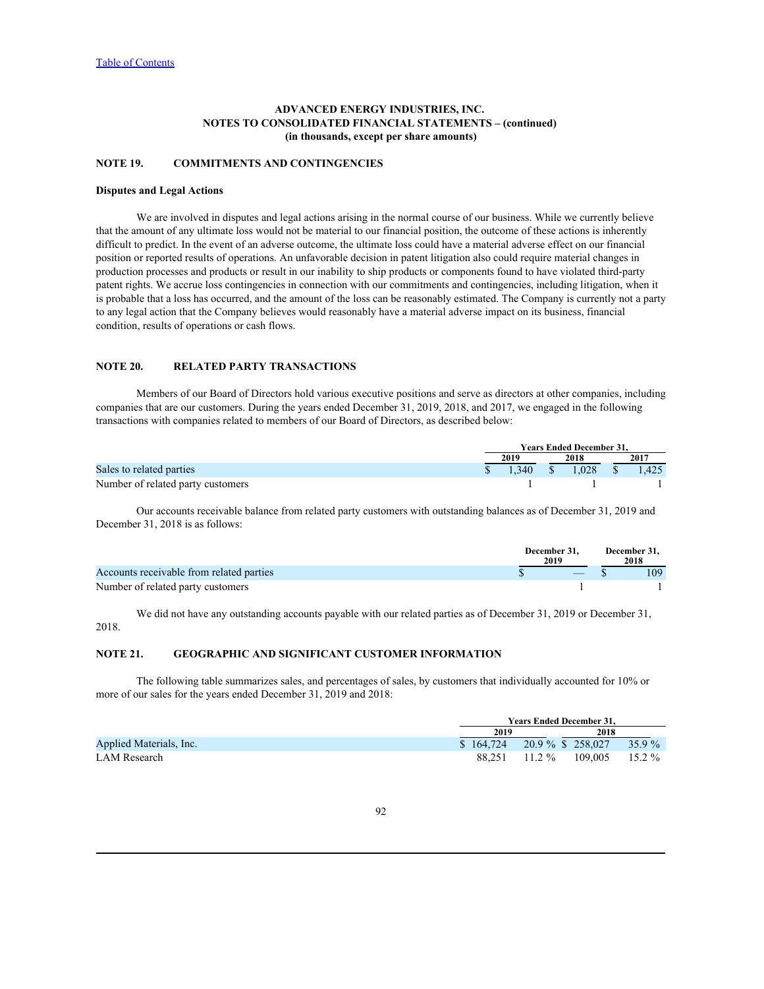#### **NOTE 19. COMMITMENTS AND CONTINGENCIES**

#### **Disputes and Legal Actions**

We are involved in disputes and legal actions arising in the normal course of our business. While we currently believe that the amount of any ultimate loss would not be material to our financial position, the outcome of these actions is inherently difficult to predict. In the event of an adverse outcome, the ultimate loss could have a material adverse effect on our financial position or reported results of operations. An unfavorable decision in patent litigation also could require material changes in production processes and products or result in our inability to ship products or components found to have violated third-party patent rights. We accrue loss contingencies in connection with our commitments and contingencies, including litigation, when it is probable that a loss has occurred, and the amount of the loss can be reasonably estimated. The Company is currently not a party to any legal action that the Company believes would reasonably have a material adverse impact on its business, financial condition, results of operations or cash flows.

### **NOTE 20. RELATED PARTY TRANSACTIONS**

Members of our Board of Directors hold various executive positions and serve as directors at other companies, including companies that are our customers. During the years ended December 31, 2019, 2018, and 2017, we engaged in the following transactions with companies related to members of our Board of Directors, as described below:

|                                   |       | <b>Years Ended December 31,</b> |       |
|-----------------------------------|-------|---------------------------------|-------|
|                                   | 2019  | 2018                            | 2017  |
| Sales to related parties          | 1.340 | .028                            | 1,425 |
| Number of related party customers |       |                                 |       |

Our accounts receivable balance from related party customers with outstanding balances as of December 31, 2019 and December 31, 2018 is as follows:

|                                          | December 31,<br>2019 | December 31,<br>2018 |  |
|------------------------------------------|----------------------|----------------------|--|
| Accounts receivable from related parties |                      | 109                  |  |
| Number of related party customers        |                      |                      |  |

We did not have any outstanding accounts payable with our related parties as of December 31, 2019 or December 31, 2018.

## **NOTE 21. GEOGRAPHIC AND SIGNIFICANT CUSTOMER INFORMATION**

The following table summarizes sales, and percentages of sales, by customers that individually accounted for 10% or more of our sales for the years ended December 31, 2019 and 2018:

|                         |           |                   | <b>Years Ended December 31.</b> |        |
|-------------------------|-----------|-------------------|---------------------------------|--------|
|                         | 2019      |                   | 2018                            |        |
| Applied Materials, Inc. | \$164,724 | 20.9 % \$ 258,027 |                                 | 35.9%  |
| <b>LAM Research</b>     | 88,251    | $11.2 \%$         | 109.005                         | 15.2 % |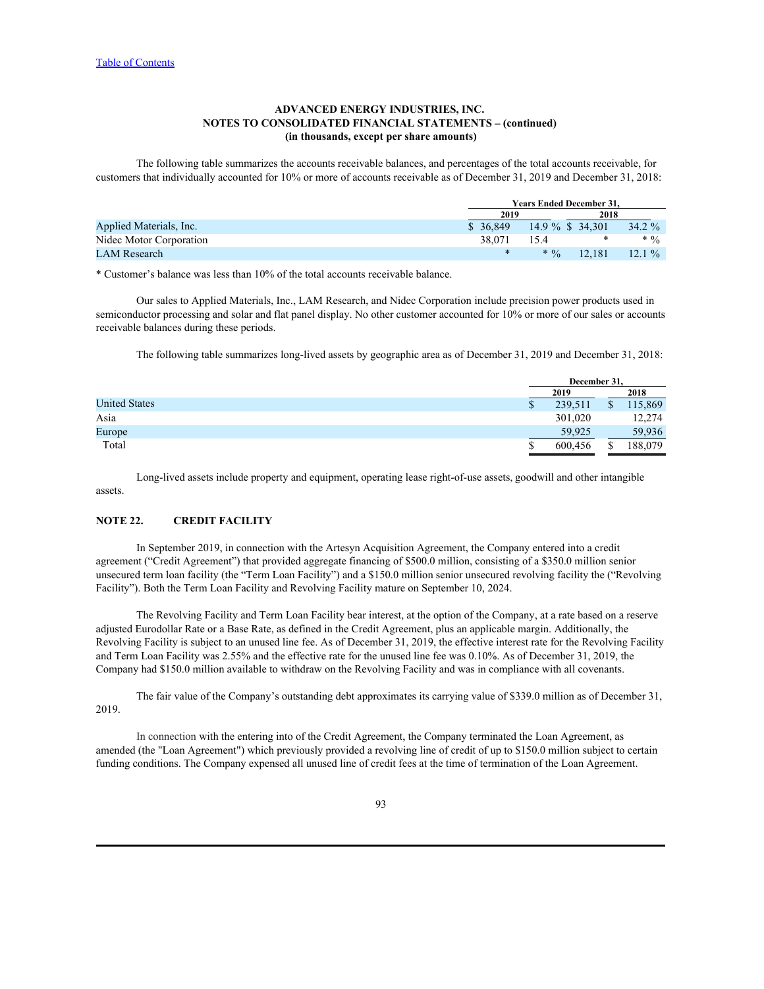The following table summarizes the accounts receivable balances, and percentages of the total accounts receivable, for customers that individually accounted for 10% or more of accounts receivable as of December 31, 2019 and December 31, 2018:

|                         |          |         | <b>Years Ended December 31,</b> |           |  |
|-------------------------|----------|---------|---------------------------------|-----------|--|
|                         | 2019     |         |                                 | 2018      |  |
| Applied Materials, Inc. | \$36,849 |         | 14.9 % \$ 34,301                | $34.2 \%$ |  |
| Nidec Motor Corporation | 38,071   | 15.4    |                                 | $* 0/2$   |  |
| <b>LAM Research</b>     |          | $* 0/2$ | 12,181                          | 12.1%     |  |

\* Customer's balance was less than 10% of the total accounts receivable balance.

Our sales to Applied Materials, Inc., LAM Research, and Nidec Corporation include precision power products used in semiconductor processing and solar and flat panel display. No other customer accounted for 10% or more of our sales or accounts receivable balances during these periods.

The following table summarizes long-lived assets by geographic area as of December 31, 2019 and December 31, 2018:

|      | 2019    |        | 2018         |
|------|---------|--------|--------------|
| - 12 | 239,511 |        | 115,869      |
|      | 301,020 |        | 12,274       |
|      |         |        | 59,936       |
|      | 600,456 |        | 188,079      |
|      |         | 59,925 | December 31, |

Long-lived assets include property and equipment, operating lease right-of-use assets, goodwill and other intangible assets.

## **NOTE 22. CREDIT FACILITY**

In September 2019, in connection with the Artesyn Acquisition Agreement, the Company entered into a credit agreement ("Credit Agreement") that provided aggregate financing of \$500.0 million, consisting of a \$350.0 million senior unsecured term loan facility (the "Term Loan Facility") and a \$150.0 million senior unsecured revolving facility the ("Revolving Facility"). Both the Term Loan Facility and Revolving Facility mature on September 10, 2024.

The Revolving Facility and Term Loan Facility bear interest, at the option of the Company, at a rate based on a reserve adjusted Eurodollar Rate or a Base Rate, as defined in the Credit Agreement, plus an applicable margin. Additionally, the Revolving Facility is subject to an unused line fee. As of December 31, 2019, the effective interest rate for the Revolving Facility and Term Loan Facility was 2.55% and the effective rate for the unused line fee was 0.10%. As of December 31, 2019, the Company had \$150.0 million available to withdraw on the Revolving Facility and was in compliance with all covenants.

The fair value of the Company's outstanding debt approximates its carrying value of \$339.0 million as of December 31, 2019.

In connection with the entering into of the Credit Agreement, the Company terminated the Loan Agreement, as amended (the "Loan Agreement") which previously provided a revolving line of credit of up to \$150.0 million subject to certain funding conditions. The Company expensed all unused line of credit fees at the time of termination of the Loan Agreement.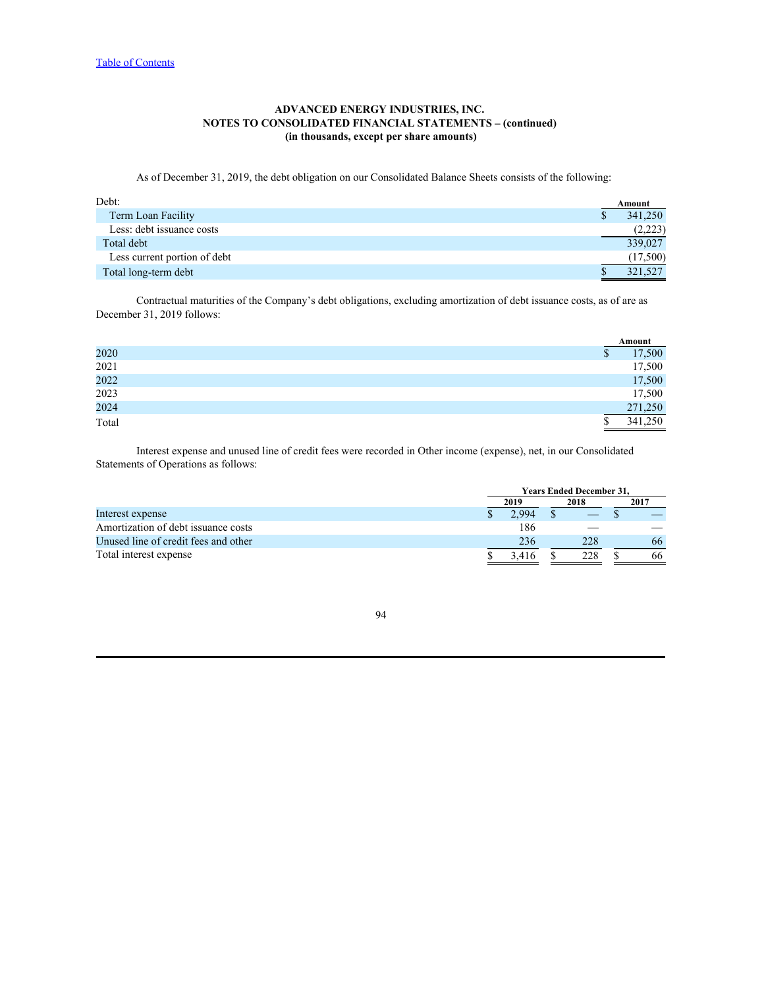As of December 31, 2019, the debt obligation on our Consolidated Balance Sheets consists of the following:

| Debt:                        | Amount   |
|------------------------------|----------|
| Term Loan Facility           | 341,250  |
| Less: debt issuance costs    | (2,223)  |
| Total debt                   | 339,027  |
| Less current portion of debt | (17,500) |
| Total long-term debt         | 321,527  |

Contractual maturities of the Company's debt obligations, excluding amortization of debt issuance costs, as of are as December 31, 2019 follows:

|       | Amount                   |
|-------|--------------------------|
| 2020  | 17,500                   |
| 2021  | 17,500                   |
| 2022  | 17,500                   |
| 2023  |                          |
| 2024  | $\frac{17,500}{271,250}$ |
| Total | 341,250                  |

Interest expense and unused line of credit fees were recorded in Other income (expense), net, in our Consolidated Statements of Operations as follows:

|       |      |                                 |      | 2017                            |
|-------|------|---------------------------------|------|---------------------------------|
| 2.994 |      | $\hspace{0.1mm}-\hspace{0.1mm}$ |      |                                 |
| 186   |      | $\hspace{0.1mm}-\hspace{0.1mm}$ |      |                                 |
| 236   |      | 228                             |      |                                 |
| 3,416 |      | 228                             |      |                                 |
|       | 2019 |                                 | 2018 | <b>Years Ended December 31.</b> |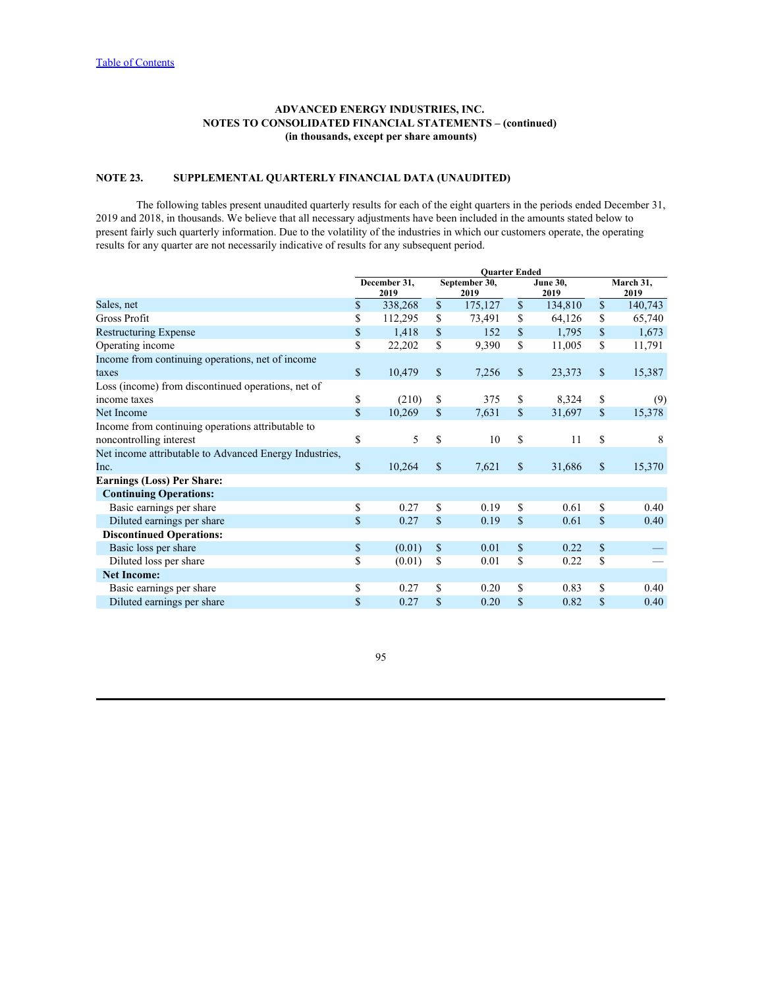# **NOTE 23. SUPPLEMENTAL QUARTERLY FINANCIAL DATA (UNAUDITED)**

The following tables present unaudited quarterly results for each of the eight quarters in the periods ended December 31, 2019 and 2018, in thousands. We believe that all necessary adjustments have been included in the amounts stated below to present fairly such quarterly information. Due to the volatility of the industries in which our customers operate, the operating results for any quarter are not necessarily indicative of results for any subsequent period.

|                                                        |              | <b>Quarter Ended</b> |               |                       |              |                         |              |                   |  |
|--------------------------------------------------------|--------------|----------------------|---------------|-----------------------|--------------|-------------------------|--------------|-------------------|--|
|                                                        |              | December 31,<br>2019 |               | September 30,<br>2019 |              | <b>June 30,</b><br>2019 |              | March 31,<br>2019 |  |
| Sales, net                                             |              | 338,268              |               | 175,127               | <sup>S</sup> | 134,810                 | <sup>S</sup> | 140,743           |  |
| Gross Profit                                           |              | 12,295               |               | 73,491                |              | 64,126                  |              | 65,740            |  |
| <b>Restructuring Expense</b>                           |              | 1,418                |               | 152                   | <sup>S</sup> | 1,795                   | -S           | 1,673             |  |
| Operating income                                       | ъ            | 22,202               |               | 9,390                 | -S           | 11,005                  | -S           | 11,791            |  |
| Income from continuing operations, net of income       |              |                      |               |                       |              |                         |              |                   |  |
| taxes                                                  | $\mathbb{S}$ | 10,479               | -S            | 7,256                 | -S           | 23,373                  | -S           | 15,387            |  |
| Loss (income) from discontinued operations, net of     |              |                      |               |                       |              |                         |              |                   |  |
| income taxes                                           | \$           | $(210)$ \$           |               | 375                   | - \$         | 8,324                   | -S           | (9)               |  |
| Net Income                                             | \$.          | 10,269               | <sup>S</sup>  | 7,631                 | - \$         | 31,697                  | <sup>S</sup> | 15,378            |  |
| Income from continuing operations attributable to      |              |                      |               |                       |              |                         |              |                   |  |
| noncontrolling interest                                | \$           | 5                    | -S            | 10                    | -S           | 11                      | <sup>S</sup> | 8                 |  |
| Net income attributable to Advanced Energy Industries, |              |                      |               |                       |              |                         |              |                   |  |
| Inc.                                                   | \$           | 10,264               | - S           | 7,621                 | - \$         | 31,686                  | -S           | 15,370            |  |
| <b>Earnings (Loss) Per Share:</b>                      |              |                      |               |                       |              |                         |              |                   |  |
| <b>Continuing Operations:</b>                          |              |                      |               |                       |              |                         |              |                   |  |
| Basic earnings per share                               | \$           | 0.27                 | <sup>\$</sup> | 0.19                  | -S           | 0.61                    | -S           | 0.40              |  |
| Diluted earnings per share                             | S            | 0.27                 | -S            | 0.19                  | - \$         | 0.61                    | <sup>S</sup> | 0.40              |  |
| <b>Discontinued Operations:</b>                        |              |                      |               |                       |              |                         |              |                   |  |
| Basic loss per share                                   | \$           | (0.01)               | - \$          | 0.01                  | <sup>S</sup> | 0.22                    | <sup>S</sup> |                   |  |
| Diluted loss per share                                 | \$           | (0.01)               | -S            | 0.01                  | -S           | 0.22                    | <sup>S</sup> |                   |  |
| <b>Net Income:</b>                                     |              |                      |               |                       |              |                         |              |                   |  |
| Basic earnings per share                               | \$           | 0.27                 | -S            | 0.20                  | -S           | 0.83                    | S            | 0.40              |  |
| Diluted earnings per share                             | \$           | 0.27                 | -S            | 0.20                  | - \$         | 0.82                    | -S           | 0.40              |  |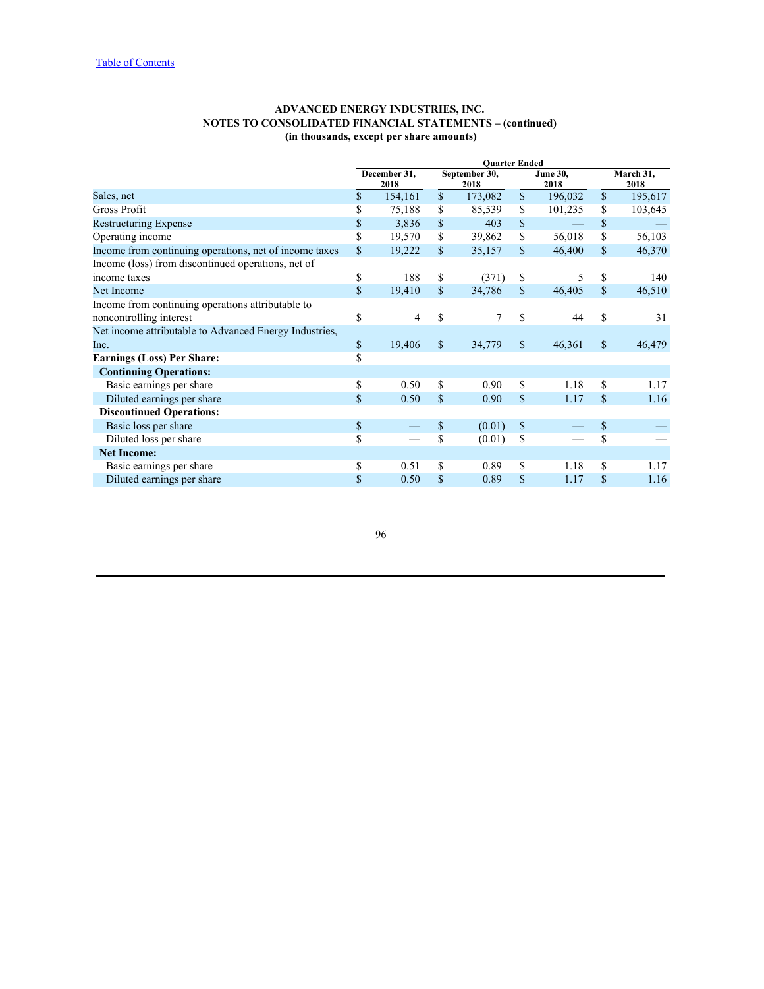|                                                        |              |                      |               | <b>Quarter Ended</b>  |              |                          |               |                   |
|--------------------------------------------------------|--------------|----------------------|---------------|-----------------------|--------------|--------------------------|---------------|-------------------|
|                                                        |              | December 31,<br>2018 |               | September 30,<br>2018 |              | <b>June 30,</b><br>2018  |               | March 31,<br>2018 |
| Sales, net                                             |              | 154,161              |               | 173,082               |              | 196,032                  | <sup>S</sup>  | 195,617           |
| Gross Profit                                           |              | 75,188               | -8            | 85,539                | - 55         | 101,235                  |               | 103,645           |
| <b>Restructuring Expense</b>                           |              | 3,836                | - \$          | 403                   |              | $\overline{\phantom{m}}$ |               |                   |
| Operating income                                       |              | 19,570               | <sup>\$</sup> | 39,862                | - 85         | 56,018                   |               | 56,103            |
| Income from continuing operations, net of income taxes |              | 19,222               | -S            | 35,157                | - S          | 46,400                   |               | 46,370            |
| Income (loss) from discontinued operations, net of     |              |                      |               |                       |              |                          |               |                   |
| income taxes                                           |              | 188                  |               | (371)                 | - S          | 5                        |               | 140               |
| Net Income                                             |              | 19,410               | -S            | 34,786                | - \$         | 46,405                   | <sup>S</sup>  | 46,510            |
| Income from continuing operations attributable to      |              |                      |               |                       |              |                          |               |                   |
| noncontrolling interest                                |              |                      | -S            | $\overline{7}$        | -S           | 44                       | -S            | 31                |
| Net income attributable to Advanced Energy Industries, |              |                      |               |                       |              |                          |               |                   |
| Inc.                                                   | <sup>S</sup> | 19,406               | -SI           | 34,779                | - \$         | 46,361                   | -S            | 46,479            |
| <b>Earnings (Loss) Per Share:</b>                      |              |                      |               |                       |              |                          |               |                   |
| <b>Continuing Operations:</b>                          |              |                      |               |                       |              |                          |               |                   |
| Basic earnings per share                               |              | 0.50                 | <sup>\$</sup> | 0.90                  | - \$         | 1.18                     |               | 1.17              |
| Diluted earnings per share                             |              | 0.50                 | -S            | 0.90                  | - \$         | 1.17                     | <sup>\$</sup> | 1.16              |
| <b>Discontinued Operations:</b>                        |              |                      |               |                       |              |                          |               |                   |
| Basic loss per share                                   |              |                      |               | (0.01)                | $^{\circ}$ S | $\overline{\phantom{m}}$ |               |                   |
| Diluted loss per share                                 |              |                      |               | (0.01)                | $\mathbf{s}$ |                          |               |                   |
| <b>Net Income:</b>                                     |              |                      |               |                       |              |                          |               |                   |
| Basic earnings per share                               |              | 0.51                 | -S            | 0.89                  | - S          | 1.18                     | <sup>\$</sup> | 1.17              |
| Diluted earnings per share                             |              | 0.50                 |               | 0.89                  | - 5          | 1.17                     |               | 1.16              |
|                                                        |              |                      |               |                       |              |                          |               |                   |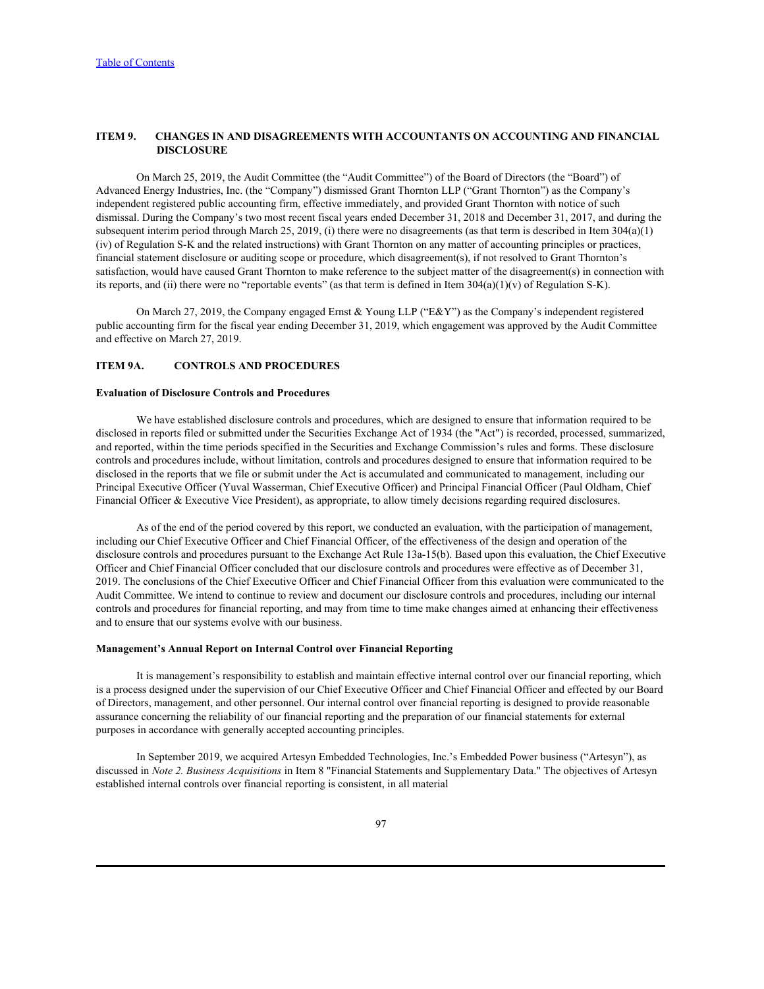### **ITEM 9. CHANGES IN AND DISAGREEMENTS WITH ACCOUNTANTS ON ACCOUNTING AND FINANCIAL DISCLOSURE**

On March 25, 2019, the Audit Committee (the "Audit Committee") of the Board of Directors (the "Board") of Advanced Energy Industries, Inc. (the "Company") dismissed Grant Thornton LLP ("Grant Thornton") as the Company's independent registered public accounting firm, effective immediately, and provided Grant Thornton with notice of such dismissal. During the Company's two most recent fiscal years ended December 31, 2018 and December 31, 2017, and during the subsequent interim period through March 25, 2019, (i) there were no disagreements (as that term is described in Item  $304(a)(1)$ (iv) of Regulation S-K and the related instructions) with Grant Thornton on any matter of accounting principles or practices, financial statement disclosure or auditing scope or procedure, which disagreement(s), if not resolved to Grant Thornton's satisfaction, would have caused Grant Thornton to make reference to the subject matter of the disagreement(s) in connection with its reports, and (ii) there were no "reportable events" (as that term is defined in Item  $304(a)(1)(v)$  of Regulation S-K).

On March 27, 2019, the Company engaged Ernst & Young LLP ("E&Y") as the Company's independent registered public accounting firm for the fiscal year ending December 31, 2019, which engagement was approved by the Audit Committee and effective on March 27, 2019.

### **ITEM 9A. CONTROLS AND PROCEDURES**

#### **Evaluation of Disclosure Controls and Procedures**

We have established disclosure controls and procedures, which are designed to ensure that information required to be disclosed in reports filed or submitted under the Securities Exchange Act of 1934 (the "Act") is recorded, processed, summarized, and reported, within the time periods specified in the Securities and Exchange Commission's rules and forms. These disclosure controls and procedures include, without limitation, controls and procedures designed to ensure that information required to be disclosed in the reports that we file or submit under the Act is accumulated and communicated to management, including our Principal Executive Officer (Yuval Wasserman, Chief Executive Officer) and Principal Financial Officer (Paul Oldham, Chief Financial Officer & Executive Vice President), as appropriate, to allow timely decisions regarding required disclosures.

As of the end of the period covered by this report, we conducted an evaluation, with the participation of management, including our Chief Executive Officer and Chief Financial Officer, of the effectiveness of the design and operation of the disclosure controls and procedures pursuant to the Exchange Act Rule 13a-15(b). Based upon this evaluation, the Chief Executive Officer and Chief Financial Officer concluded that our disclosure controls and procedures were effective as of December 31, 2019. The conclusions of the Chief Executive Officer and Chief Financial Officer from this evaluation were communicated to the Audit Committee. We intend to continue to review and document our disclosure controls and procedures, including our internal controls and procedures for financial reporting, and may from time to time make changes aimed at enhancing their effectiveness and to ensure that our systems evolve with our business.

#### **Management's Annual Report on Internal Control over Financial Reporting**

It is management's responsibility to establish and maintain effective internal control over our financial reporting, which is a process designed under the supervision of our Chief Executive Officer and Chief Financial Officer and effected by our Board of Directors, management, and other personnel. Our internal control over financial reporting is designed to provide reasonable assurance concerning the reliability of our financial reporting and the preparation of our financial statements for external purposes in accordance with generally accepted accounting principles.

In September 2019, we acquired Artesyn Embedded Technologies, Inc.'s Embedded Power business ("Artesyn"), as discussed in *Note 2. Business Acquisitions* in Item 8 "Financial Statements and Supplementary Data." The objectives of Artesyn established internal controls over financial reporting is consistent, in all material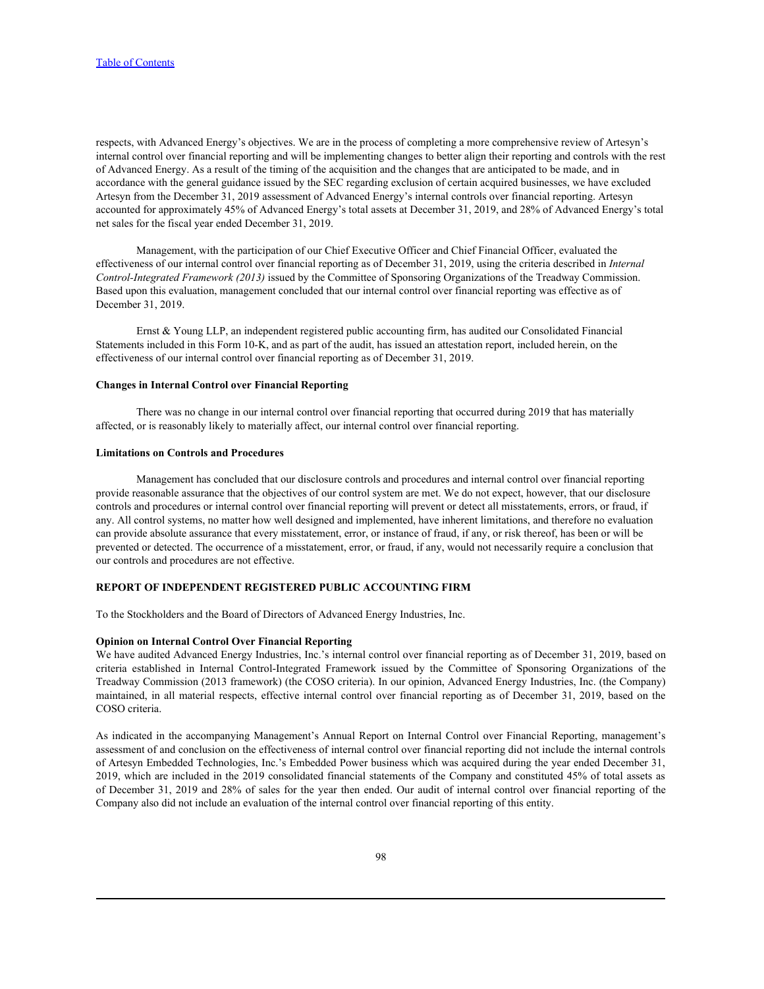respects, with Advanced Energy's objectives. We are in the process of completing a more comprehensive review of Artesyn's internal control over financial reporting and will be implementing changes to better align their reporting and controls with the rest of Advanced Energy. As a result of the timing of the acquisition and the changes that are anticipated to be made, and in accordance with the general guidance issued by the SEC regarding exclusion of certain acquired businesses, we have excluded Artesyn from the December 31, 2019 assessment of Advanced Energy's internal controls over financial reporting. Artesyn accounted for approximately 45% of Advanced Energy's total assets at December 31, 2019, and 28% of Advanced Energy's total net sales for the fiscal year ended December 31, 2019.

Management, with the participation of our Chief Executive Officer and Chief Financial Officer, evaluated the effectiveness of our internal control over financial reporting as of December 31, 2019, using the criteria described in *Internal Control-Integrated Framework (2013)* issued by the Committee of Sponsoring Organizations of the Treadway Commission. Based upon this evaluation, management concluded that our internal control over financial reporting was effective as of December 31, 2019.

Ernst & Young LLP, an independent registered public accounting firm, has audited our Consolidated Financial Statements included in this Form 10-K, and as part of the audit, has issued an attestation report, included herein, on the effectiveness of our internal control over financial reporting as of December 31, 2019.

#### **Changes in Internal Control over Financial Reporting**

There was no change in our internal control over financial reporting that occurred during 2019 that has materially affected, or is reasonably likely to materially affect, our internal control over financial reporting.

### **Limitations on Controls and Procedures**

Management has concluded that our disclosure controls and procedures and internal control over financial reporting provide reasonable assurance that the objectives of our control system are met. We do not expect, however, that our disclosure controls and procedures or internal control over financial reporting will prevent or detect all misstatements, errors, or fraud, if any. All control systems, no matter how well designed and implemented, have inherent limitations, and therefore no evaluation can provide absolute assurance that every misstatement, error, or instance of fraud, if any, or risk thereof, has been or will be prevented or detected. The occurrence of a misstatement, error, or fraud, if any, would not necessarily require a conclusion that our controls and procedures are not effective. effectiveness of our internal coarierod over Framework is 2000 (and the properties and the commission of the Internal Control Anti-<br>
Sometime of the internal control over Framework CoNJ issued by the Committee of Sponsorin The induction and procedures procedures and the form of the state of the control over financial control over financial Control over financial control over financial control over financial control of  $K_{\text{c}}$  respective  $\$ 

#### **REPORT OF INDEPENDENT REGISTERED PUBLIC ACCOUNTING FIRM**

To the Stockholders and the Board of Directors of Advanced Energy Industries, Inc.

#### **Opinion on Internal Control Over Financial Reporting**

We have audited Advanced Energy Industries, Inc.'s internal control over financial reporting as of December 31, 2019, based on Treadway Commission (2013 framework) (the COSO criteria). In our opinion, Advanced Energy Industries, Inc. (the Company) COSO criteria.

As indicated in the accompanying Management's Annual Report on Internal Control over Financial Reporting, management's assessment of and conclusion on the effectiveness of internal control over financial reporting did not include the internal controls of Artesyn Embedded Technologies, Inc.'s Embedded Power business which was acquired during the year ended December 31, 2019, which are included in the 2019 consolidated financial statements of the Company and constituted 45% of total assets as of December 31, 2019 and 28% of sales for the year then ended. Our audit of internal control over financial reporting of the Company also did not include an evaluation of the internal control over financial reporting of this entity.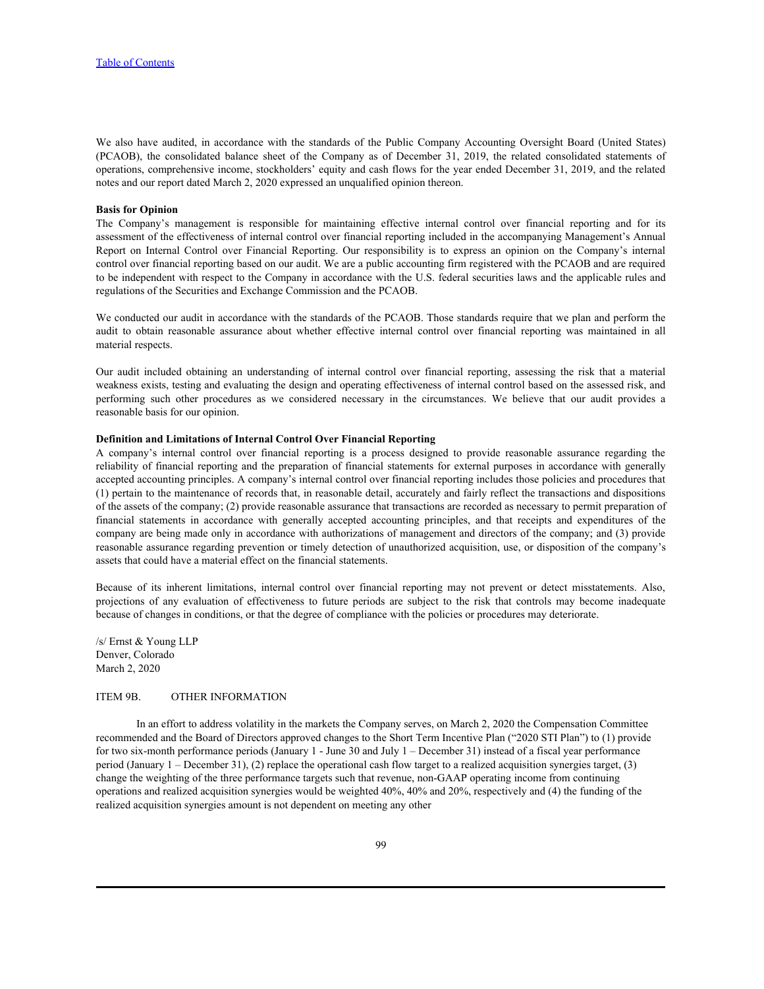Tableof Contents<br>(PCAOB), the consolidated balance sheet of the Standards of the Public Company Accounting Oversight Board (United States)<br>(PCAOB), the consolidated balance sheet of the Company as of December 31, 2019, th Table of Contents<br>(PCAOB), the consolidated balance sheet of the Company as of December 31, 2019, the related consolidated statements of<br>(PCAOB), the consolidated balance sheet of the Company as of December 31, 2019, the r operations, comprehensive income, stockholders' equity and cash flows for the year ended December 31, 2019, and the related notes and our report dated March 2, 2020 expressed an unqualified opinion thereon.

#### **Basis for Opinion**

Table of Contents<br>We also have audited, in accordance with the standards of the Public Company Accounting Oversight Board (United States)<br>(PCAOB), the consolidated balance sheet of the Company as of December 31, 2019, the assessment of the effectiveness of internal control over financial reporting included in the accompanying Management's Annual Table of Contents<br>We also have audited, in accordance with the standards of the Public Company Accounting Oversight Board (United States)<br>(PCAOB), the consolidated balance sheet of the Company as of December 31, 2019, the control over financial reporting based on our audit. We are a public accounting firm registered with the PCAOB and are required to be independent with respect to the Company in accordance with the U.S. federal securities laws and the applicable rules and regulations of the Securities and Exchange Commission and the PCAOB. Table of Contents<br>
We also lawe andired, in a coordinence with the standards of the Public Company Accounting Oversight Board (United States)<br>
opportions, the consolidated balance heat of the Company as of Descendent 31, 2 Table of Contents<br>
We also have audited, in accordance with the standards of the Public Company Accounting Oversight Board (United States)<br>
operations, comprehensive income, stochdoders' equipy and cash flows for the year Table of Companis<br>We also have and<br>inded in accordance with the standards of the Philic Company Accounting Overaight Board United States)<br>CCAO have a monotoning and considered company as can be overaight and some for the y

We conducted our audit in accordance with the standards of the PCAOB. Those standards require that we plan and perform the material respects.

weakness exists, testing and evaluating the design and operating effectiveness of internal control based on the assessed risk, and reasonable basis for our opinion.

#### **Definition and Limitations of Internal Control Over Financial Reporting**

Trishe of Cortems<br>We also have and<br>incl. in accordance with the standards of the Pablic Company Accounting Overight Beand (United States)<br>(PCAOB), the controllations based of the Company as of December 31, 2019, the collec reliability of financial reporting and the preparation of financial statements for external purposes in accordance with generally accepted accounting principles. A company's internal control over financial reporting includes those policies and procedures that (1) pertain to the maintenance of records that, in reasonable detail, accurately and fairly reflect the transactions and dispositions of the assets of the company; (2) provide reasonable assurance that transactions are recorded as necessary to permit preparation of We also have audited, in accordance with the standards of the Public Company Accounting Oscaly[IC/AOH), the cannotidated balance sheet of the Company as of Descential (2), 2003), the related corrected statements of operati company are being made only in accordance with authorizations of management and directors of the company; and (3) provide reasonable assurance regarding prevention or timely detection of unauthorized acquisition, use, or disposition of the company's assets that could have a material effect on the financial statements. about a dot report dured 2. 2020 expressed an unquidited equivalent meriod. The financial reporting and for its internal control over financial reporting and for its internal control over financial reporting may internal c **Basis for Opinion**<br> **Basis for Opinion**<br>
The Company's management is responsible for maintaining effective internal correl over function<br>
consensus of the effectiveness of maintal caretof over financial reporting include

because of changes in conditions, or that the degree of compliance with the policies or procedures may deteriorate.

/s/ Ernst & Young LLP Denver, Colorado March 2, 2020

### ITEM 9B. OTHER INFORMATION

In an effort to address volatility in the markets the Company serves, on March 2, 2020 the Compensation Committee recommended and the Board of Directors approved changes to the Short Term Incentive Plan ("2020 STI Plan") to (1) provide for two six-month performance periods (January 1 - June 30 and July 1 – December 31) instead of a fiscal year performance period (January 1 – December 31), (2) replace the operational cash flow target to a realized acquisition synergies target, (3) change the weighting of the three performance targets such that revenue, non-GAAP operating income from continuing operations and realized acquisition synergies would be weighted 40%, 40% and 20%, respectively and (4) the funding of the realized acquisition synergies amount is not dependent on meeting any other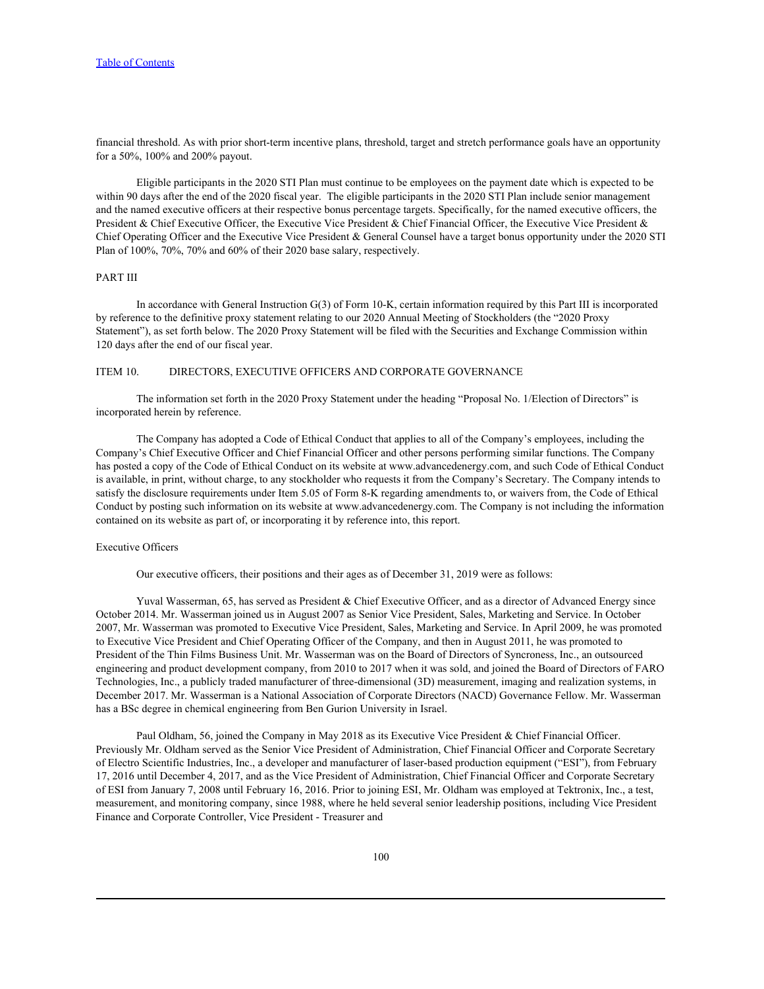financial threshold. As with prior short-term incentive plans, threshold, target and stretch performance goals have an opportunity for a 50%, 100% and 200% payout.

Eligible participants in the 2020 STI Plan must continue to be employees on the payment date which is expected to be within 90 days after the end of the 2020 fiscal year. The eligible participants in the 2020 STI Plan include senior management and the named executive officers at their respective bonus percentage targets. Specifically, for the named executive officers, the President & Chief Executive Officer, the Executive Vice President & Chief Financial Officer, the Executive Vice President & Chief Operating Officer and the Executive Vice President & General Counsel have a target bonus opportunity under the 2020 STI Plan of 100%, 70%, 70% and 60% of their 2020 base salary, respectively.

#### PART III

In accordance with General Instruction G(3) of Form 10-K, certain information required by this Part III is incorporated by reference to the definitive proxy statement relating to our 2020 Annual Meeting of Stockholders (the "2020 Proxy Statement"), as set forth below. The 2020 Proxy Statement will be filed with the Securities and Exchange Commission within 120 days after the end of our fiscal year.

### ITEM 10. DIRECTORS, EXECUTIVE OFFICERS AND CORPORATE GOVERNANCE

The information set forth in the 2020 Proxy Statement under the heading "Proposal No. 1/Election of Directors" is incorporated herein by reference.

The Company has adopted a Code of Ethical Conduct that applies to all of the Company's employees, including the Company's Chief Executive Officer and Chief Financial Officer and other persons performing similar functions. The Company has posted a copy of the Code of Ethical Conduct on its website at www.advancedenergy.com, and such Code of Ethical Conduct is available, in print, without charge, to any stockholder who requests it from the Company's Secretary. The Company intends to satisfy the disclosure requirements under Item 5.05 of Form 8-K regarding amendments to, or waivers from, the Code of Ethical Conduct by posting such information on its website at www.advancedenergy.com. The Company is not including the information contained on its website as part of, or incorporating it by reference into, this report.

#### Executive Officers

Our executive officers, their positions and their ages as of December 31, 2019 were as follows:

Yuval Wasserman, 65, has served as President & Chief Executive Officer, and as a director of Advanced Energy since October 2014. Mr. Wasserman joined us in August 2007 as Senior Vice President, Sales, Marketing and Service. In October 2007, Mr. Wasserman was promoted to Executive Vice President, Sales, Marketing and Service. In April 2009, he was promoted to Executive Vice President and Chief Operating Officer of the Company, and then in August 2011, he was promoted to President of the Thin Films Business Unit. Mr. Wasserman was on the Board of Directors of Syncroness, Inc., an outsourced engineering and product development company, from 2010 to 2017 when it was sold, and joined the Board of Directors of FARO Technologies, Inc., a publicly traded manufacturer of three-dimensional (3D) measurement, imaging and realization systems, in December 2017. Mr. Wasserman is a National Association of Corporate Directors (NACD) Governance Fellow. Mr. Wasserman has a BSc degree in chemical engineering from Ben Gurion University in Israel.

Paul Oldham, 56, joined the Company in May 2018 as its Executive Vice President & Chief Financial Officer. Previously Mr. Oldham served as the Senior Vice President of Administration, Chief Financial Officer and Corporate Secretary of Electro Scientific Industries, Inc., a developer and manufacturer of laser-based production equipment ("ESI"), from February 17, 2016 until December 4, 2017, and as the Vice President of Administration, Chief Financial Officer and Corporate Secretary of ESI from January 7, 2008 until February 16, 2016. Prior to joining ESI, Mr. Oldham was employed at Tektronix, Inc., a test, measurement, and monitoring company, since 1988, where he held several senior leadership positions, including Vice President Finance and Corporate Controller, Vice President - Treasurer and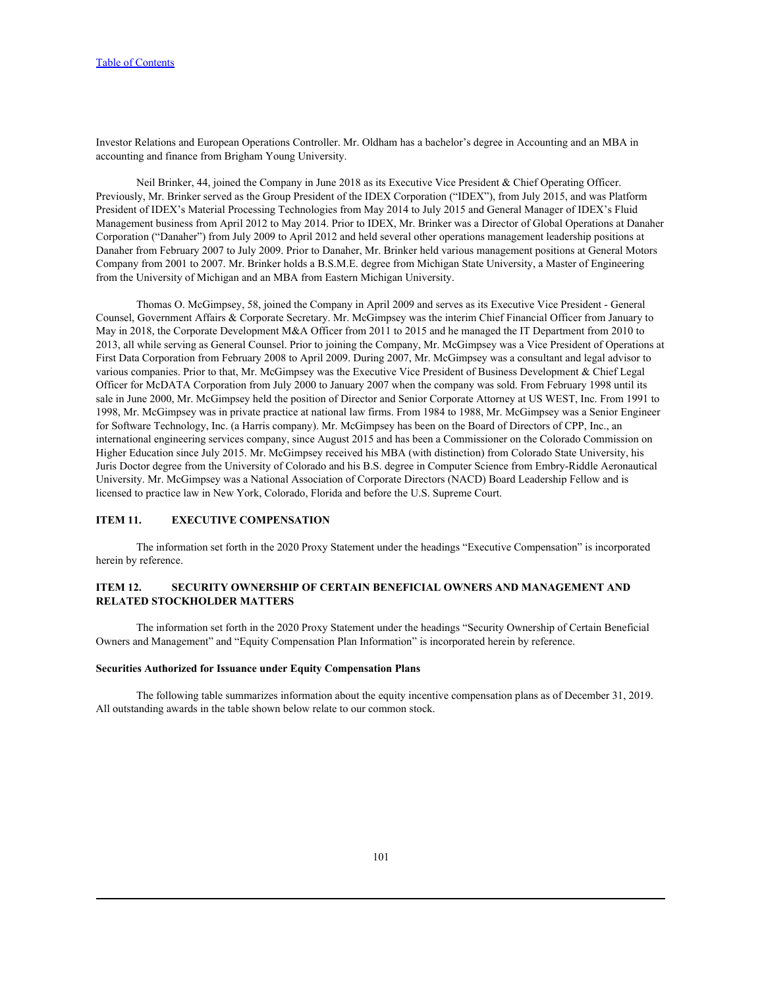Investor Relations and European Operations Controller. Mr. Oldham has a bachelor's degree in Accounting and an MBA in accounting and finance from Brigham Young University.

Neil Brinker, 44, joined the Company in June 2018 as its Executive Vice President & Chief Operating Officer. Previously, Mr. Brinker served as the Group President of the IDEX Corporation ("IDEX"), from July 2015, and was Platform President of IDEX's Material Processing Technologies from May 2014 to July 2015 and General Manager of IDEX's Fluid Management business from April 2012 to May 2014. Prior to IDEX, Mr. Brinker was a Director of Global Operations at Danaher Corporation ("Danaher") from July 2009 to April 2012 and held several other operations management leadership positions at Danaher from February 2007 to July 2009. Prior to Danaher, Mr. Brinker held various management positions at General Motors Company from 2001 to 2007. Mr. Brinker holds a B.S.M.E. degree from Michigan State University, a Master of Engineering from the University of Michigan and an MBA from Eastern Michigan University.

Thomas O. McGimpsey, 58, joined the Company in April 2009 and serves as its Executive Vice President - General Counsel, Government Affairs & Corporate Secretary. Mr. McGimpsey was the interim Chief Financial Officer from January to May in 2018, the Corporate Development M&A Officer from 2011 to 2015 and he managed the IT Department from 2010 to 2013, all while serving as General Counsel. Prior to joining the Company, Mr. McGimpsey was a Vice President of Operations at First Data Corporation from February 2008 to April 2009. During 2007, Mr. McGimpsey was a consultant and legal advisor to various companies. Prior to that, Mr. McGimpsey was the Executive Vice President of Business Development & Chief Legal Officer for McDATA Corporation from July 2000 to January 2007 when the company was sold. From February 1998 until its sale in June 2000, Mr. McGimpsey held the position of Director and Senior Corporate Attorney at US WEST, Inc. From 1991 to 1998, Mr. McGimpsey was in private practice at national law firms. From 1984 to 1988, Mr. McGimpsey was a Senior Engineer for Software Technology, Inc. (a Harris company). Mr. McGimpsey has been on the Board of Directors of CPP, Inc., an international engineering services company, since August 2015 and has been a Commissioner on the Colorado Commission on Higher Education since July 2015. Mr. McGimpsey received his MBA (with distinction) from Colorado State University, his Juris Doctor degree from the University of Colorado and his B.S. degree in Computer Science from Embry-Riddle Aeronautical University. Mr. McGimpsey was a National Association of Corporate Directors (NACD) Board Leadership Fellow and is licensed to practice law in New York, Colorado, Florida and before the U.S. Supreme Court.

### **ITEM 11. EXECUTIVE COMPENSATION**

The information set forth in the 2020 Proxy Statement under the headings "Executive Compensation" is incorporated herein by reference.

## **ITEM 12. SECURITY OWNERSHIP OF CERTAIN BENEFICIAL OWNERS AND MANAGEMENT AND RELATED STOCKHOLDER MATTERS**

The information set forth in the 2020 Proxy Statement under the headings "Security Ownership of Certain Beneficial Owners and Management" and "Equity Compensation Plan Information" is incorporated herein by reference.

#### **Securities Authorized for Issuance under Equity Compensation Plans**

The following table summarizes information about the equity incentive compensation plans as of December 31, 2019. All outstanding awards in the table shown below relate to our common stock.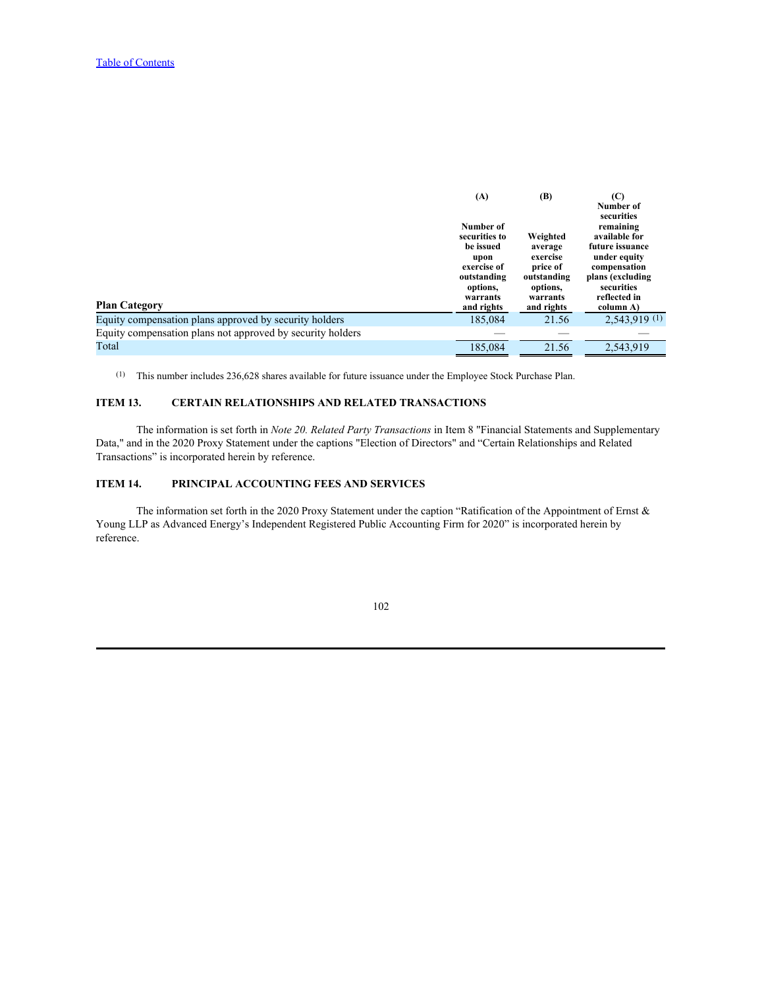|                                                            | (A)           | (B)         | (C)              |  |
|------------------------------------------------------------|---------------|-------------|------------------|--|
|                                                            |               |             | Number of        |  |
|                                                            |               |             | securities       |  |
|                                                            | Number of     |             | remaining        |  |
|                                                            | securities to | Weighted    | available for    |  |
|                                                            | be issued     | average     | future issuance  |  |
|                                                            | upon          | exercise    | under equity     |  |
|                                                            | exercise of   | price of    | compensation     |  |
|                                                            | outstanding   | outstanding | plans (excluding |  |
|                                                            | options,      | options,    | securities       |  |
| <b>Plan Category</b>                                       | warrants      | warrants    | reflected in     |  |
|                                                            | and rights    | and rights  | column A)        |  |
| Equity compensation plans approved by security holders     | 185,084       | 21.56       | $2,543,919$ (1)  |  |
| Equity compensation plans not approved by security holders |               |             |                  |  |
| Total                                                      | 185,084       | 21.56       | 2,543,919        |  |
|                                                            |               |             |                  |  |

(1) This number includes 236,628 shares available for future issuance under the Employee Stock Purchase Plan.

#### **ITEM 13. CERTAIN RELATIONSHIPS AND RELATED TRANSACTIONS**

The information is set forth in *Note 20. Related Party Transactions* in Item 8 "Financial Statements and Supplementary Data," and in the 2020 Proxy Statement under the captions "Election of Directors" and "Certain Relationships and Related Transactions" is incorporated herein by reference.

## **ITEM 14. PRINCIPAL ACCOUNTING FEES AND SERVICES**

The information set forth in the 2020 Proxy Statement under the caption "Ratification of the Appointment of Ernst & Young LLP as Advanced Energy's Independent Registered Public Accounting Firm for 2020" is incorporated herein by reference.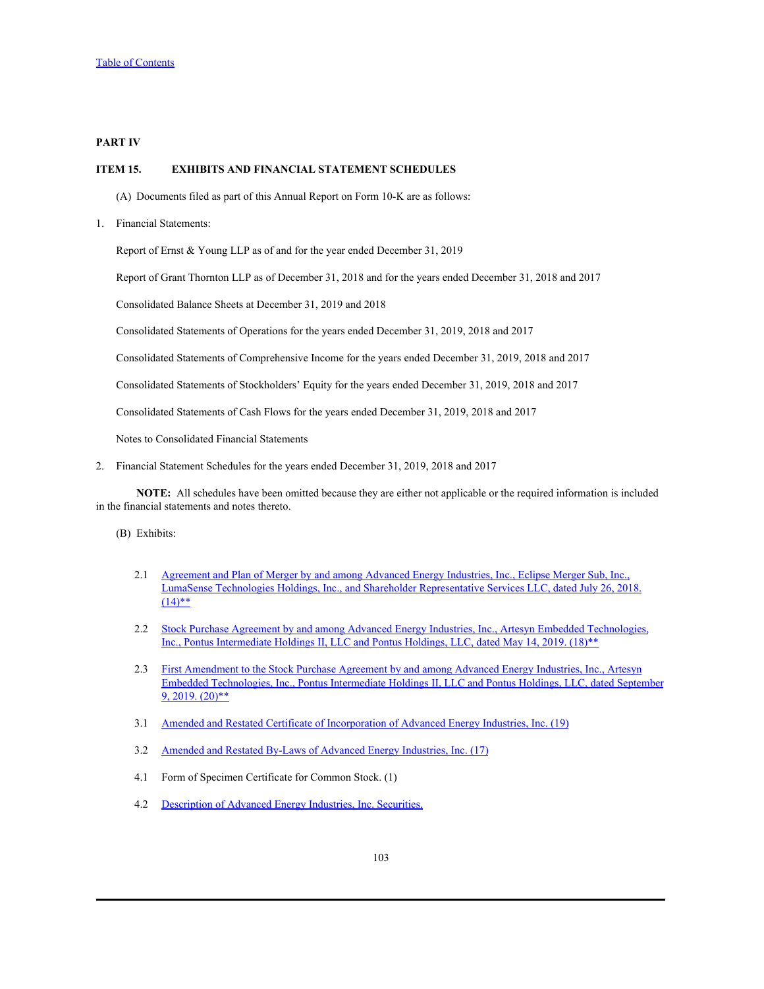#### **PART IV**

### **ITEM 15. EXHIBITS AND FINANCIAL STATEMENT SCHEDULES**

(A) Documents filed as part of this Annual Report on Form 10-K are as follows:

1. Financial Statements:

Report of Ernst & Young LLP as of and for the year ended December 31, 2019

Report of Grant Thornton LLP as of December 31, 2018 and for the years ended December 31, 2018 and 2017

Consolidated Balance Sheets at December 31, 2019 and 2018

Consolidated Statements of Operations for the years ended December 31, 2019, 2018 and 2017

Consolidated Statements of Comprehensive Income for the years ended December 31, 2019, 2018 and 2017

Consolidated Statements of Stockholders' Equity for the years ended December 31, 2019, 2018 and 2017

Consolidated Statements of Cash Flows for the years ended December 31, 2019, 2018 and 2017

Notes to Consolidated Financial Statements

2. Financial Statement Schedules for the years ended December 31, 2019, 2018 and 2017

**NOTE:** All schedules have been omitted because they are either not applicable or the required information is included in the financial statements and notes thereto.

- (B) Exhibits:
	- 2.1 [Agreement and Plan of Merger by and among Advanced Energy Industries, Inc., Eclipse Merger Sub, Inc.,](https://content.edgar-online.com/ExternalLink/EDGAR/0000927003-18-000038.html?hash=fbe1d3cddc554d8376ce42cab7011289c2027bd6dffb9b96152c4b386b9d86f6&dest=EXHIBIT21-MERGERAGREEMENT_HTM) [LumaSense Technologies Holdings, Inc., and Shareholder Representative Services LLC, dated July 26, 2018.](https://content.edgar-online.com/ExternalLink/EDGAR/0000927003-18-000038.html?hash=fbe1d3cddc554d8376ce42cab7011289c2027bd6dffb9b96152c4b386b9d86f6&dest=EXHIBIT21-MERGERAGREEMENT_HTM)  $(14)$ <sup>\*\*</sup>
	- 2.2 [Stock Purchase Agreement by and among Advanced Energy Industries, Inc., Artesyn Embedded Technologies,](https://content.edgar-online.com/ExternalLink/EDGAR/0000927003-19-000035.html?hash=d60b31a73769a003e188e9ad6d1c298b17925645371f3b9d948c0d6cf94670db&dest=EXHIBIT21-STOCKPURCHASEAGR_HTM) [Inc., Pontus Intermediate Holdings II, LLC and Pontus Holdings, LLC, dated May 14, 2019. \(18\)\\*\\*](https://content.edgar-online.com/ExternalLink/EDGAR/0000927003-19-000035.html?hash=d60b31a73769a003e188e9ad6d1c298b17925645371f3b9d948c0d6cf94670db&dest=EXHIBIT21-STOCKPURCHASEAGR_HTM)
	- 2.3 [First Amendment to the Stock Purchase Agreement by and among Advanced Energy Industries, Inc., Artesyn](https://content.edgar-online.com/ExternalLink/EDGAR/0001558370-19-008554.html?hash=2002fb2478f68d1ce688e17249dabea290105d4e80a785be872b3990b1c5402b&dest=AEIS-20190910EX22C164729_HTM) [Embedded Technologies, Inc., Pontus Intermediate Holdings II, LLC and Pontus Holdings, LLC, dated September](https://content.edgar-online.com/ExternalLink/EDGAR/0001558370-19-008554.html?hash=2002fb2478f68d1ce688e17249dabea290105d4e80a785be872b3990b1c5402b&dest=AEIS-20190910EX22C164729_HTM)  $9, 2019, (20)$ \*\*
	- 3.1 [Amended and Restated Certificate of Incorporation of Advanced Energy Industries, Inc. \(19\)](https://content.edgar-online.com/ExternalLink/EDGAR/0001558370-19-007077.html?hash=9e6976c58ba0c5f66115da1b45a03e162c8b2c507153891df5dc915325992fac&dest=AEIS-20190630EX311A9CF04_HTM)
	- 3.2 [Amended and Restated By-Laws of Advanced Energy Industries, Inc. \(17\)](https://content.edgar-online.com/ExternalLink/EDGAR/0000927003-19-000030.html?hash=2fb6719b9d6776493cfe59bc8c339d05e6d28797ecb54838a3a8ef3252f2ca0b&dest=AMENDEDANDRESTATEDBY-LAWSO_HTM)
	- 4.1 Form of Specimen Certificate for Common Stock. (1)
	- 4.2 [Description of Advanced Energy Industries, Inc. Securities.](#page-107-0)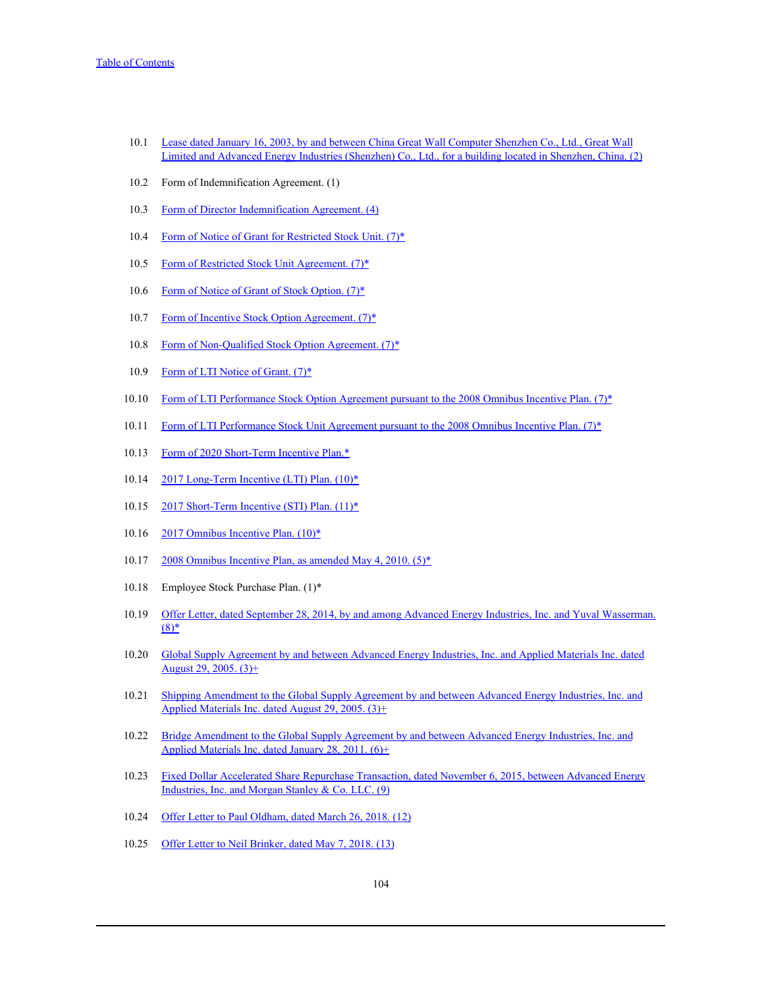- 10.1 [Lease dated January 16, 2003, by and between China Great Wall Computer Shenzhen Co., Ltd., Great Wall](https://content.edgar-online.com/ExternalLink/EDGAR/0001035704-04-000086.html?hash=5c5532b7b750949a2b449b0a100bfebdabed8dee5d028636b3ee595944f7ccb2&dest=D12827EXV10W18_TXT) [Limited and Advanced Energy Industries \(Shenzhen\) Co., Ltd., for a building located in Shenzhen, China. \(2\)](https://content.edgar-online.com/ExternalLink/EDGAR/0001035704-04-000086.html?hash=5c5532b7b750949a2b449b0a100bfebdabed8dee5d028636b3ee595944f7ccb2&dest=D12827EXV10W18_TXT)
- 10.2 Form of Indemnification Agreement. (1)
- 10.3 [Form of Director Indemnification Agreement. \(4\)](https://content.edgar-online.com/ExternalLink/EDGAR/0000950123-09-070574.html?hash=748d6846cbacccaf588c26102f0a7db71c30067dfd9afac824ac43ae45119940&dest=D70388EXV10W1_HTM)
- 10.4 [Form of Notice of Grant for Restricted Stock Unit. \(7\)\\*](https://content.edgar-online.com/ExternalLink/EDGAR/0000927003-13-000020.html?hash=a65af3a1e68c928ac1afdf6fb963ba4b8ed675b0067c8c4cbd2885625b470b1f&dest=EXHIBIT101NOTICEOFGRANTOFR_HTM)
- 10.5 [Form of Restricted Stock Unit Agreement. \(7\)\\*](https://content.edgar-online.com/ExternalLink/EDGAR/0000927003-13-000020.html?hash=a65af3a1e68c928ac1afdf6fb963ba4b8ed675b0067c8c4cbd2885625b470b1f&dest=EXHIBIT102RESTRICTEDSTOCKA_HTM)
- 10.6 [Form of Notice of Grant of Stock Option. \(7\)\\*](https://content.edgar-online.com/ExternalLink/EDGAR/0000927003-13-000020.html?hash=a65af3a1e68c928ac1afdf6fb963ba4b8ed675b0067c8c4cbd2885625b470b1f&dest=EXHIBIT103-XNOTICEOFGRANTO_HTM)
- 10.7 [Form of Incentive Stock Option Agreement. \(7\)\\*](https://content.edgar-online.com/ExternalLink/EDGAR/0000927003-13-000020.html?hash=a65af3a1e68c928ac1afdf6fb963ba4b8ed675b0067c8c4cbd2885625b470b1f&dest=EXHIBIT104INCENTIVESTOCKOP_HTM)
- 10.8 [Form of Non-Qualified Stock Option Agreement. \(7\)\\*](https://content.edgar-online.com/ExternalLink/EDGAR/0000927003-13-000020.html?hash=a65af3a1e68c928ac1afdf6fb963ba4b8ed675b0067c8c4cbd2885625b470b1f&dest=EXHIBIT105NON-QUALIFIEDSTO_HTM)
- 10.9 [Form of LTI Notice of Grant. \(7\)\\*](https://content.edgar-online.com/ExternalLink/EDGAR/0000927003-13-000020.html?hash=a65af3a1e68c928ac1afdf6fb963ba4b8ed675b0067c8c4cbd2885625b470b1f&dest=EXHIBIT106-XLONGXTERMINCEN_HTM)
- 10.10 [Form of LTI Performance Stock Option Agreement pursuant to the 2008 Omnibus Incentive Plan. \(7\)\\*](https://content.edgar-online.com/ExternalLink/EDGAR/0000927003-13-000020.html?hash=a65af3a1e68c928ac1afdf6fb963ba4b8ed675b0067c8c4cbd2885625b470b1f&dest=EXHIBIT107LTI-PSOAGREEMENT_HTM)
- 10.11 [Form of LTI Performance Stock Unit Agreement pursuant to the 2008 Omnibus Incentive Plan. \(7\)\\*](https://content.edgar-online.com/ExternalLink/EDGAR/0000927003-13-000020.html?hash=a65af3a1e68c928ac1afdf6fb963ba4b8ed675b0067c8c4cbd2885625b470b1f&dest=EXHIBIT108LTIPSUAGREEMENT_HTM)
- 10.13 [Form of 2020 Short-Term Incentive Plan.\\*](#page-109-0)
- 10.14 2017 Long-Term Incentive (LTI) Plan.  $(10)^*$
- 10.15 2017 Short-Term Incentive (STI) Plan.  $(11)^*$
- 10.16 [2017 Omnibus Incentive Plan. \(10\)\\*](https://content.edgar-online.com/ExternalLink/EDGAR/0000927003-17-000022.html?hash=137551158359c5f3b3b8af73010e784d86fa688339116f50460aeeeabf26aa8c&dest=A2017DEFINITIVEPROXYSTATEM_HTM)
- 10.17 [2008 Omnibus Incentive Plan, as amended May 4, 2010. \(5\)\\*](https://content.edgar-online.com/ExternalLink/EDGAR/0000950123-11-021198.html?hash=7fdf32a7fd586fe53ce244a2a0b71c1a9967b4a920bbf5c75ae5f3ba2f2bfffe&dest=D79941EXV10W37_HTM)
- 10.18 Employee Stock Purchase Plan. (1)\*
- 10.19 [Offer Letter, dated September 28, 2014, by and among Advanced Energy Industries, Inc. and Yuval Wasserman.](https://content.edgar-online.com/ExternalLink/EDGAR/0000927003-14-000070.html?hash=a1b32ddc2d7f7458ea93fd4655a9bf0106f8c7ef369aeed5cfef59cb5903f3e6&dest=EXHIBIT101OFFERLETTER_HTM)  $(8)^*$
- 10.20 [Global Supply Agreement by and between Advanced Energy Industries, Inc. and Applied Materials Inc. dated](https://content.edgar-online.com/ExternalLink/EDGAR/0000950134-05-020759.html?hash=07380b5ace183e128163cc6f315d18f1e148cfb0a724f7bcabb052fe44548ed1&dest=D29290EXV10W1_HTM) August 29, 2005.  $(3)$ +
- 10.21 [Shipping Amendment to the Global Supply Agreement by and between Advanced Energy Industries, Inc. and](https://content.edgar-online.com/ExternalLink/EDGAR/0000950134-05-020759.html?hash=07380b5ace183e128163cc6f315d18f1e148cfb0a724f7bcabb052fe44548ed1&dest=D29290EXV10W2_HTM) [Applied Materials Inc. dated August 29, 2005. \(3\)+](https://content.edgar-online.com/ExternalLink/EDGAR/0000950134-05-020759.html?hash=07380b5ace183e128163cc6f315d18f1e148cfb0a724f7bcabb052fe44548ed1&dest=D29290EXV10W2_HTM)
- 10.22 [Bridge Amendment to the Global Supply Agreement by and between Advanced Energy Industries, Inc. and](https://content.edgar-online.com/ExternalLink/EDGAR/0000950123-11-046348.html?hash=d466a35713f073e7b8169579729bce7768c13934d897743166c1d1b920d5e66c&dest=D82052EXV10W1_HTM) [Applied Materials Inc. dated January 28, 2011. \(6\)+](https://content.edgar-online.com/ExternalLink/EDGAR/0000950123-11-046348.html?hash=d466a35713f073e7b8169579729bce7768c13934d897743166c1d1b920d5e66c&dest=D82052EXV10W1_HTM)
- 10.23 [Fixed Dollar Accelerated Share Repurchase Transaction, dated November 6, 2015, between Advanced Energy](https://content.edgar-online.com/ExternalLink/EDGAR/0000927003-15-000076.html?hash=052981cd84670c190563ec31d9cc2e534e535752f49dde62901d6e381ffb1287&dest=EXHIBIT101MORGANSTANLEYASR_HTM) [Industries, Inc. and Morgan Stanley & Co. LLC. \(9\)](https://content.edgar-online.com/ExternalLink/EDGAR/0000927003-15-000076.html?hash=052981cd84670c190563ec31d9cc2e534e535752f49dde62901d6e381ffb1287&dest=EXHIBIT101MORGANSTANLEYASR_HTM)
- 10.24 [Offer Letter to Paul Oldham, dated March 26, 2018. \(12\)](https://content.edgar-online.com/ExternalLink/EDGAR/0000927003-18-000013.html?hash=ac2aa5418236eb3133c4b55343ee4fbf0c1a68fede07ff00706fecb595c4a55c&dest=EXHIBIT101-OFFERLETTERTOPA_HTM)
- 10.25 [Offer Letter to Neil Brinker, dated May 7, 2018. \(13\)](https://content.edgar-online.com/ExternalLink/EDGAR/0000927003-18-000029.html?hash=531c4cd0ca1ac2aa1d097b3a8aef2513f79c3b936d40017c45a07ff5332e7c62&dest=COOOFFERLETTER-NEILBRINKER_HTM)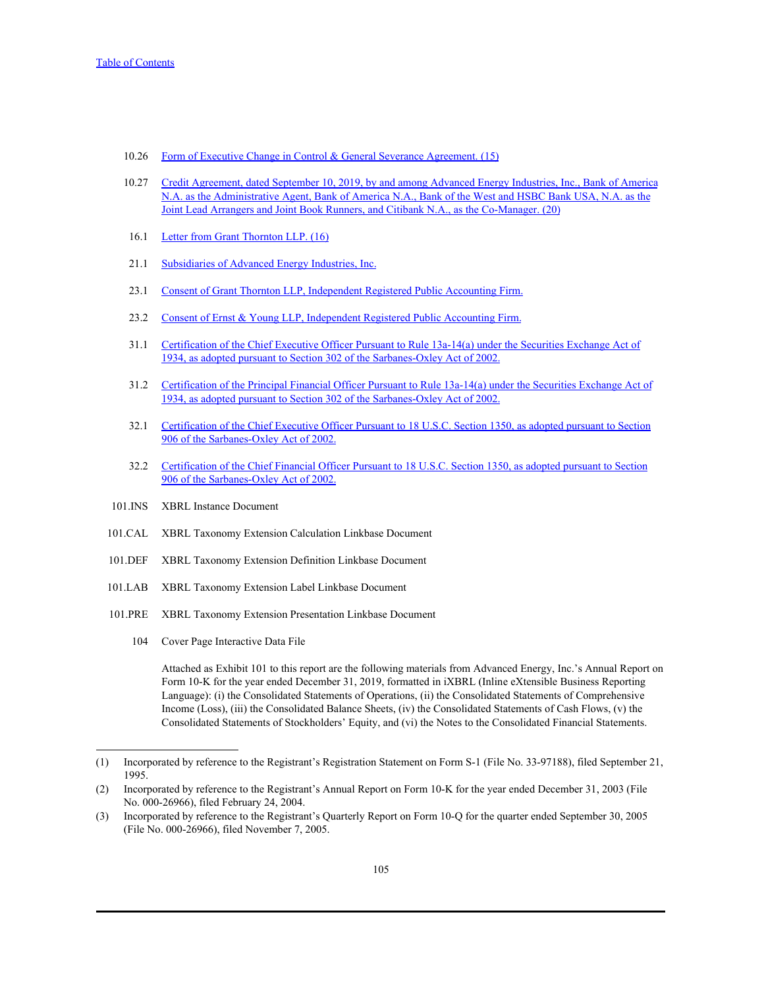- 10.26 [Form of Executive Change in Control & General Severance Agreement. \(15\)](https://content.edgar-online.com/ExternalLink/EDGAR/0000927003-18-000043.html?hash=b68228afb73f8460f99c2e1fb2aa08125415ce9ac102e676af1c6f86647ee653&dest=EXHIBIT991-FORMOFEXECUTIVE_HTM)
- 10.27 [Credit Agreement, dated September 10, 2019, by and among Advanced Energy Industries, Inc., Bank of America](https://content.edgar-online.com/ExternalLink/EDGAR/0001558370-19-008554.html?hash=2002fb2478f68d1ce688e17249dabea290105d4e80a785be872b3990b1c5402b&dest=AEIS-20190910EX1012DDDE3_HTM) [N.A. as the Administrative Agent, Bank of America N.A., Bank of the West and HSBC Bank USA, N.A. as the](https://content.edgar-online.com/ExternalLink/EDGAR/0001558370-19-008554.html?hash=2002fb2478f68d1ce688e17249dabea290105d4e80a785be872b3990b1c5402b&dest=AEIS-20190910EX1012DDDE3_HTM) [Joint Lead Arrangers and Joint Book Runners, and Citibank N.A., as the Co-Manager. \(20\)](https://content.edgar-online.com/ExternalLink/EDGAR/0001558370-19-008554.html?hash=2002fb2478f68d1ce688e17249dabea290105d4e80a785be872b3990b1c5402b&dest=AEIS-20190910EX1012DDDE3_HTM)
- 16.1 [Letter from Grant Thornton LLP. \(16\)](https://content.edgar-online.com/ExternalLink/EDGAR/0000927003-19-000013.html?hash=6bc450c14582f5fb8dc69c6b22b57a6285057ca5c40854f7c0d1fba36e231cf9&dest=LETTERFROMGRANTTHORNTONLLP_HTM)
- 21.1 [Subsidiaries of Advanced Energy Industries, Inc.](#page-116-0)
- 23.1 [Consent of Grant Thornton LLP, Independent Registered Public Accounting Firm.](#page-119-0)
- 23.2 [Consent of Ernst & Young LLP, Independent Registered Public Accounting Firm.](#page-120-0)
- 31.1 [Certification of the Chief Executive Officer Pursuant to Rule 13a-14\(a\) under the Securities Exchange Act of](#page-121-0) [1934, as adopted pursuant to Section 302 of the Sarbanes-Oxley Act of 2002.](#page-121-0)
- 31.2 [Certification of the Principal Financial Officer Pursuant to Rule 13a-14\(a\) under the Securities Exchange Act of](#page-122-0) [1934, as adopted pursuant to Section 302 of the Sarbanes-Oxley Act of 2002.](#page-122-0)
- 32.1 [Certification of the Chief Executive Officer Pursuant to 18 U.S.C. Section 1350, as adopted pursuant to Section](#page-123-0) [906 of the Sarbanes-Oxley Act of 2002.](#page-123-0)
- 32.2 [Certification of the Chief Financial Officer Pursuant to 18 U.S.C. Section 1350, as adopted pursuant to Section](#page-124-0) [906 of the Sarbanes-Oxley Act of 2002.](#page-124-0)
- 101.INS XBRL Instance Document
- 101.CAL XBRL Taxonomy Extension Calculation Linkbase Document
- 101.DEF XBRL Taxonomy Extension Definition Linkbase Document
- 101.LAB XBRL Taxonomy Extension Label Linkbase Document
- 101.PRE XBRL Taxonomy Extension Presentation Linkbase Document
	- 104 Cover Page Interactive Data File

Attached as Exhibit 101 to this report are the following materials from Advanced Energy, Inc.'s Annual Report on Form 10-K for the year ended December 31, 2019, formatted in iXBRL (Inline eXtensible Business Reporting Language): (i) the Consolidated Statements of Operations, (ii) the Consolidated Statements of Comprehensive Income (Loss), (iii) the Consolidated Balance Sheets, (iv) the Consolidated Statements of Cash Flows, (v) the Consolidated Statements of Stockholders' Equity, and (vi) the Notes to the Consolidated Financial Statements.

<sup>(1)</sup> Incorporated by reference to the Registrant's Registration Statement on Form S-1 (File No. 33-97188), filed September 21, 1995.

<sup>(2)</sup> Incorporated by reference to the Registrant's Annual Report on Form 10-K for the year ended December 31, 2003 (File No. 000-26966), filed February 24, 2004.

<sup>(3)</sup> Incorporated by reference to the Registrant's Quarterly Report on Form 10-Q for the quarter ended September 30, 2005 (File No. 000-26966), filed November 7, 2005.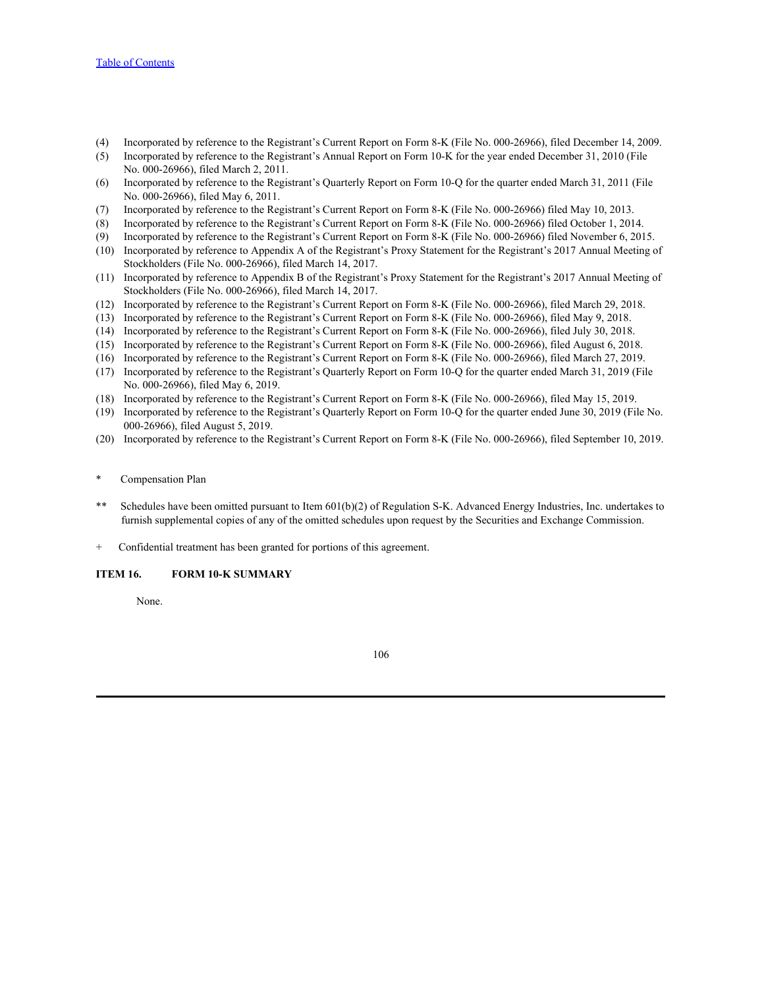- (4) Incorporated by reference to the Registrant's Current Report on Form 8-K (File No. 000-26966), filed December 14, 2009.
- (5) Incorporated by reference to the Registrant's Annual Report on Form 10-K for the year ended December 31, 2010 (File No. 000-26966), filed March 2, 2011.
- (6) Incorporated by reference to the Registrant's Quarterly Report on Form 10-Q for the quarter ended March 31, 2011 (File No. 000-26966), filed May 6, 2011.
- (7) Incorporated by reference to the Registrant's Current Report on Form 8-K (File No. 000-26966) filed May 10, 2013.
- (8) Incorporated by reference to the Registrant's Current Report on Form 8-K (File No. 000-26966) filed October 1, 2014.
- (9) Incorporated by reference to the Registrant's Current Report on Form 8-K (File No. 000-26966) filed November 6, 2015.
- (10) Incorporated by reference to Appendix A of the Registrant's Proxy Statement for the Registrant's 2017 Annual Meeting of Stockholders (File No. 000-26966), filed March 14, 2017.
- (11) Incorporated by reference to Appendix B of the Registrant's Proxy Statement for the Registrant's 2017 Annual Meeting of Stockholders (File No. 000-26966), filed March 14, 2017.
- (12) Incorporated by reference to the Registrant's Current Report on Form 8-K (File No. 000-26966), filed March 29, 2018.
- (13) Incorporated by reference to the Registrant's Current Report on Form 8-K (File No. 000-26966), filed May 9, 2018.
- (14) Incorporated by reference to the Registrant's Current Report on Form 8-K (File No. 000-26966), filed July 30, 2018.
- (15) Incorporated by reference to the Registrant's Current Report on Form 8-K (File No. 000-26966), filed August 6, 2018.
- (16) Incorporated by reference to the Registrant's Current Report on Form 8-K (File No. 000-26966), filed March 27, 2019.
- (17) Incorporated by reference to the Registrant's Quarterly Report on Form 10-Q for the quarter ended March 31, 2019 (File No. 000-26966), filed May 6, 2019.
- (18) Incorporated by reference to the Registrant's Current Report on Form 8-K (File No. 000-26966), filed May 15, 2019.
- (19) Incorporated by reference to the Registrant's Quarterly Report on Form 10-Q for the quarter ended June 30, 2019 (File No. 000-26966), filed August 5, 2019.
- (20) Incorporated by reference to the Registrant's Current Report on Form 8-K (File No. 000-26966), filed September 10, 2019.
- Compensation Plan
- \*\* Schedules have been omitted pursuant to Item 601(b)(2) of Regulation S-K. Advanced Energy Industries, Inc. undertakes to furnish supplemental copies of any of the omitted schedules upon request by the Securities and Exchange Commission.
- + Confidential treatment has been granted for portions of this agreement.

#### **ITEM 16. FORM 10-K SUMMARY**

None.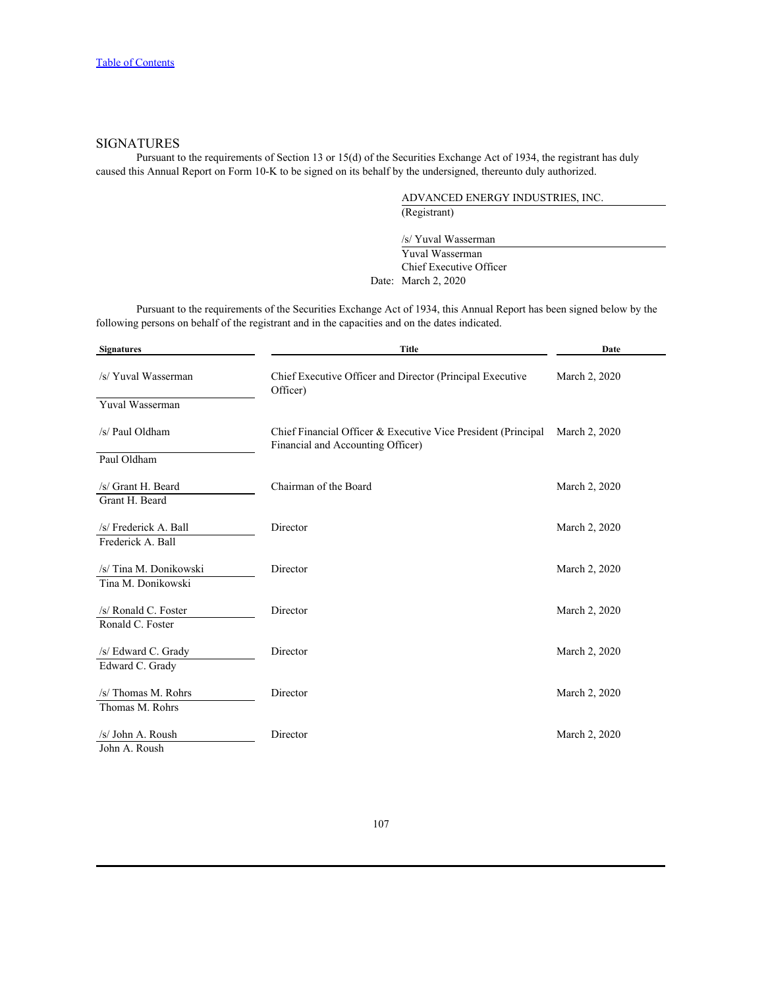# SIGNATURES

Pursuant to the requirements of Section 13 or 15(d) of the Securities Exchange Act of 1934, the registrant has duly caused this Annual Report on Form 10-K to be signed on its behalf by the undersigned, thereunto duly authorized.

> ADVANCED ENERGY INDUSTRIES, INC. (Registrant)

/s/ Yuval Wasserman Yuval Wasserman Chief Executive Officer Date: March 2, 2020

Pursuant to the requirements of the Securities Exchange Act of 1934, this Annual Report has been signed below by the following persons on behalf of the registrant and in the capacities and on the dates indicated.

| <b>Signatures</b>                            | <b>Title</b>                                                                                       | Date          |
|----------------------------------------------|----------------------------------------------------------------------------------------------------|---------------|
| /s/ Yuval Wasserman                          | Chief Executive Officer and Director (Principal Executive<br>Officer)                              | March 2, 2020 |
| Yuval Wasserman                              |                                                                                                    |               |
| /s/ Paul Oldham                              | Chief Financial Officer & Executive Vice President (Principal<br>Financial and Accounting Officer) | March 2, 2020 |
| Paul Oldham                                  |                                                                                                    |               |
| /s/ Grant H. Beard<br>Grant H. Beard         | Chairman of the Board                                                                              | March 2, 2020 |
| /s/ Frederick A. Ball<br>Frederick A. Ball   | Director                                                                                           | March 2, 2020 |
| /s/ Tina M. Donikowski<br>Tina M. Donikowski | Director                                                                                           | March 2, 2020 |
| /s/ Ronald C. Foster<br>Ronald C. Foster     | Director                                                                                           | March 2, 2020 |
| /s/ Edward C. Grady<br>Edward C. Grady       | Director                                                                                           | March 2, 2020 |
| /s/ Thomas M. Rohrs<br>Thomas M. Rohrs       | Director                                                                                           | March 2, 2020 |
| /s/ John A. Roush<br>John A. Roush           | Director                                                                                           | March 2, 2020 |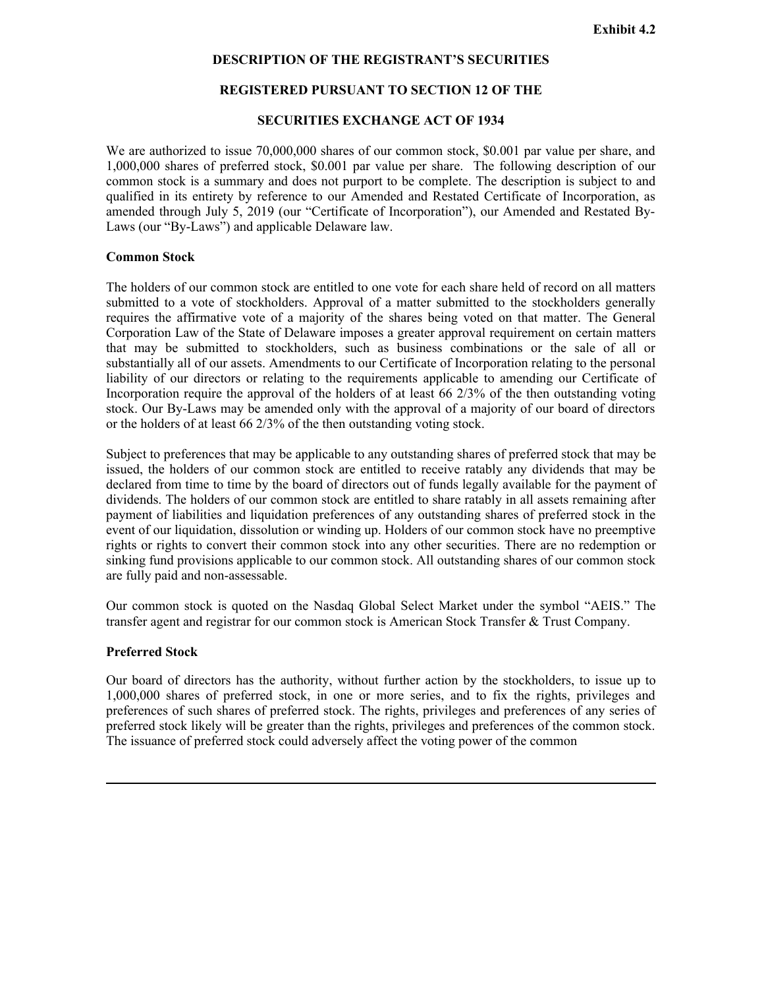# <span id="page-107-0"></span>**DESCRIPTION OF THE REGISTRANT'S SECURITIES**

# **REGISTERED PURSUANT TO SECTION 12 OF THE**

# **SECURITIES EXCHANGE ACT OF 1934**

We are authorized to issue 70,000,000 shares of our common stock, \$0.001 par value per share, and Exhibit 4.2<br> **EXAMPEREMON OF THE REGISTRANT'S SECURITIES**<br> **REGISTERED PURSUANT TO SECTION 12 OF THE**<br> **SECURITIES EXCHANGE ACT OF 1934**<br>
We are authorized to issue 70,000,000 shares of our common stock, \$0.001 par value p common stock is a summary and does not purport to be complete. The description is subject to and qualified in its entirety by reference to our Amended and Restated Certificate of Incorporation, as Exhibit 4.2<br> **REGISTERED PURSUANT TO SECTION 12 OF THE**<br> **REGISTERED PURSUANT TO SECTION 12 OF THE**<br> **SECURITIES EXCHANGE ACT OF 1934**<br>
We are authorized to issue 70,000,000 shares of our common stock, \$0.001 par value per amended through July 5, 2019 (our "Certificate of Incorporation"), our Amended and Restated By-Laws (our "By-Laws") and applicable Delaware law.

## **Common Stock**

The holders of our common stock are entitled to one vote for each share held of record on all matters **Exhibit 4.2**<br> **SECURITIES REGISTRANT'S SECURITIES**<br> **REGISTERED PURSUANT TO SECTION 12 OF THE**<br> **SECURITIES EXCHANGE ACT OF 1934**<br>
We are authorized to issue 70,000,000 shares of uncommon stock, \$0.001 par value per shar **Exhibit 4.2**<br>**REGISTERED PURSUANT TO SECTION 12 OF THE**<br>**REGISTERED PURSUANT TO SECTION 12 OF THE**<br>**SECURITIES EXCIRANGE ACT OF 1934**<br>We are authorized to issue 70,000,000 shares of our common stock, \$0.001 par value per Corporation Law of the State of Delaware imposes a greater approval requirement on certain matters **EXERT FROM OF THE REGISTRANT'S SECURITIES**<br> **EXECURITIES**<br> **EXECURITIES EXECURITIES EXECURITIES EXECURITIES EXECURITIES EXECURITIES EXECURITIES EXECURITIES EXECURITIES EXECURITIES EXECURITIES EXECUR** substantially all of our assets. Amendments to our Certificate of Incorporation relating to the personal liability of our directors or relating to the requirements applicable to amending our Certificate of **EXECT CONDITION CONTROL CONTROL CONTROL CONTROL CONTROL CONTROL CONTROL CONTROL CONTROL CONTROL CONTROL CONTROL CONTROL CONTROL CONTROL CONTROL CONTROL CONTROL CONTROL CONTROL CONTROL CONTROL CONTROL CONTROL CONTROL CONTR** Incorporation require the approval of the holders of at least 66 2/3% of the then outstanding voting stock. Our By-Laws may be amended only with the approval of a majority of our board of directors or the holders of at least 66 2/3% of the then outstanding voting stock. **EXERIPTION OF THE REGISTRANT'S SECURITIES**<br> **EXERIPTION OF THE REGISTERATE OF OPTION**<br> **EXERIPTIES EXCURITIES EXCITANCE ACT OF 1934**<br>
We are authorized to issue 70,000,000 shares of our common stock, \$0.001 par value per SECURITTIES EXCHAINGE ACT OF 1934<br>
(1.000,000) states to former the column of states of our common stock, \$0,001 par value per share, and<br>
(1.000,000) states is a precisioned stock 3.81.001 par value per share. The followi common stock is a summary and does not purport to be complete. The description is subject to and purport to the composite of the authority, it is a summary and does not Amended and Restated Certificate of Theoperation, as qualited in its entirety by referred to and Americal call Resisted Certificatio of Incorporation, as<br>annoted through July 5, 2019 (our "Certificate of theopological"). Our Americal and Resisted Certification of<br>Laws (our "

Subject to preferences that may be applicable to any outstanding shares of preferred stock that may be declared from time to time by the board of directors out of funds legally available for the payment of dividends. The holders of our common stock are entitled to share ratably in all assets remaining after payment of liabilities and liquidation preferences of any outstanding shares of preferred stock in the event of our liquidation, dissolution or winding up. Holders of our common stock have no preemptive rights or rights to convert their common stock into any other securities. There are no redemption or sinking fund provisions applicable to our common stock. All outstanding shares of our common stock are fully paid and non-assessable.

transfer agent and registrar for our common stock is American Stock Transfer & Trust Company.

## **Preferred Stock**

preferences of such shares of preferred stock. The rights, privileges and preferences of any series of preferred stock likely will be greater than the rights, privileges and preferences of the common stock. The issuance of preferred stock could adversely affect the voting power of the common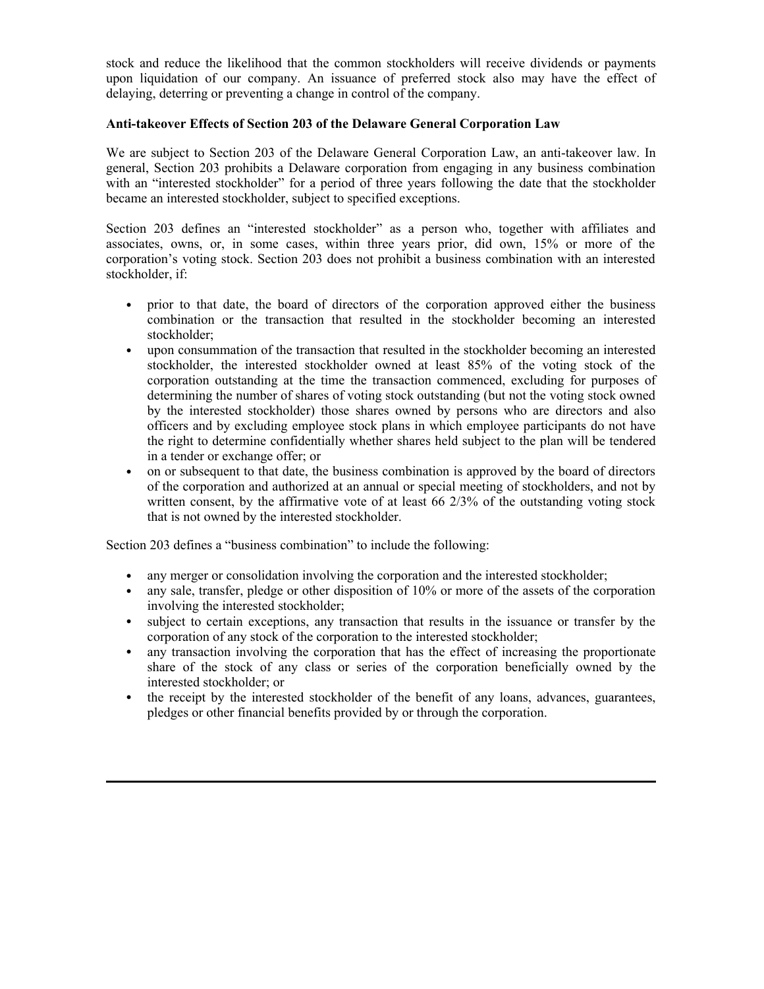delaying, deterring or preventing a change in control of the company.

# **Anti-takeover Effects of Section 203 of the Delaware General Corporation Law**

stock and reduce the likelihood that the common stockholders will receive dividends or payments<br>upon liquidation of our company. An issuance of preferred stock also may have the effect of<br>delaying, deterring or preventing stock and reduce the likelihood that the common stockholders will receive dividends or payments<br>upon liquidation of our company. An issuance of preferred stock also may have the effect of<br>delaying, deterring or preventing We are subject to Section 203 of the Delaware General Corporation Law, an anti-takeover law. In general, Section 203 prohibits a Delaware corporation from engaging in any business combination with an "interested stockholder" for a period of three years following the date that the stockholder became an interested stockholder, subject to specified exceptions.

stock and reduce the likelihood that the common stockholders will receive dividends or payments<br>upon liquidation of our company. An issuance of preferred stock also may have the effect of<br>delaying, deterring or preventing stock and reduce the likelihood that the common stockholders will receive dividends or payments<br>upon liquidation of our company. An issuance of preferred stock also may have the effect of<br>delaying, dcurring or preventing a stock and reduce the likelihood that the common stockholders will receive dividends or payments<br>upon liquidation of our company. An issuance of preferred stock also may have the effect of<br>delaying, deterring or preventing corporation's voting stock. Section 203 does not prohibit a business combination with an interested stockholder, if:

- stockholder;
- is and reduce the likelihood that the common stockholders will receive dividends or payments<br>in liquidation of our company. An issuance of preferred stock also may have the effect of<br>virg, deterring or preventing a change nd reduce the likelihood that the common stockholders will receive dividends or payments quidation of our company. An issuance of preferred stock also may have the effect of equality decrease the effect of performation Sec • upon consummation of the transaction that resulted in the stockholder becoming an interested stockholder, the interested stockholder owned at least 85% of the voting stock of the and reduce the likelihood that the common stockholders will receive dividends or payments quidation of our company. An issuance of preferred stock also may have the effect of equal control and at the Delaware General Corpo d reduce the likelihood that the common stockholders will receive dividends or payments<br>quidation of our company. An issuance of preferred stock also may have the effect of<br>eq., deterring or preventing a change in control determining the number of shares of voting stock outstanding (but not the voting stock owned d reduce the likelihood that the common sockholders will receive dividends or payments<br>quidation of our company. An issuance of preferred stock also may have the effect of<br>g, deterring or preventing a change in control of officers and by excluding employee stock plans in which employee participants do not have the right to determine confidentially whether shares held subject to the plan will be tendered in a tender or exchange offer; or **i-takeover Effects of Section 203 of the Delaware General Corporation Law .** are abject to Section 203 of the Delaware General Corporation Law, an anti-takeover law. In are subjected between the are subsected to the perio Section 200 products a Delaware comparation from emagatig in any basiness combinistor. Since the stockholder for a period of the corporation from emagning the due the stockholder an interested stockholder, subject to spec The an interested stockholder, subject to specified exceptions.<br>
The received stockholder <sup>2</sup> as a person who, together with affiliates and costats, owns, or, in some cases, within three years prior, dd own, 15% or more o
- · on or subsequent to that date, the business combination is approved by the board of directors of the corporation and authorized at an annual or special meeting of stockholders, and not by written consent, by the affirmative vote of at least 66 2/3% of the outstanding voting stock that is not owned by the interested stockholder.

Section 203 defines a "business combination" to include the following:

- any merger or consolidation involving the corporation and the interested stockholder;
- any sale, transfer, pledge or other disposition of 10% or more of the assets of the corporation involving the interested stockholder;
- corporation of any stock of the corporation to the interested stockholder;
- · any transaction involving the corporation that has the effect of increasing the proportionate interested stockholder; or
- pledges or other financial benefits provided by or through the corporation.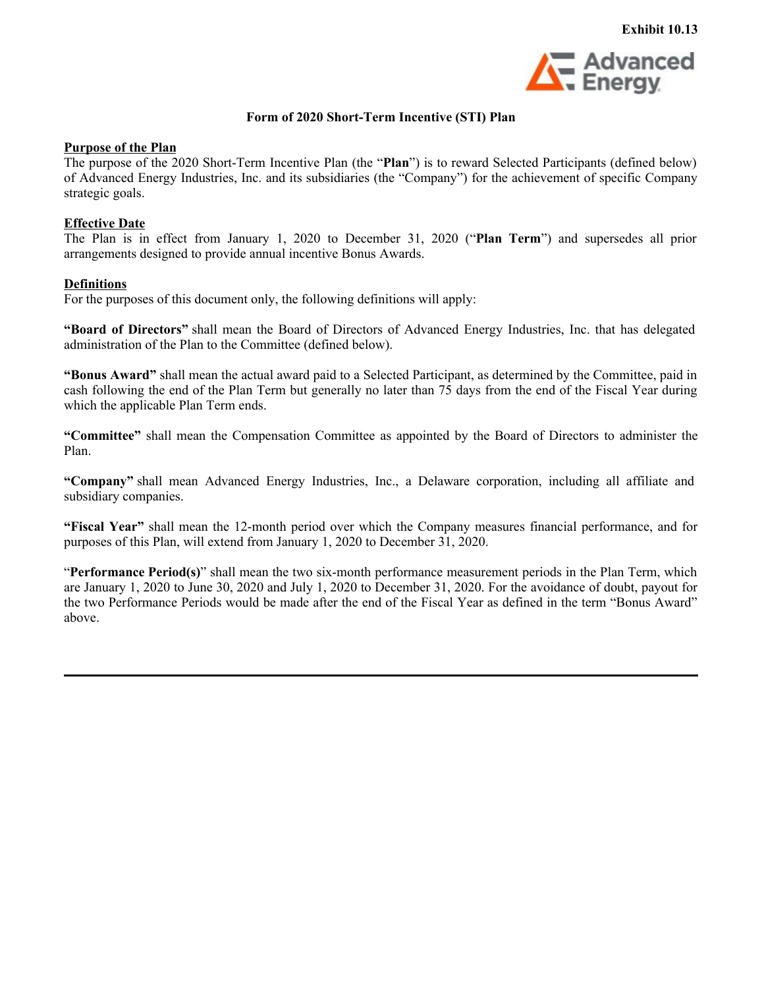

# **Form of 2020 Short-Term Incentive (STI) Plan**

### **Purpose of the Plan**

The purpose of the 2020 Short-Term Incentive Plan (the "**Plan**") is to reward Selected Participants (defined below) of Advanced Energy Industries, Inc. and its subsidiaries (the "Company") for the achievement of specific Company strategic goals. **Exhibit 10.13**<br> **Exhibit 10.13**<br> **Purpose of the Plan**<br> **Plan** *is solute From Incentive Plan (the "Plan")* **is to reward Selected Participants (defined below)<br>
The purpose of the 2020 Short-Term Incentive Plan (the "Plan") Exhibit 10.13**<br>**Burpose of the Plan**<br>**Directors of the 2020** Short-Term Incentive Plan (the "Plan") is to reward Selected Participants (defined below)<br>of Advanced Energy Industries, Inc. and its subsidiaries (the "Company **Example of Committee"**<br> **Parameter of the Committee Committee Committee Plane (STI) Plane The number of the Committee Plane (STI) Plane The number of the Committee (STI) Plane The Directors (Section 2020) Stort-Term Incen** 

### **Effective Date**

arrangements designed to provide annual incentive Bonus Awards.

### **Definitions**

For the purposes of this document only, the following definitions will apply:

administration of the Plan to the Committee (defined below).

**"Bonus Award"** shall mean the actual award paid to a Selected Participant, as determined by the Committee, paid in cash following the end of the Plan Term but generally no later than 75 days from the end of the Fiscal Year during which the applicable Plan Term ends.

Plan.

subsidiary companies.

**"Fiscal Year"** shall mean the 12-month period over which the Company measures financial performance, and for purposes of this Plan, will extend from January 1, 2020 to December 31, 2020.

**Example of the Phan 2020** Short-Term Incentive (STI) Plan<br> **Purpose of the P2020** Short-Term Incentive Plan (the "Plan") is to reward Selected Participants (elefaned below)<br>
of Advanced Energy Industries, Inc. and its sub "**Performance Period(s)**" shall mean the two six-month performance measurement periods in the Plan Term, which are January 1, 2020 to June 30, 2020 and July 1, 2020 to December 31, 2020. For the avoidance of doubt, payout for the two Performance Periods would be made after the end of the Fiscal Year as defined in the term "Bonus Award" above.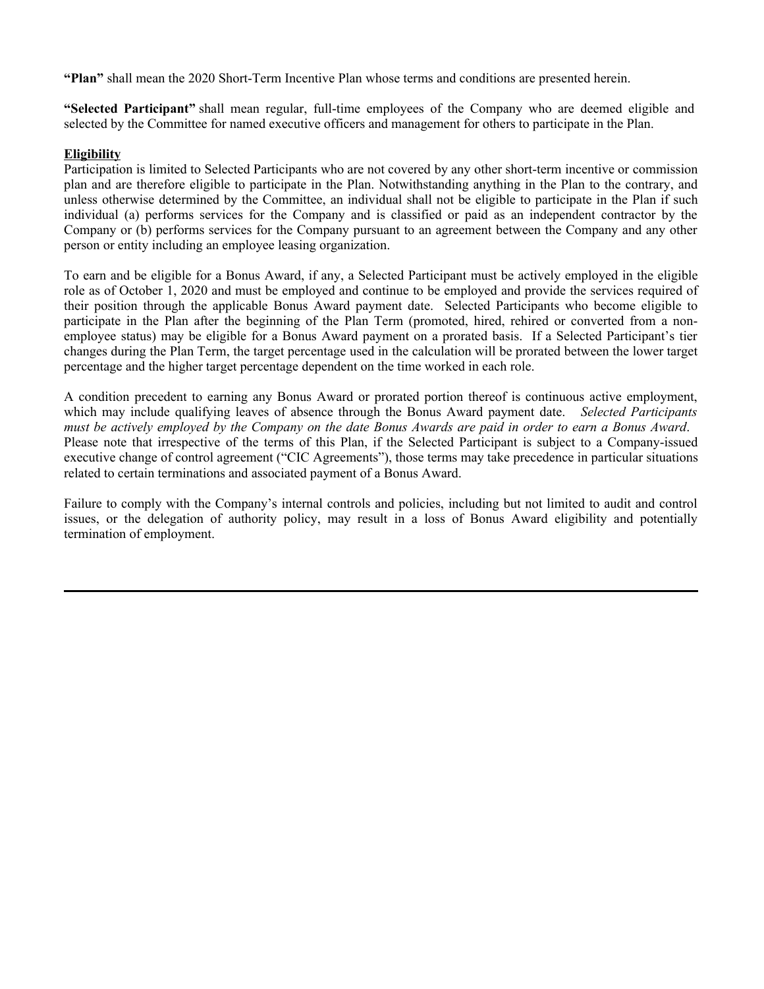**"Plan"** shall mean the 2020 Short-Term Incentive Plan whose terms and conditions are presented herein.

selected by the Committee for named executive officers and management for others to participate in the Plan.

# **Eligibility**

**"Plan"** shall mean the 2020 Short-Term Incentive Plan whose terms and conditions are presented herein.<br>"Selected Participant" shall mean regular, full-time employees of the Company who are deemed eligible and<br>selected by Participation is limited to Selected Participants who are not covered by any other short-term incentive or commission plan and are therefore eligible to participate in the Plan. Notwithstanding anything in the Plan to the contrary, and unless otherwise determined by the Committee, an individual shall not be eligible to participate in the Plan if such **"Plan"** shall mean the 2020 Short-Term Ineentive Plan whose terms and conditions are presented herein.<br>"Selected **Participani"** shall mean regular, full-time employees of the Company who are deemed eligible and<br>selected b Company or (b) performs services for the Company pursuant to an agreement between the Company and any other person or entity including an employee leasing organization.

To earn and be eligible for a Bonus Award, if any, a Selected Participant must be actively employed in the eligible role as of October 1, 2020 and must be employed and continue to be employed and provide the services required of **"Plan"** shall mean the 2020 Short-Term Inecntive Plan whose terms and conditions are presented herein.<br>
"Selected Participant" shall mean regular, full-time employees of the Company who are deemed eligible and<br>
Electrod **"Plan"** shall mean the 2020 Short-Term Inecntive Plan whose terms and conditions are presented herein.<br>
"Selected Participant" shall mean regular, full-time employees of the Company who are deemed eligible and<br>
Selected employee status) may be eligible for a Bonus Award payment on a prorated basis. If a Selected Participant's tier changes during the Plan Term, the target percentage used in the calculation will be prorated between the lower target percentage and the higher target percentage dependent on the time worked in each role. **"Than"** shall mean the 2020 Short-Term Incentive Plan whose terms and conditions are presented herein.<br>"Selected Participant" shall mean regular, full-time comployes of the Company who are decond eligible and<br>selected pr **\*Plan"** shall mean the 2020 Short-Term Incentive Plan whose terms and conditions are presented bereint.<br>\*Selected Participant's shall mean regular, full-time compleyess of the Company whese necessared chiplic and<br>selected **Plan<sup>2</sup>** shall mean the 2020 Short-Term Inecentive Plan whose terms and conditions are presented herein.<br>
"Secocide Participant" shall mean regular, full-time employees of the Company who are deemed eligiblite and select **<sup>n-Plan</sup>** shall mean the 2020 Stort-Term Incentive Plan whose terms and conditions are presented herein.<br>
"Selected Participant" shall mean regular, full-time employees of the Company who are deemed eligible and selected

executive change of control agreement ("CIC Agreements"), those terms may take precedence in particular situations related to certain terminations and associated payment of a Bonus Award.

Failure to comply with the Company's internal controls and policies, including but not limited to audit and control termination of employment.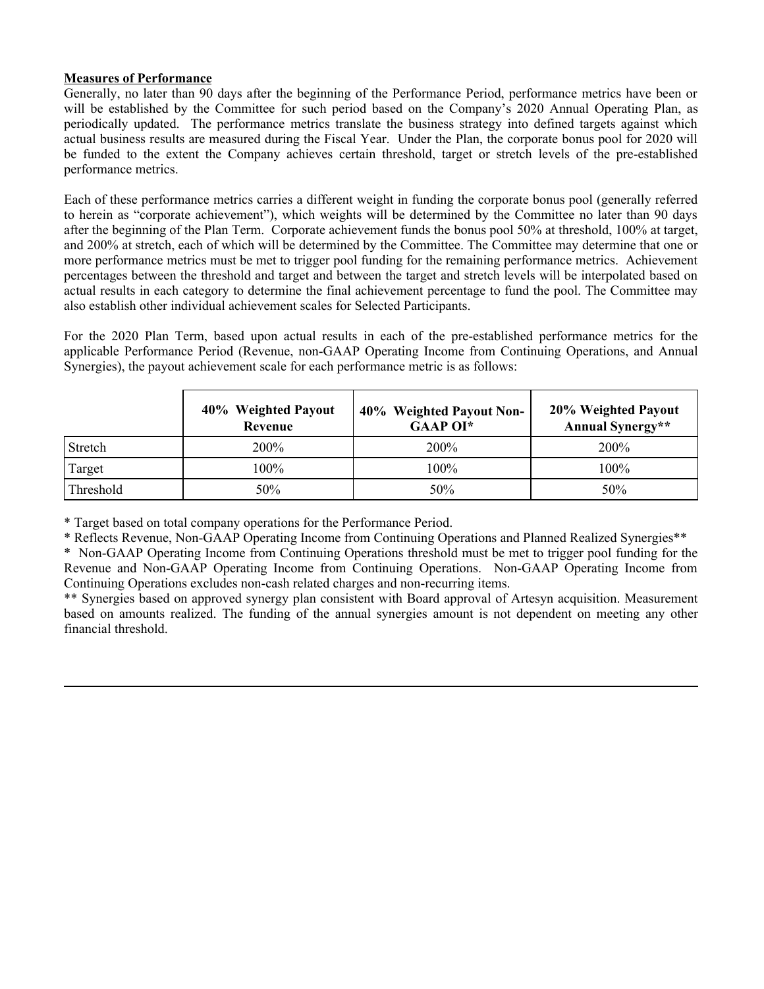# **Measures of Performance**

Generally, no later than 90 days after the beginning of the Performance Period, performance metrics have been or **Measures of Performance**<br>
Generally, no later than 90 days after the beginning of the Performance Period, performance metrics have been or<br>
will be established by the Committee for such period based on the Company's 2020 **Measures of Performance**<br>
Generally, no later than 90 days after the beginning of the Performance Period, performance metrics have been or<br>
will be established by the Committee for such period based on the Company's 2020 actual business results are measured during the Fiscal Year. Under the Plan, the corporate bonus pool for 2020 will<br>be funded to the extent the Company achieves certain threshold, target or stretch levels of the pre-establ performance metrics.

**Measures of Performance**<br>
Generally, no later than 90 days after the beginning of the Performance Period, performance metrics have been or<br>
will be established by the Committee for such period hased on the Company's 2020 Each of these performance metrics carries a different weight in funding the corporate bonus pool (generally referred to herein as "corporate achievement"), which weights will be determined by the Committee no later than 90 days after the beginning of the Plan Term. Corporate achievement funds the bonus pool 50% at threshold, 100% at target, and 200% at stretch, each of which will be determined by the Committee. The Committee may determine that one or more performance metrics must be met to trigger pool funding for the remaining performance metrics. Achievement percentages between the threshold and target and between the target and stretch levels will be interpolated based on actual results in each category to determine the final achievement percentage to fund the pool. The Committee may also establish other individual achievement scales for Selected Participants. **Measures of Performance**<br>
Gomenly, no kier than 90 days after the beginning of the Performance Period, performance metrics have been or<br>
Signifoldary uponel the Committee for such period based on the Company's 2020 Armai **Measures of Performance**<br> **Algorithmy** to but them 90 days after the beginning of the Performance Period, performance metrics have been or<br>
Generally, no later than 90 days after the performance metrics transities the bu **Measures of Performance**<br>
Controlly, as later than 9 to consider the beginning of the Performance Period, performance from the measurement for the contents and the contents and the Continue of the controlly subset of the will be solablished by the Committee for such period used on the Company's 2002, Amound Operation space in the annual control in the company space is the company activistic properties and the matter of the properties betwe

Synergies), the payout achievement scale for each performance metric is as follows:

|           | 40% Weighted Payout<br>Revenue | 40% Weighted Payout Non-<br><b>GAAP OI</b> * | 20% Weighted Payout<br>Annual Synergy** |
|-----------|--------------------------------|----------------------------------------------|-----------------------------------------|
| Stretch   | 200%                           | 200%                                         | 200%                                    |
| Target    | 100%                           | 100%                                         | 100%                                    |
| Threshold | 50%                            | 50%                                          | 50%                                     |

\* Target based on total company operations for the Performance Period.

\* Reflects Revenue, Non-GAAP Operating Income from Continuing Operations and Planned Realized Synergies\*\*

\* Non-GAAP Operating Income from Continuing Operations threshold must be met to trigger pool funding for the Continuing Operations excludes non-cash related charges and non-recurring items.

\*\* Synergies based on approved synergy plan consistent with Board approval of Artesyn acquisition. Measurement financial threshold.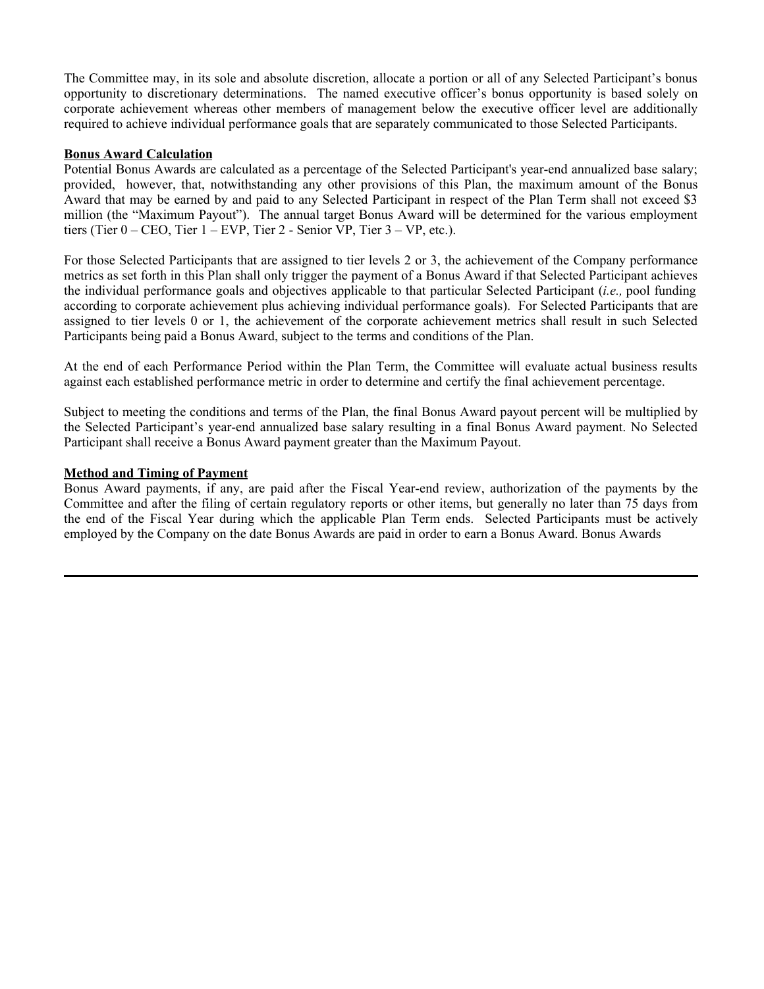The Committee may, in its sole and absolute discretion, allocate a portion or all of any Selected Participant's bonus required to achieve individual performance goals that are separately communicated to those Selected Participants.

## **Bonus Award Calculation**

The Committee may, in its sole and absolute discretion, allocate a portion or all of any Selected Participant's bonus<br>opportunity to discretionary determinations. The named executive officer's bonus opportunity is based so The Committee may, in its sole and absolute discretion, allocate a portion or all of any Selected Participant's bonus<br>opportunity to discretionary determinations. The named executive officer's bonus opportunity is based so Potential Bonus Awards are calculated as a percentage of the Selected Participant's year-end annualized base salary; The Committee may, in its sole and absolute discretion, allocate a portion or all of any Selected Participant's bonus<br>opportunity to discretionary determinations. The named executive officer's bonus opportunity is based s Award that may be earned by and paid to any Selected Participant in respect of the Plan Term shall not exceed \$3 million (the "Maximum Payout"). The annual target Bonus Award will be determined for the various employment tiers (Tier  $0 -$  CEO, Tier  $1 -$  EVP, Tier  $2 -$  Senior VP, Tier  $3 -$  VP, etc.).

For those Selected Participants that are assigned to tier levels 2 or 3, the achievement of the Company performance metrics as set forth in this Plan shall only trigger the payment of a Bonus Award if that Selected Participant achieves the individual performance goals and objectives applicable to that particular Selected Participant (*i.e.,* pool funding according to corporate achievement plus achieving individual performance goals). For Selected Participants that are The Committee may, in its sole and absolute diserretion, allocate a portion or all of any Selected Participant's bonoteopromity to decretionary determinations. The named esecutive offects' bonos opporting its issue solely Participants being paid a Bonus Award, subject to the terms and conditions of the Plan. The Committee may, in is sole and obsolute discretion, allocate a pottion or all of any Selected Patticipant's bonus<br>opportunity to discretionary determinations. The named executive offers' is bonus apportunity is hased so The Committee may, in its sole and should discretion, allocates a portion or all of any Schected Participant's bonos<br>corporative to discrete outernate destructions. The named exceedive officer's bonos eigenerality as thos

At the end of each Performance Period within the Plan Term, the Committee will evaluate actual business results against each established performance metric in order to determine and certify the final achievement percentage.

Subject to meeting the conditions and terms of the Plan, the final Bonus Award payout percent will be multiplied by the Selected Participant's year-end annualized base salary resulting in a final Bonus Award payment. No Selected Participant shall receive a Bonus Award payment greater than the Maximum Payout.

# **Method and Timing of Payment**

Committee and after the filing of certain regulatory reports or other items, but generally no later than 75 days from employed by the Company on the date Bonus Awards are paid in order to earn a Bonus Award. Bonus Awards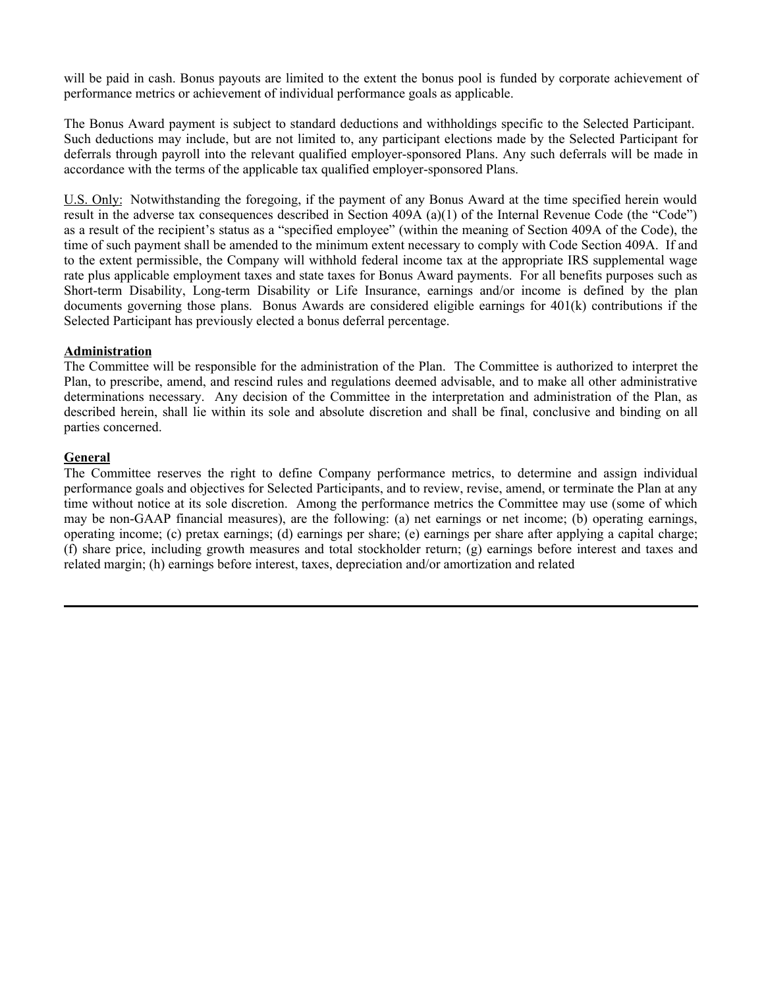will be paid in cash. Bonus payouts are limited to the extent the bonus pool is funded by corporate achievement of performance metrics or achievement of individual performance goals as applicable.

The Bonus Award payment is subject to standard deductions and withholdings specific to the Selected Participant. Such deductions may include, but are not limited to, any participant elections made by the Selected Participant for deferrals through payroll into the relevant qualified employer-sponsored Plans. Any such deferrals will be made in accordance with the terms of the applicable tax qualified employer-sponsored Plans.

U.S. Only: Notwithstanding the foregoing, if the payment of any Bonus Award at the time specified herein would result in the adverse tax consequences described in Section 409A (a)(1) of the Internal Revenue Code (the "Code") as a result of the recipient's status as a "specified employee" (within the meaning of Section 409A of the Code), the time of such payment shall be amended to the minimum extent necessary to comply with Code Section 409A. If and to the extent permissible, the Company will withhold federal income tax at the appropriate IRS supplemental wage rate plus applicable employment taxes and state taxes for Bonus Award payments. For all benefits purposes such as will be paid in cash. Bonus payouts are limited to the extent the bonus pool is funded by corporate achievement of performance metrics or achievement of individual performance goals as applicable.<br>The Bonus Award payment i will be paid in cash. Bonus payouts are limited to the extent the bonus pool is funded by corporate achievement of performance metrics or achievement of individual performance goals as applicable.<br>The Bonus Award paynent i Selected Participant has previously elected a bonus deferral percentage. will be paid in ceah. Domas proyest are limited to the extent the bunas pool is funded by corporate achievement of<br>performance metrics or achievement of individual performance goals as applied<br>older defined and absolute an Will be paid in eash. Bornus payonts are limited to the extent the bornus pool is funded by corporate achievement of<br>The Romis Assume payment is subject to standard deductions and with<br>bothings upstich to the Scheck Assume

# **Administration**

The Committee will be responsible for the administration of the Plan. The Committee is authorized to interpret the Plan, to prescribe, amend, and rescind rules and regulations deemed advisable, and to make all other administrative determinations necessary. Any decision of the Committee in the interpretation and administration of the Plan, as parties concerned.

# **General**

performance goals and objectives for Selected Participants, and to review, revise, amend, or terminate the Plan at any time without notice at its sole discretion. Among the performance metrics the Committee may use (some of which may be non-GAAP financial measures), are the following: (a) net earnings or net income; (b) operating earnings, operating income; (c) pretax earnings; (d) earnings per share; (e) earnings per share after applying a capital charge; (f) share price, including growth measures and total stockholder return; (g) earnings before interest and taxes and related margin; (h) earnings before interest, taxes, depreciation and/or amortization and related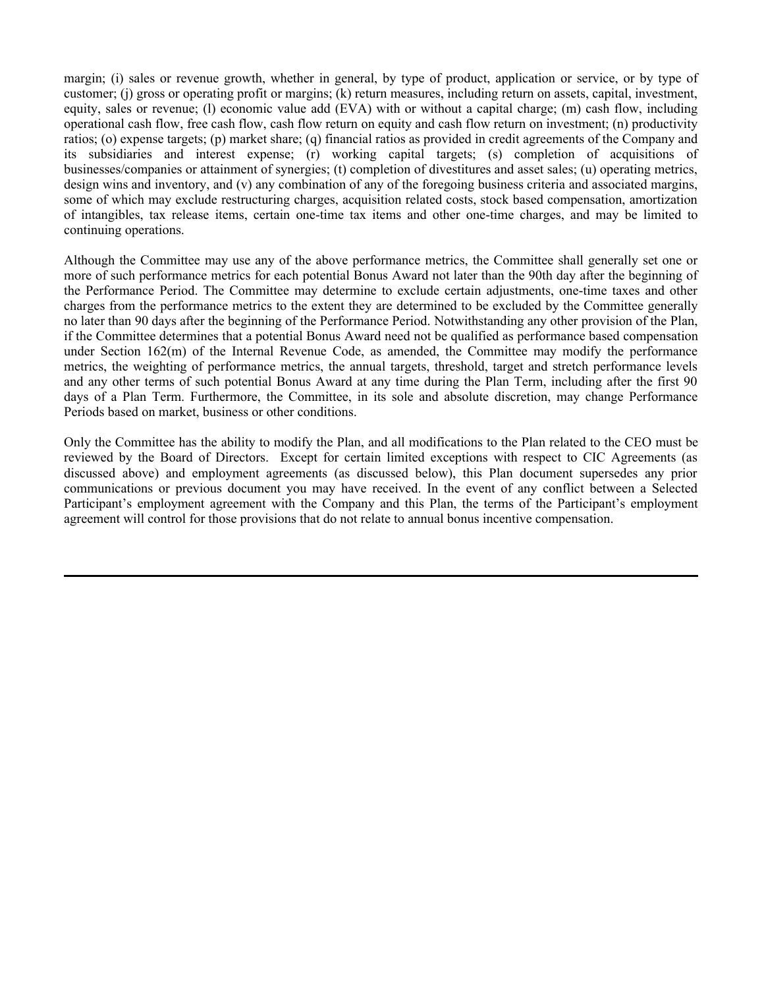margin; (i) sales or revenue growth, whether in general, by type of product, application or service, or by type of customer; (j) gross or operating profit or margins; (k) return measures, including return on assets, capita customer; (j) gross or operating profit or margins; (k) return measures, including return on assets, capital, investment, equity, sales or revenue; (l) economic value add (EVA) with or without a capital charge; (m) cash flow, including operational cash flow, free cash flow, cash flow return on equity and cash flow return on investment; (n) productivity ratios; (o) expense targets; (p) market share; (q) financial ratios as provided in credit agreements of the Company and<br>its subsidiaries and interest expense; (r) working capital targets; (s) completion of acquisitions of margin; (i) sales or revenue growth, whether in general, by type of product, application or service, or by type of customer; (i) gross or operating profit or margins; (k) return measures, including return on assets, capita businesses/companies or attainment of synergies; (t) completion of divestitures and asset sales; (u) operating metrics, design wins and inventory, and (v) any combination of any of the foregoing business criteria and associated margins, some of which may exclude restructuring charges, acquisition related costs, stock based compensation, amortization of intangibles, tax release items, certain one-time tax items and other one-time charges, and may be limite margin; (i) sales or revenue growth, whether in general, by type of product, application or service, or by type of eustiomer; (j) gross or operating porfit or margins; (k) return measures, including return on assets, capit continuing operations. margin; (i) sales or revenue growth, whether in general, by type of product, application or service, or by type of equationer, (i) gross or operating polition may massure, full origins to commit expansion (in the certain e margin; (i) sales or revenue growth, whether in general, by type of product, application or service, or by type of equationer, (i) gross or operating profit or margins; (k) return meansus, modular extins, and all, investme margin, (i) sales or revenue growth, whether in general, by type of product, application or service, or by type of eucations contents and early a constructed (FVM) without a capital charge; contents, including committed (F margin; (i) sales or revenue growth, whether in general, by type of product, application or service, or by type of euconomor, (i) gross or operating profit or margins; (k) estima measures, including return on assets, capi magin; (i) sales or revenue growth, whether in general, by type of product, application or service, or ity type of eueroments, (i) grass or revenue; (i) censoming equity, sales or everyone, (b) censoming equitarium agreeme communications (i) sales or tevenue guovalh, whether in general, by type of product, application or service. or by type of euternarm; (i) grass or operating profit or mayine; (b) charm measures, including return on assests margin; (i) sales or revenue growth, whether in general, by type of product, application or service, or by type of ests) equity, eases or service, (b) consents can explicit the company controllection of the moderation of

Although the Committee may use any of the above performance metrics, the Committee shall generally set one or more of such performance metrics for each potential Bonus Award not later than the 90th day after the beginning of charges from the performance metrics to the extent they are determined to be excluded by the Committee generally no later than 90 days after the beginning of the Performance Period. Notwithstanding any other provision of the Plan, if the Committee determines that a potential Bonus Award need not be qualified as performance based compensation metrics, the weighting of performance metrics, the annual targets, threshold, target and stretch performance levels and any other terms of such potential Bonus Award at any time during the Plan Term, including after the first 90 Periods based on market, business or other conditions.

Only the Committee has the ability to modify the Plan, and all modifications to the Plan related to the CEO must be reviewed by the Board of Directors. Except for certain limited exceptions with respect to CIC Agreements ( agreement will control for those provisions that do not relate to annual bonus incentive compensation.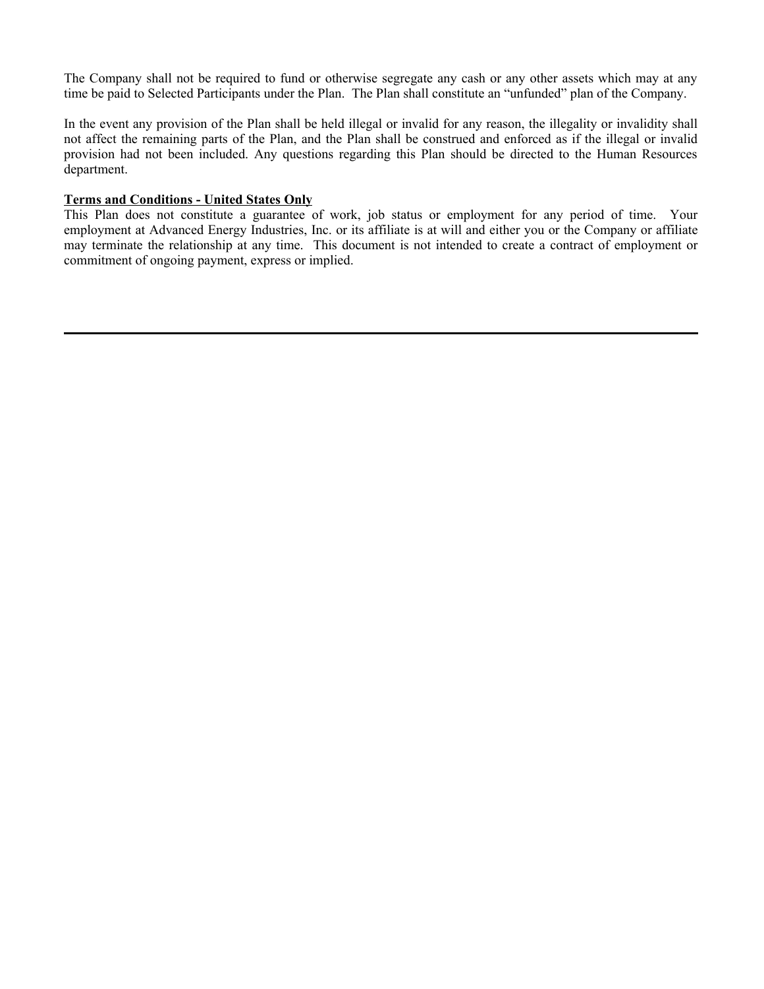The Company shall not be required to fund or otherwise segregate any cash or any other assets which may at any time be paid to Selected Participants under the Plan. The Plan shall constitute an "unfunded" plan of the Company.

In the event any provision of the Plan shall be held illegal or invalid for any reason, the illegality or invalidity shall not affect the remaining parts of the Plan, and the Plan shall be construed and enforced as if the illegal or invalid<br>provision had not been included. Any questions regarding this Plan should be directed to the Human Resou department.

# **Terms and Conditions - United States Only**

The Company shall not be required to fund or otherwise segregate any cash or any other assets which may at any time be paid to Selected Participants under the Plan. The Plan shall constitute an "unfunded" plan of the Compa The Company shall not be required to fund or otherwise segregate any eash or any other assets which may at any time be paid to Selected Participants under the Plan. The Plan shall constitute an "unfunded" plan of the Compa employment at Advanced Energy Industries, Inc. or its affiliate is at will and either you or the Company or affiliate may terminate the relationship at any time. This document is not intended to create a contract of employment or commitment of ongoing payment, express or implied.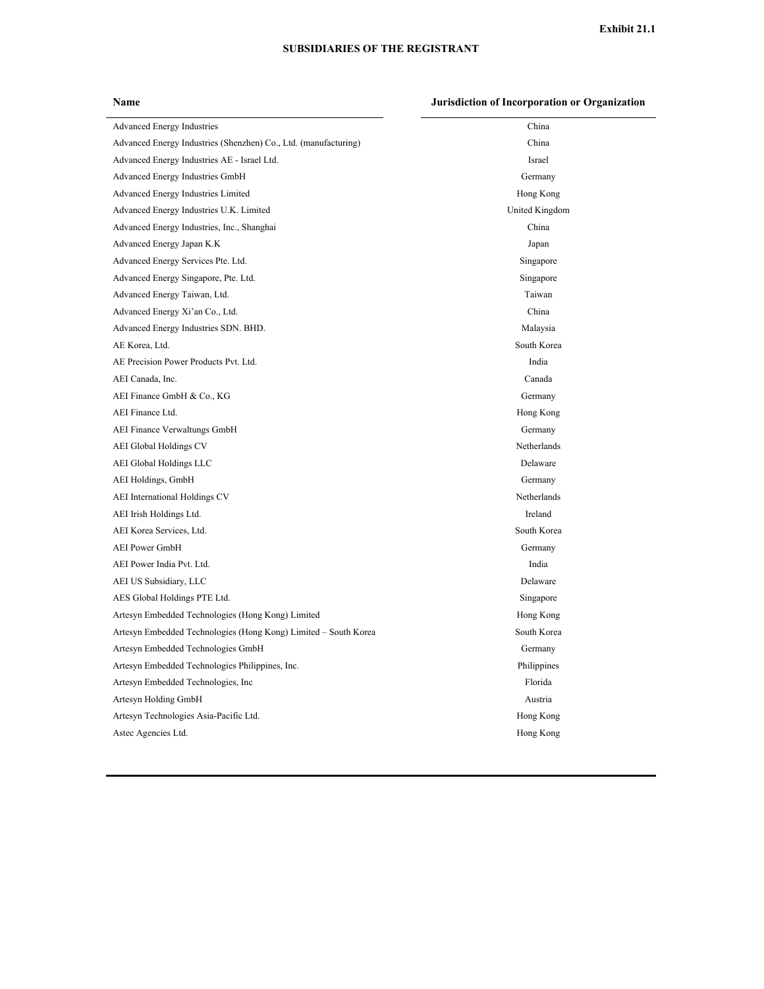## **SUBSIDIARIES OF THE REGISTRANT**

# **Name Jurisdiction of Incorporation or Organization**

| Advanced Energy Industries                                      | China          |
|-----------------------------------------------------------------|----------------|
| Advanced Energy Industries (Shenzhen) Co., Ltd. (manufacturing) | China          |
| Advanced Energy Industries AE - Israel Ltd.                     | Israel         |
| Advanced Energy Industries GmbH                                 | Germany        |
| Advanced Energy Industries Limited                              | Hong Kong      |
| Advanced Energy Industries U.K. Limited                         | United Kingdom |
| Advanced Energy Industries, Inc., Shanghai                      | China          |
| Advanced Energy Japan K.K.                                      | Japan          |
| Advanced Energy Services Pte. Ltd.                              | Singapore      |
| Advanced Energy Singapore, Pte. Ltd.                            | Singapore      |
| Advanced Energy Taiwan, Ltd.                                    | Taiwan         |
| Advanced Energy Xi'an Co., Ltd.                                 | China          |
| Advanced Energy Industries SDN. BHD.                            | Malaysia       |
| AE Korea, Ltd.                                                  | South Korea    |
| AE Precision Power Products Pvt. Ltd.                           | India          |
| AEI Canada, Inc.                                                | Canada         |
| AEI Finance GmbH & Co., KG                                      | Germany        |
| AEI Finance Ltd.                                                | Hong Kong      |
| AEI Finance Verwaltungs GmbH                                    | Germany        |
| <b>AEI Global Holdings CV</b>                                   | Netherlands    |
| AEI Global Holdings LLC                                         | Delaware       |
| AEI Holdings, GmbH                                              | Germany        |
| AEI International Holdings CV                                   | Netherlands    |
| AEI Irish Holdings Ltd.                                         | Ireland        |
| AEI Korea Services, Ltd.                                        | South Korea    |
| <b>AEI</b> Power GmbH                                           | Germany        |
| AEI Power India Pvt. Ltd.                                       | India          |
| AEI US Subsidiary, LLC                                          | Delaware       |
| AES Global Holdings PTE Ltd.                                    | Singapore      |
| Artesyn Embedded Technologies (Hong Kong) Limited               | Hong Kong      |
| Artesyn Embedded Technologies (Hong Kong) Limited - South Korea | South Korea    |
| Artesyn Embedded Technologies GmbH                              | Germany        |
| Artesyn Embedded Technologies Philippines, Inc.                 | Philippines    |
| Artesyn Embedded Technologies, Inc                              | Florida        |
| Artesyn Holding GmbH                                            | Austria        |
| Artesyn Technologies Asia-Pacific Ltd.                          | Hong Kong      |
| Astec Agencies Ltd.                                             | Hong Kong      |
|                                                                 |                |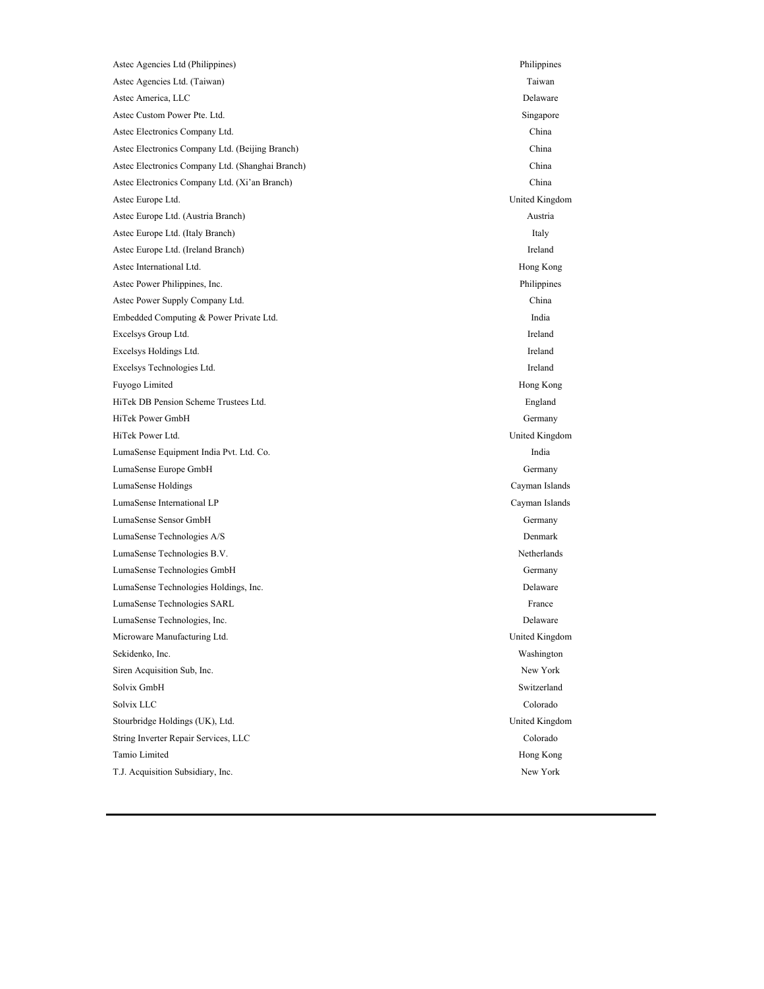Astec Agencies Ltd (Philippines) Philippines Astec Agencies Ltd. (Taiwan) Taiwan Astec America, LLC Delaware Astec Custom Power Pte. Ltd. Singapore Astec Electronics Company Ltd. China Astec Electronics Company Ltd. (Beijing Branch) China Astec Electronics Company Ltd. (Shanghai Branch) China Astec Electronics Company Ltd. (Xi'an Branch) China Astec Europe Ltd. United Kingdom Astec Europe Ltd. (Austria Branch) Austria Astec Europe Ltd. (Italy Branch) Italy Astec Europe Ltd. (Ireland Branch) Ireland Astec International Ltd. Hong Kong Astec Power Philippines, Inc. **Philippines** Philippines Astec Power Supply Company Ltd. China China China China China China China China China China China China China China China China China China China China China China China China China China China China China China China Chin Embedded Computing & Power Private Ltd. India Excelsys Group Ltd. Ireland Excelsys Holdings Ltd. Ireland Excelsys Technologies Ltd. Ireland Fuyogo Limited **Hong Kong** Companies and the Hong Kong Hong Kong Hong Kong Hong Kong Hong Kong Hong Kong Hong Kong Hong Kong Hong Kong Hong Kong Hong Kong Hong Kong Hong Kong Hong Kong Hong Kong Hong Kong Hong Kong Hong Ko HiTek DB Pension Scheme Trustees Ltd. England HiTek Power GmbH Germany HiTek Power Ltd. United Kingdom LumaSense Equipment India Pvt. Ltd. Co. India LumaSense Europe GmbH Germany LumaSense Holdings Cayman Islands LumaSense International LP Cayman Islands LumaSense Sensor GmbH Germany LumaSense Technologies A/S Denmark LumaSense Technologies B.V. Netherlands LumaSense Technologies GmbH Germany LumaSense Technologies Holdings, Inc. Delaware LumaSense Technologies SARL France LumaSense Technologies, Inc. Delaware Microware Manufacturing Ltd. United Kingdom Sekidenko, Inc. Washington Siren Acquisition Sub, Inc. New York Solvix GmbH Switzerland Solvix LLC Colorado Stourbridge Holdings (UK), Ltd. **United Kingdom** United Kingdom United Kingdom United Kingdom String Inverter Repair Services, LLC Colorado and Services, LLC Colorado and Services, LLC Colorado and Services, LLC Tamio Limited **Hong Kong** T.J. Acquisition Subsidiary, Inc. New York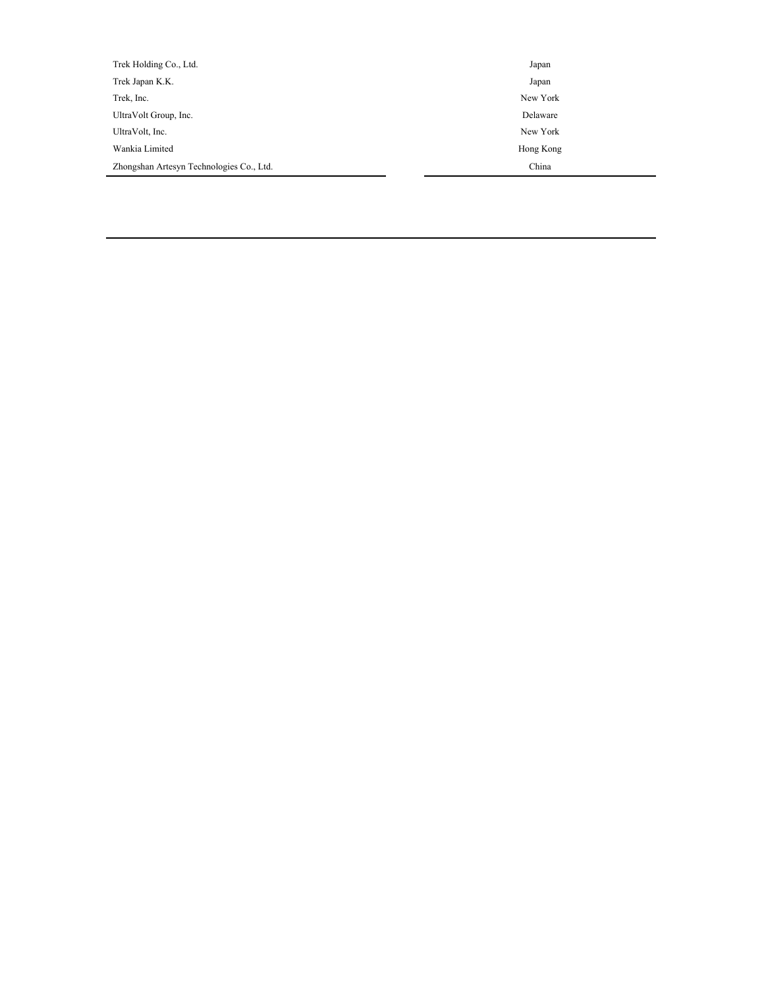| Trek Holding Co., Ltd.                   | Japan     |
|------------------------------------------|-----------|
| Trek Japan K.K.                          | Japan     |
| Trek, Inc.                               | New York  |
| UltraVolt Group, Inc.                    | Delaware  |
| UltraVolt, Inc.                          | New York  |
| Wankia Limited                           | Hong Kong |
| Zhongshan Artesyn Technologies Co., Ltd. | China     |
|                                          |           |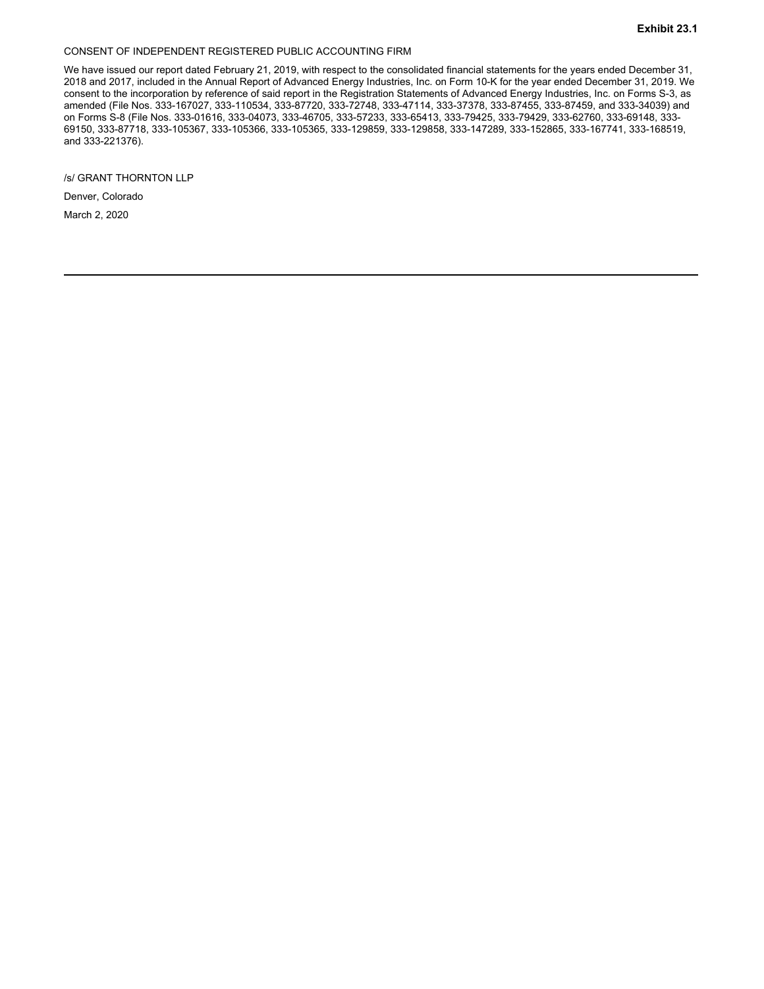#### CONSENT OF INDEPENDENT REGISTERED PUBLIC ACCOUNTING FIRM

We have issued our report dated February 21, 2019, with respect to the consolidated financial statements for the years ended December 31, 2018 and 2017, included in the Annual Report of Advanced Energy Industries, Inc. on Form 10-K for the year ended December 31, 2019. We consent to the incorporation by reference of said report in the Registration Statements of Advanced Energy Industries, Inc. on Forms S-3, as amended (File Nos. 333-167027, 333-110534, 333-87720, 333-72748, 333-47114, 333-37378, 333-87455, 333-87459, and 333-34039) and on Forms S-8 (File Nos. 333-01616, 333-04073, 333-46705, 333-57233, 333-65413, 333-79425, 333-79429, 333-62760, 333-69148, 333- 69150, 333-87718, 333-105367, 333-105366, 333-105365, 333-129859, 333-129858, 333-147289, 333-152865, 333-167741, 333-168519, and 333-221376).

/s/ GRANT THORNTON LLP

Denver, Colorado March 2, 2020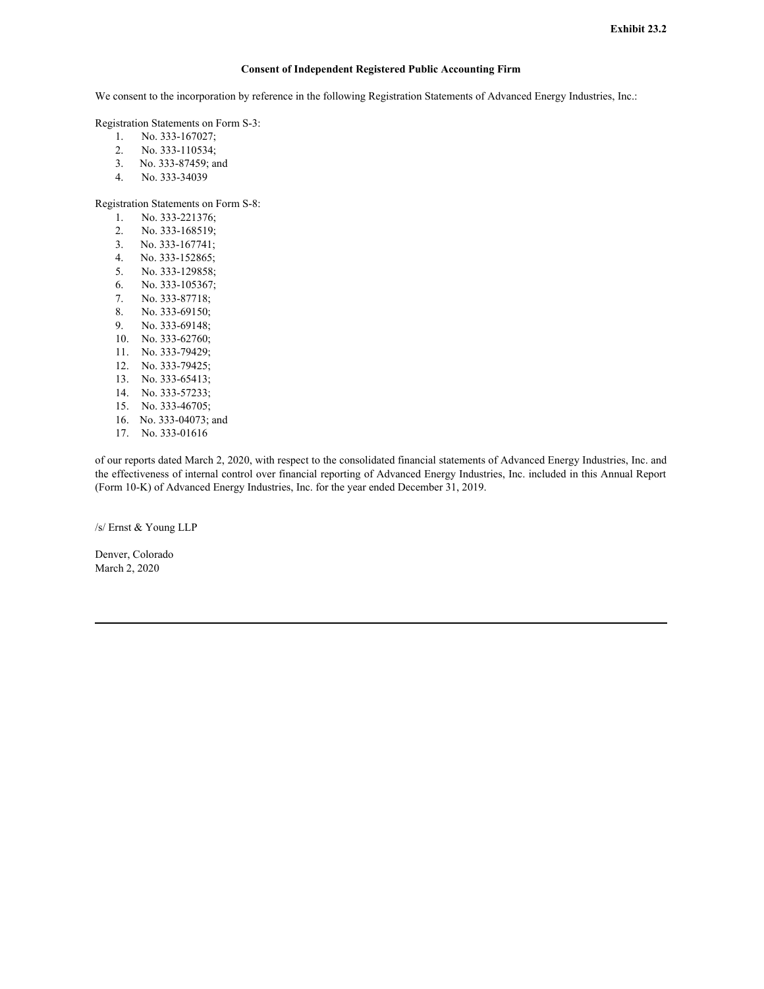#### **Consent of Independent Registered Public Accounting Firm**

We consent to the incorporation by reference in the following Registration Statements of Advanced Energy Industries, Inc.:

Registration Statements on Form S-3:

- 1. No. 333-167027;
- 2. No. 333-110534;
- 3. No. 333-87459; and
- 4. No. 333-34039

Registration Statements on Form S-8:

- 1. No. 333-221376;
- 2. No. 333-168519;
- 3. No. 333-167741;
- 4. No. 333-152865;
- 5. No. 333-129858;
- 6. No. 333-105367;
- 7. No. 333-87718;
- 8. No. 333-69150;
- 9. No. 333-69148;
- 10. No. 333-62760;
- 11. No. 333-79429;
- 12. No. 333-79425;
- 13. No. 333-65413; 14. No. 333-57233;
- 15. No. 333-46705;
- 16. No. 333-04073; and
- 17. No. 333-01616
- 

of our reports dated March 2, 2020, with respect to the consolidated financial statements of Advanced Energy Industries, Inc. and the effectiveness of internal control over financial reporting of Advanced Energy Industries, Inc. included in this Annual Report (Form 10-K) of Advanced Energy Industries, Inc. for the year ended December 31, 2019.

/s/ Ernst & Young LLP

Denver, Colorado March 2, 2020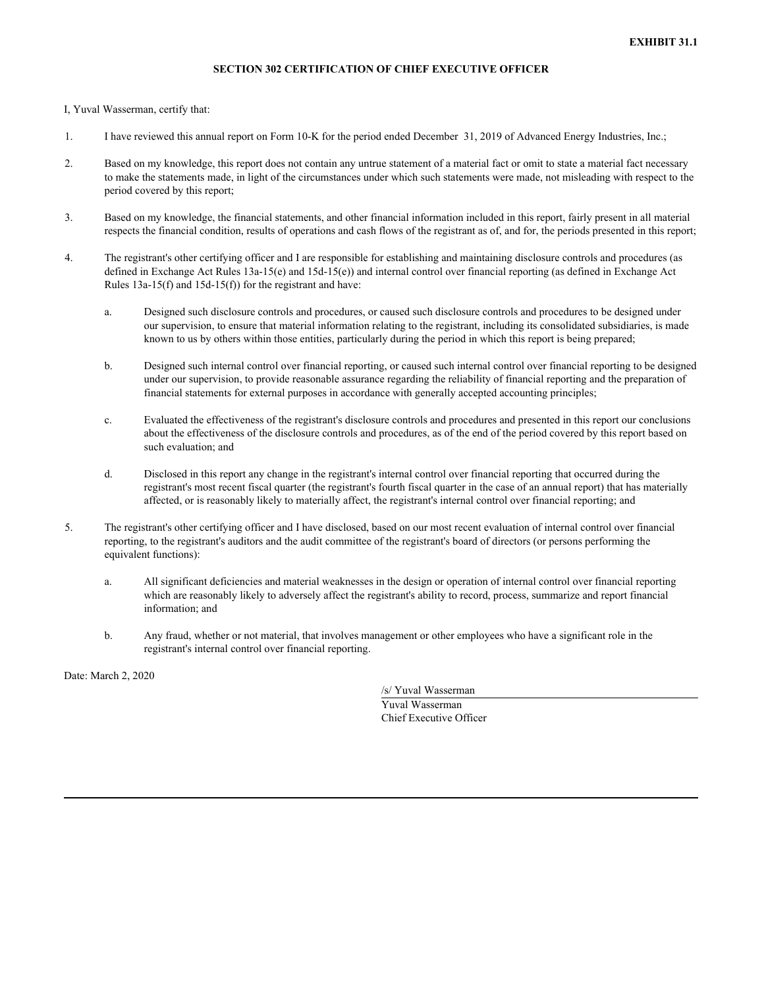#### **SECTION 302 CERTIFICATION OF CHIEF EXECUTIVE OFFICER**

I, Yuval Wasserman, certify that:

- 1. I have reviewed this annual report on Form 10-K for the period ended December 31, 2019 of Advanced Energy Industries, Inc.;
- 2. Based on my knowledge, this report does not contain any untrue statement of a material fact or omit to state a material fact necessary to make the statements made, in light of the circumstances under which such statements were made, not misleading with respect to the period covered by this report;
- 3. Based on my knowledge, the financial statements, and other financial information included in this report, fairly present in all material respects the financial condition, results of operations and cash flows of the registrant as of, and for, the periods presented in this report;
- 4. The registrant's other certifying officer and I are responsible for establishing and maintaining disclosure controls and procedures (as defined in Exchange Act Rules 13a-15(e) and 15d-15(e)) and internal control over financial reporting (as defined in Exchange Act Rules 13a-15(f) and 15d-15(f)) for the registrant and have:
	- a. Designed such disclosure controls and procedures, or caused such disclosure controls and procedures to be designed under our supervision, to ensure that material information relating to the registrant, including its consolidated subsidiaries, is made known to us by others within those entities, particularly during the period in which this report is being prepared;
	- b. Designed such internal control over financial reporting, or caused such internal control over financial reporting to be designed under our supervision, to provide reasonable assurance regarding the reliability of financial reporting and the preparation of financial statements for external purposes in accordance with generally accepted accounting principles;
	- c. Evaluated the effectiveness of the registrant's disclosure controls and procedures and presented in this report our conclusions about the effectiveness of the disclosure controls and procedures, as of the end of the period covered by this report based on such evaluation; and
	- d. Disclosed in this report any change in the registrant's internal control over financial reporting that occurred during the registrant's most recent fiscal quarter (the registrant's fourth fiscal quarter in the case of an annual report) that has materially affected, or is reasonably likely to materially affect, the registrant's internal control over financial reporting; and
- 5. The registrant's other certifying officer and I have disclosed, based on our most recent evaluation of internal control over financial reporting, to the registrant's auditors and the audit committee of the registrant's board of directors (or persons performing the equivalent functions):
	- a. All significant deficiencies and material weaknesses in the design or operation of internal control over financial reporting which are reasonably likely to adversely affect the registrant's ability to record, process, summarize and report financial information; and
	- b. Any fraud, whether or not material, that involves management or other employees who have a significant role in the registrant's internal control over financial reporting.

Date: March 2, 2020

/s/ Yuval Wasserman Yuval Wasserman Chief Executive Officer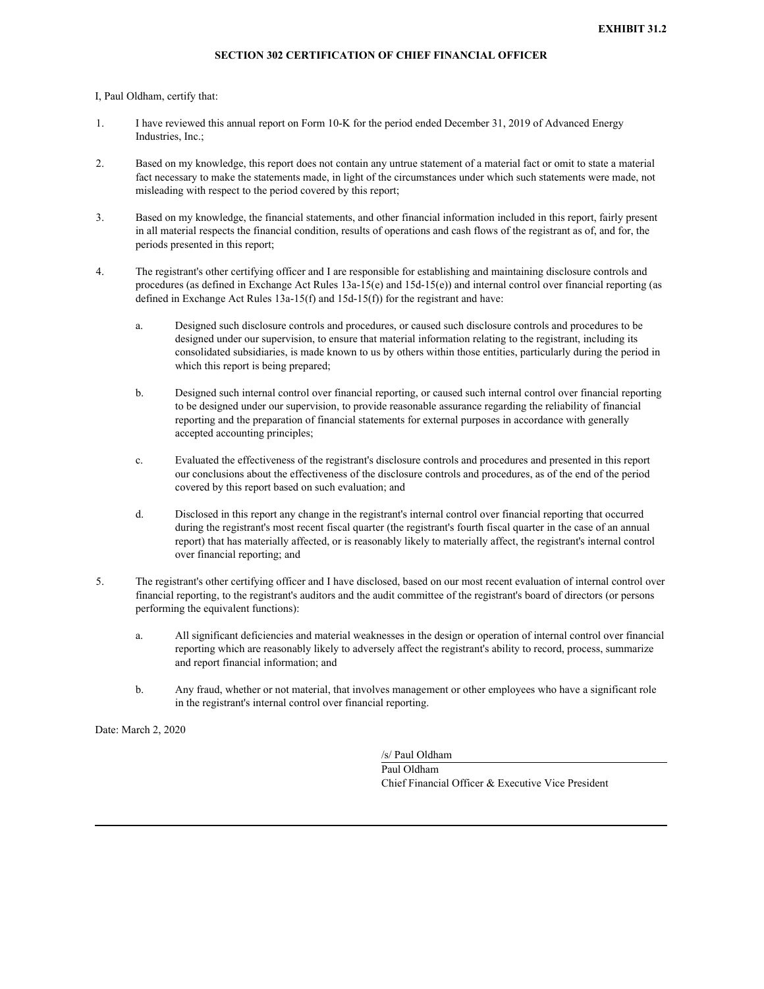I, Paul Oldham, certify that:

- 1. I have reviewed this annual report on Form 10-K for the period ended December 31, 2019 of Advanced Energy Industries, Inc.;
- 2. Based on my knowledge, this report does not contain any untrue statement of a material fact or omit to state a material fact necessary to make the statements made, in light of the circumstances under which such statements were made, not misleading with respect to the period covered by this report;
- 3. Based on my knowledge, the financial statements, and other financial information included in this report, fairly present in all material respects the financial condition, results of operations and cash flows of the registrant as of, and for, the periods presented in this report;
- 4. The registrant's other certifying officer and I are responsible for establishing and maintaining disclosure controls and procedures (as defined in Exchange Act Rules 13a-15(e) and 15d-15(e)) and internal control over financial reporting (as defined in Exchange Act Rules 13a-15(f) and 15d-15(f)) for the registrant and have:
	- a. Designed such disclosure controls and procedures, or caused such disclosure controls and procedures to be designed under our supervision, to ensure that material information relating to the registrant, including its consolidated subsidiaries, is made known to us by others within those entities, particularly during the period in which this report is being prepared;
	- b. Designed such internal control over financial reporting, or caused such internal control over financial reporting to be designed under our supervision, to provide reasonable assurance regarding the reliability of financial reporting and the preparation of financial statements for external purposes in accordance with generally accepted accounting principles;
	- c. Evaluated the effectiveness of the registrant's disclosure controls and procedures and presented in this report our conclusions about the effectiveness of the disclosure controls and procedures, as of the end of the period covered by this report based on such evaluation; and
	- d. Disclosed in this report any change in the registrant's internal control over financial reporting that occurred during the registrant's most recent fiscal quarter (the registrant's fourth fiscal quarter in the case of an annual report) that has materially affected, or is reasonably likely to materially affect, the registrant's internal control over financial reporting; and
- 5. The registrant's other certifying officer and I have disclosed, based on our most recent evaluation of internal control over financial reporting, to the registrant's auditors and the audit committee of the registrant's board of directors (or persons performing the equivalent functions):
	- a. All significant deficiencies and material weaknesses in the design or operation of internal control over financial reporting which are reasonably likely to adversely affect the registrant's ability to record, process, summarize and report financial information; and
	- b. Any fraud, whether or not material, that involves management or other employees who have a significant role in the registrant's internal control over financial reporting.

Date: March 2, 2020

/s/ Paul Oldham

Paul Oldham Chief Financial Officer & Executive Vice President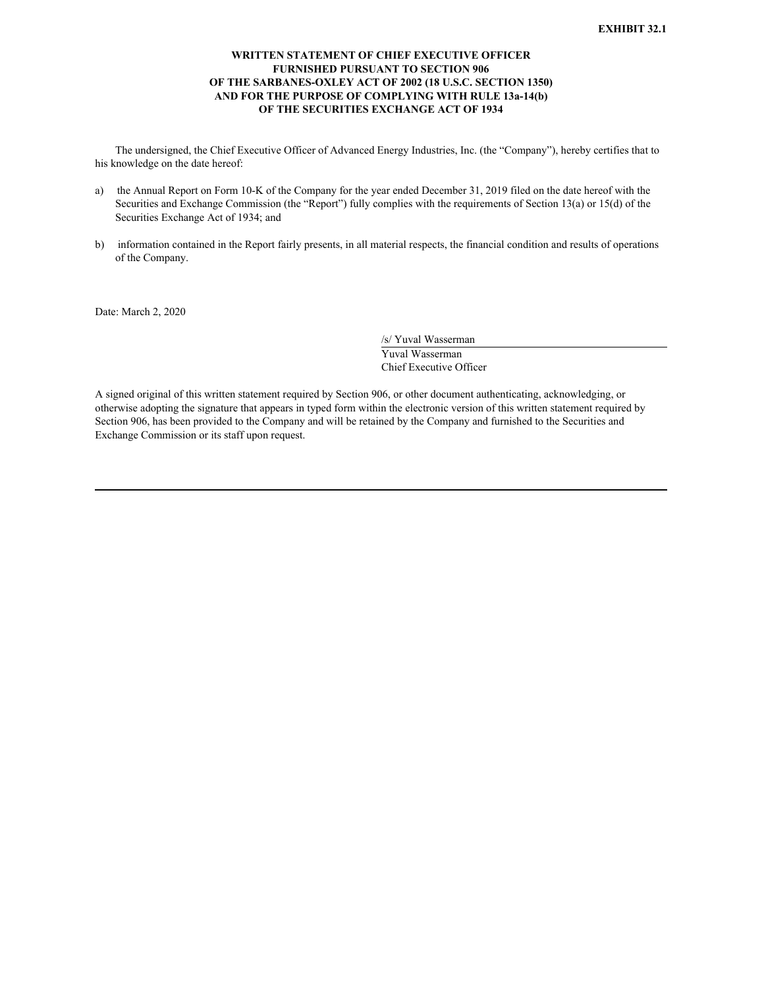#### **WRITTEN STATEMENT OF CHIEF EXECUTIVE OFFICER FURNISHED PURSUANT TO SECTION 906 OF THE SARBANES-OXLEY ACT OF 2002 (18 U.S.C. SECTION 1350) AND FOR THE PURPOSE OF COMPLYING WITH RULE 13a-14(b) OF THE SECURITIES EXCHANGE ACT OF 1934**

The undersigned, the Chief Executive Officer of Advanced Energy Industries, Inc. (the "Company"), hereby certifies that to his knowledge on the date hereof:

- a) the Annual Report on Form 10-K of the Company for the year ended December 31, 2019 filed on the date hereof with the Securities and Exchange Commission (the "Report") fully complies with the requirements of Section 13(a) or 15(d) of the Securities Exchange Act of 1934; and
- b) information contained in the Report fairly presents, in all material respects, the financial condition and results of operations of the Company.

Date: March 2, 2020

/s/ Yuval Wasserman Yuval Wasserman Chief Executive Officer

A signed original of this written statement required by Section 906, or other document authenticating, acknowledging, or otherwise adopting the signature that appears in typed form within the electronic version of this written statement required by Section 906, has been provided to the Company and will be retained by the Company and furnished to the Securities and Exchange Commission or its staff upon request.